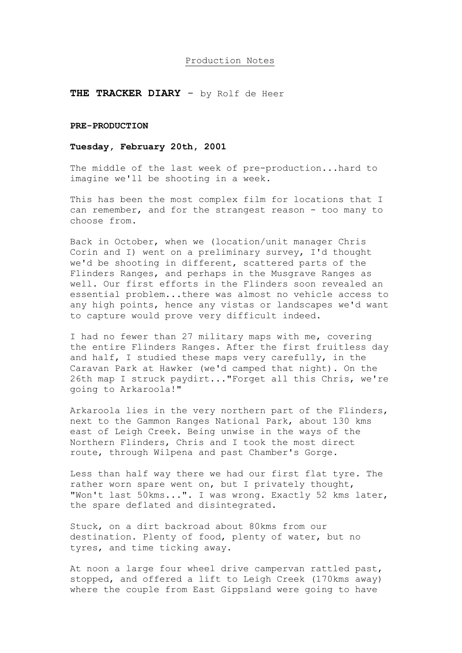#### Production Notes

### **THE TRACKER DIARY** - by Rolf de Heer

#### **PRE-PRODUCTION**

#### **Tuesday, February 20th, 2001**

The middle of the last week of pre-production...hard to imagine we'll be shooting in a week.

This has been the most complex film for locations that I can remember, and for the strangest reason - too many to choose from.

Back in October, when we (location/unit manager Chris Corin and I) went on a preliminary survey, I'd thought we'd be shooting in different, scattered parts of the Flinders Ranges, and perhaps in the Musgrave Ranges as well. Our first efforts in the Flinders soon revealed an essential problem...there was almost no vehicle access to any high points, hence any vistas or landscapes we'd want to capture would prove very difficult indeed.

I had no fewer than 27 military maps with me, covering the entire Flinders Ranges. After the first fruitless day and half, I studied these maps very carefully, in the Caravan Park at Hawker (we'd camped that night). On the 26th map I struck paydirt..."Forget all this Chris, we're going to Arkaroola!"

Arkaroola lies in the very northern part of the Flinders, next to the Gammon Ranges National Park, about 130 kms east of Leigh Creek. Being unwise in the ways of the Northern Flinders, Chris and I took the most direct route, through Wilpena and past Chamber's Gorge.

Less than half way there we had our first flat tyre. The rather worn spare went on, but I privately thought, "Won't last 50kms...". I was wrong. Exactly 52 kms later, the spare deflated and disintegrated.

Stuck, on a dirt backroad about 80kms from our destination. Plenty of food, plenty of water, but no tyres, and time ticking away.

At noon a large four wheel drive campervan rattled past, stopped, and offered a lift to Leigh Creek (170kms away) where the couple from East Gippsland were going to have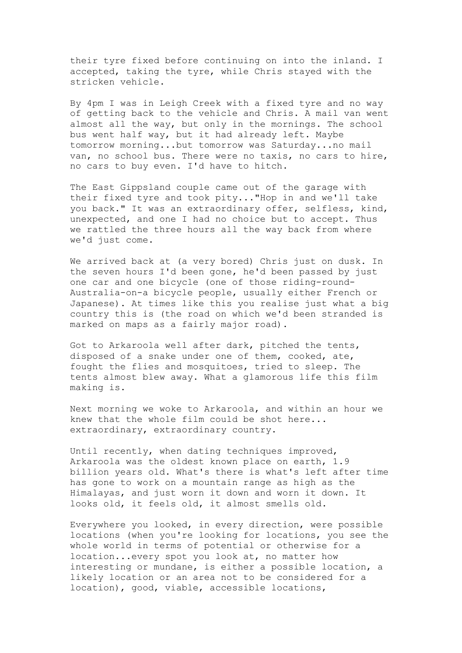their tyre fixed before continuing on into the inland. I accepted, taking the tyre, while Chris stayed with the stricken vehicle.

By 4pm I was in Leigh Creek with a fixed tyre and no way of getting back to the vehicle and Chris. A mail van went almost all the way, but only in the mornings. The school bus went half way, but it had already left. Maybe tomorrow morning...but tomorrow was Saturday...no mail van, no school bus. There were no taxis, no cars to hire, no cars to buy even. I'd have to hitch.

The East Gippsland couple came out of the garage with their fixed tyre and took pity..."Hop in and we'll take you back." It was an extraordinary offer, selfless, kind, unexpected, and one I had no choice but to accept. Thus we rattled the three hours all the way back from where we'd just come.

We arrived back at (a very bored) Chris just on dusk. In the seven hours I'd been gone, he'd been passed by just one car and one bicycle (one of those riding-round-Australia-on-a bicycle people, usually either French or Japanese). At times like this you realise just what a big country this is (the road on which we'd been stranded is marked on maps as a fairly major road).

Got to Arkaroola well after dark, pitched the tents, disposed of a snake under one of them, cooked, ate, fought the flies and mosquitoes, tried to sleep. The tents almost blew away. What a glamorous life this film making is.

Next morning we woke to Arkaroola, and within an hour we knew that the whole film could be shot here... extraordinary, extraordinary country.

Until recently, when dating techniques improved, Arkaroola was the oldest known place on earth, 1.9 billion years old. What's there is what's left after time has gone to work on a mountain range as high as the Himalayas, and just worn it down and worn it down. It looks old, it feels old, it almost smells old.

Everywhere you looked, in every direction, were possible locations (when you're looking for locations, you see the whole world in terms of potential or otherwise for a location...every spot you look at, no matter how interesting or mundane, is either a possible location, a likely location or an area not to be considered for a location), good, viable, accessible locations,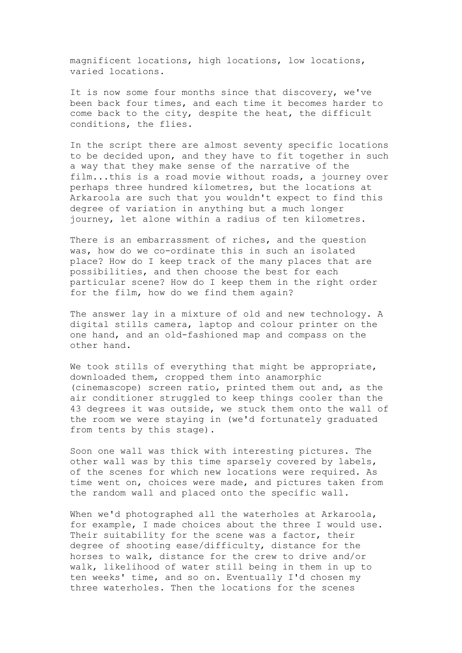magnificent locations, high locations, low locations, varied locations.

It is now some four months since that discovery, we've been back four times, and each time it becomes harder to come back to the city, despite the heat, the difficult conditions, the flies.

In the script there are almost seventy specific locations to be decided upon, and they have to fit together in such a way that they make sense of the narrative of the film...this is a road movie without roads, a journey over perhaps three hundred kilometres, but the locations at Arkaroola are such that you wouldn't expect to find this degree of variation in anything but a much longer journey, let alone within a radius of ten kilometres.

There is an embarrassment of riches, and the question was, how do we co-ordinate this in such an isolated place? How do I keep track of the many places that are possibilities, and then choose the best for each particular scene? How do I keep them in the right order for the film, how do we find them again?

The answer lay in a mixture of old and new technology. A digital stills camera, laptop and colour printer on the one hand, and an old-fashioned map and compass on the other hand.

We took stills of everything that might be appropriate, downloaded them, cropped them into anamorphic (cinemascope) screen ratio, printed them out and, as the air conditioner struggled to keep things cooler than the 43 degrees it was outside, we stuck them onto the wall of the room we were staying in (we'd fortunately graduated from tents by this stage).

Soon one wall was thick with interesting pictures. The other wall was by this time sparsely covered by labels, of the scenes for which new locations were required. As time went on, choices were made, and pictures taken from the random wall and placed onto the specific wall.

When we'd photographed all the waterholes at Arkaroola, for example, I made choices about the three I would use. Their suitability for the scene was a factor, their degree of shooting ease/difficulty, distance for the horses to walk, distance for the crew to drive and/or walk, likelihood of water still being in them in up to ten weeks' time, and so on. Eventually I'd chosen my three waterholes. Then the locations for the scenes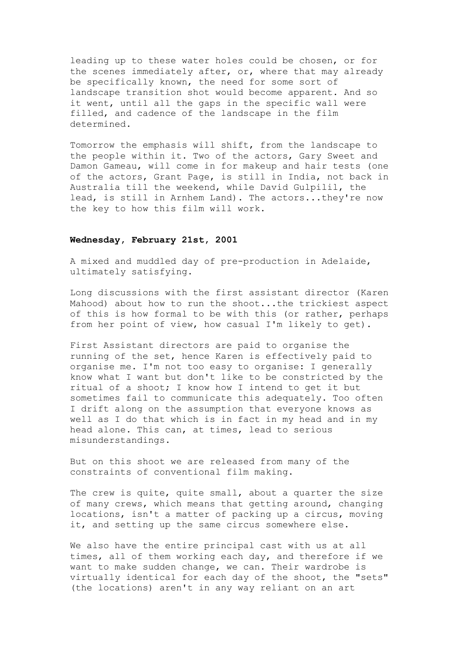leading up to these water holes could be chosen, or for the scenes immediately after, or, where that may already be specifically known, the need for some sort of landscape transition shot would become apparent. And so it went, until all the gaps in the specific wall were filled, and cadence of the landscape in the film determined.

Tomorrow the emphasis will shift, from the landscape to the people within it. Two of the actors, Gary Sweet and Damon Gameau, will come in for makeup and hair tests (one of the actors, Grant Page, is still in India, not back in Australia till the weekend, while David Gulpilil, the lead, is still in Arnhem Land). The actors...they're now the key to how this film will work.

#### **Wednesday, February 21st, 2001**

A mixed and muddled day of pre-production in Adelaide, ultimately satisfying.

Long discussions with the first assistant director (Karen Mahood) about how to run the shoot...the trickiest aspect of this is how formal to be with this (or rather, perhaps from her point of view, how casual I'm likely to get).

First Assistant directors are paid to organise the running of the set, hence Karen is effectively paid to organise me. I'm not too easy to organise: I generally know what I want but don't like to be constricted by the ritual of a shoot; I know how I intend to get it but sometimes fail to communicate this adequately. Too often I drift along on the assumption that everyone knows as well as I do that which is in fact in my head and in my head alone. This can, at times, lead to serious misunderstandings.

But on this shoot we are released from many of the constraints of conventional film making.

The crew is quite, quite small, about a quarter the size of many crews, which means that getting around, changing locations, isn't a matter of packing up a circus, moving it, and setting up the same circus somewhere else.

We also have the entire principal cast with us at all times, all of them working each day, and therefore if we want to make sudden change, we can. Their wardrobe is virtually identical for each day of the shoot, the "sets" (the locations) aren't in any way reliant on an art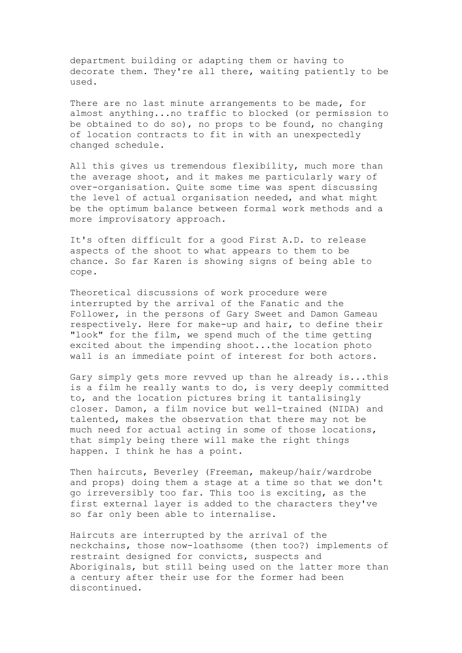department building or adapting them or having to decorate them. They're all there, waiting patiently to be used.

There are no last minute arrangements to be made, for almost anything...no traffic to blocked (or permission to be obtained to do so), no props to be found, no changing of location contracts to fit in with an unexpectedly changed schedule.

All this gives us tremendous flexibility, much more than the average shoot, and it makes me particularly wary of over-organisation. Quite some time was spent discussing the level of actual organisation needed, and what might be the optimum balance between formal work methods and a more improvisatory approach.

It's often difficult for a good First A.D. to release aspects of the shoot to what appears to them to be chance. So far Karen is showing signs of being able to cope.

Theoretical discussions of work procedure were interrupted by the arrival of the Fanatic and the Follower, in the persons of Gary Sweet and Damon Gameau respectively. Here for make-up and hair, to define their "look" for the film, we spend much of the time getting excited about the impending shoot...the location photo wall is an immediate point of interest for both actors.

Gary simply gets more revved up than he already is...this is a film he really wants to do, is very deeply committed to, and the location pictures bring it tantalisingly closer. Damon, a film novice but well-trained (NIDA) and talented, makes the observation that there may not be much need for actual acting in some of those locations, that simply being there will make the right things happen. I think he has a point.

Then haircuts, Beverley (Freeman, makeup/hair/wardrobe and props) doing them a stage at a time so that we don't go irreversibly too far. This too is exciting, as the first external layer is added to the characters they've so far only been able to internalise.

Haircuts are interrupted by the arrival of the neckchains, those now-loathsome (then too?) implements of restraint designed for convicts, suspects and Aboriginals, but still being used on the latter more than a century after their use for the former had been discontinued.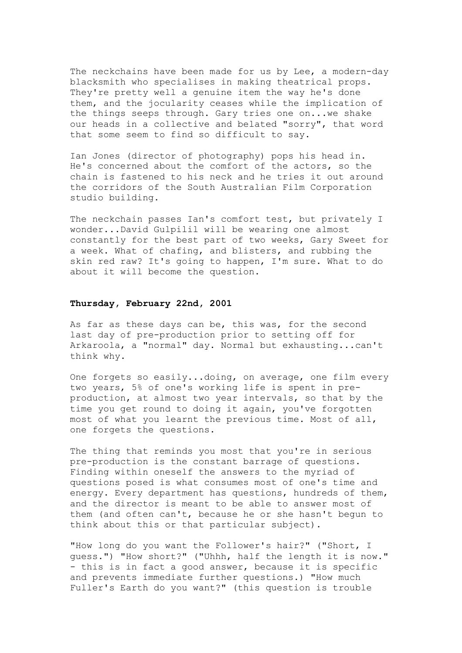The neckchains have been made for us by Lee, a modern-day blacksmith who specialises in making theatrical props. They're pretty well a genuine item the way he's done them, and the jocularity ceases while the implication of the things seeps through. Gary tries one on...we shake our heads in a collective and belated "sorry", that word that some seem to find so difficult to say.

Ian Jones (director of photography) pops his head in. He's concerned about the comfort of the actors, so the chain is fastened to his neck and he tries it out around the corridors of the South Australian Film Corporation studio building.

The neckchain passes Ian's comfort test, but privately I wonder...David Gulpilil will be wearing one almost constantly for the best part of two weeks, Gary Sweet for a week. What of chafing, and blisters, and rubbing the skin red raw? It's going to happen, I'm sure. What to do about it will become the question.

# **Thursday, February 22nd, 2001**

As far as these days can be, this was, for the second last day of pre-production prior to setting off for Arkaroola, a "normal" day. Normal but exhausting...can't think why.

One forgets so easily...doing, on average, one film every two years, 5% of one's working life is spent in preproduction, at almost two year intervals, so that by the time you get round to doing it again, you've forgotten most of what you learnt the previous time. Most of all, one forgets the questions.

The thing that reminds you most that you're in serious pre-production is the constant barrage of questions. Finding within oneself the answers to the myriad of questions posed is what consumes most of one's time and energy. Every department has questions, hundreds of them, and the director is meant to be able to answer most of them (and often can't, because he or she hasn't begun to think about this or that particular subject).

"How long do you want the Follower's hair?" ("Short, I guess.") "How short?" ("Uhhh, half the length it is now." - this is in fact a good answer, because it is specific and prevents immediate further questions.) "How much Fuller's Earth do you want?" (this question is trouble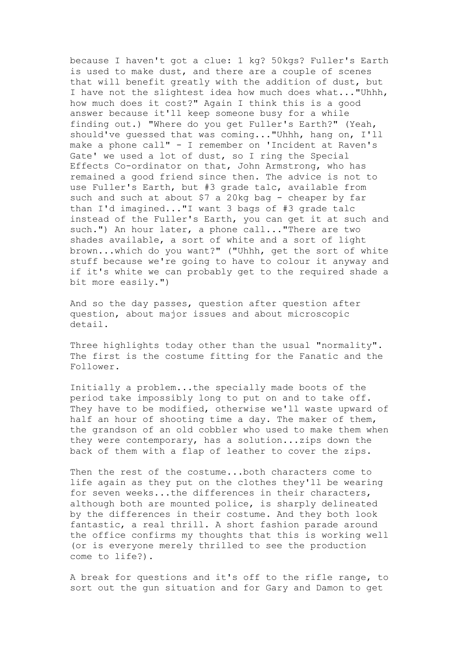because I haven't got a clue: 1 kg? 50kgs? Fuller's Earth is used to make dust, and there are a couple of scenes that will benefit greatly with the addition of dust, but I have not the slightest idea how much does what..."Uhhh, how much does it cost?" Again I think this is a good answer because it'll keep someone busy for a while finding out.) "Where do you get Fuller's Earth?" (Yeah, should've guessed that was coming..."Uhhh, hang on, I'll make a phone call" - I remember on 'Incident at Raven's Gate' we used a lot of dust, so I ring the Special Effects Co-ordinator on that, John Armstrong, who has remained a good friend since then. The advice is not to use Fuller's Earth, but #3 grade talc, available from such and such at about \$7 a 20kg bag - cheaper by far than I'd imagined..."I want 3 bags of #3 grade talc instead of the Fuller's Earth, you can get it at such and such.") An hour later, a phone call..."There are two shades available, a sort of white and a sort of light brown...which do you want?" ("Uhhh, get the sort of white stuff because we're going to have to colour it anyway and if it's white we can probably get to the required shade a bit more easily.")

And so the day passes, question after question after question, about major issues and about microscopic detail.

Three highlights today other than the usual "normality". The first is the costume fitting for the Fanatic and the Follower.

Initially a problem...the specially made boots of the period take impossibly long to put on and to take off. They have to be modified, otherwise we'll waste upward of half an hour of shooting time a day. The maker of them, the grandson of an old cobbler who used to make them when they were contemporary, has a solution...zips down the back of them with a flap of leather to cover the zips.

Then the rest of the costume...both characters come to life again as they put on the clothes they'll be wearing for seven weeks...the differences in their characters, although both are mounted police, is sharply delineated by the differences in their costume. And they both look fantastic, a real thrill. A short fashion parade around the office confirms my thoughts that this is working well (or is everyone merely thrilled to see the production come to life?).

A break for questions and it's off to the rifle range, to sort out the gun situation and for Gary and Damon to get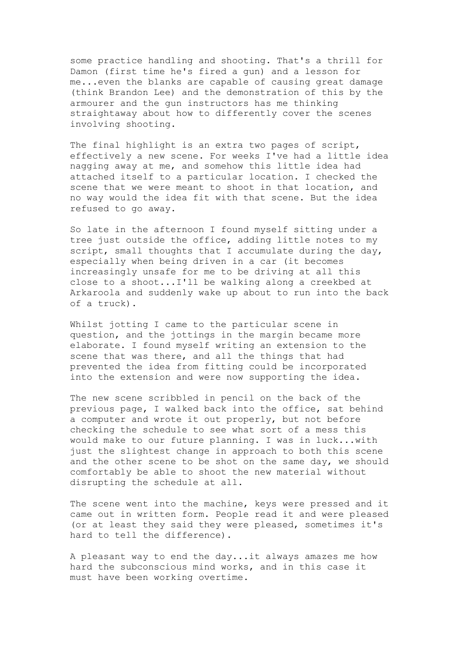some practice handling and shooting. That's a thrill for Damon (first time he's fired a gun) and a lesson for me...even the blanks are capable of causing great damage (think Brandon Lee) and the demonstration of this by the armourer and the gun instructors has me thinking straightaway about how to differently cover the scenes involving shooting.

The final highlight is an extra two pages of script, effectively a new scene. For weeks I've had a little idea nagging away at me, and somehow this little idea had attached itself to a particular location. I checked the scene that we were meant to shoot in that location, and no way would the idea fit with that scene. But the idea refused to go away.

So late in the afternoon I found myself sitting under a tree just outside the office, adding little notes to my script, small thoughts that I accumulate during the day, especially when being driven in a car (it becomes increasingly unsafe for me to be driving at all this close to a shoot...I'll be walking along a creekbed at Arkaroola and suddenly wake up about to run into the back of a truck).

Whilst jotting I came to the particular scene in question, and the jottings in the margin became more elaborate. I found myself writing an extension to the scene that was there, and all the things that had prevented the idea from fitting could be incorporated into the extension and were now supporting the idea.

The new scene scribbled in pencil on the back of the previous page, I walked back into the office, sat behind a computer and wrote it out properly, but not before checking the schedule to see what sort of a mess this would make to our future planning. I was in luck...with just the slightest change in approach to both this scene and the other scene to be shot on the same day, we should comfortably be able to shoot the new material without disrupting the schedule at all.

The scene went into the machine, keys were pressed and it came out in written form. People read it and were pleased (or at least they said they were pleased, sometimes it's hard to tell the difference).

A pleasant way to end the day...it always amazes me how hard the subconscious mind works, and in this case it must have been working overtime.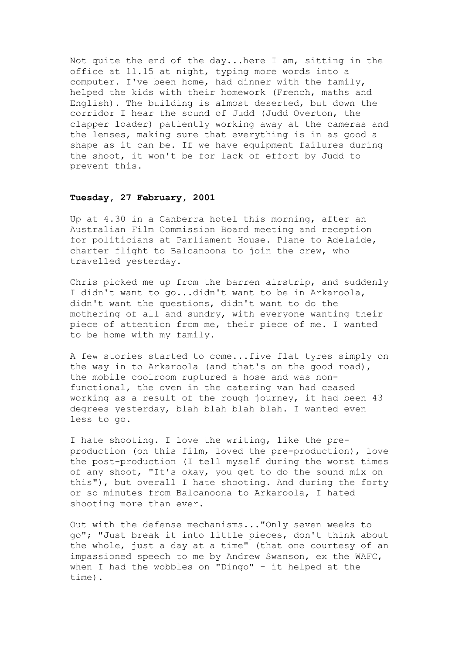Not quite the end of the day...here I am, sitting in the office at 11.15 at night, typing more words into a computer. I've been home, had dinner with the family, helped the kids with their homework (French, maths and English). The building is almost deserted, but down the corridor I hear the sound of Judd (Judd Overton, the clapper loader) patiently working away at the cameras and the lenses, making sure that everything is in as good a shape as it can be. If we have equipment failures during the shoot, it won't be for lack of effort by Judd to prevent this.

### **Tuesday, 27 February, 2001**

Up at 4.30 in a Canberra hotel this morning, after an Australian Film Commission Board meeting and reception for politicians at Parliament House. Plane to Adelaide, charter flight to Balcanoona to join the crew, who travelled yesterday.

Chris picked me up from the barren airstrip, and suddenly I didn't want to go...didn't want to be in Arkaroola, didn't want the questions, didn't want to do the mothering of all and sundry, with everyone wanting their piece of attention from me, their piece of me. I wanted to be home with my family.

A few stories started to come...five flat tyres simply on the way in to Arkaroola (and that's on the good road), the mobile coolroom ruptured a hose and was nonfunctional, the oven in the catering van had ceased working as a result of the rough journey, it had been 43 degrees yesterday, blah blah blah blah. I wanted even less to go.

I hate shooting. I love the writing, like the preproduction (on this film, loved the pre-production), love the post-production (I tell myself during the worst times of any shoot, "It's okay, you get to do the sound mix on this"), but overall I hate shooting. And during the forty or so minutes from Balcanoona to Arkaroola, I hated shooting more than ever.

Out with the defense mechanisms..."Only seven weeks to go"; "Just break it into little pieces, don't think about the whole, just a day at a time" (that one courtesy of an impassioned speech to me by Andrew Swanson, ex the WAFC, when I had the wobbles on "Dingo" - it helped at the time).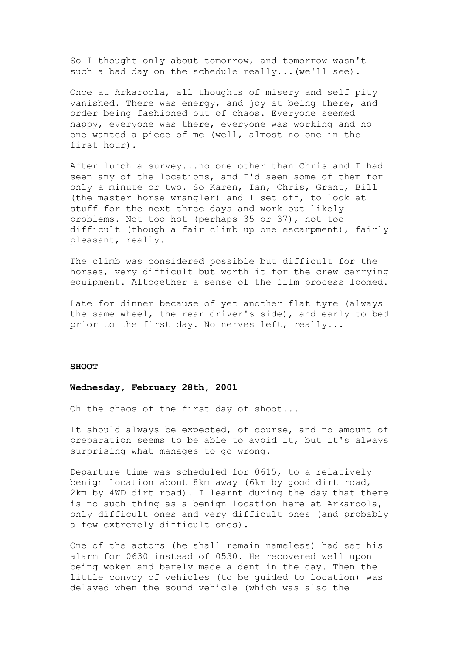So I thought only about tomorrow, and tomorrow wasn't such a bad day on the schedule really...(we'll see).

Once at Arkaroola, all thoughts of misery and self pity vanished. There was energy, and joy at being there, and order being fashioned out of chaos. Everyone seemed happy, everyone was there, everyone was working and no one wanted a piece of me (well, almost no one in the first hour).

After lunch a survey...no one other than Chris and I had seen any of the locations, and I'd seen some of them for only a minute or two. So Karen, Ian, Chris, Grant, Bill (the master horse wrangler) and I set off, to look at stuff for the next three days and work out likely problems. Not too hot (perhaps 35 or 37), not too difficult (though a fair climb up one escarpment), fairly pleasant, really.

The climb was considered possible but difficult for the horses, very difficult but worth it for the crew carrying equipment. Altogether a sense of the film process loomed.

Late for dinner because of yet another flat tyre (always the same wheel, the rear driver's side), and early to bed prior to the first day. No nerves left, really...

#### **SHOOT**

# **Wednesday, February 28th, 2001**

Oh the chaos of the first day of shoot...

It should always be expected, of course, and no amount of preparation seems to be able to avoid it, but it's always surprising what manages to go wrong.

Departure time was scheduled for 0615, to a relatively benign location about 8km away (6km by good dirt road, 2km by 4WD dirt road). I learnt during the day that there is no such thing as a benign location here at Arkaroola, only difficult ones and very difficult ones (and probably a few extremely difficult ones).

One of the actors (he shall remain nameless) had set his alarm for 0630 instead of 0530. He recovered well upon being woken and barely made a dent in the day. Then the little convoy of vehicles (to be guided to location) was delayed when the sound vehicle (which was also the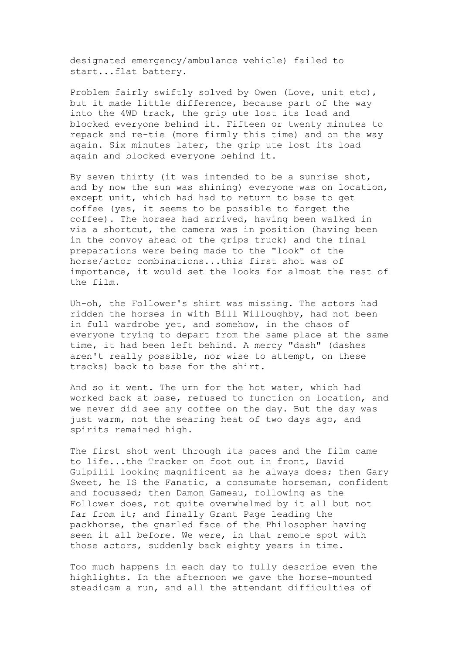designated emergency/ambulance vehicle) failed to start...flat battery.

Problem fairly swiftly solved by Owen (Love, unit etc), but it made little difference, because part of the way into the 4WD track, the grip ute lost its load and blocked everyone behind it. Fifteen or twenty minutes to repack and re-tie (more firmly this time) and on the way again. Six minutes later, the grip ute lost its load again and blocked everyone behind it.

By seven thirty (it was intended to be a sunrise shot, and by now the sun was shining) everyone was on location, except unit, which had had to return to base to get coffee (yes, it seems to be possible to forget the coffee). The horses had arrived, having been walked in via a shortcut, the camera was in position (having been in the convoy ahead of the grips truck) and the final preparations were being made to the "look" of the horse/actor combinations...this first shot was of importance, it would set the looks for almost the rest of the film.

Uh-oh, the Follower's shirt was missing. The actors had ridden the horses in with Bill Willoughby, had not been in full wardrobe yet, and somehow, in the chaos of everyone trying to depart from the same place at the same time, it had been left behind. A mercy "dash" (dashes aren't really possible, nor wise to attempt, on these tracks) back to base for the shirt.

And so it went. The urn for the hot water, which had worked back at base, refused to function on location, and we never did see any coffee on the day. But the day was just warm, not the searing heat of two days ago, and spirits remained high.

The first shot went through its paces and the film came to life...the Tracker on foot out in front, David Gulpilil looking magnificent as he always does; then Gary Sweet, he IS the Fanatic, a consumate horseman, confident and focussed; then Damon Gameau, following as the Follower does, not quite overwhelmed by it all but not far from it; and finally Grant Page leading the packhorse, the gnarled face of the Philosopher having seen it all before. We were, in that remote spot with those actors, suddenly back eighty years in time.

Too much happens in each day to fully describe even the highlights. In the afternoon we gave the horse-mounted steadicam a run, and all the attendant difficulties of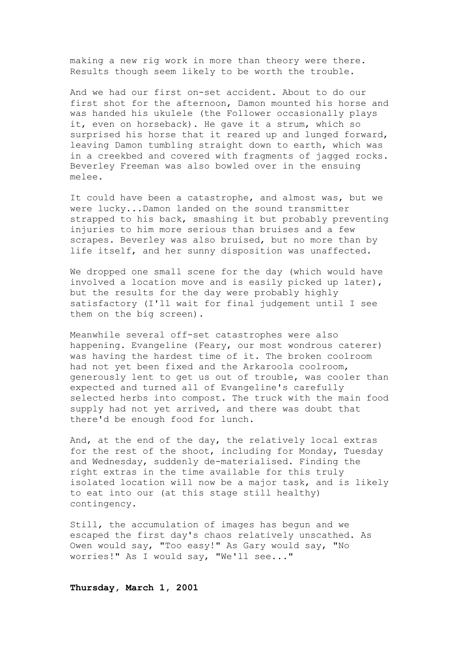making a new rig work in more than theory were there. Results though seem likely to be worth the trouble.

And we had our first on-set accident. About to do our first shot for the afternoon, Damon mounted his horse and was handed his ukulele (the Follower occasionally plays it, even on horseback). He gave it a strum, which so surprised his horse that it reared up and lunged forward, leaving Damon tumbling straight down to earth, which was in a creekbed and covered with fragments of jagged rocks. Beverley Freeman was also bowled over in the ensuing melee.

It could have been a catastrophe, and almost was, but we were lucky...Damon landed on the sound transmitter strapped to his back, smashing it but probably preventing injuries to him more serious than bruises and a few scrapes. Beverley was also bruised, but no more than by life itself, and her sunny disposition was unaffected.

We dropped one small scene for the day (which would have involved a location move and is easily picked up later), but the results for the day were probably highly satisfactory (I'll wait for final judgement until I see them on the big screen).

Meanwhile several off-set catastrophes were also happening. Evangeline (Feary, our most wondrous caterer) was having the hardest time of it. The broken coolroom had not yet been fixed and the Arkaroola coolroom, generously lent to get us out of trouble, was cooler than expected and turned all of Evangeline's carefully selected herbs into compost. The truck with the main food supply had not yet arrived, and there was doubt that there'd be enough food for lunch.

And, at the end of the day, the relatively local extras for the rest of the shoot, including for Monday, Tuesday and Wednesday, suddenly de-materialised. Finding the right extras in the time available for this truly isolated location will now be a major task, and is likely to eat into our (at this stage still healthy) contingency.

Still, the accumulation of images has begun and we escaped the first day's chaos relatively unscathed. As Owen would say, "Too easy!" As Gary would say, "No worries!" As I would say, "We'll see..."

**Thursday, March 1, 2001**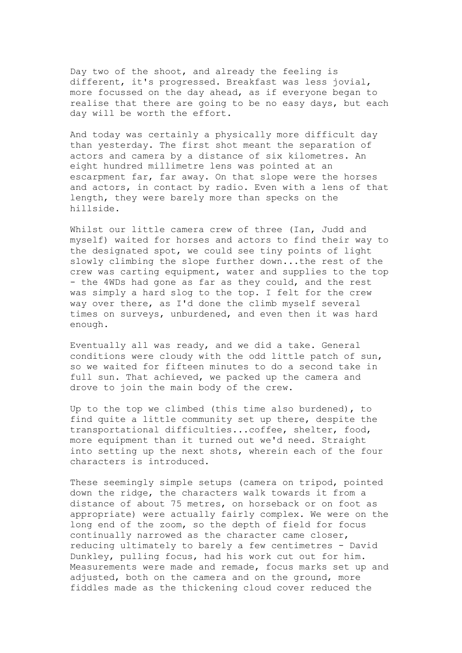Day two of the shoot, and already the feeling is different, it's progressed. Breakfast was less jovial, more focussed on the day ahead, as if everyone began to realise that there are going to be no easy days, but each day will be worth the effort.

And today was certainly a physically more difficult day than yesterday. The first shot meant the separation of actors and camera by a distance of six kilometres. An eight hundred millimetre lens was pointed at an escarpment far, far away. On that slope were the horses and actors, in contact by radio. Even with a lens of that length, they were barely more than specks on the hillside.

Whilst our little camera crew of three (Ian, Judd and myself) waited for horses and actors to find their way to the designated spot, we could see tiny points of light slowly climbing the slope further down...the rest of the crew was carting equipment, water and supplies to the top - the 4WDs had gone as far as they could, and the rest was simply a hard slog to the top. I felt for the crew way over there, as I'd done the climb myself several times on surveys, unburdened, and even then it was hard enough.

Eventually all was ready, and we did a take. General conditions were cloudy with the odd little patch of sun, so we waited for fifteen minutes to do a second take in full sun. That achieved, we packed up the camera and drove to join the main body of the crew.

Up to the top we climbed (this time also burdened), to find quite a little community set up there, despite the transportational difficulties...coffee, shelter, food, more equipment than it turned out we'd need. Straight into setting up the next shots, wherein each of the four characters is introduced.

These seemingly simple setups (camera on tripod, pointed down the ridge, the characters walk towards it from a distance of about 75 metres, on horseback or on foot as appropriate) were actually fairly complex. We were on the long end of the zoom, so the depth of field for focus continually narrowed as the character came closer, reducing ultimately to barely a few centimetres - David Dunkley, pulling focus, had his work cut out for him. Measurements were made and remade, focus marks set up and adjusted, both on the camera and on the ground, more fiddles made as the thickening cloud cover reduced the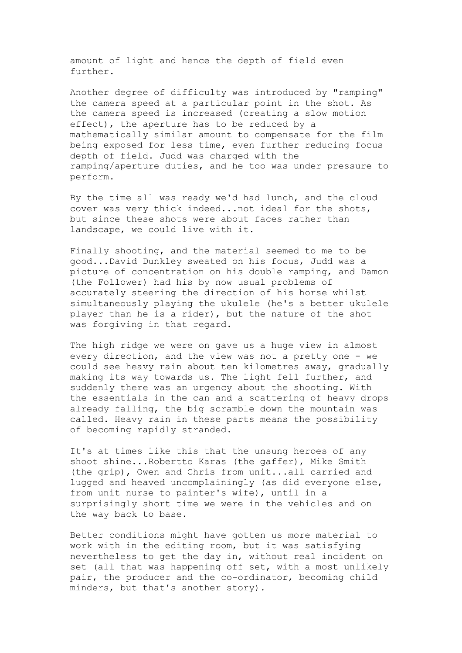amount of light and hence the depth of field even further.

Another degree of difficulty was introduced by "ramping" the camera speed at a particular point in the shot. As the camera speed is increased (creating a slow motion effect), the aperture has to be reduced by a mathematically similar amount to compensate for the film being exposed for less time, even further reducing focus depth of field. Judd was charged with the ramping/aperture duties, and he too was under pressure to perform.

By the time all was ready we'd had lunch, and the cloud cover was very thick indeed...not ideal for the shots, but since these shots were about faces rather than landscape, we could live with it.

Finally shooting, and the material seemed to me to be good...David Dunkley sweated on his focus, Judd was a picture of concentration on his double ramping, and Damon (the Follower) had his by now usual problems of accurately steering the direction of his horse whilst simultaneously playing the ukulele (he's a better ukulele player than he is a rider), but the nature of the shot was forgiving in that regard.

The high ridge we were on gave us a huge view in almost every direction, and the view was not a pretty one - we could see heavy rain about ten kilometres away, gradually making its way towards us. The light fell further, and suddenly there was an urgency about the shooting. With the essentials in the can and a scattering of heavy drops already falling, the big scramble down the mountain was called. Heavy rain in these parts means the possibility of becoming rapidly stranded.

It's at times like this that the unsung heroes of any shoot shine...Robertto Karas (the gaffer), Mike Smith (the grip), Owen and Chris from unit...all carried and lugged and heaved uncomplainingly (as did everyone else, from unit nurse to painter's wife), until in a surprisingly short time we were in the vehicles and on the way back to base.

Better conditions might have gotten us more material to work with in the editing room, but it was satisfying nevertheless to get the day in, without real incident on set (all that was happening off set, with a most unlikely pair, the producer and the co-ordinator, becoming child minders, but that's another story).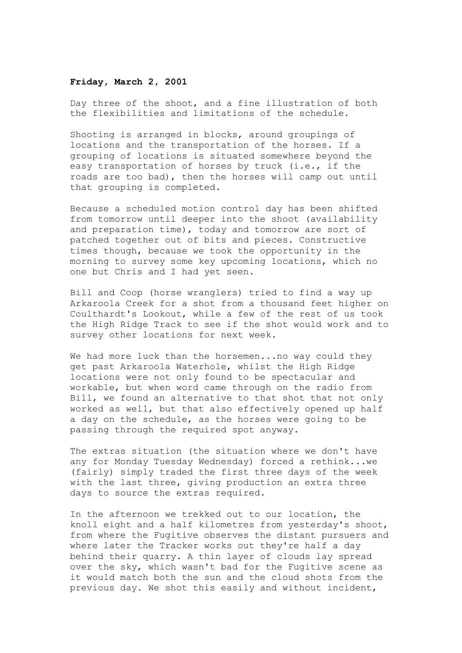# **Friday, March 2, 2001**

Day three of the shoot, and a fine illustration of both the flexibilities and limitations of the schedule.

Shooting is arranged in blocks, around groupings of locations and the transportation of the horses. If a grouping of locations is situated somewhere beyond the easy transportation of horses by truck (i.e., if the roads are too bad), then the horses will camp out until that grouping is completed.

Because a scheduled motion control day has been shifted from tomorrow until deeper into the shoot (availability and preparation time), today and tomorrow are sort of patched together out of bits and pieces. Constructive times though, because we took the opportunity in the morning to survey some key upcoming locations, which no one but Chris and I had yet seen.

Bill and Coop (horse wranglers) tried to find a way up Arkaroola Creek for a shot from a thousand feet higher on Coulthardt's Lookout, while a few of the rest of us took the High Ridge Track to see if the shot would work and to survey other locations for next week.

We had more luck than the horsemen...no way could they get past Arkaroola Waterhole, whilst the High Ridge locations were not only found to be spectacular and workable, but when word came through on the radio from Bill, we found an alternative to that shot that not only worked as well, but that also effectively opened up half a day on the schedule, as the horses were going to be passing through the required spot anyway.

The extras situation (the situation where we don't have any for Monday Tuesday Wednesday) forced a rethink...we (fairly) simply traded the first three days of the week with the last three, giving production an extra three days to source the extras required.

In the afternoon we trekked out to our location, the knoll eight and a half kilometres from yesterday's shoot, from where the Fugitive observes the distant pursuers and where later the Tracker works out they're half a day behind their quarry. A thin layer of clouds lay spread over the sky, which wasn't bad for the Fugitive scene as it would match both the sun and the cloud shots from the previous day. We shot this easily and without incident,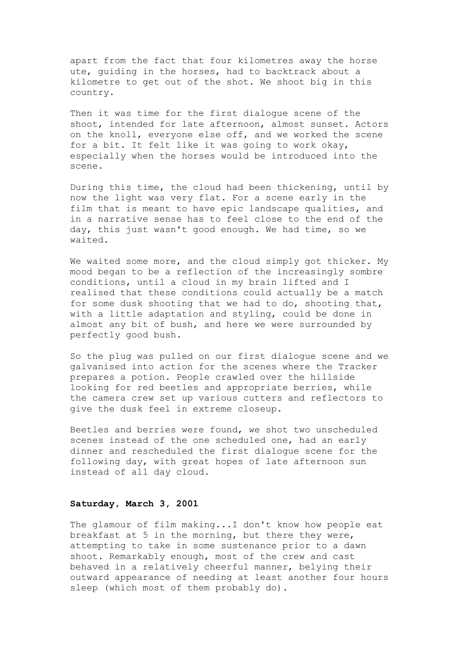apart from the fact that four kilometres away the horse ute, guiding in the horses, had to backtrack about a kilometre to get out of the shot. We shoot big in this country.

Then it was time for the first dialogue scene of the shoot, intended for late afternoon, almost sunset. Actors on the knoll, everyone else off, and we worked the scene for a bit. It felt like it was going to work okay, especially when the horses would be introduced into the scene.

During this time, the cloud had been thickening, until by now the light was very flat. For a scene early in the film that is meant to have epic landscape qualities, and in a narrative sense has to feel close to the end of the day, this just wasn't good enough. We had time, so we waited.

We waited some more, and the cloud simply got thicker. My mood began to be a reflection of the increasingly sombre conditions, until a cloud in my brain lifted and I realised that these conditions could actually be a match for some dusk shooting that we had to do, shooting that, with a little adaptation and styling, could be done in almost any bit of bush, and here we were surrounded by perfectly good bush.

So the plug was pulled on our first dialogue scene and we galvanised into action for the scenes where the Tracker prepares a potion. People crawled over the hillside looking for red beetles and appropriate berries, while the camera crew set up various cutters and reflectors to give the dusk feel in extreme closeup.

Beetles and berries were found, we shot two unscheduled scenes instead of the one scheduled one, had an early dinner and rescheduled the first dialogue scene for the following day, with great hopes of late afternoon sun instead of all day cloud.

### **Saturday, March 3, 2001**

The glamour of film making...I don't know how people eat breakfast at 5 in the morning, but there they were, attempting to take in some sustenance prior to a dawn shoot. Remarkably enough, most of the crew and cast behaved in a relatively cheerful manner, belying their outward appearance of needing at least another four hours sleep (which most of them probably do).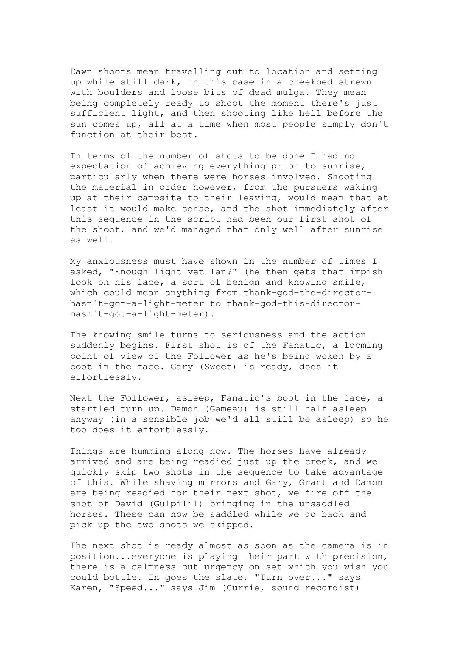Dawn shoots mean travelling out to location and setting up while still dark, in this case in a creekbed strewn with boulders and loose bits of dead mulga. They mean being completely ready to shoot the moment there's just sufficient light, and then shooting like hell before the sun comes up, all at a time when most people simply don't function at their best.

In terms of the number of shots to be done I had no expectation of achieving everything prior to sunrise, particularly when there were horses involved. Shooting the material in order however, from the pursuers waking up at their campsite to their leaving, would mean that at least it would make sense, and the shot immediately after this sequence in the script had been our first shot of the shoot, and we'd managed that only well after sunrise as well.

My anxiousness must have shown in the number of times I asked, "Enough light yet Ian?" (he then gets that impish look on his face, a sort of benign and knowing smile, which could mean anything from thank-god-the-directorhasn't-got-a-light-meter to thank-god-this-directorhasn't-got-a-light-meter).

The knowing smile turns to seriousness and the action suddenly begins. First shot is of the Fanatic, a looming point of view of the Follower as he's being woken by a boot in the face. Gary (Sweet) is ready, does it effortlessly.

Next the Follower, asleep, Fanatic's boot in the face, a startled turn up. Damon (Gameau) is still half asleep anyway (in a sensible job we'd all still be asleep) so he too does it effortlessly.

Things are humming along now. The horses have already arrived and are being readied just up the creek, and we quickly skip two shots in the sequence to take advantage of this. While shaving mirrors and Gary, Grant and Damon are being readied for their next shot, we fire off the shot of David (Gulpilil) bringing in the unsaddled horses. These can now be saddled while we go back and pick up the two shots we skipped.

The next shot is ready almost as soon as the camera is in position...everyone is playing their part with precision, there is a calmness but urgency on set which you wish you could bottle. In goes the slate, "Turn over..." says Karen, "Speed..." says Jim (Currie, sound recordist)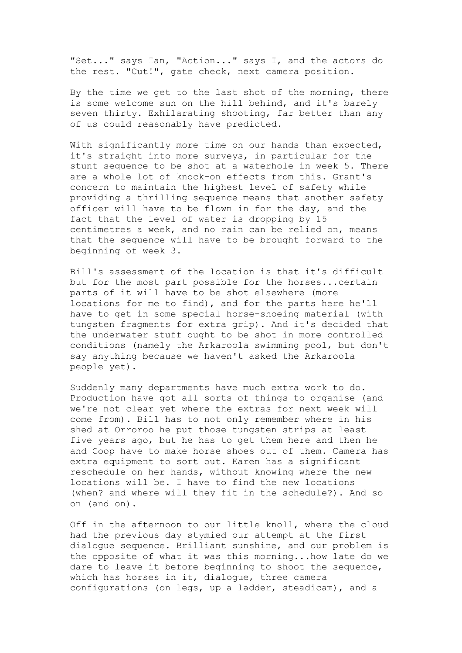"Set..." says Ian, "Action..." says I, and the actors do the rest. "Cut!", gate check, next camera position.

By the time we get to the last shot of the morning, there is some welcome sun on the hill behind, and it's barely seven thirty. Exhilarating shooting, far better than any of us could reasonably have predicted.

With significantly more time on our hands than expected, it's straight into more surveys, in particular for the stunt sequence to be shot at a waterhole in week 5. There are a whole lot of knock-on effects from this. Grant's concern to maintain the highest level of safety while providing a thrilling sequence means that another safety officer will have to be flown in for the day, and the fact that the level of water is dropping by 15 centimetres a week, and no rain can be relied on, means that the sequence will have to be brought forward to the beginning of week 3.

Bill's assessment of the location is that it's difficult but for the most part possible for the horses...certain parts of it will have to be shot elsewhere (more locations for me to find), and for the parts here he'll have to get in some special horse-shoeing material (with tungsten fragments for extra grip). And it's decided that the underwater stuff ought to be shot in more controlled conditions (namely the Arkaroola swimming pool, but don't say anything because we haven't asked the Arkaroola people yet).

Suddenly many departments have much extra work to do. Production have got all sorts of things to organise (and we're not clear yet where the extras for next week will come from). Bill has to not only remember where in his shed at Orroroo he put those tungsten strips at least five years ago, but he has to get them here and then he and Coop have to make horse shoes out of them. Camera has extra equipment to sort out. Karen has a significant reschedule on her hands, without knowing where the new locations will be. I have to find the new locations (when? and where will they fit in the schedule?). And so on (and on).

Off in the afternoon to our little knoll, where the cloud had the previous day stymied our attempt at the first dialogue sequence. Brilliant sunshine, and our problem is the opposite of what it was this morning...how late do we dare to leave it before beginning to shoot the sequence, which has horses in it, dialogue, three camera configurations (on legs, up a ladder, steadicam), and a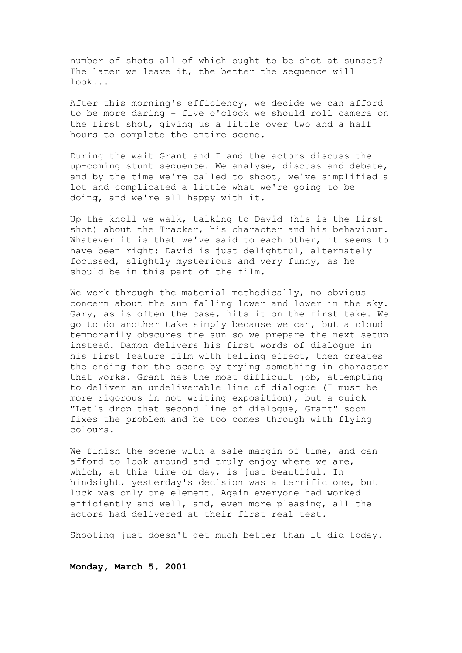number of shots all of which ought to be shot at sunset? The later we leave it, the better the sequence will look...

After this morning's efficiency, we decide we can afford to be more daring - five o'clock we should roll camera on the first shot, giving us a little over two and a half hours to complete the entire scene.

During the wait Grant and I and the actors discuss the up-coming stunt sequence. We analyse, discuss and debate, and by the time we're called to shoot, we've simplified a lot and complicated a little what we're going to be doing, and we're all happy with it.

Up the knoll we walk, talking to David (his is the first shot) about the Tracker, his character and his behaviour. Whatever it is that we've said to each other, it seems to have been right: David is just delightful, alternately focussed, slightly mysterious and very funny, as he should be in this part of the film.

We work through the material methodically, no obvious concern about the sun falling lower and lower in the sky. Gary, as is often the case, hits it on the first take. We go to do another take simply because we can, but a cloud temporarily obscures the sun so we prepare the next setup instead. Damon delivers his first words of dialogue in his first feature film with telling effect, then creates the ending for the scene by trying something in character that works. Grant has the most difficult job, attempting to deliver an undeliverable line of dialogue (I must be more rigorous in not writing exposition), but a quick "Let's drop that second line of dialogue, Grant" soon fixes the problem and he too comes through with flying colours.

We finish the scene with a safe margin of time, and can afford to look around and truly enjoy where we are, which, at this time of day, is just beautiful. In hindsight, yesterday's decision was a terrific one, but luck was only one element. Again everyone had worked efficiently and well, and, even more pleasing, all the actors had delivered at their first real test.

Shooting just doesn't get much better than it did today.

**Monday, March 5, 2001**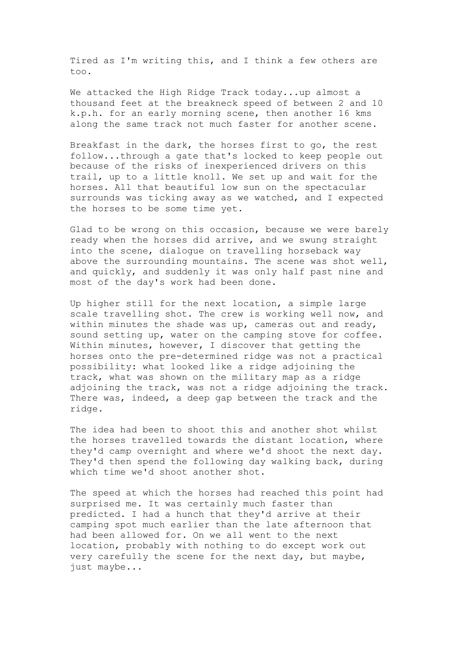Tired as I'm writing this, and I think a few others are too.

We attacked the High Ridge Track today...up almost a thousand feet at the breakneck speed of between 2 and 10 k.p.h. for an early morning scene, then another 16 kms along the same track not much faster for another scene.

Breakfast in the dark, the horses first to go, the rest follow...through a gate that's locked to keep people out because of the risks of inexperienced drivers on this trail, up to a little knoll. We set up and wait for the horses. All that beautiful low sun on the spectacular surrounds was ticking away as we watched, and I expected the horses to be some time yet.

Glad to be wrong on this occasion, because we were barely ready when the horses did arrive, and we swung straight into the scene, dialogue on travelling horseback way above the surrounding mountains. The scene was shot well, and quickly, and suddenly it was only half past nine and most of the day's work had been done.

Up higher still for the next location, a simple large scale travelling shot. The crew is working well now, and within minutes the shade was up, cameras out and ready, sound setting up, water on the camping stove for coffee. Within minutes, however, I discover that getting the horses onto the pre-determined ridge was not a practical possibility: what looked like a ridge adjoining the track, what was shown on the military map as a ridge adjoining the track, was not a ridge adjoining the track. There was, indeed, a deep gap between the track and the ridge.

The idea had been to shoot this and another shot whilst the horses travelled towards the distant location, where they'd camp overnight and where we'd shoot the next day. They'd then spend the following day walking back, during which time we'd shoot another shot.

The speed at which the horses had reached this point had surprised me. It was certainly much faster than predicted. I had a hunch that they'd arrive at their camping spot much earlier than the late afternoon that had been allowed for. On we all went to the next location, probably with nothing to do except work out very carefully the scene for the next day, but maybe, just maybe...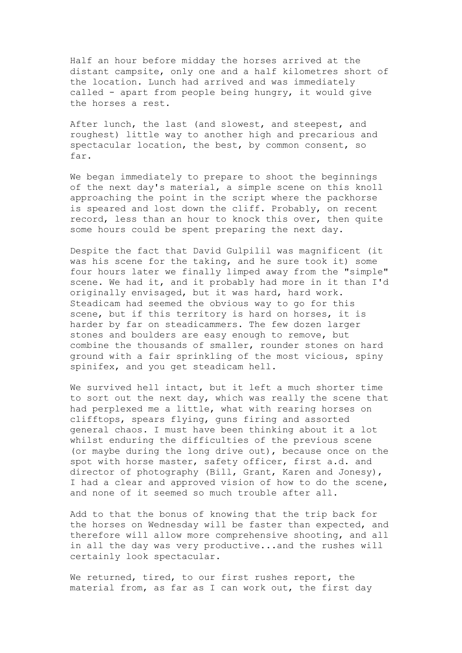Half an hour before midday the horses arrived at the distant campsite, only one and a half kilometres short of the location. Lunch had arrived and was immediately called - apart from people being hungry, it would give the horses a rest.

After lunch, the last (and slowest, and steepest, and roughest) little way to another high and precarious and spectacular location, the best, by common consent, so far.

We began immediately to prepare to shoot the beginnings of the next day's material, a simple scene on this knoll approaching the point in the script where the packhorse is speared and lost down the cliff. Probably, on recent record, less than an hour to knock this over, then quite some hours could be spent preparing the next day.

Despite the fact that David Gulpilil was magnificent (it was his scene for the taking, and he sure took it) some four hours later we finally limped away from the "simple" scene. We had it, and it probably had more in it than I'd originally envisaged, but it was hard, hard work. Steadicam had seemed the obvious way to go for this scene, but if this territory is hard on horses, it is harder by far on steadicammers. The few dozen larger stones and boulders are easy enough to remove, but combine the thousands of smaller, rounder stones on hard ground with a fair sprinkling of the most vicious, spiny spinifex, and you get steadicam hell.

We survived hell intact, but it left a much shorter time to sort out the next day, which was really the scene that had perplexed me a little, what with rearing horses on clifftops, spears flying, guns firing and assorted general chaos. I must have been thinking about it a lot whilst enduring the difficulties of the previous scene (or maybe during the long drive out), because once on the spot with horse master, safety officer, first a.d. and director of photography (Bill, Grant, Karen and Jonesy), I had a clear and approved vision of how to do the scene, and none of it seemed so much trouble after all.

Add to that the bonus of knowing that the trip back for the horses on Wednesday will be faster than expected, and therefore will allow more comprehensive shooting, and all in all the day was very productive...and the rushes will certainly look spectacular.

We returned, tired, to our first rushes report, the material from, as far as I can work out, the first day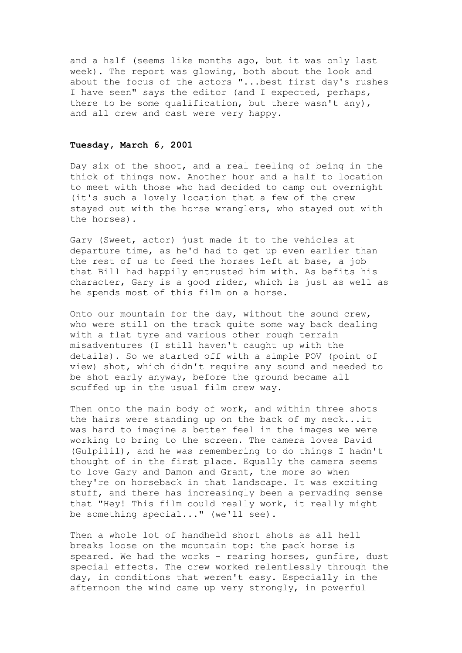and a half (seems like months ago, but it was only last week). The report was glowing, both about the look and about the focus of the actors "...best first day's rushes I have seen" says the editor (and I expected, perhaps, there to be some qualification, but there wasn't any), and all crew and cast were very happy.

# **Tuesday, March 6, 2001**

Day six of the shoot, and a real feeling of being in the thick of things now. Another hour and a half to location to meet with those who had decided to camp out overnight (it's such a lovely location that a few of the crew stayed out with the horse wranglers, who stayed out with the horses).

Gary (Sweet, actor) just made it to the vehicles at departure time, as he'd had to get up even earlier than the rest of us to feed the horses left at base, a job that Bill had happily entrusted him with. As befits his character, Gary is a good rider, which is just as well as he spends most of this film on a horse.

Onto our mountain for the day, without the sound crew, who were still on the track quite some way back dealing with a flat tyre and various other rough terrain misadventures (I still haven't caught up with the details). So we started off with a simple POV (point of view) shot, which didn't require any sound and needed to be shot early anyway, before the ground became all scuffed up in the usual film crew way.

Then onto the main body of work, and within three shots the hairs were standing up on the back of my neck...it was hard to imagine a better feel in the images we were working to bring to the screen. The camera loves David (Gulpilil), and he was remembering to do things I hadn't thought of in the first place. Equally the camera seems to love Gary and Damon and Grant, the more so when they're on horseback in that landscape. It was exciting stuff, and there has increasingly been a pervading sense that "Hey! This film could really work, it really might be something special..." (we'll see).

Then a whole lot of handheld short shots as all hell breaks loose on the mountain top: the pack horse is speared. We had the works - rearing horses, qunfire, dust special effects. The crew worked relentlessly through the day, in conditions that weren't easy. Especially in the afternoon the wind came up very strongly, in powerful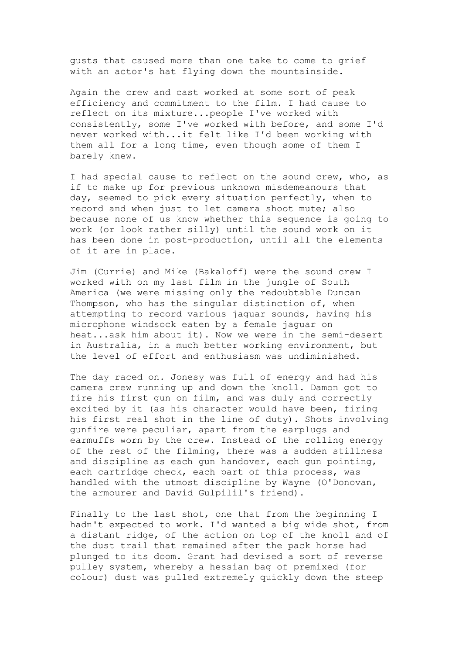gusts that caused more than one take to come to grief with an actor's hat flying down the mountainside.

Again the crew and cast worked at some sort of peak efficiency and commitment to the film. I had cause to reflect on its mixture...people I've worked with consistently, some I've worked with before, and some I'd never worked with...it felt like I'd been working with them all for a long time, even though some of them I barely knew.

I had special cause to reflect on the sound crew, who, as if to make up for previous unknown misdemeanours that day, seemed to pick every situation perfectly, when to record and when just to let camera shoot mute; also because none of us know whether this sequence is going to work (or look rather silly) until the sound work on it has been done in post-production, until all the elements of it are in place.

Jim (Currie) and Mike (Bakaloff) were the sound crew I worked with on my last film in the jungle of South America (we were missing only the redoubtable Duncan Thompson, who has the singular distinction of, when attempting to record various jaguar sounds, having his microphone windsock eaten by a female jaguar on heat...ask him about it). Now we were in the semi-desert in Australia, in a much better working environment, but the level of effort and enthusiasm was undiminished.

The day raced on. Jonesy was full of energy and had his camera crew running up and down the knoll. Damon got to fire his first gun on film, and was duly and correctly excited by it (as his character would have been, firing his first real shot in the line of duty). Shots involving gunfire were peculiar, apart from the earplugs and earmuffs worn by the crew. Instead of the rolling energy of the rest of the filming, there was a sudden stillness and discipline as each gun handover, each gun pointing, each cartridge check, each part of this process, was handled with the utmost discipline by Wayne (O'Donovan, the armourer and David Gulpilil's friend).

Finally to the last shot, one that from the beginning I hadn't expected to work. I'd wanted a big wide shot, from a distant ridge, of the action on top of the knoll and of the dust trail that remained after the pack horse had plunged to its doom. Grant had devised a sort of reverse pulley system, whereby a hessian bag of premixed (for colour) dust was pulled extremely quickly down the steep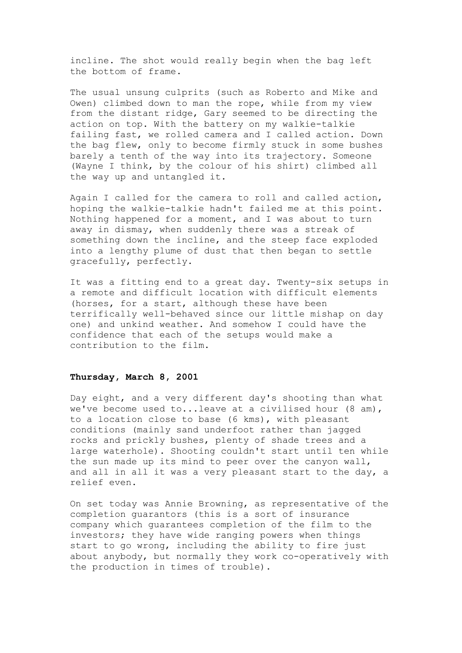incline. The shot would really begin when the bag left the bottom of frame.

The usual unsung culprits (such as Roberto and Mike and Owen) climbed down to man the rope, while from my view from the distant ridge, Gary seemed to be directing the action on top. With the battery on my walkie-talkie failing fast, we rolled camera and I called action. Down the bag flew, only to become firmly stuck in some bushes barely a tenth of the way into its trajectory. Someone (Wayne I think, by the colour of his shirt) climbed all the way up and untangled it.

Again I called for the camera to roll and called action, hoping the walkie-talkie hadn't failed me at this point. Nothing happened for a moment, and I was about to turn away in dismay, when suddenly there was a streak of something down the incline, and the steep face exploded into a lengthy plume of dust that then began to settle gracefully, perfectly.

It was a fitting end to a great day. Twenty-six setups in a remote and difficult location with difficult elements (horses, for a start, although these have been terrifically well-behaved since our little mishap on day one) and unkind weather. And somehow I could have the confidence that each of the setups would make a contribution to the film.

# **Thursday, March 8, 2001**

Day eight, and a very different day's shooting than what we've become used to...leave at a civilised hour (8 am), to a location close to base (6 kms), with pleasant conditions (mainly sand underfoot rather than jagged rocks and prickly bushes, plenty of shade trees and a large waterhole). Shooting couldn't start until ten while the sun made up its mind to peer over the canyon wall, and all in all it was a very pleasant start to the day, a relief even.

On set today was Annie Browning, as representative of the completion guarantors (this is a sort of insurance company which guarantees completion of the film to the investors; they have wide ranging powers when things start to go wrong, including the ability to fire just about anybody, but normally they work co-operatively with the production in times of trouble).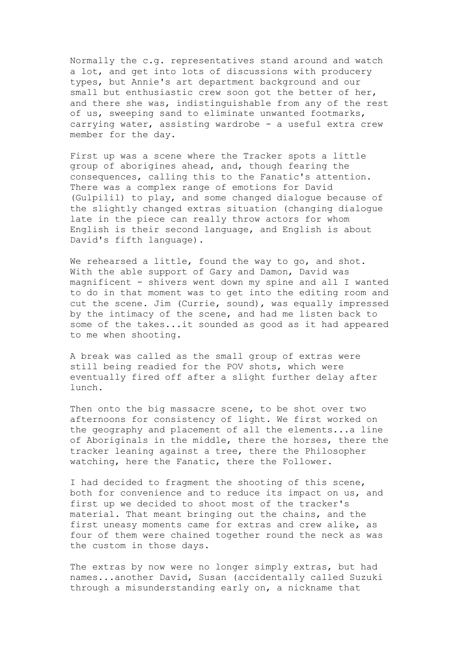Normally the c.g. representatives stand around and watch a lot, and get into lots of discussions with producery types, but Annie's art department background and our small but enthusiastic crew soon got the better of her, and there she was, indistinguishable from any of the rest of us, sweeping sand to eliminate unwanted footmarks, carrying water, assisting wardrobe - a useful extra crew member for the day.

First up was a scene where the Tracker spots a little group of aborigines ahead, and, though fearing the consequences, calling this to the Fanatic's attention. There was a complex range of emotions for David (Gulpilil) to play, and some changed dialogue because of the slightly changed extras situation (changing dialogue late in the piece can really throw actors for whom English is their second language, and English is about David's fifth language).

We rehearsed a little, found the way to go, and shot. With the able support of Gary and Damon, David was magnificent - shivers went down my spine and all I wanted to do in that moment was to get into the editing room and cut the scene. Jim (Currie, sound), was equally impressed by the intimacy of the scene, and had me listen back to some of the takes...it sounded as good as it had appeared to me when shooting.

A break was called as the small group of extras were still being readied for the POV shots, which were eventually fired off after a slight further delay after lunch.

Then onto the big massacre scene, to be shot over two afternoons for consistency of light. We first worked on the geography and placement of all the elements...a line of Aboriginals in the middle, there the horses, there the tracker leaning against a tree, there the Philosopher watching, here the Fanatic, there the Follower.

I had decided to fragment the shooting of this scene, both for convenience and to reduce its impact on us, and first up we decided to shoot most of the tracker's material. That meant bringing out the chains, and the first uneasy moments came for extras and crew alike, as four of them were chained together round the neck as was the custom in those days.

The extras by now were no longer simply extras, but had names...another David, Susan (accidentally called Suzuki through a misunderstanding early on, a nickname that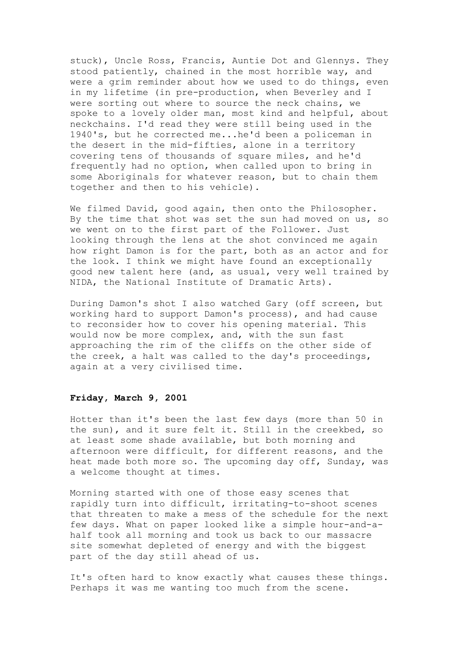stuck), Uncle Ross, Francis, Auntie Dot and Glennys. They stood patiently, chained in the most horrible way, and were a grim reminder about how we used to do things, even in my lifetime (in pre-production, when Beverley and I were sorting out where to source the neck chains, we spoke to a lovely older man, most kind and helpful, about neckchains. I'd read they were still being used in the 1940's, but he corrected me...he'd been a policeman in the desert in the mid-fifties, alone in a territory covering tens of thousands of square miles, and he'd frequently had no option, when called upon to bring in some Aboriginals for whatever reason, but to chain them together and then to his vehicle).

We filmed David, good again, then onto the Philosopher. By the time that shot was set the sun had moved on us, so we went on to the first part of the Follower. Just looking through the lens at the shot convinced me again how right Damon is for the part, both as an actor and for the look. I think we might have found an exceptionally good new talent here (and, as usual, very well trained by NIDA, the National Institute of Dramatic Arts).

During Damon's shot I also watched Gary (off screen, but working hard to support Damon's process), and had cause to reconsider how to cover his opening material. This would now be more complex, and, with the sun fast approaching the rim of the cliffs on the other side of the creek, a halt was called to the day's proceedings, again at a very civilised time.

# **Friday, March 9, 2001**

Hotter than it's been the last few days (more than 50 in the sun), and it sure felt it. Still in the creekbed, so at least some shade available, but both morning and afternoon were difficult, for different reasons, and the heat made both more so. The upcoming day off, Sunday, was a welcome thought at times.

Morning started with one of those easy scenes that rapidly turn into difficult, irritating-to-shoot scenes that threaten to make a mess of the schedule for the next few days. What on paper looked like a simple hour-and-ahalf took all morning and took us back to our massacre site somewhat depleted of energy and with the biggest part of the day still ahead of us.

It's often hard to know exactly what causes these things. Perhaps it was me wanting too much from the scene.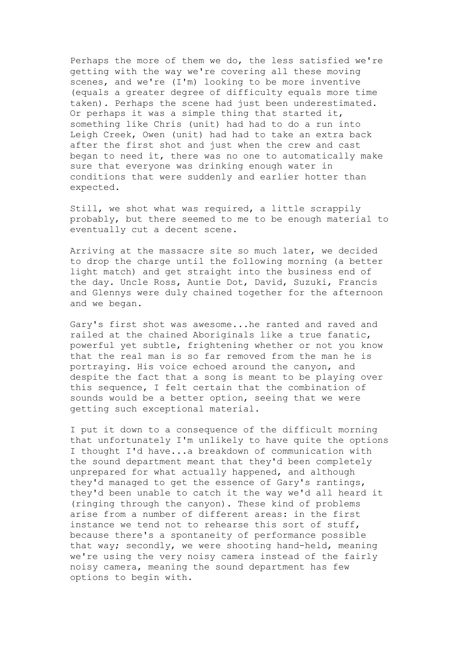Perhaps the more of them we do, the less satisfied we're getting with the way we're covering all these moving scenes, and we're (I'm) looking to be more inventive (equals a greater degree of difficulty equals more time taken). Perhaps the scene had just been underestimated. Or perhaps it was a simple thing that started it, something like Chris (unit) had had to do a run into Leigh Creek, Owen (unit) had had to take an extra back after the first shot and just when the crew and cast began to need it, there was no one to automatically make sure that everyone was drinking enough water in conditions that were suddenly and earlier hotter than expected.

Still, we shot what was required, a little scrappily probably, but there seemed to me to be enough material to eventually cut a decent scene.

Arriving at the massacre site so much later, we decided to drop the charge until the following morning (a better light match) and get straight into the business end of the day. Uncle Ross, Auntie Dot, David, Suzuki, Francis and Glennys were duly chained together for the afternoon and we began.

Gary's first shot was awesome...he ranted and raved and railed at the chained Aboriginals like a true fanatic, powerful yet subtle, frightening whether or not you know that the real man is so far removed from the man he is portraying. His voice echoed around the canyon, and despite the fact that a song is meant to be playing over this sequence, I felt certain that the combination of sounds would be a better option, seeing that we were getting such exceptional material.

I put it down to a consequence of the difficult morning that unfortunately I'm unlikely to have quite the options I thought I'd have...a breakdown of communication with the sound department meant that they'd been completely unprepared for what actually happened, and although they'd managed to get the essence of Gary's rantings, they'd been unable to catch it the way we'd all heard it (ringing through the canyon). These kind of problems arise from a number of different areas: in the first instance we tend not to rehearse this sort of stuff, because there's a spontaneity of performance possible that way; secondly, we were shooting hand-held, meaning we're using the very noisy camera instead of the fairly noisy camera, meaning the sound department has few options to begin with.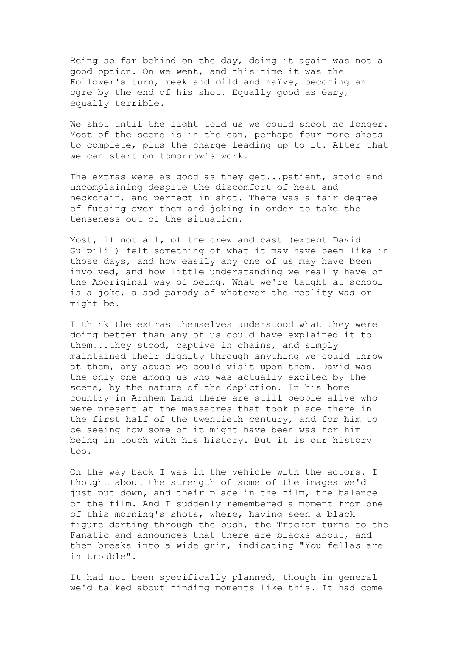Being so far behind on the day, doing it again was not a good option. On we went, and this time it was the Follower's turn, meek and mild and naïve, becoming an ogre by the end of his shot. Equally good as Gary, equally terrible.

We shot until the light told us we could shoot no longer. Most of the scene is in the can, perhaps four more shots to complete, plus the charge leading up to it. After that we can start on tomorrow's work.

The extras were as good as they get...patient, stoic and uncomplaining despite the discomfort of heat and neckchain, and perfect in shot. There was a fair degree of fussing over them and joking in order to take the tenseness out of the situation.

Most, if not all, of the crew and cast (except David Gulpilil) felt something of what it may have been like in those days, and how easily any one of us may have been involved, and how little understanding we really have of the Aboriginal way of being. What we're taught at school is a joke, a sad parody of whatever the reality was or might be.

I think the extras themselves understood what they were doing better than any of us could have explained it to them...they stood, captive in chains, and simply maintained their dignity through anything we could throw at them, any abuse we could visit upon them. David was the only one among us who was actually excited by the scene, by the nature of the depiction. In his home country in Arnhem Land there are still people alive who were present at the massacres that took place there in the first half of the twentieth century, and for him to be seeing how some of it might have been was for him being in touch with his history. But it is our history too.

On the way back I was in the vehicle with the actors. I thought about the strength of some of the images we'd just put down, and their place in the film, the balance of the film. And I suddenly remembered a moment from one of this morning's shots, where, having seen a black figure darting through the bush, the Tracker turns to the Fanatic and announces that there are blacks about, and then breaks into a wide grin, indicating "You fellas are in trouble".

It had not been specifically planned, though in general we'd talked about finding moments like this. It had come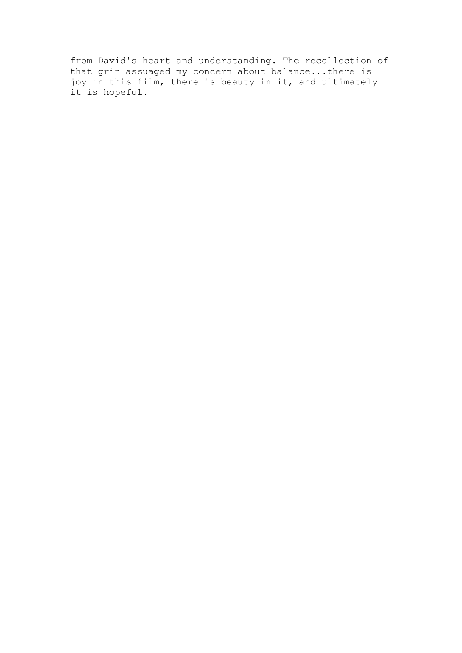from David's heart and understanding. The recollection of that grin assuaged my concern about balance...there is joy in this film, there is beauty in it, and ultimately it is hopeful.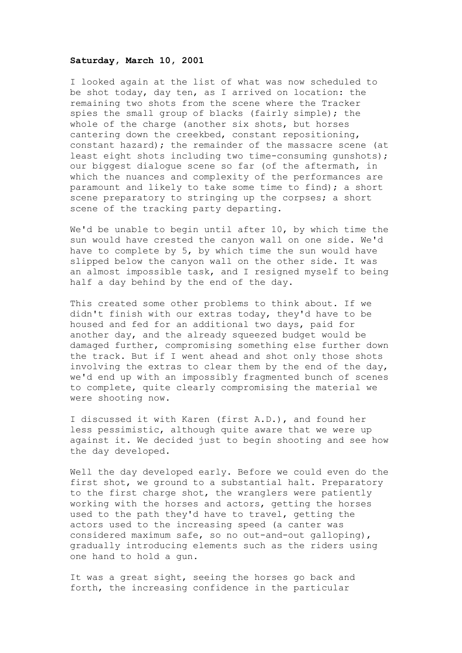### **Saturday, March 10, 2001**

I looked again at the list of what was now scheduled to be shot today, day ten, as I arrived on location: the remaining two shots from the scene where the Tracker spies the small group of blacks (fairly simple); the whole of the charge (another six shots, but horses cantering down the creekbed, constant repositioning, constant hazard); the remainder of the massacre scene (at least eight shots including two time-consuming gunshots); our biggest dialogue scene so far (of the aftermath, in which the nuances and complexity of the performances are paramount and likely to take some time to find); a short scene preparatory to stringing up the corpses; a short scene of the tracking party departing.

We'd be unable to begin until after 10, by which time the sun would have crested the canyon wall on one side. We'd have to complete by 5, by which time the sun would have slipped below the canyon wall on the other side. It was an almost impossible task, and I resigned myself to being half a day behind by the end of the day.

This created some other problems to think about. If we didn't finish with our extras today, they'd have to be housed and fed for an additional two days, paid for another day, and the already squeezed budget would be damaged further, compromising something else further down the track. But if I went ahead and shot only those shots involving the extras to clear them by the end of the day, we'd end up with an impossibly fragmented bunch of scenes to complete, quite clearly compromising the material we were shooting now.

I discussed it with Karen (first A.D.), and found her less pessimistic, although quite aware that we were up against it. We decided just to begin shooting and see how the day developed.

Well the day developed early. Before we could even do the first shot, we ground to a substantial halt. Preparatory to the first charge shot, the wranglers were patiently working with the horses and actors, getting the horses used to the path they'd have to travel, getting the actors used to the increasing speed (a canter was considered maximum safe, so no out-and-out galloping), gradually introducing elements such as the riders using one hand to hold a gun.

It was a great sight, seeing the horses go back and forth, the increasing confidence in the particular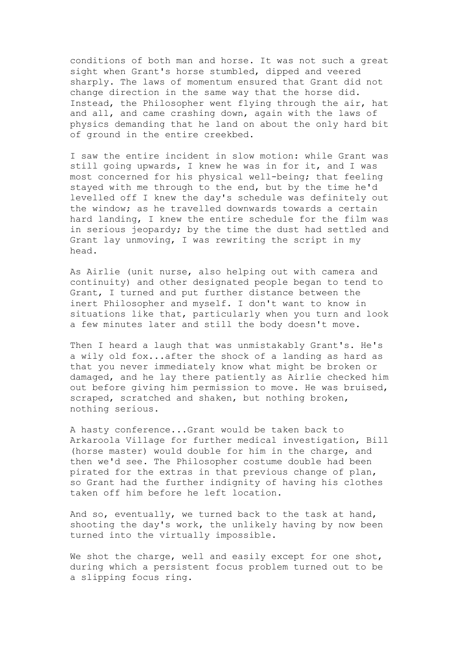conditions of both man and horse. It was not such a great sight when Grant's horse stumbled, dipped and veered sharply. The laws of momentum ensured that Grant did not change direction in the same way that the horse did. Instead, the Philosopher went flying through the air, hat and all, and came crashing down, again with the laws of physics demanding that he land on about the only hard bit of ground in the entire creekbed.

I saw the entire incident in slow motion: while Grant was still going upwards, I knew he was in for it, and I was most concerned for his physical well-being; that feeling stayed with me through to the end, but by the time he'd levelled off I knew the day's schedule was definitely out the window; as he travelled downwards towards a certain hard landing, I knew the entire schedule for the film was in serious jeopardy; by the time the dust had settled and Grant lay unmoving, I was rewriting the script in my head.

As Airlie (unit nurse, also helping out with camera and continuity) and other designated people began to tend to Grant, I turned and put further distance between the inert Philosopher and myself. I don't want to know in situations like that, particularly when you turn and look a few minutes later and still the body doesn't move.

Then I heard a laugh that was unmistakably Grant's. He's a wily old fox...after the shock of a landing as hard as that you never immediately know what might be broken or damaged, and he lay there patiently as Airlie checked him out before giving him permission to move. He was bruised, scraped, scratched and shaken, but nothing broken, nothing serious.

A hasty conference...Grant would be taken back to Arkaroola Village for further medical investigation, Bill (horse master) would double for him in the charge, and then we'd see. The Philosopher costume double had been pirated for the extras in that previous change of plan, so Grant had the further indignity of having his clothes taken off him before he left location.

And so, eventually, we turned back to the task at hand, shooting the day's work, the unlikely having by now been turned into the virtually impossible.

We shot the charge, well and easily except for one shot, during which a persistent focus problem turned out to be a slipping focus ring.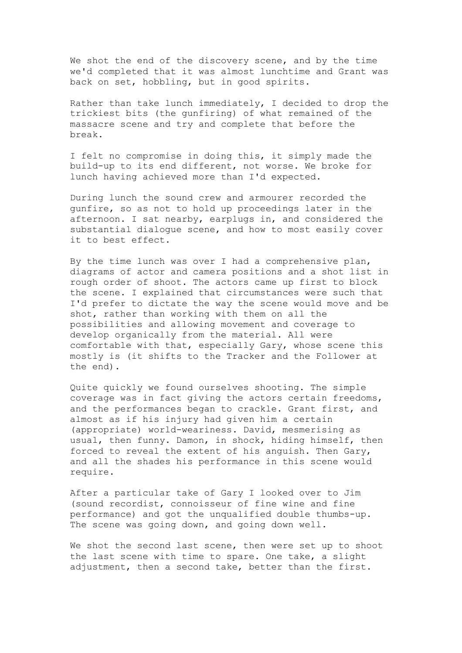We shot the end of the discovery scene, and by the time we'd completed that it was almost lunchtime and Grant was back on set, hobbling, but in good spirits.

Rather than take lunch immediately, I decided to drop the trickiest bits (the gunfiring) of what remained of the massacre scene and try and complete that before the break.

I felt no compromise in doing this, it simply made the build-up to its end different, not worse. We broke for lunch having achieved more than I'd expected.

During lunch the sound crew and armourer recorded the gunfire, so as not to hold up proceedings later in the afternoon. I sat nearby, earplugs in, and considered the substantial dialogue scene, and how to most easily cover it to best effect.

By the time lunch was over I had a comprehensive plan, diagrams of actor and camera positions and a shot list in rough order of shoot. The actors came up first to block the scene. I explained that circumstances were such that I'd prefer to dictate the way the scene would move and be shot, rather than working with them on all the possibilities and allowing movement and coverage to develop organically from the material. All were comfortable with that, especially Gary, whose scene this mostly is (it shifts to the Tracker and the Follower at the end).

Quite quickly we found ourselves shooting. The simple coverage was in fact giving the actors certain freedoms, and the performances began to crackle. Grant first, and almost as if his injury had given him a certain (appropriate) world-weariness. David, mesmerising as usual, then funny. Damon, in shock, hiding himself, then forced to reveal the extent of his anguish. Then Gary, and all the shades his performance in this scene would require.

After a particular take of Gary I looked over to Jim (sound recordist, connoisseur of fine wine and fine performance) and got the unqualified double thumbs-up. The scene was going down, and going down well.

We shot the second last scene, then were set up to shoot the last scene with time to spare. One take, a slight adjustment, then a second take, better than the first.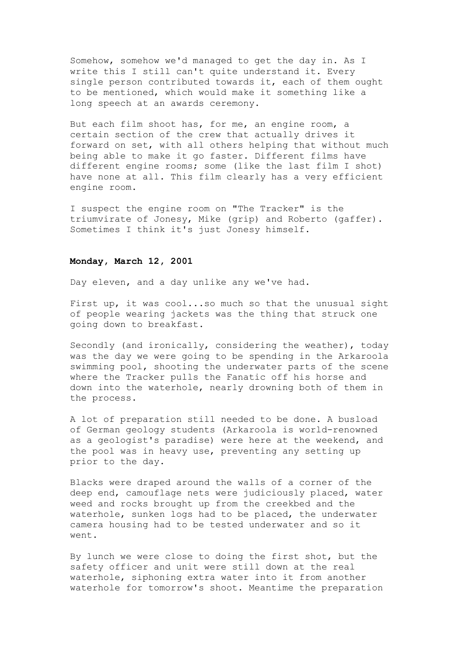Somehow, somehow we'd managed to get the day in. As I write this I still can't quite understand it. Every single person contributed towards it, each of them ought to be mentioned, which would make it something like a long speech at an awards ceremony.

But each film shoot has, for me, an engine room, a certain section of the crew that actually drives it forward on set, with all others helping that without much being able to make it go faster. Different films have different engine rooms; some (like the last film I shot) have none at all. This film clearly has a very efficient engine room.

I suspect the engine room on "The Tracker" is the triumvirate of Jonesy, Mike (grip) and Roberto (gaffer). Sometimes I think it's just Jonesy himself.

### **Monday, March 12, 2001**

Day eleven, and a day unlike any we've had.

First up, it was cool...so much so that the unusual sight of people wearing jackets was the thing that struck one going down to breakfast.

Secondly (and ironically, considering the weather), today was the day we were going to be spending in the Arkaroola swimming pool, shooting the underwater parts of the scene where the Tracker pulls the Fanatic off his horse and down into the waterhole, nearly drowning both of them in the process.

A lot of preparation still needed to be done. A busload of German geology students (Arkaroola is world-renowned as a geologist's paradise) were here at the weekend, and the pool was in heavy use, preventing any setting up prior to the day.

Blacks were draped around the walls of a corner of the deep end, camouflage nets were judiciously placed, water weed and rocks brought up from the creekbed and the waterhole, sunken logs had to be placed, the underwater camera housing had to be tested underwater and so it went.

By lunch we were close to doing the first shot, but the safety officer and unit were still down at the real waterhole, siphoning extra water into it from another waterhole for tomorrow's shoot. Meantime the preparation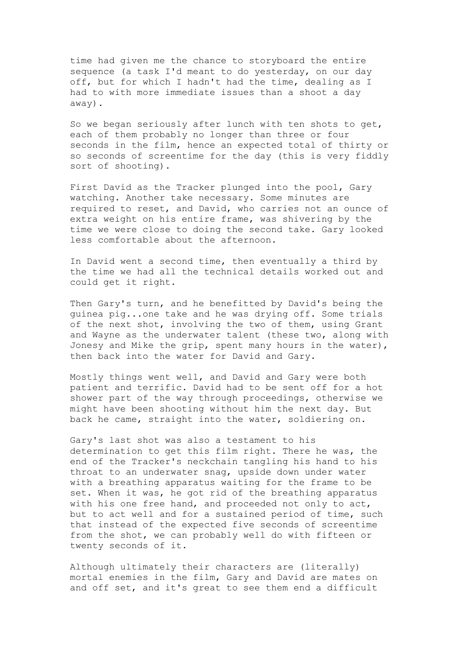time had given me the chance to storyboard the entire sequence (a task I'd meant to do yesterday, on our day off, but for which I hadn't had the time, dealing as I had to with more immediate issues than a shoot a day away).

So we began seriously after lunch with ten shots to get, each of them probably no longer than three or four seconds in the film, hence an expected total of thirty or so seconds of screentime for the day (this is very fiddly sort of shooting).

First David as the Tracker plunged into the pool, Gary watching. Another take necessary. Some minutes are required to reset, and David, who carries not an ounce of extra weight on his entire frame, was shivering by the time we were close to doing the second take. Gary looked less comfortable about the afternoon.

In David went a second time, then eventually a third by the time we had all the technical details worked out and could get it right.

Then Gary's turn, and he benefitted by David's being the guinea pig...one take and he was drying off. Some trials of the next shot, involving the two of them, using Grant and Wayne as the underwater talent (these two, along with Jonesy and Mike the grip, spent many hours in the water), then back into the water for David and Gary.

Mostly things went well, and David and Gary were both patient and terrific. David had to be sent off for a hot shower part of the way through proceedings, otherwise we might have been shooting without him the next day. But back he came, straight into the water, soldiering on.

Gary's last shot was also a testament to his determination to get this film right. There he was, the end of the Tracker's neckchain tangling his hand to his throat to an underwater snag, upside down under water with a breathing apparatus waiting for the frame to be set. When it was, he got rid of the breathing apparatus with his one free hand, and proceeded not only to act, but to act well and for a sustained period of time, such that instead of the expected five seconds of screentime from the shot, we can probably well do with fifteen or twenty seconds of it.

Although ultimately their characters are (literally) mortal enemies in the film, Gary and David are mates on and off set, and it's great to see them end a difficult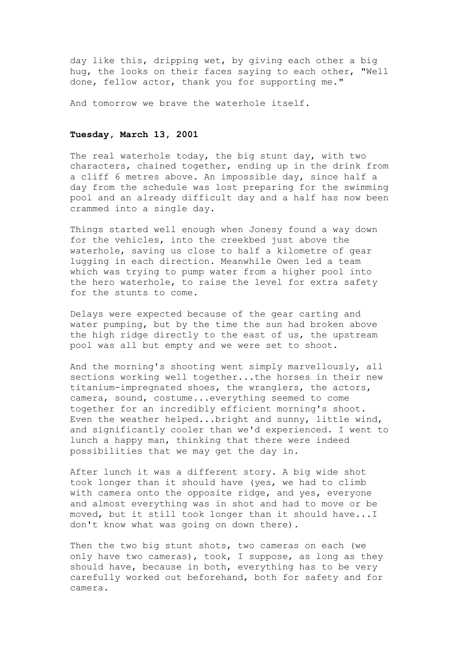day like this, dripping wet, by giving each other a big hug, the looks on their faces saying to each other, "Well done, fellow actor, thank you for supporting me."

And tomorrow we brave the waterhole itself.

# **Tuesday, March 13, 2001**

The real waterhole today, the big stunt day, with two characters, chained together, ending up in the drink from a cliff 6 metres above. An impossible day, since half a day from the schedule was lost preparing for the swimming pool and an already difficult day and a half has now been crammed into a single day.

Things started well enough when Jonesy found a way down for the vehicles, into the creekbed just above the waterhole, saving us close to half a kilometre of gear lugging in each direction. Meanwhile Owen led a team which was trying to pump water from a higher pool into the hero waterhole, to raise the level for extra safety for the stunts to come.

Delays were expected because of the gear carting and water pumping, but by the time the sun had broken above the high ridge directly to the east of us, the upstream pool was all but empty and we were set to shoot.

And the morning's shooting went simply marvellously, all sections working well together...the horses in their new titanium-impregnated shoes, the wranglers, the actors, camera, sound, costume...everything seemed to come together for an incredibly efficient morning's shoot. Even the weather helped...bright and sunny, little wind, and significantly cooler than we'd experienced. I went to lunch a happy man, thinking that there were indeed possibilities that we may get the day in.

After lunch it was a different story. A big wide shot took longer than it should have (yes, we had to climb with camera onto the opposite ridge, and yes, everyone and almost everything was in shot and had to move or be moved, but it still took longer than it should have...I don't know what was going on down there).

Then the two big stunt shots, two cameras on each (we only have two cameras), took, I suppose, as long as they should have, because in both, everything has to be very carefully worked out beforehand, both for safety and for camera.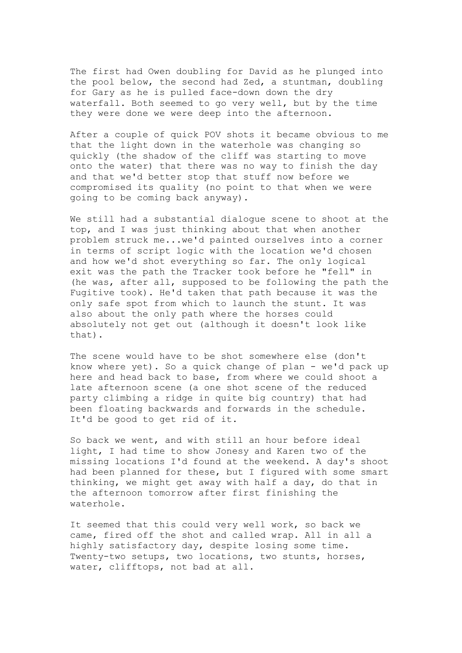The first had Owen doubling for David as he plunged into the pool below, the second had Zed, a stuntman, doubling for Gary as he is pulled face-down down the dry waterfall. Both seemed to go very well, but by the time they were done we were deep into the afternoon.

After a couple of quick POV shots it became obvious to me that the light down in the waterhole was changing so quickly (the shadow of the cliff was starting to move onto the water) that there was no way to finish the day and that we'd better stop that stuff now before we compromised its quality (no point to that when we were going to be coming back anyway).

We still had a substantial dialogue scene to shoot at the top, and I was just thinking about that when another problem struck me...we'd painted ourselves into a corner in terms of script logic with the location we'd chosen and how we'd shot everything so far. The only logical exit was the path the Tracker took before he "fell" in (he was, after all, supposed to be following the path the Fugitive took). He'd taken that path because it was the only safe spot from which to launch the stunt. It was also about the only path where the horses could absolutely not get out (although it doesn't look like that).

The scene would have to be shot somewhere else (don't know where yet). So a quick change of plan - we'd pack up here and head back to base, from where we could shoot a late afternoon scene (a one shot scene of the reduced party climbing a ridge in quite big country) that had been floating backwards and forwards in the schedule. It'd be good to get rid of it.

So back we went, and with still an hour before ideal light, I had time to show Jonesy and Karen two of the missing locations I'd found at the weekend. A day's shoot had been planned for these, but I figured with some smart thinking, we might get away with half a day, do that in the afternoon tomorrow after first finishing the waterhole.

It seemed that this could very well work, so back we came, fired off the shot and called wrap. All in all a highly satisfactory day, despite losing some time. Twenty-two setups, two locations, two stunts, horses, water, clifftops, not bad at all.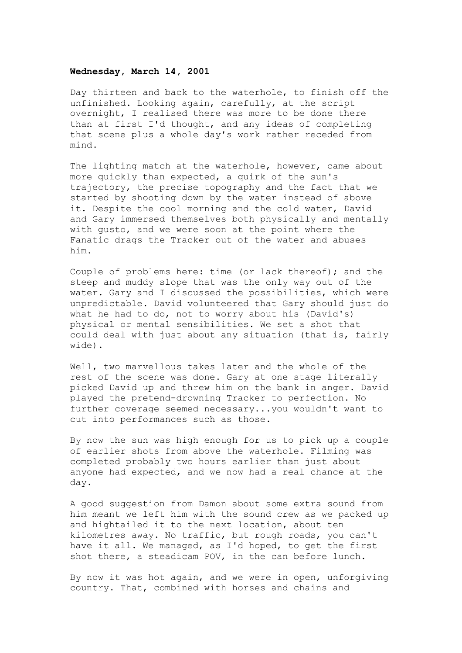## **Wednesday, March 14, 2001**

Day thirteen and back to the waterhole, to finish off the unfinished. Looking again, carefully, at the script overnight, I realised there was more to be done there than at first I'd thought, and any ideas of completing that scene plus a whole day's work rather receded from mind.

The lighting match at the waterhole, however, came about more quickly than expected, a quirk of the sun's trajectory, the precise topography and the fact that we started by shooting down by the water instead of above it. Despite the cool morning and the cold water, David and Gary immersed themselves both physically and mentally with gusto, and we were soon at the point where the Fanatic drags the Tracker out of the water and abuses him.

Couple of problems here: time (or lack thereof); and the steep and muddy slope that was the only way out of the water. Gary and I discussed the possibilities, which were unpredictable. David volunteered that Gary should just do what he had to do, not to worry about his (David's) physical or mental sensibilities. We set a shot that could deal with just about any situation (that is, fairly wide).

Well, two marvellous takes later and the whole of the rest of the scene was done. Gary at one stage literally picked David up and threw him on the bank in anger. David played the pretend-drowning Tracker to perfection. No further coverage seemed necessary...you wouldn't want to cut into performances such as those.

By now the sun was high enough for us to pick up a couple of earlier shots from above the waterhole. Filming was completed probably two hours earlier than just about anyone had expected, and we now had a real chance at the day.

A good suggestion from Damon about some extra sound from him meant we left him with the sound crew as we packed up and hightailed it to the next location, about ten kilometres away. No traffic, but rough roads, you can't have it all. We managed, as I'd hoped, to get the first shot there, a steadicam POV, in the can before lunch.

By now it was hot again, and we were in open, unforgiving country. That, combined with horses and chains and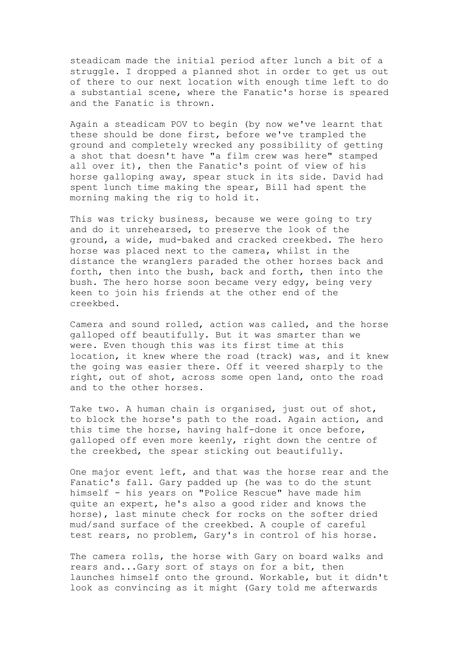steadicam made the initial period after lunch a bit of a struggle. I dropped a planned shot in order to get us out of there to our next location with enough time left to do a substantial scene, where the Fanatic's horse is speared and the Fanatic is thrown.

Again a steadicam POV to begin (by now we've learnt that these should be done first, before we've trampled the ground and completely wrecked any possibility of getting a shot that doesn't have "a film crew was here" stamped all over it), then the Fanatic's point of view of his horse galloping away, spear stuck in its side. David had spent lunch time making the spear, Bill had spent the morning making the rig to hold it.

This was tricky business, because we were going to try and do it unrehearsed, to preserve the look of the ground, a wide, mud-baked and cracked creekbed. The hero horse was placed next to the camera, whilst in the distance the wranglers paraded the other horses back and forth, then into the bush, back and forth, then into the bush. The hero horse soon became very edgy, being very keen to join his friends at the other end of the creekbed.

Camera and sound rolled, action was called, and the horse galloped off beautifully. But it was smarter than we were. Even though this was its first time at this location, it knew where the road (track) was, and it knew the going was easier there. Off it veered sharply to the right, out of shot, across some open land, onto the road and to the other horses.

Take two. A human chain is organised, just out of shot, to block the horse's path to the road. Again action, and this time the horse, having half-done it once before, galloped off even more keenly, right down the centre of the creekbed, the spear sticking out beautifully.

One major event left, and that was the horse rear and the Fanatic's fall. Gary padded up (he was to do the stunt himself - his years on "Police Rescue" have made him quite an expert, he's also a good rider and knows the horse), last minute check for rocks on the softer dried mud/sand surface of the creekbed. A couple of careful test rears, no problem, Gary's in control of his horse.

The camera rolls, the horse with Gary on board walks and rears and...Gary sort of stays on for a bit, then launches himself onto the ground. Workable, but it didn't look as convincing as it might (Gary told me afterwards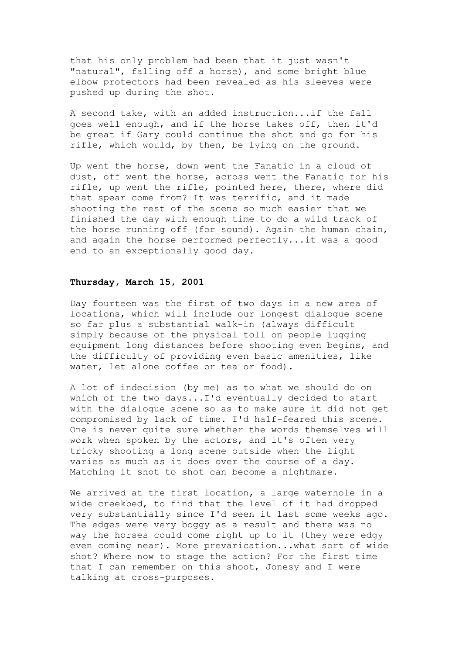that his only problem had been that it just wasn't "natural", falling off a horse), and some bright blue elbow protectors had been revealed as his sleeves were pushed up during the shot.

A second take, with an added instruction...if the fall goes well enough, and if the horse takes off, then it'd be great if Gary could continue the shot and go for his rifle, which would, by then, be lying on the ground.

Up went the horse, down went the Fanatic in a cloud of dust, off went the horse, across went the Fanatic for his rifle, up went the rifle, pointed here, there, where did that spear come from? It was terrific, and it made shooting the rest of the scene so much easier that we finished the day with enough time to do a wild track of the horse running off (for sound). Again the human chain, and again the horse performed perfectly...it was a good end to an exceptionally good day.

### **Thursday, March 15, 2001**

Day fourteen was the first of two days in a new area of locations, which will include our longest dialogue scene so far plus a substantial walk-in (always difficult simply because of the physical toll on people lugging equipment long distances before shooting even begins, and the difficulty of providing even basic amenities, like water, let alone coffee or tea or food).

A lot of indecision (by me) as to what we should do on which of the two days...I'd eventually decided to start with the dialogue scene so as to make sure it did not get compromised by lack of time. I'd half-feared this scene. One is never quite sure whether the words themselves will work when spoken by the actors, and it's often very tricky shooting a long scene outside when the light varies as much as it does over the course of a day. Matching it shot to shot can become a nightmare.

We arrived at the first location, a large waterhole in a wide creekbed, to find that the level of it had dropped very substantially since I'd seen it last some weeks ago. The edges were very boggy as a result and there was no way the horses could come right up to it (they were edgy even coming near). More prevarication...what sort of wide shot? Where now to stage the action? For the first time that I can remember on this shoot, Jonesy and I were talking at cross-purposes.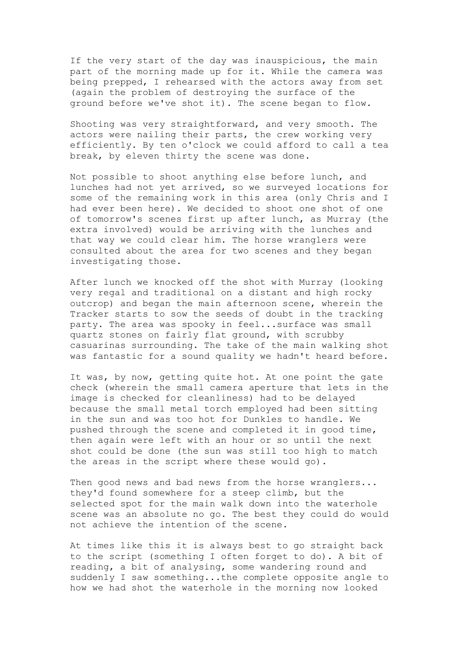If the very start of the day was inauspicious, the main part of the morning made up for it. While the camera was being prepped, I rehearsed with the actors away from set (again the problem of destroying the surface of the ground before we've shot it). The scene began to flow.

Shooting was very straightforward, and very smooth. The actors were nailing their parts, the crew working very efficiently. By ten o'clock we could afford to call a tea break, by eleven thirty the scene was done.

Not possible to shoot anything else before lunch, and lunches had not yet arrived, so we surveyed locations for some of the remaining work in this area (only Chris and I had ever been here). We decided to shoot one shot of one of tomorrow's scenes first up after lunch, as Murray (the extra involved) would be arriving with the lunches and that way we could clear him. The horse wranglers were consulted about the area for two scenes and they began investigating those.

After lunch we knocked off the shot with Murray (looking very regal and traditional on a distant and high rocky outcrop) and began the main afternoon scene, wherein the Tracker starts to sow the seeds of doubt in the tracking party. The area was spooky in feel...surface was small quartz stones on fairly flat ground, with scrubby casuarinas surrounding. The take of the main walking shot was fantastic for a sound quality we hadn't heard before.

It was, by now, getting quite hot. At one point the gate check (wherein the small camera aperture that lets in the image is checked for cleanliness) had to be delayed because the small metal torch employed had been sitting in the sun and was too hot for Dunkles to handle. We pushed through the scene and completed it in good time, then again were left with an hour or so until the next shot could be done (the sun was still too high to match the areas in the script where these would go).

Then good news and bad news from the horse wranglers... they'd found somewhere for a steep climb, but the selected spot for the main walk down into the waterhole scene was an absolute no go. The best they could do would not achieve the intention of the scene.

At times like this it is always best to go straight back to the script (something I often forget to do). A bit of reading, a bit of analysing, some wandering round and suddenly I saw something...the complete opposite angle to how we had shot the waterhole in the morning now looked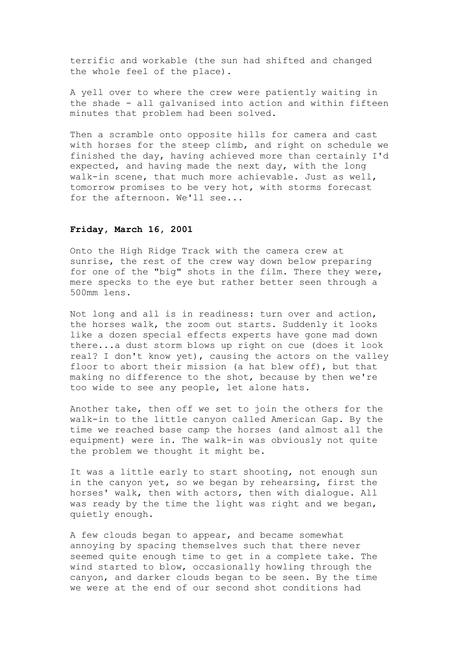terrific and workable (the sun had shifted and changed the whole feel of the place).

A yell over to where the crew were patiently waiting in the shade - all galvanised into action and within fifteen minutes that problem had been solved.

Then a scramble onto opposite hills for camera and cast with horses for the steep climb, and right on schedule we finished the day, having achieved more than certainly I'd expected, and having made the next day, with the long walk-in scene, that much more achievable. Just as well, tomorrow promises to be very hot, with storms forecast for the afternoon. We'll see...

## **Friday, March 16, 2001**

Onto the High Ridge Track with the camera crew at sunrise, the rest of the crew way down below preparing for one of the "big" shots in the film. There they were, mere specks to the eye but rather better seen through a 500mm lens.

Not long and all is in readiness: turn over and action, the horses walk, the zoom out starts. Suddenly it looks like a dozen special effects experts have gone mad down there...a dust storm blows up right on cue (does it look real? I don't know yet), causing the actors on the valley floor to abort their mission (a hat blew off), but that making no difference to the shot, because by then we're too wide to see any people, let alone hats.

Another take, then off we set to join the others for the walk-in to the little canyon called American Gap. By the time we reached base camp the horses (and almost all the equipment) were in. The walk-in was obviously not quite the problem we thought it might be.

It was a little early to start shooting, not enough sun in the canyon yet, so we began by rehearsing, first the horses' walk, then with actors, then with dialogue. All was ready by the time the light was right and we began, quietly enough.

A few clouds began to appear, and became somewhat annoying by spacing themselves such that there never seemed quite enough time to get in a complete take. The wind started to blow, occasionally howling through the canyon, and darker clouds began to be seen. By the time we were at the end of our second shot conditions had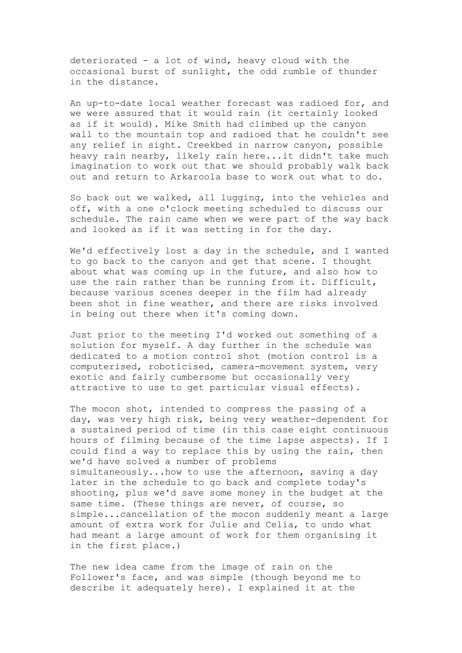deteriorated - a lot of wind, heavy cloud with the occasional burst of sunlight, the odd rumble of thunder in the distance.

An up-to-date local weather forecast was radioed for, and we were assured that it would rain (it certainly looked as if it would). Mike Smith had climbed up the canyon wall to the mountain top and radioed that he couldn't see any relief in sight. Creekbed in narrow canyon, possible heavy rain nearby, likely rain here...it didn't take much imagination to work out that we should probably walk back out and return to Arkaroola base to work out what to do.

So back out we walked, all lugging, into the vehicles and off, with a one o'clock meeting scheduled to discuss our schedule. The rain came when we were part of the way back and looked as if it was setting in for the day.

We'd effectively lost a day in the schedule, and I wanted to go back to the canyon and get that scene. I thought about what was coming up in the future, and also how to use the rain rather than be running from it. Difficult, because various scenes deeper in the film had already been shot in fine weather, and there are risks involved in being out there when it's coming down.

Just prior to the meeting I'd worked out something of a solution for myself. A day further in the schedule was dedicated to a motion control shot (motion control is a computerised, roboticised, camera-movement system, very exotic and fairly cumbersome but occasionally very attractive to use to get particular visual effects).

The mocon shot, intended to compress the passing of a day, was very high risk, being very weather-dependent for a sustained period of time (in this case eight continuous hours of filming because of the time lapse aspects). If I could find a way to replace this by using the rain, then we'd have solved a number of problems simultaneously...how to use the afternoon, saving a day later in the schedule to go back and complete today's shooting, plus we'd save some money in the budget at the same time. (These things are never, of course, so simple...cancellation of the mocon suddenly meant a large amount of extra work for Julie and Celia, to undo what had meant a large amount of work for them organising it in the first place.)

The new idea came from the image of rain on the Follower's face, and was simple (though beyond me to describe it adequately here). I explained it at the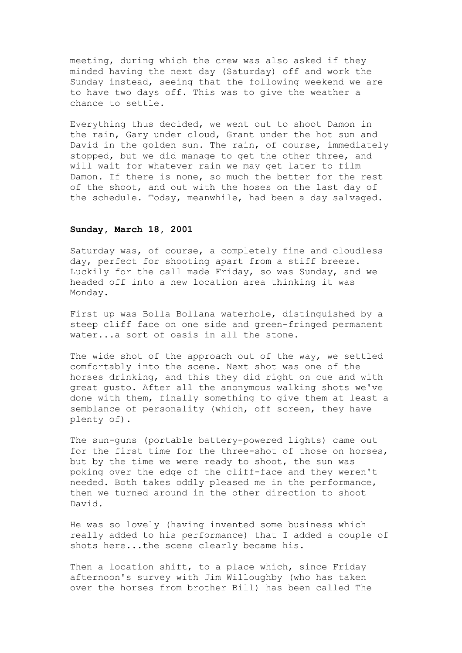meeting, during which the crew was also asked if they minded having the next day (Saturday) off and work the Sunday instead, seeing that the following weekend we are to have two days off. This was to give the weather a chance to settle.

Everything thus decided, we went out to shoot Damon in the rain, Gary under cloud, Grant under the hot sun and David in the golden sun. The rain, of course, immediately stopped, but we did manage to get the other three, and will wait for whatever rain we may get later to film Damon. If there is none, so much the better for the rest of the shoot, and out with the hoses on the last day of the schedule. Today, meanwhile, had been a day salvaged.

### **Sunday, March 18, 2001**

Saturday was, of course, a completely fine and cloudless day, perfect for shooting apart from a stiff breeze. Luckily for the call made Friday, so was Sunday, and we headed off into a new location area thinking it was Monday.

First up was Bolla Bollana waterhole, distinguished by a steep cliff face on one side and green-fringed permanent water...a sort of oasis in all the stone.

The wide shot of the approach out of the way, we settled comfortably into the scene. Next shot was one of the horses drinking, and this they did right on cue and with great gusto. After all the anonymous walking shots we've done with them, finally something to give them at least a semblance of personality (which, off screen, they have plenty of).

The sun-guns (portable battery-powered lights) came out for the first time for the three-shot of those on horses, but by the time we were ready to shoot, the sun was poking over the edge of the cliff-face and they weren't needed. Both takes oddly pleased me in the performance, then we turned around in the other direction to shoot David.

He was so lovely (having invented some business which really added to his performance) that I added a couple of shots here...the scene clearly became his.

Then a location shift, to a place which, since Friday afternoon's survey with Jim Willoughby (who has taken over the horses from brother Bill) has been called The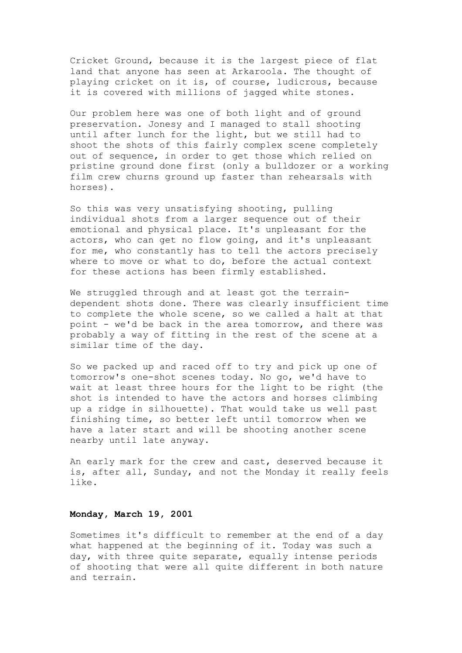Cricket Ground, because it is the largest piece of flat land that anyone has seen at Arkaroola. The thought of playing cricket on it is, of course, ludicrous, because it is covered with millions of jagged white stones.

Our problem here was one of both light and of ground preservation. Jonesy and I managed to stall shooting until after lunch for the light, but we still had to shoot the shots of this fairly complex scene completely out of sequence, in order to get those which relied on pristine ground done first (only a bulldozer or a working film crew churns ground up faster than rehearsals with horses).

So this was very unsatisfying shooting, pulling individual shots from a larger sequence out of their emotional and physical place. It's unpleasant for the actors, who can get no flow going, and it's unpleasant for me, who constantly has to tell the actors precisely where to move or what to do, before the actual context for these actions has been firmly established.

We struggled through and at least got the terraindependent shots done. There was clearly insufficient time to complete the whole scene, so we called a halt at that point - we'd be back in the area tomorrow, and there was probably a way of fitting in the rest of the scene at a similar time of the day.

So we packed up and raced off to try and pick up one of tomorrow's one-shot scenes today. No go, we'd have to wait at least three hours for the light to be right (the shot is intended to have the actors and horses climbing up a ridge in silhouette). That would take us well past finishing time, so better left until tomorrow when we have a later start and will be shooting another scene nearby until late anyway.

An early mark for the crew and cast, deserved because it is, after all, Sunday, and not the Monday it really feels like.

## **Monday, March 19, 2001**

Sometimes it's difficult to remember at the end of a day what happened at the beginning of it. Today was such a day, with three quite separate, equally intense periods of shooting that were all quite different in both nature and terrain.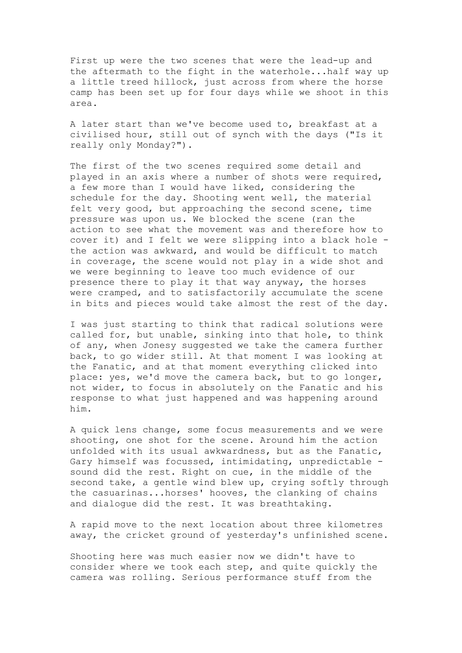First up were the two scenes that were the lead-up and the aftermath to the fight in the waterhole...half way up a little treed hillock, just across from where the horse camp has been set up for four days while we shoot in this area.

A later start than we've become used to, breakfast at a civilised hour, still out of synch with the days ("Is it really only Monday?").

The first of the two scenes required some detail and played in an axis where a number of shots were required, a few more than I would have liked, considering the schedule for the day. Shooting went well, the material felt very good, but approaching the second scene, time pressure was upon us. We blocked the scene (ran the action to see what the movement was and therefore how to cover it) and I felt we were slipping into a black hole the action was awkward, and would be difficult to match in coverage, the scene would not play in a wide shot and we were beginning to leave too much evidence of our presence there to play it that way anyway, the horses were cramped, and to satisfactorily accumulate the scene in bits and pieces would take almost the rest of the day.

I was just starting to think that radical solutions were called for, but unable, sinking into that hole, to think of any, when Jonesy suggested we take the camera further back, to go wider still. At that moment I was looking at the Fanatic, and at that moment everything clicked into place: yes, we'd move the camera back, but to go longer, not wider, to focus in absolutely on the Fanatic and his response to what just happened and was happening around him.

A quick lens change, some focus measurements and we were shooting, one shot for the scene. Around him the action unfolded with its usual awkwardness, but as the Fanatic, Gary himself was focussed, intimidating, unpredictable sound did the rest. Right on cue, in the middle of the second take, a gentle wind blew up, crying softly through the casuarinas...horses' hooves, the clanking of chains and dialogue did the rest. It was breathtaking.

A rapid move to the next location about three kilometres away, the cricket ground of yesterday's unfinished scene.

Shooting here was much easier now we didn't have to consider where we took each step, and quite quickly the camera was rolling. Serious performance stuff from the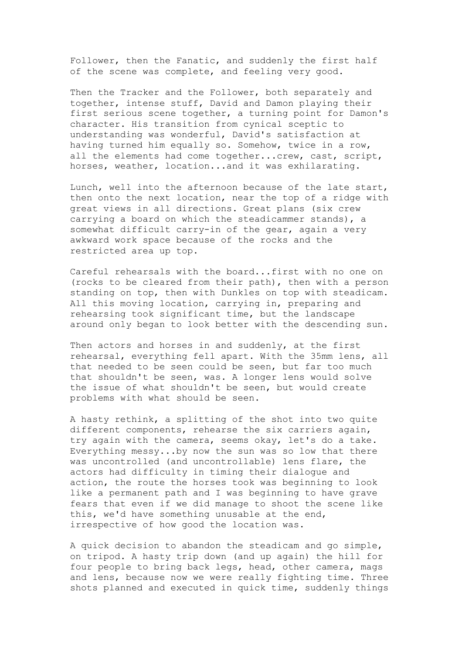Follower, then the Fanatic, and suddenly the first half of the scene was complete, and feeling very good.

Then the Tracker and the Follower, both separately and together, intense stuff, David and Damon playing their first serious scene together, a turning point for Damon's character. His transition from cynical sceptic to understanding was wonderful, David's satisfaction at having turned him equally so. Somehow, twice in a row, all the elements had come together...crew, cast, script, horses, weather, location...and it was exhilarating.

Lunch, well into the afternoon because of the late start, then onto the next location, near the top of a ridge with great views in all directions. Great plans (six crew carrying a board on which the steadicammer stands), a somewhat difficult carry-in of the gear, again a very awkward work space because of the rocks and the restricted area up top.

Careful rehearsals with the board...first with no one on (rocks to be cleared from their path), then with a person standing on top, then with Dunkles on top with steadicam. All this moving location, carrying in, preparing and rehearsing took significant time, but the landscape around only began to look better with the descending sun.

Then actors and horses in and suddenly, at the first rehearsal, everything fell apart. With the 35mm lens, all that needed to be seen could be seen, but far too much that shouldn't be seen, was. A longer lens would solve the issue of what shouldn't be seen, but would create problems with what should be seen.

A hasty rethink, a splitting of the shot into two quite different components, rehearse the six carriers again, try again with the camera, seems okay, let's do a take. Everything messy...by now the sun was so low that there was uncontrolled (and uncontrollable) lens flare, the actors had difficulty in timing their dialogue and action, the route the horses took was beginning to look like a permanent path and I was beginning to have grave fears that even if we did manage to shoot the scene like this, we'd have something unusable at the end, irrespective of how good the location was.

A quick decision to abandon the steadicam and go simple, on tripod. A hasty trip down (and up again) the hill for four people to bring back legs, head, other camera, mags and lens, because now we were really fighting time. Three shots planned and executed in quick time, suddenly things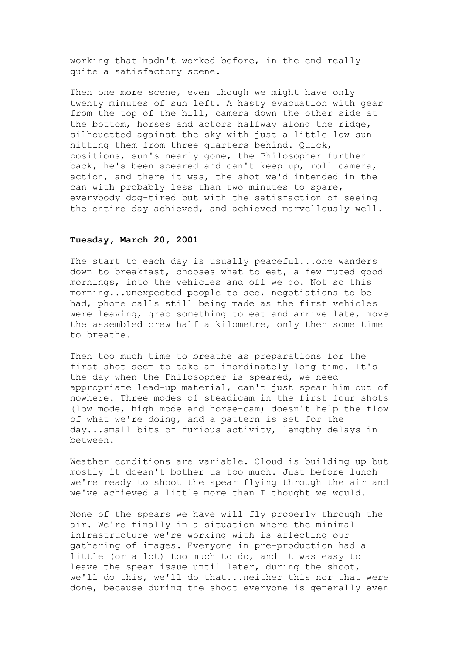working that hadn't worked before, in the end really quite a satisfactory scene.

Then one more scene, even though we might have only twenty minutes of sun left. A hasty evacuation with gear from the top of the hill, camera down the other side at the bottom, horses and actors halfway along the ridge, silhouetted against the sky with just a little low sun hitting them from three quarters behind. Quick, positions, sun's nearly gone, the Philosopher further back, he's been speared and can't keep up, roll camera, action, and there it was, the shot we'd intended in the can with probably less than two minutes to spare, everybody dog-tired but with the satisfaction of seeing the entire day achieved, and achieved marvellously well.

### **Tuesday, March 20, 2001**

The start to each day is usually peaceful...one wanders down to breakfast, chooses what to eat, a few muted good mornings, into the vehicles and off we go. Not so this morning...unexpected people to see, negotiations to be had, phone calls still being made as the first vehicles were leaving, grab something to eat and arrive late, move the assembled crew half a kilometre, only then some time to breathe.

Then too much time to breathe as preparations for the first shot seem to take an inordinately long time. It's the day when the Philosopher is speared, we need appropriate lead-up material, can't just spear him out of nowhere. Three modes of steadicam in the first four shots (low mode, high mode and horse-cam) doesn't help the flow of what we're doing, and a pattern is set for the day...small bits of furious activity, lengthy delays in between.

Weather conditions are variable. Cloud is building up but mostly it doesn't bother us too much. Just before lunch we're ready to shoot the spear flying through the air and we've achieved a little more than I thought we would.

None of the spears we have will fly properly through the air. We're finally in a situation where the minimal infrastructure we're working with is affecting our gathering of images. Everyone in pre-production had a little (or a lot) too much to do, and it was easy to leave the spear issue until later, during the shoot, we'll do this, we'll do that...neither this nor that were done, because during the shoot everyone is generally even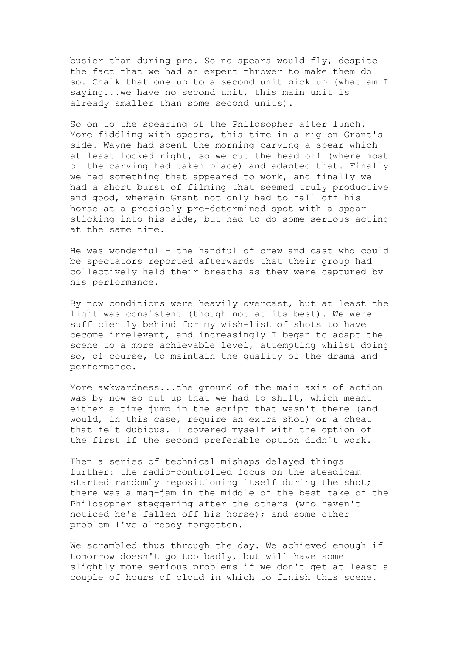busier than during pre. So no spears would fly, despite the fact that we had an expert thrower to make them do so. Chalk that one up to a second unit pick up (what am I saying...we have no second unit, this main unit is already smaller than some second units).

So on to the spearing of the Philosopher after lunch. More fiddling with spears, this time in a rig on Grant's side. Wayne had spent the morning carving a spear which at least looked right, so we cut the head off (where most of the carving had taken place) and adapted that. Finally we had something that appeared to work, and finally we had a short burst of filming that seemed truly productive and good, wherein Grant not only had to fall off his horse at a precisely pre-determined spot with a spear sticking into his side, but had to do some serious acting at the same time.

He was wonderful - the handful of crew and cast who could be spectators reported afterwards that their group had collectively held their breaths as they were captured by his performance.

By now conditions were heavily overcast, but at least the light was consistent (though not at its best). We were sufficiently behind for my wish-list of shots to have become irrelevant, and increasingly I began to adapt the scene to a more achievable level, attempting whilst doing so, of course, to maintain the quality of the drama and performance.

More awkwardness...the ground of the main axis of action was by now so cut up that we had to shift, which meant either a time jump in the script that wasn't there (and would, in this case, require an extra shot) or a cheat that felt dubious. I covered myself with the option of the first if the second preferable option didn't work.

Then a series of technical mishaps delayed things further: the radio-controlled focus on the steadicam started randomly repositioning itself during the shot; there was a mag-jam in the middle of the best take of the Philosopher staggering after the others (who haven't noticed he's fallen off his horse); and some other problem I've already forgotten.

We scrambled thus through the day. We achieved enough if tomorrow doesn't go too badly, but will have some slightly more serious problems if we don't get at least a couple of hours of cloud in which to finish this scene.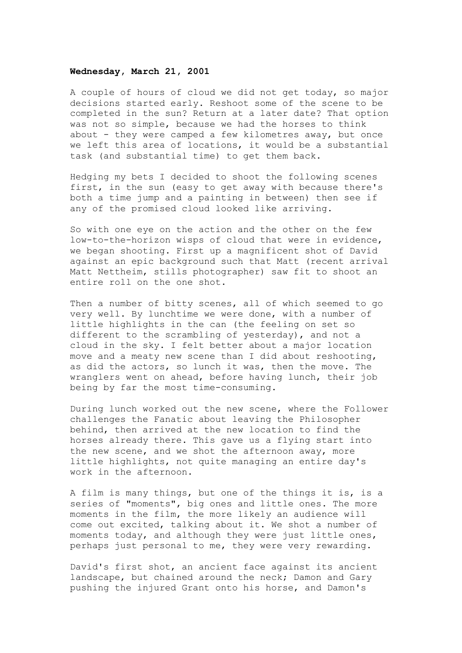#### **Wednesday, March 21, 2001**

A couple of hours of cloud we did not get today, so major decisions started early. Reshoot some of the scene to be completed in the sun? Return at a later date? That option was not so simple, because we had the horses to think about - they were camped a few kilometres away, but once we left this area of locations, it would be a substantial task (and substantial time) to get them back.

Hedging my bets I decided to shoot the following scenes first, in the sun (easy to get away with because there's both a time jump and a painting in between) then see if any of the promised cloud looked like arriving.

So with one eye on the action and the other on the few low-to-the-horizon wisps of cloud that were in evidence, we began shooting. First up a magnificent shot of David against an epic background such that Matt (recent arrival Matt Nettheim, stills photographer) saw fit to shoot an entire roll on the one shot.

Then a number of bitty scenes, all of which seemed to go very well. By lunchtime we were done, with a number of little highlights in the can (the feeling on set so different to the scrambling of yesterday), and not a cloud in the sky. I felt better about a major location move and a meaty new scene than I did about reshooting, as did the actors, so lunch it was, then the move. The wranglers went on ahead, before having lunch, their job being by far the most time-consuming.

During lunch worked out the new scene, where the Follower challenges the Fanatic about leaving the Philosopher behind, then arrived at the new location to find the horses already there. This gave us a flying start into the new scene, and we shot the afternoon away, more little highlights, not quite managing an entire day's work in the afternoon.

A film is many things, but one of the things it is, is a series of "moments", big ones and little ones. The more moments in the film, the more likely an audience will come out excited, talking about it. We shot a number of moments today, and although they were just little ones, perhaps just personal to me, they were very rewarding.

David's first shot, an ancient face against its ancient landscape, but chained around the neck; Damon and Gary pushing the injured Grant onto his horse, and Damon's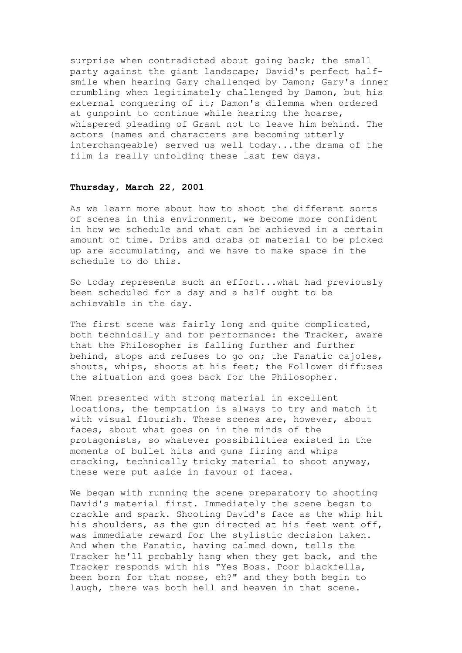surprise when contradicted about going back; the small party against the giant landscape; David's perfect halfsmile when hearing Gary challenged by Damon; Gary's inner crumbling when legitimately challenged by Damon, but his external conquering of it; Damon's dilemma when ordered at gunpoint to continue while hearing the hoarse, whispered pleading of Grant not to leave him behind. The actors (names and characters are becoming utterly interchangeable) served us well today...the drama of the film is really unfolding these last few days.

### **Thursday, March 22, 2001**

As we learn more about how to shoot the different sorts of scenes in this environment, we become more confident in how we schedule and what can be achieved in a certain amount of time. Dribs and drabs of material to be picked up are accumulating, and we have to make space in the schedule to do this.

So today represents such an effort...what had previously been scheduled for a day and a half ought to be achievable in the day.

The first scene was fairly long and quite complicated, both technically and for performance: the Tracker, aware that the Philosopher is falling further and further behind, stops and refuses to go on; the Fanatic cajoles, shouts, whips, shoots at his feet; the Follower diffuses the situation and goes back for the Philosopher.

When presented with strong material in excellent locations, the temptation is always to try and match it with visual flourish. These scenes are, however, about faces, about what goes on in the minds of the protagonists, so whatever possibilities existed in the moments of bullet hits and guns firing and whips cracking, technically tricky material to shoot anyway, these were put aside in favour of faces.

We began with running the scene preparatory to shooting David's material first. Immediately the scene began to crackle and spark. Shooting David's face as the whip hit his shoulders, as the gun directed at his feet went off, was immediate reward for the stylistic decision taken. And when the Fanatic, having calmed down, tells the Tracker he'll probably hang when they get back, and the Tracker responds with his "Yes Boss. Poor blackfella, been born for that noose, eh?" and they both begin to laugh, there was both hell and heaven in that scene.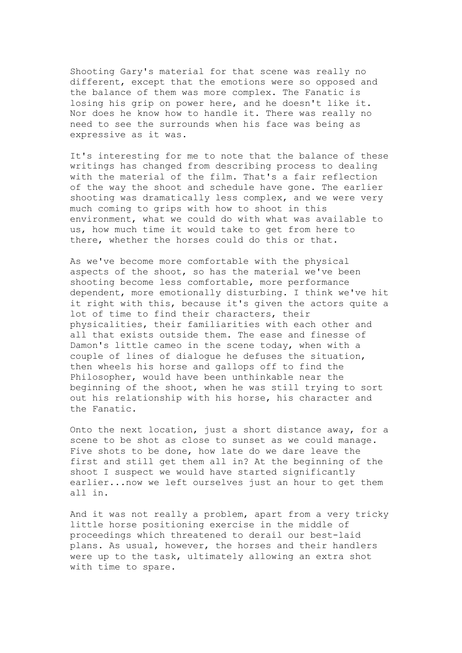Shooting Gary's material for that scene was really no different, except that the emotions were so opposed and the balance of them was more complex. The Fanatic is losing his grip on power here, and he doesn't like it. Nor does he know how to handle it. There was really no need to see the surrounds when his face was being as expressive as it was.

It's interesting for me to note that the balance of these writings has changed from describing process to dealing with the material of the film. That's a fair reflection of the way the shoot and schedule have gone. The earlier shooting was dramatically less complex, and we were very much coming to grips with how to shoot in this environment, what we could do with what was available to us, how much time it would take to get from here to there, whether the horses could do this or that.

As we've become more comfortable with the physical aspects of the shoot, so has the material we've been shooting become less comfortable, more performance dependent, more emotionally disturbing. I think we've hit it right with this, because it's given the actors quite a lot of time to find their characters, their physicalities, their familiarities with each other and all that exists outside them. The ease and finesse of Damon's little cameo in the scene today, when with a couple of lines of dialogue he defuses the situation, then wheels his horse and gallops off to find the Philosopher, would have been unthinkable near the beginning of the shoot, when he was still trying to sort out his relationship with his horse, his character and the Fanatic.

Onto the next location, just a short distance away, for a scene to be shot as close to sunset as we could manage. Five shots to be done, how late do we dare leave the first and still get them all in? At the beginning of the shoot I suspect we would have started significantly earlier...now we left ourselves just an hour to get them all in.

And it was not really a problem, apart from a very tricky little horse positioning exercise in the middle of proceedings which threatened to derail our best-laid plans. As usual, however, the horses and their handlers were up to the task, ultimately allowing an extra shot with time to spare.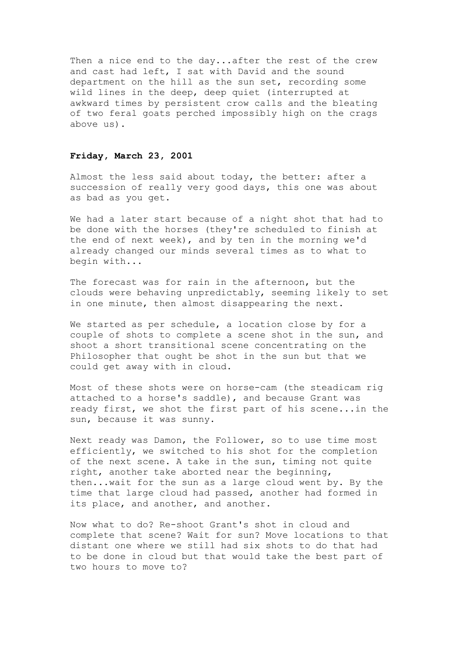Then a nice end to the day...after the rest of the crew and cast had left, I sat with David and the sound department on the hill as the sun set, recording some wild lines in the deep, deep quiet (interrupted at awkward times by persistent crow calls and the bleating of two feral goats perched impossibly high on the crags above us).

### **Friday, March 23, 2001**

Almost the less said about today, the better: after a succession of really very good days, this one was about as bad as you get.

We had a later start because of a night shot that had to be done with the horses (they're scheduled to finish at the end of next week), and by ten in the morning we'd already changed our minds several times as to what to begin with...

The forecast was for rain in the afternoon, but the clouds were behaving unpredictably, seeming likely to set in one minute, then almost disappearing the next.

We started as per schedule, a location close by for a couple of shots to complete a scene shot in the sun, and shoot a short transitional scene concentrating on the Philosopher that ought be shot in the sun but that we could get away with in cloud.

Most of these shots were on horse-cam (the steadicam rig attached to a horse's saddle), and because Grant was ready first, we shot the first part of his scene...in the sun, because it was sunny.

Next ready was Damon, the Follower, so to use time most efficiently, we switched to his shot for the completion of the next scene. A take in the sun, timing not quite right, another take aborted near the beginning, then...wait for the sun as a large cloud went by. By the time that large cloud had passed, another had formed in its place, and another, and another.

Now what to do? Re-shoot Grant's shot in cloud and complete that scene? Wait for sun? Move locations to that distant one where we still had six shots to do that had to be done in cloud but that would take the best part of two hours to move to?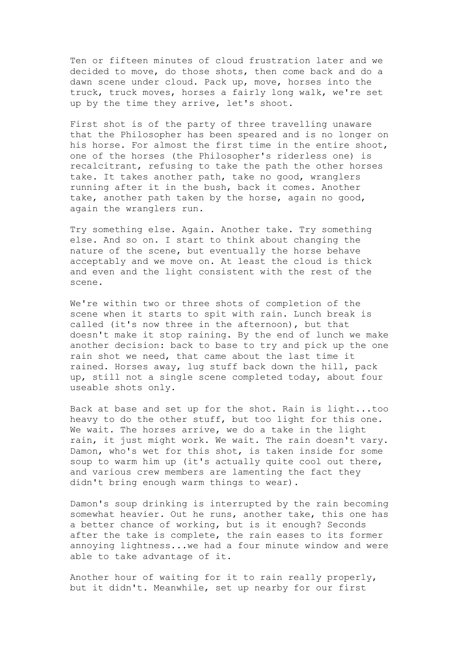Ten or fifteen minutes of cloud frustration later and we decided to move, do those shots, then come back and do a dawn scene under cloud. Pack up, move, horses into the truck, truck moves, horses a fairly long walk, we're set up by the time they arrive, let's shoot.

First shot is of the party of three travelling unaware that the Philosopher has been speared and is no longer on his horse. For almost the first time in the entire shoot, one of the horses (the Philosopher's riderless one) is recalcitrant, refusing to take the path the other horses take. It takes another path, take no good, wranglers running after it in the bush, back it comes. Another take, another path taken by the horse, again no good, again the wranglers run.

Try something else. Again. Another take. Try something else. And so on. I start to think about changing the nature of the scene, but eventually the horse behave acceptably and we move on. At least the cloud is thick and even and the light consistent with the rest of the scene.

We're within two or three shots of completion of the scene when it starts to spit with rain. Lunch break is called (it's now three in the afternoon), but that doesn't make it stop raining. By the end of lunch we make another decision: back to base to try and pick up the one rain shot we need, that came about the last time it rained. Horses away, lug stuff back down the hill, pack up, still not a single scene completed today, about four useable shots only.

Back at base and set up for the shot. Rain is light...too heavy to do the other stuff, but too light for this one. We wait. The horses arrive, we do a take in the light rain, it just might work. We wait. The rain doesn't vary. Damon, who's wet for this shot, is taken inside for some soup to warm him up (it's actually quite cool out there, and various crew members are lamenting the fact they didn't bring enough warm things to wear).

Damon's soup drinking is interrupted by the rain becoming somewhat heavier. Out he runs, another take, this one has a better chance of working, but is it enough? Seconds after the take is complete, the rain eases to its former annoying lightness...we had a four minute window and were able to take advantage of it.

Another hour of waiting for it to rain really properly, but it didn't. Meanwhile, set up nearby for our first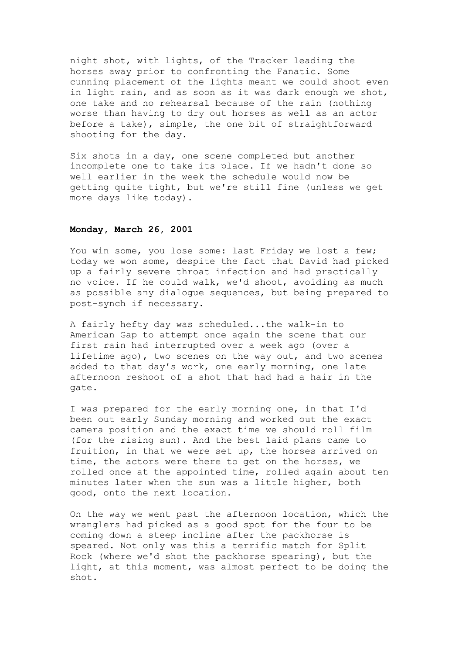night shot, with lights, of the Tracker leading the horses away prior to confronting the Fanatic. Some cunning placement of the lights meant we could shoot even in light rain, and as soon as it was dark enough we shot, one take and no rehearsal because of the rain (nothing worse than having to dry out horses as well as an actor before a take), simple, the one bit of straightforward shooting for the day.

Six shots in a day, one scene completed but another incomplete one to take its place. If we hadn't done so well earlier in the week the schedule would now be getting quite tight, but we're still fine (unless we get more days like today).

## **Monday, March 26, 2001**

You win some, you lose some: last Friday we lost a few; today we won some, despite the fact that David had picked up a fairly severe throat infection and had practically no voice. If he could walk, we'd shoot, avoiding as much as possible any dialogue sequences, but being prepared to post-synch if necessary.

A fairly hefty day was scheduled...the walk-in to American Gap to attempt once again the scene that our first rain had interrupted over a week ago (over a lifetime ago), two scenes on the way out, and two scenes added to that day's work, one early morning, one late afternoon reshoot of a shot that had had a hair in the gate.

I was prepared for the early morning one, in that I'd been out early Sunday morning and worked out the exact camera position and the exact time we should roll film (for the rising sun). And the best laid plans came to fruition, in that we were set up, the horses arrived on time, the actors were there to get on the horses, we rolled once at the appointed time, rolled again about ten minutes later when the sun was a little higher, both good, onto the next location.

On the way we went past the afternoon location, which the wranglers had picked as a good spot for the four to be coming down a steep incline after the packhorse is speared. Not only was this a terrific match for Split Rock (where we'd shot the packhorse spearing), but the light, at this moment, was almost perfect to be doing the shot.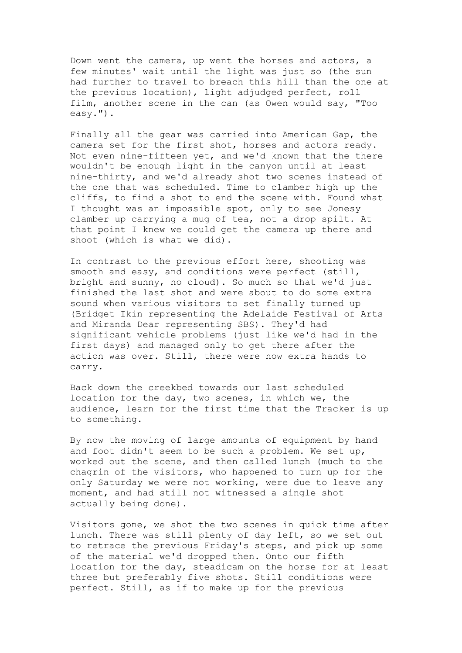Down went the camera, up went the horses and actors, a few minutes' wait until the light was just so (the sun had further to travel to breach this hill than the one at the previous location), light adjudged perfect, roll film, another scene in the can (as Owen would say, "Too easy.").

Finally all the gear was carried into American Gap, the camera set for the first shot, horses and actors ready. Not even nine-fifteen yet, and we'd known that the there wouldn't be enough light in the canyon until at least nine-thirty, and we'd already shot two scenes instead of the one that was scheduled. Time to clamber high up the cliffs, to find a shot to end the scene with. Found what I thought was an impossible spot, only to see Jonesy clamber up carrying a mug of tea, not a drop spilt. At that point I knew we could get the camera up there and shoot (which is what we did).

In contrast to the previous effort here, shooting was smooth and easy, and conditions were perfect (still, bright and sunny, no cloud). So much so that we'd just finished the last shot and were about to do some extra sound when various visitors to set finally turned up (Bridget Ikin representing the Adelaide Festival of Arts and Miranda Dear representing SBS). They'd had significant vehicle problems (just like we'd had in the first days) and managed only to get there after the action was over. Still, there were now extra hands to carry.

Back down the creekbed towards our last scheduled location for the day, two scenes, in which we, the audience, learn for the first time that the Tracker is up to something.

By now the moving of large amounts of equipment by hand and foot didn't seem to be such a problem. We set up, worked out the scene, and then called lunch (much to the chagrin of the visitors, who happened to turn up for the only Saturday we were not working, were due to leave any moment, and had still not witnessed a single shot actually being done).

Visitors gone, we shot the two scenes in quick time after lunch. There was still plenty of day left, so we set out to retrace the previous Friday's steps, and pick up some of the material we'd dropped then. Onto our fifth location for the day, steadicam on the horse for at least three but preferably five shots. Still conditions were perfect. Still, as if to make up for the previous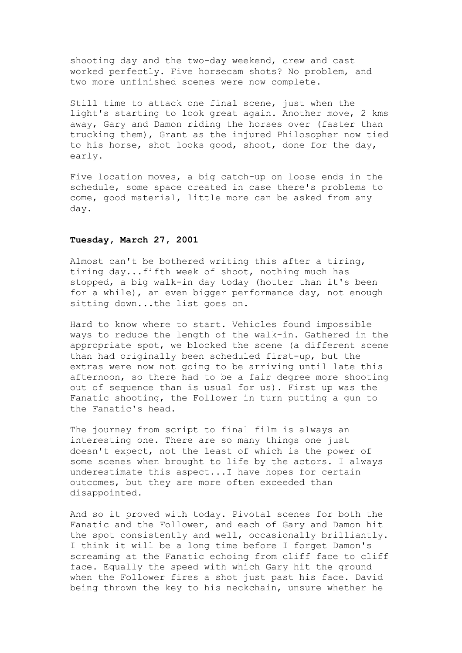shooting day and the two-day weekend, crew and cast worked perfectly. Five horsecam shots? No problem, and two more unfinished scenes were now complete.

Still time to attack one final scene, just when the light's starting to look great again. Another move, 2 kms away, Gary and Damon riding the horses over (faster than trucking them), Grant as the injured Philosopher now tied to his horse, shot looks good, shoot, done for the day, early.

Five location moves, a big catch-up on loose ends in the schedule, some space created in case there's problems to come, good material, little more can be asked from any day.

## **Tuesday, March 27, 2001**

Almost can't be bothered writing this after a tiring, tiring day...fifth week of shoot, nothing much has stopped, a big walk-in day today (hotter than it's been for a while), an even bigger performance day, not enough sitting down...the list goes on.

Hard to know where to start. Vehicles found impossible ways to reduce the length of the walk-in. Gathered in the appropriate spot, we blocked the scene (a different scene than had originally been scheduled first-up, but the extras were now not going to be arriving until late this afternoon, so there had to be a fair degree more shooting out of sequence than is usual for us). First up was the Fanatic shooting, the Follower in turn putting a gun to the Fanatic's head.

The journey from script to final film is always an interesting one. There are so many things one just doesn't expect, not the least of which is the power of some scenes when brought to life by the actors. I always underestimate this aspect...I have hopes for certain outcomes, but they are more often exceeded than disappointed.

And so it proved with today. Pivotal scenes for both the Fanatic and the Follower, and each of Gary and Damon hit the spot consistently and well, occasionally brilliantly. I think it will be a long time before I forget Damon's screaming at the Fanatic echoing from cliff face to cliff face. Equally the speed with which Gary hit the ground when the Follower fires a shot just past his face. David being thrown the key to his neckchain, unsure whether he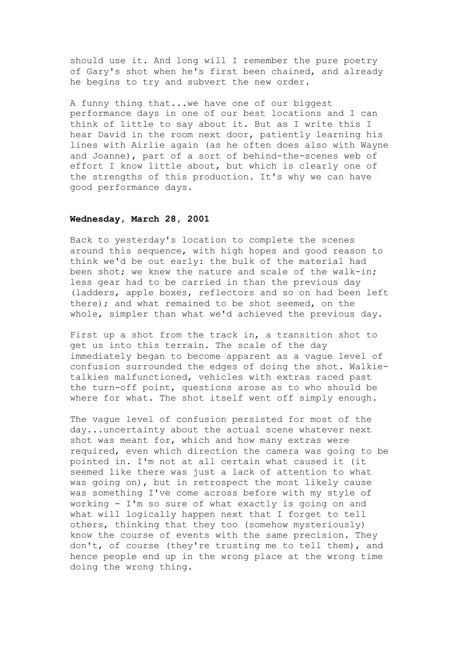should use it. And long will I remember the pure poetry of Gary's shot when he's first been chained, and already he begins to try and subvert the new order.

A funny thing that...we have one of our biggest performance days in one of our best locations and I can think of little to say about it. But as I write this I hear David in the room next door, patiently learning his lines with Airlie again (as he often does also with Wayne and Joanne), part of a sort of behind-the-scenes web of effort I know little about, but which is clearly one of the strengths of this production. It's why we can have good performance days.

# **Wednesday, March 28, 2001**

Back to yesterday's location to complete the scenes around this sequence, with high hopes and good reason to think we'd be out early: the bulk of the material had been shot; we knew the nature and scale of the walk-in; less gear had to be carried in than the previous day (ladders, apple boxes, reflectors and so on had been left there); and what remained to be shot seemed, on the whole, simpler than what we'd achieved the previous day.

First up a shot from the track in, a transition shot to get us into this terrain. The scale of the day immediately began to become apparent as a vague level of confusion surrounded the edges of doing the shot. Walkietalkies malfunctioned, vehicles with extras raced past the turn-off point, questions arose as to who should be where for what. The shot itself went off simply enough.

The vague level of confusion persisted for most of the day...uncertainty about the actual scene whatever next shot was meant for, which and how many extras were required, even which direction the camera was going to be pointed in. I'm not at all certain what caused it (it seemed like there was just a lack of attention to what was going on), but in retrospect the most likely cause was something I've come across before with my style of working - I'm so sure of what exactly is going on and what will logically happen next that I forget to tell others, thinking that they too (somehow mysteriously) know the course of events with the same precision. They don't, of course (they're trusting me to tell them), and hence people end up in the wrong place at the wrong time doing the wrong thing.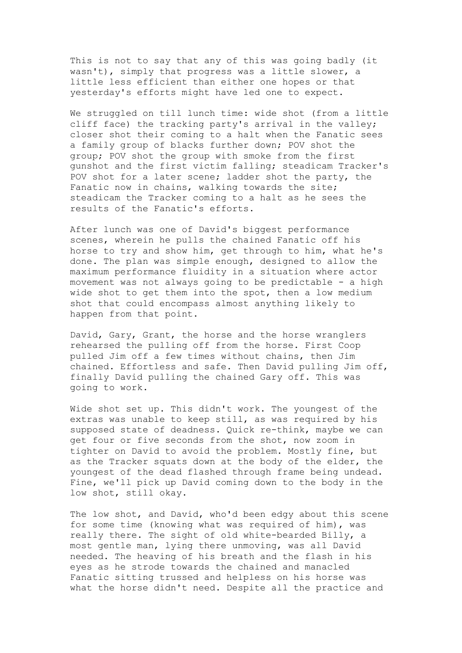This is not to say that any of this was going badly (it wasn't), simply that progress was a little slower, a little less efficient than either one hopes or that yesterday's efforts might have led one to expect.

We struggled on till lunch time: wide shot (from a little cliff face) the tracking party's arrival in the valley; closer shot their coming to a halt when the Fanatic sees a family group of blacks further down; POV shot the group; POV shot the group with smoke from the first gunshot and the first victim falling; steadicam Tracker's POV shot for a later scene; ladder shot the party, the Fanatic now in chains, walking towards the site; steadicam the Tracker coming to a halt as he sees the results of the Fanatic's efforts.

After lunch was one of David's biggest performance scenes, wherein he pulls the chained Fanatic off his horse to try and show him, get through to him, what he's done. The plan was simple enough, designed to allow the maximum performance fluidity in a situation where actor movement was not always going to be predictable - a high wide shot to get them into the spot, then a low medium shot that could encompass almost anything likely to happen from that point.

David, Gary, Grant, the horse and the horse wranglers rehearsed the pulling off from the horse. First Coop pulled Jim off a few times without chains, then Jim chained. Effortless and safe. Then David pulling Jim off, finally David pulling the chained Gary off. This was going to work.

Wide shot set up. This didn't work. The youngest of the extras was unable to keep still, as was required by his supposed state of deadness. Quick re-think, maybe we can get four or five seconds from the shot, now zoom in tighter on David to avoid the problem. Mostly fine, but as the Tracker squats down at the body of the elder, the youngest of the dead flashed through frame being undead. Fine, we'll pick up David coming down to the body in the low shot, still okay.

The low shot, and David, who'd been edgy about this scene for some time (knowing what was required of him), was really there. The sight of old white-bearded Billy, a most gentle man, lying there unmoving, was all David needed. The heaving of his breath and the flash in his eyes as he strode towards the chained and manacled Fanatic sitting trussed and helpless on his horse was what the horse didn't need. Despite all the practice and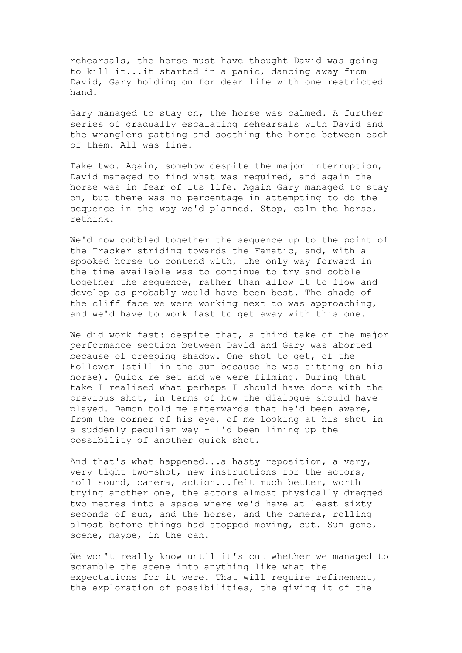rehearsals, the horse must have thought David was going to kill it...it started in a panic, dancing away from David, Gary holding on for dear life with one restricted hand.

Gary managed to stay on, the horse was calmed. A further series of gradually escalating rehearsals with David and the wranglers patting and soothing the horse between each of them. All was fine.

Take two. Again, somehow despite the major interruption, David managed to find what was required, and again the horse was in fear of its life. Again Gary managed to stay on, but there was no percentage in attempting to do the sequence in the way we'd planned. Stop, calm the horse, rethink.

We'd now cobbled together the sequence up to the point of the Tracker striding towards the Fanatic, and, with a spooked horse to contend with, the only way forward in the time available was to continue to try and cobble together the sequence, rather than allow it to flow and develop as probably would have been best. The shade of the cliff face we were working next to was approaching, and we'd have to work fast to get away with this one.

We did work fast: despite that, a third take of the major performance section between David and Gary was aborted because of creeping shadow. One shot to get, of the Follower (still in the sun because he was sitting on his horse). Quick re-set and we were filming. During that take I realised what perhaps I should have done with the previous shot, in terms of how the dialogue should have played. Damon told me afterwards that he'd been aware, from the corner of his eye, of me looking at his shot in a suddenly peculiar way - I'd been lining up the possibility of another quick shot.

And that's what happened...a hasty reposition, a very, very tight two-shot, new instructions for the actors, roll sound, camera, action...felt much better, worth trying another one, the actors almost physically dragged two metres into a space where we'd have at least sixty seconds of sun, and the horse, and the camera, rolling almost before things had stopped moving, cut. Sun gone, scene, maybe, in the can.

We won't really know until it's cut whether we managed to scramble the scene into anything like what the expectations for it were. That will require refinement, the exploration of possibilities, the giving it of the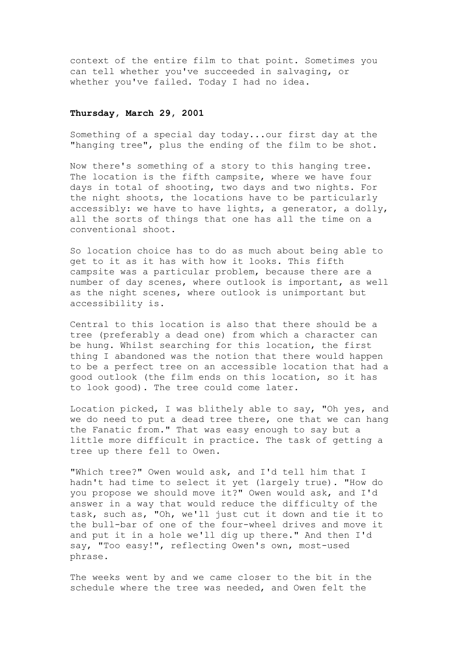context of the entire film to that point. Sometimes you can tell whether you've succeeded in salvaging, or whether you've failed. Today I had no idea.

### **Thursday, March 29, 2001**

Something of a special day today...our first day at the "hanging tree", plus the ending of the film to be shot.

Now there's something of a story to this hanging tree. The location is the fifth campsite, where we have four days in total of shooting, two days and two nights. For the night shoots, the locations have to be particularly accessibly: we have to have lights, a generator, a dolly, all the sorts of things that one has all the time on a conventional shoot.

So location choice has to do as much about being able to get to it as it has with how it looks. This fifth campsite was a particular problem, because there are a number of day scenes, where outlook is important, as well as the night scenes, where outlook is unimportant but accessibility is.

Central to this location is also that there should be a tree (preferably a dead one) from which a character can be hung. Whilst searching for this location, the first thing I abandoned was the notion that there would happen to be a perfect tree on an accessible location that had a good outlook (the film ends on this location, so it has to look good). The tree could come later.

Location picked, I was blithely able to say, "Oh yes, and we do need to put a dead tree there, one that we can hang the Fanatic from." That was easy enough to say but a little more difficult in practice. The task of getting a tree up there fell to Owen.

"Which tree?" Owen would ask, and I'd tell him that I hadn't had time to select it yet (largely true). "How do you propose we should move it?" Owen would ask, and I'd answer in a way that would reduce the difficulty of the task, such as, "Oh, we'll just cut it down and tie it to the bull-bar of one of the four-wheel drives and move it and put it in a hole we'll dig up there." And then I'd say, "Too easy!", reflecting Owen's own, most-used phrase.

The weeks went by and we came closer to the bit in the schedule where the tree was needed, and Owen felt the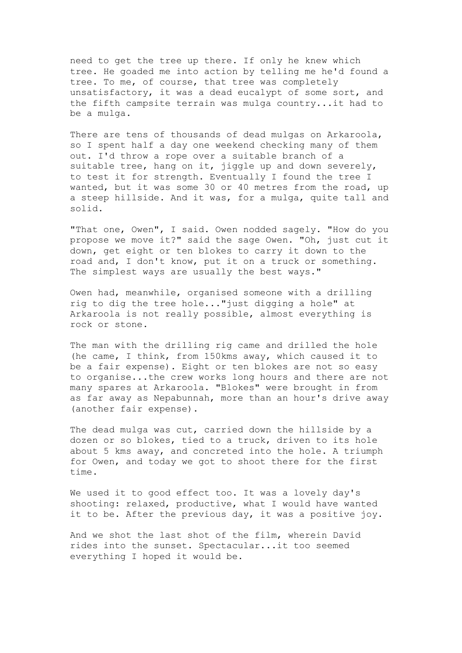need to get the tree up there. If only he knew which tree. He goaded me into action by telling me he'd found a tree. To me, of course, that tree was completely unsatisfactory, it was a dead eucalypt of some sort, and the fifth campsite terrain was mulga country...it had to be a mulga.

There are tens of thousands of dead mulgas on Arkaroola, so I spent half a day one weekend checking many of them out. I'd throw a rope over a suitable branch of a suitable tree, hang on it, jiggle up and down severely, to test it for strength. Eventually I found the tree I wanted, but it was some 30 or 40 metres from the road, up a steep hillside. And it was, for a mulga, quite tall and solid.

"That one, Owen", I said. Owen nodded sagely. "How do you propose we move it?" said the sage Owen. "Oh, just cut it down, get eight or ten blokes to carry it down to the road and, I don't know, put it on a truck or something. The simplest ways are usually the best ways."

Owen had, meanwhile, organised someone with a drilling rig to dig the tree hole..."just digging a hole" at Arkaroola is not really possible, almost everything is rock or stone.

The man with the drilling rig came and drilled the hole (he came, I think, from 150kms away, which caused it to be a fair expense). Eight or ten blokes are not so easy to organise...the crew works long hours and there are not many spares at Arkaroola. "Blokes" were brought in from as far away as Nepabunnah, more than an hour's drive away (another fair expense).

The dead mulga was cut, carried down the hillside by a dozen or so blokes, tied to a truck, driven to its hole about 5 kms away, and concreted into the hole. A triumph for Owen, and today we got to shoot there for the first time.

We used it to good effect too. It was a lovely day's shooting: relaxed, productive, what I would have wanted it to be. After the previous day, it was a positive joy.

And we shot the last shot of the film, wherein David rides into the sunset. Spectacular...it too seemed everything I hoped it would be.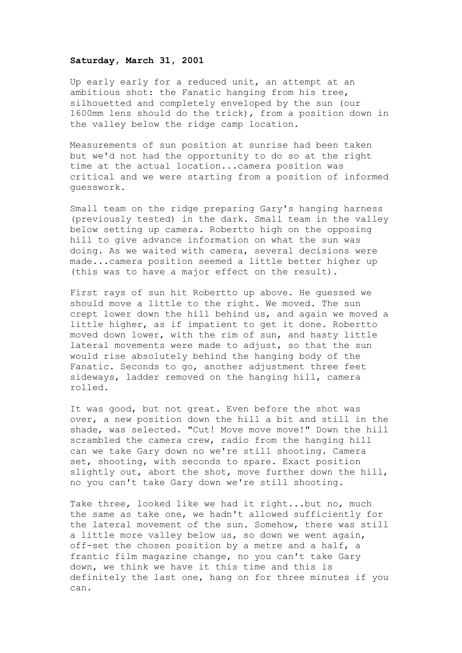#### **Saturday, March 31, 2001**

Up early early for a reduced unit, an attempt at an ambitious shot: the Fanatic hanging from his tree, silhouetted and completely enveloped by the sun (our 1600mm lens should do the trick), from a position down in the valley below the ridge camp location.

Measurements of sun position at sunrise had been taken but we'd not had the opportunity to do so at the right time at the actual location...camera position was critical and we were starting from a position of informed guesswork.

Small team on the ridge preparing Gary's hanging harness (previously tested) in the dark. Small team in the valley below setting up camera. Robertto high on the opposing hill to give advance information on what the sun was doing. As we waited with camera, several decisions were made...camera position seemed a little better higher up (this was to have a major effect on the result).

First rays of sun hit Robertto up above. He guessed we should move a little to the right. We moved. The sun crept lower down the hill behind us, and again we moved a little higher, as if impatient to get it done. Robertto moved down lower, with the rim of sun, and hasty little lateral movements were made to adjust, so that the sun would rise absolutely behind the hanging body of the Fanatic. Seconds to go, another adjustment three feet sideways, ladder removed on the hanging hill, camera rolled.

It was good, but not great. Even before the shot was over, a new position down the hill a bit and still in the shade, was selected. "Cut! Move move move!" Down the hill scrambled the camera crew, radio from the hanging hill can we take Gary down no we're still shooting. Camera set, shooting, with seconds to spare. Exact position slightly out, abort the shot, move further down the hill, no you can't take Gary down we're still shooting.

Take three, looked like we had it right...but no, much the same as take one, we hadn't allowed sufficiently for the lateral movement of the sun. Somehow, there was still a little more valley below us, so down we went again, off-set the chosen position by a metre and a half, a frantic film magazine change, no you can't take Gary down, we think we have it this time and this is definitely the last one, hang on for three minutes if you can.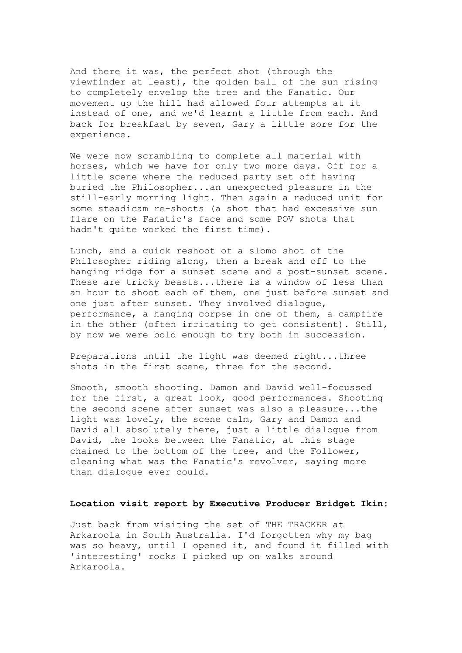And there it was, the perfect shot (through the viewfinder at least), the golden ball of the sun rising to completely envelop the tree and the Fanatic. Our movement up the hill had allowed four attempts at it instead of one, and we'd learnt a little from each. And back for breakfast by seven, Gary a little sore for the experience.

We were now scrambling to complete all material with horses, which we have for only two more days. Off for a little scene where the reduced party set off having buried the Philosopher...an unexpected pleasure in the still-early morning light. Then again a reduced unit for some steadicam re-shoots (a shot that had excessive sun flare on the Fanatic's face and some POV shots that hadn't quite worked the first time).

Lunch, and a quick reshoot of a slomo shot of the Philosopher riding along, then a break and off to the hanging ridge for a sunset scene and a post-sunset scene. These are tricky beasts...there is a window of less than an hour to shoot each of them, one just before sunset and one just after sunset. They involved dialogue, performance, a hanging corpse in one of them, a campfire in the other (often irritating to get consistent). Still, by now we were bold enough to try both in succession.

Preparations until the light was deemed right...three shots in the first scene, three for the second.

Smooth, smooth shooting. Damon and David well-focussed for the first, a great look, good performances. Shooting the second scene after sunset was also a pleasure...the light was lovely, the scene calm, Gary and Damon and David all absolutely there, just a little dialogue from David, the looks between the Fanatic, at this stage chained to the bottom of the tree, and the Follower, cleaning what was the Fanatic's revolver, saying more than dialogue ever could.

### **Location visit report by Executive Producer Bridget Ikin:**

Just back from visiting the set of THE TRACKER at Arkaroola in South Australia. I'd forgotten why my bag was so heavy, until I opened it, and found it filled with 'interesting' rocks I picked up on walks around Arkaroola.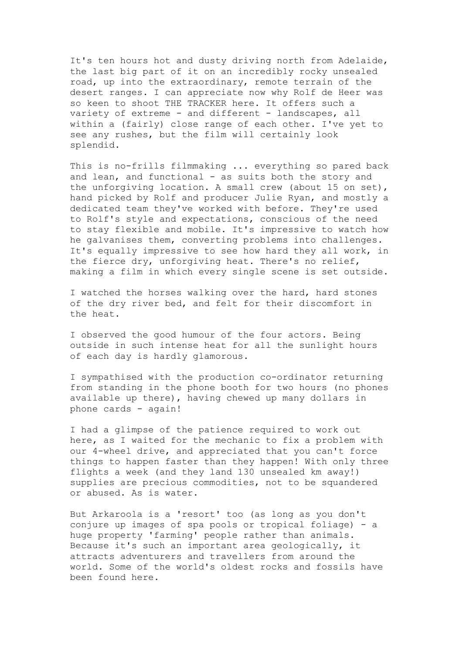It's ten hours hot and dusty driving north from Adelaide, the last big part of it on an incredibly rocky unsealed road, up into the extraordinary, remote terrain of the desert ranges. I can appreciate now why Rolf de Heer was so keen to shoot THE TRACKER here. It offers such a variety of extreme - and different - landscapes, all within a (fairly) close range of each other. I've yet to see any rushes, but the film will certainly look splendid.

This is no-frills filmmaking ... everything so pared back and lean, and functional - as suits both the story and the unforgiving location. A small crew (about 15 on set), hand picked by Rolf and producer Julie Ryan, and mostly a dedicated team they've worked with before. They're used to Rolf's style and expectations, conscious of the need to stay flexible and mobile. It's impressive to watch how he galvanises them, converting problems into challenges. It's equally impressive to see how hard they all work, in the fierce dry, unforgiving heat. There's no relief, making a film in which every single scene is set outside.

I watched the horses walking over the hard, hard stones of the dry river bed, and felt for their discomfort in the heat.

I observed the good humour of the four actors. Being outside in such intense heat for all the sunlight hours of each day is hardly glamorous.

I sympathised with the production co-ordinator returning from standing in the phone booth for two hours (no phones available up there), having chewed up many dollars in phone cards - again!

I had a glimpse of the patience required to work out here, as I waited for the mechanic to fix a problem with our 4-wheel drive, and appreciated that you can't force things to happen faster than they happen! With only three flights a week (and they land 130 unsealed km away!) supplies are precious commodities, not to be squandered or abused. As is water.

But Arkaroola is a 'resort' too (as long as you don't conjure up images of spa pools or tropical foliage) - a huge property 'farming' people rather than animals. Because it's such an important area geologically, it attracts adventurers and travellers from around the world. Some of the world's oldest rocks and fossils have been found here.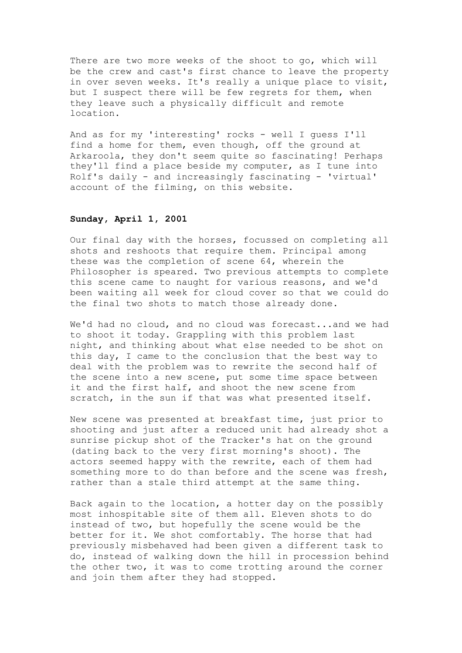There are two more weeks of the shoot to go, which will be the crew and cast's first chance to leave the property in over seven weeks. It's really a unique place to visit, but I suspect there will be few regrets for them, when they leave such a physically difficult and remote location.

And as for my 'interesting' rocks - well I guess I'll find a home for them, even though, off the ground at Arkaroola, they don't seem quite so fascinating! Perhaps they'll find a place beside my computer, as I tune into Rolf's daily - and increasingly fascinating - 'virtual' account of the filming, on this website.

## **Sunday, April 1, 2001**

Our final day with the horses, focussed on completing all shots and reshoots that require them. Principal among these was the completion of scene 64, wherein the Philosopher is speared. Two previous attempts to complete this scene came to naught for various reasons, and we'd been waiting all week for cloud cover so that we could do the final two shots to match those already done.

We'd had no cloud, and no cloud was forecast...and we had to shoot it today. Grappling with this problem last night, and thinking about what else needed to be shot on this day, I came to the conclusion that the best way to deal with the problem was to rewrite the second half of the scene into a new scene, put some time space between it and the first half, and shoot the new scene from scratch, in the sun if that was what presented itself.

New scene was presented at breakfast time, just prior to shooting and just after a reduced unit had already shot a sunrise pickup shot of the Tracker's hat on the ground (dating back to the very first morning's shoot). The actors seemed happy with the rewrite, each of them had something more to do than before and the scene was fresh, rather than a stale third attempt at the same thing.

Back again to the location, a hotter day on the possibly most inhospitable site of them all. Eleven shots to do instead of two, but hopefully the scene would be the better for it. We shot comfortably. The horse that had previously misbehaved had been given a different task to do, instead of walking down the hill in procession behind the other two, it was to come trotting around the corner and join them after they had stopped.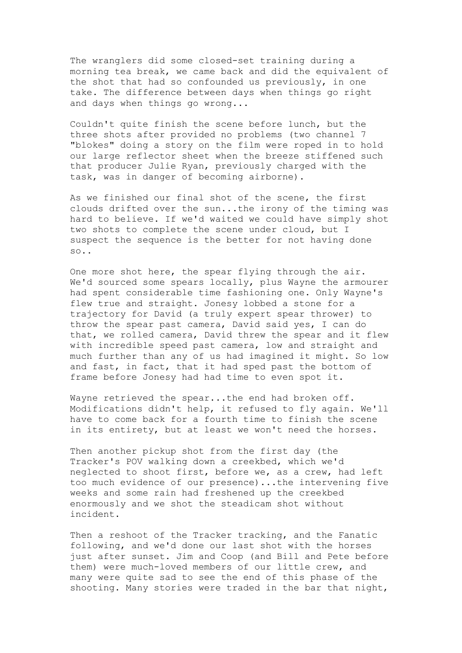The wranglers did some closed-set training during a morning tea break, we came back and did the equivalent of the shot that had so confounded us previously, in one take. The difference between days when things go right and days when things go wrong...

Couldn't quite finish the scene before lunch, but the three shots after provided no problems (two channel 7 "blokes" doing a story on the film were roped in to hold our large reflector sheet when the breeze stiffened such that producer Julie Ryan, previously charged with the task, was in danger of becoming airborne).

As we finished our final shot of the scene, the first clouds drifted over the sun...the irony of the timing was hard to believe. If we'd waited we could have simply shot two shots to complete the scene under cloud, but I suspect the sequence is the better for not having done so..

One more shot here, the spear flying through the air. We'd sourced some spears locally, plus Wayne the armourer had spent considerable time fashioning one. Only Wayne's flew true and straight. Jonesy lobbed a stone for a trajectory for David (a truly expert spear thrower) to throw the spear past camera, David said yes, I can do that, we rolled camera, David threw the spear and it flew with incredible speed past camera, low and straight and much further than any of us had imagined it might. So low and fast, in fact, that it had sped past the bottom of frame before Jonesy had had time to even spot it.

Wayne retrieved the spear...the end had broken off. Modifications didn't help, it refused to fly again. We'll have to come back for a fourth time to finish the scene in its entirety, but at least we won't need the horses.

Then another pickup shot from the first day (the Tracker's POV walking down a creekbed, which we'd neglected to shoot first, before we, as a crew, had left too much evidence of our presence)...the intervening five weeks and some rain had freshened up the creekbed enormously and we shot the steadicam shot without incident.

Then a reshoot of the Tracker tracking, and the Fanatic following, and we'd done our last shot with the horses just after sunset. Jim and Coop (and Bill and Pete before them) were much-loved members of our little crew, and many were quite sad to see the end of this phase of the shooting. Many stories were traded in the bar that night,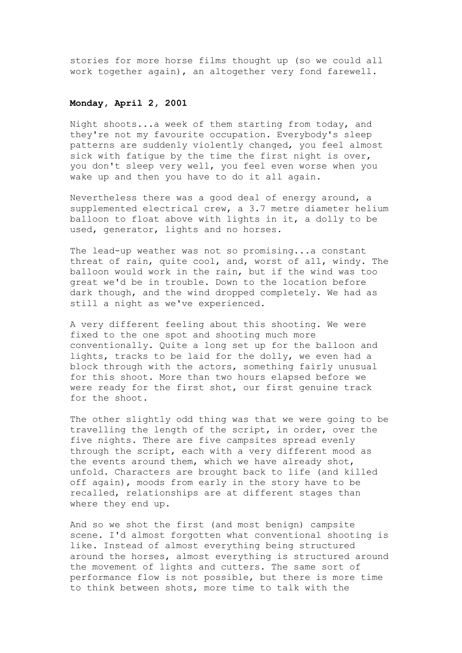stories for more horse films thought up (so we could all work together again), an altogether very fond farewell.

#### **Monday, April 2, 2001**

Night shoots...a week of them starting from today, and they're not my favourite occupation. Everybody's sleep patterns are suddenly violently changed, you feel almost sick with fatigue by the time the first night is over, you don't sleep very well, you feel even worse when you wake up and then you have to do it all again.

Nevertheless there was a good deal of energy around, a supplemented electrical crew, a 3.7 metre diameter helium balloon to float above with lights in it, a dolly to be used, generator, lights and no horses.

The lead-up weather was not so promising...a constant threat of rain, quite cool, and, worst of all, windy. The balloon would work in the rain, but if the wind was too great we'd be in trouble. Down to the location before dark though, and the wind dropped completely. We had as still a night as we've experienced.

A very different feeling about this shooting. We were fixed to the one spot and shooting much more conventionally. Quite a long set up for the balloon and lights, tracks to be laid for the dolly, we even had a block through with the actors, something fairly unusual for this shoot. More than two hours elapsed before we were ready for the first shot, our first genuine track for the shoot.

The other slightly odd thing was that we were going to be travelling the length of the script, in order, over the five nights. There are five campsites spread evenly through the script, each with a very different mood as the events around them, which we have already shot, unfold. Characters are brought back to life (and killed off again), moods from early in the story have to be recalled, relationships are at different stages than where they end up.

And so we shot the first (and most benign) campsite scene. I'd almost forgotten what conventional shooting is like. Instead of almost everything being structured around the horses, almost everything is structured around the movement of lights and cutters. The same sort of performance flow is not possible, but there is more time to think between shots, more time to talk with the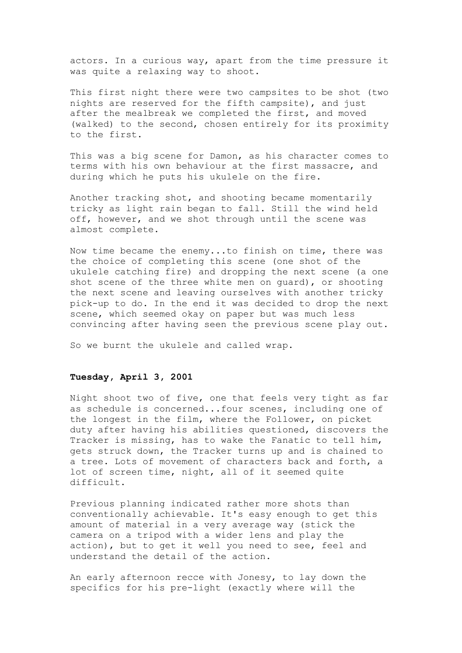actors. In a curious way, apart from the time pressure it was quite a relaxing way to shoot.

This first night there were two campsites to be shot (two nights are reserved for the fifth campsite), and just after the mealbreak we completed the first, and moved (walked) to the second, chosen entirely for its proximity to the first.

This was a big scene for Damon, as his character comes to terms with his own behaviour at the first massacre, and during which he puts his ukulele on the fire.

Another tracking shot, and shooting became momentarily tricky as light rain began to fall. Still the wind held off, however, and we shot through until the scene was almost complete.

Now time became the enemy...to finish on time, there was the choice of completing this scene (one shot of the ukulele catching fire) and dropping the next scene (a one shot scene of the three white men on guard), or shooting the next scene and leaving ourselves with another tricky pick-up to do. In the end it was decided to drop the next scene, which seemed okay on paper but was much less convincing after having seen the previous scene play out.

So we burnt the ukulele and called wrap.

# **Tuesday, April 3, 2001**

Night shoot two of five, one that feels very tight as far as schedule is concerned...four scenes, including one of the longest in the film, where the Follower, on picket duty after having his abilities questioned, discovers the Tracker is missing, has to wake the Fanatic to tell him, gets struck down, the Tracker turns up and is chained to a tree. Lots of movement of characters back and forth, a lot of screen time, night, all of it seemed quite difficult.

Previous planning indicated rather more shots than conventionally achievable. It's easy enough to get this amount of material in a very average way (stick the camera on a tripod with a wider lens and play the action), but to get it well you need to see, feel and understand the detail of the action.

An early afternoon recce with Jonesy, to lay down the specifics for his pre-light (exactly where will the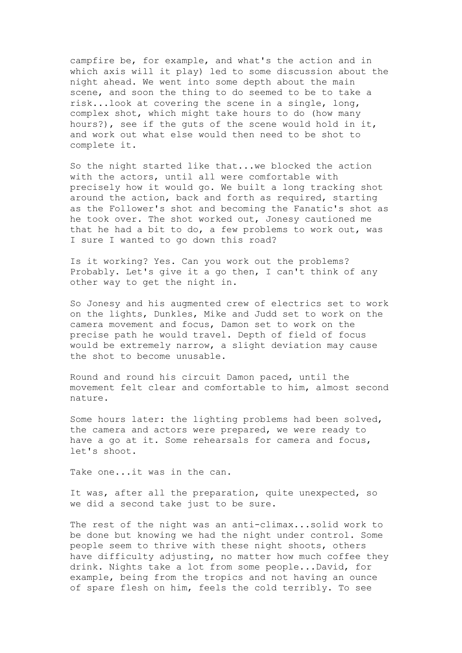campfire be, for example, and what's the action and in which axis will it play) led to some discussion about the night ahead. We went into some depth about the main scene, and soon the thing to do seemed to be to take a risk...look at covering the scene in a single, long, complex shot, which might take hours to do (how many hours?), see if the guts of the scene would hold in it, and work out what else would then need to be shot to complete it.

So the night started like that...we blocked the action with the actors, until all were comfortable with precisely how it would go. We built a long tracking shot around the action, back and forth as required, starting as the Follower's shot and becoming the Fanatic's shot as he took over. The shot worked out, Jonesy cautioned me that he had a bit to do, a few problems to work out, was I sure I wanted to go down this road?

Is it working? Yes. Can you work out the problems? Probably. Let's give it a go then, I can't think of any other way to get the night in.

So Jonesy and his augmented crew of electrics set to work on the lights, Dunkles, Mike and Judd set to work on the camera movement and focus, Damon set to work on the precise path he would travel. Depth of field of focus would be extremely narrow, a slight deviation may cause the shot to become unusable.

Round and round his circuit Damon paced, until the movement felt clear and comfortable to him, almost second nature.

Some hours later: the lighting problems had been solved, the camera and actors were prepared, we were ready to have a go at it. Some rehearsals for camera and focus, let's shoot.

Take one...it was in the can.

It was, after all the preparation, quite unexpected, so we did a second take just to be sure.

The rest of the night was an anti-climax...solid work to be done but knowing we had the night under control. Some people seem to thrive with these night shoots, others have difficulty adjusting, no matter how much coffee they drink. Nights take a lot from some people...David, for example, being from the tropics and not having an ounce of spare flesh on him, feels the cold terribly. To see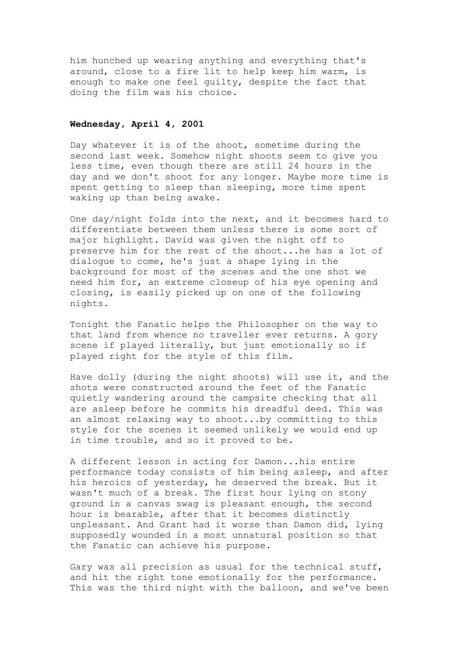him hunched up wearing anything and everything that's around, close to a fire lit to help keep him warm, is enough to make one feel guilty, despite the fact that doing the film was his choice.

# **Wednesday, April 4, 2001**

Day whatever it is of the shoot, sometime during the second last week. Somehow night shoots seem to give you less time, even though there are still 24 hours in the day and we don't shoot for any longer. Maybe more time is spent getting to sleep than sleeping, more time spent waking up than being awake.

One day/night folds into the next, and it becomes hard to differentiate between them unless there is some sort of major highlight. David was given the night off to preserve him for the rest of the shoot...he has a lot of dialogue to come, he's just a shape lying in the background for most of the scenes and the one shot we need him for, an extreme closeup of his eye opening and closing, is easily picked up on one of the following nights.

Tonight the Fanatic helps the Philosopher on the way to that land from whence no traveller ever returns. A gory scene if played literally, but just emotionally so if played right for the style of this film.

Have dolly (during the night shoots) will use it, and the shots were constructed around the feet of the Fanatic quietly wandering around the campsite checking that all are asleep before he commits his dreadful deed. This was an almost relaxing way to shoot...by committing to this style for the scenes it seemed unlikely we would end up in time trouble, and so it proved to be.

A different lesson in acting for Damon...his entire performance today consists of him being asleep, and after his heroics of yesterday, he deserved the break. But it wasn't much of a break. The first hour lying on stony ground in a canvas swag is pleasant enough, the second hour is bearable, after that it becomes distinctly unpleasant. And Grant had it worse than Damon did, lying supposedly wounded in a most unnatural position so that the Fanatic can achieve his purpose.

Gary was all precision as usual for the technical stuff, and hit the right tone emotionally for the performance. This was the third night with the balloon, and we've been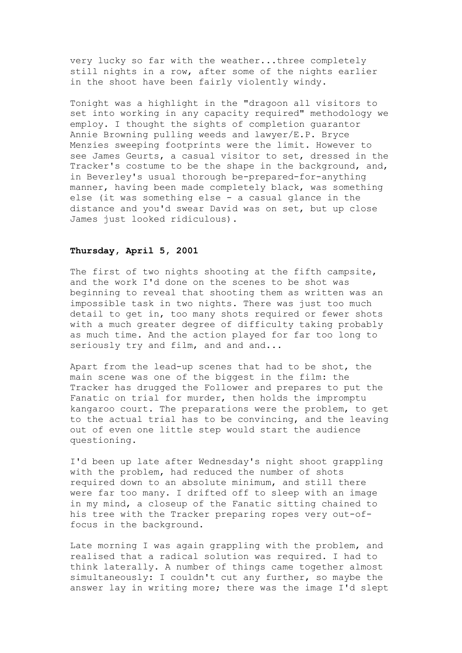very lucky so far with the weather...three completely still nights in a row, after some of the nights earlier in the shoot have been fairly violently windy.

Tonight was a highlight in the "dragoon all visitors to set into working in any capacity required" methodology we employ. I thought the sights of completion guarantor Annie Browning pulling weeds and lawyer/E.P. Bryce Menzies sweeping footprints were the limit. However to see James Geurts, a casual visitor to set, dressed in the Tracker's costume to be the shape in the background, and, in Beverley's usual thorough be-prepared-for-anything manner, having been made completely black, was something else (it was something else - a casual glance in the distance and you'd swear David was on set, but up close James just looked ridiculous).

## **Thursday, April 5, 2001**

The first of two nights shooting at the fifth campsite, and the work I'd done on the scenes to be shot was beginning to reveal that shooting them as written was an impossible task in two nights. There was just too much detail to get in, too many shots required or fewer shots with a much greater degree of difficulty taking probably as much time. And the action played for far too long to seriously try and film, and and and...

Apart from the lead-up scenes that had to be shot, the main scene was one of the biggest in the film: the Tracker has drugged the Follower and prepares to put the Fanatic on trial for murder, then holds the impromptu kangaroo court. The preparations were the problem, to get to the actual trial has to be convincing, and the leaving out of even one little step would start the audience questioning.

I'd been up late after Wednesday's night shoot grappling with the problem, had reduced the number of shots required down to an absolute minimum, and still there were far too many. I drifted off to sleep with an image in my mind, a closeup of the Fanatic sitting chained to his tree with the Tracker preparing ropes very out-offocus in the background.

Late morning I was again grappling with the problem, and realised that a radical solution was required. I had to think laterally. A number of things came together almost simultaneously: I couldn't cut any further, so maybe the answer lay in writing more; there was the image I'd slept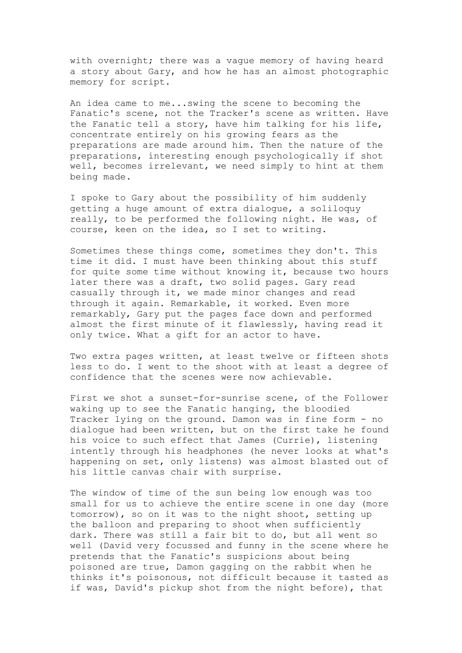with overnight; there was a vague memory of having heard a story about Gary, and how he has an almost photographic memory for script.

An idea came to me...swing the scene to becoming the Fanatic's scene, not the Tracker's scene as written. Have the Fanatic tell a story, have him talking for his life, concentrate entirely on his growing fears as the preparations are made around him. Then the nature of the preparations, interesting enough psychologically if shot well, becomes irrelevant, we need simply to hint at them being made.

I spoke to Gary about the possibility of him suddenly getting a huge amount of extra dialogue, a soliloquy really, to be performed the following night. He was, of course, keen on the idea, so I set to writing.

Sometimes these things come, sometimes they don't. This time it did. I must have been thinking about this stuff for quite some time without knowing it, because two hours later there was a draft, two solid pages. Gary read casually through it, we made minor changes and read through it again. Remarkable, it worked. Even more remarkably, Gary put the pages face down and performed almost the first minute of it flawlessly, having read it only twice. What a gift for an actor to have.

Two extra pages written, at least twelve or fifteen shots less to do. I went to the shoot with at least a degree of confidence that the scenes were now achievable.

First we shot a sunset-for-sunrise scene, of the Follower waking up to see the Fanatic hanging, the bloodied Tracker lying on the ground. Damon was in fine form - no dialogue had been written, but on the first take he found his voice to such effect that James (Currie), listening intently through his headphones (he never looks at what's happening on set, only listens) was almost blasted out of his little canvas chair with surprise.

The window of time of the sun being low enough was too small for us to achieve the entire scene in one day (more tomorrow), so on it was to the night shoot, setting up the balloon and preparing to shoot when sufficiently dark. There was still a fair bit to do, but all went so well (David very focussed and funny in the scene where he pretends that the Fanatic's suspicions about being poisoned are true, Damon gagging on the rabbit when he thinks it's poisonous, not difficult because it tasted as if was, David's pickup shot from the night before), that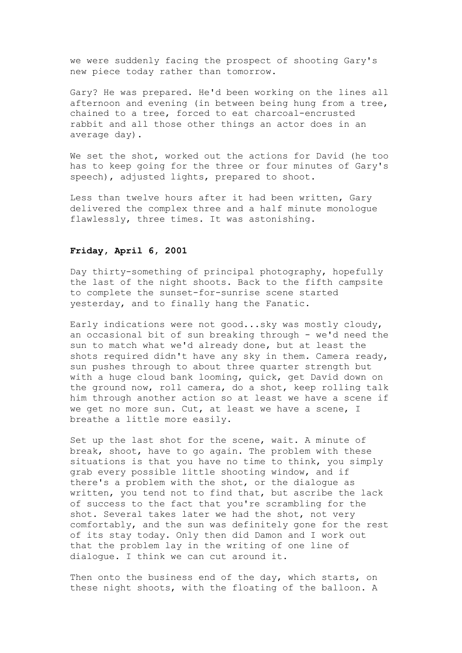we were suddenly facing the prospect of shooting Gary's new piece today rather than tomorrow.

Gary? He was prepared. He'd been working on the lines all afternoon and evening (in between being hung from a tree, chained to a tree, forced to eat charcoal-encrusted rabbit and all those other things an actor does in an average day).

We set the shot, worked out the actions for David (he too has to keep going for the three or four minutes of Gary's speech), adjusted lights, prepared to shoot.

Less than twelve hours after it had been written, Gary delivered the complex three and a half minute monologue flawlessly, three times. It was astonishing.

### **Friday, April 6, 2001**

Day thirty-something of principal photography, hopefully the last of the night shoots. Back to the fifth campsite to complete the sunset-for-sunrise scene started yesterday, and to finally hang the Fanatic.

Early indications were not good...sky was mostly cloudy, an occasional bit of sun breaking through - we'd need the sun to match what we'd already done, but at least the shots required didn't have any sky in them. Camera ready, sun pushes through to about three quarter strength but with a huge cloud bank looming, quick, get David down on the ground now, roll camera, do a shot, keep rolling talk him through another action so at least we have a scene if we get no more sun. Cut, at least we have a scene, I breathe a little more easily.

Set up the last shot for the scene, wait. A minute of break, shoot, have to go again. The problem with these situations is that you have no time to think, you simply grab every possible little shooting window, and if there's a problem with the shot, or the dialogue as written, you tend not to find that, but ascribe the lack of success to the fact that you're scrambling for the shot. Several takes later we had the shot, not very comfortably, and the sun was definitely gone for the rest of its stay today. Only then did Damon and I work out that the problem lay in the writing of one line of dialogue. I think we can cut around it.

Then onto the business end of the day, which starts, on these night shoots, with the floating of the balloon. A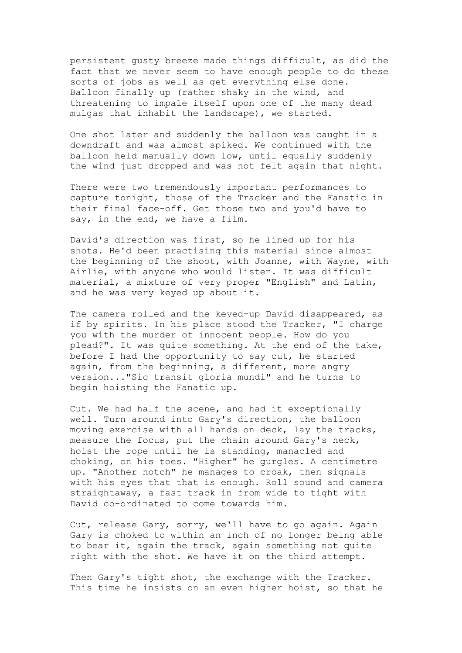persistent gusty breeze made things difficult, as did the fact that we never seem to have enough people to do these sorts of jobs as well as get everything else done. Balloon finally up (rather shaky in the wind, and threatening to impale itself upon one of the many dead mulgas that inhabit the landscape), we started.

One shot later and suddenly the balloon was caught in a downdraft and was almost spiked. We continued with the balloon held manually down low, until equally suddenly the wind just dropped and was not felt again that night.

There were two tremendously important performances to capture tonight, those of the Tracker and the Fanatic in their final face-off. Get those two and you'd have to say, in the end, we have a film.

David's direction was first, so he lined up for his shots. He'd been practising this material since almost the beginning of the shoot, with Joanne, with Wayne, with Airlie, with anyone who would listen. It was difficult material, a mixture of very proper "English" and Latin, and he was very keyed up about it.

The camera rolled and the keyed-up David disappeared, as if by spirits. In his place stood the Tracker, "I charge you with the murder of innocent people. How do you plead?". It was quite something. At the end of the take, before I had the opportunity to say cut, he started again, from the beginning, a different, more angry version..."Sic transit gloria mundi" and he turns to begin hoisting the Fanatic up.

Cut. We had half the scene, and had it exceptionally well. Turn around into Gary's direction, the balloon moving exercise with all hands on deck, lay the tracks, measure the focus, put the chain around Gary's neck, hoist the rope until he is standing, manacled and choking, on his toes. "Higher" he gurgles. A centimetre up. "Another notch" he manages to croak, then signals with his eyes that that is enough. Roll sound and camera straightaway, a fast track in from wide to tight with David co-ordinated to come towards him.

Cut, release Gary, sorry, we'll have to go again. Again Gary is choked to within an inch of no longer being able to bear it, again the track, again something not quite right with the shot. We have it on the third attempt.

Then Gary's tight shot, the exchange with the Tracker. This time he insists on an even higher hoist, so that he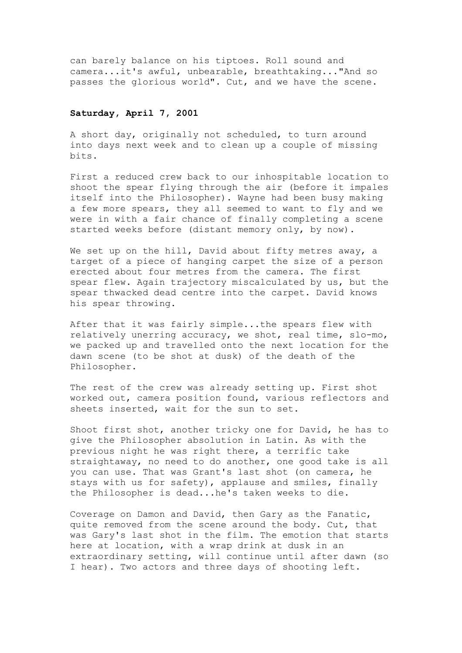can barely balance on his tiptoes. Roll sound and camera...it's awful, unbearable, breathtaking..."And so passes the glorious world". Cut, and we have the scene.

#### **Saturday, April 7, 2001**

A short day, originally not scheduled, to turn around into days next week and to clean up a couple of missing bits.

First a reduced crew back to our inhospitable location to shoot the spear flying through the air (before it impales itself into the Philosopher). Wayne had been busy making a few more spears, they all seemed to want to fly and we were in with a fair chance of finally completing a scene started weeks before (distant memory only, by now).

We set up on the hill, David about fifty metres away, a target of a piece of hanging carpet the size of a person erected about four metres from the camera. The first spear flew. Again trajectory miscalculated by us, but the spear thwacked dead centre into the carpet. David knows his spear throwing.

After that it was fairly simple...the spears flew with relatively unerring accuracy, we shot, real time, slo-mo, we packed up and travelled onto the next location for the dawn scene (to be shot at dusk) of the death of the Philosopher.

The rest of the crew was already setting up. First shot worked out, camera position found, various reflectors and sheets inserted, wait for the sun to set.

Shoot first shot, another tricky one for David, he has to give the Philosopher absolution in Latin. As with the previous night he was right there, a terrific take straightaway, no need to do another, one good take is all you can use. That was Grant's last shot (on camera, he stays with us for safety), applause and smiles, finally the Philosopher is dead...he's taken weeks to die.

Coverage on Damon and David, then Gary as the Fanatic, quite removed from the scene around the body. Cut, that was Gary's last shot in the film. The emotion that starts here at location, with a wrap drink at dusk in an extraordinary setting, will continue until after dawn (so I hear). Two actors and three days of shooting left.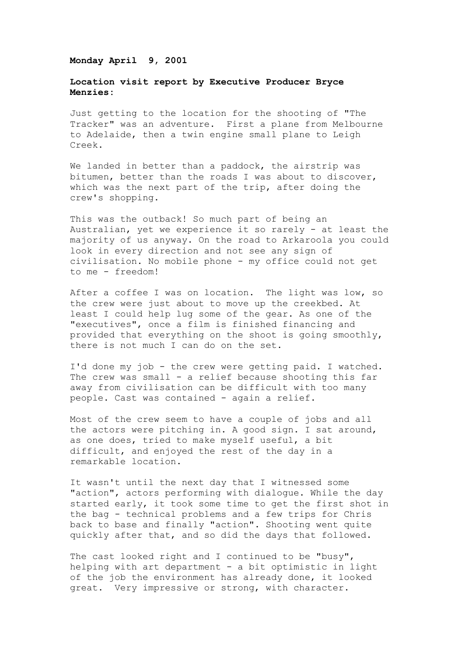#### **Monday April 9, 2001**

# **Location visit report by Executive Producer Bryce Menzies:**

Just getting to the location for the shooting of "The Tracker" was an adventure. First a plane from Melbourne to Adelaide, then a twin engine small plane to Leigh Creek.

We landed in better than a paddock, the airstrip was bitumen, better than the roads I was about to discover, which was the next part of the trip, after doing the crew's shopping.

This was the outback! So much part of being an Australian, yet we experience it so rarely - at least the majority of us anyway. On the road to Arkaroola you could look in every direction and not see any sign of civilisation. No mobile phone - my office could not get to me - freedom!

After a coffee I was on location. The light was low, so the crew were just about to move up the creekbed. At least I could help lug some of the gear. As one of the "executives", once a film is finished financing and provided that everything on the shoot is going smoothly, there is not much I can do on the set.

I'd done my job - the crew were getting paid. I watched. The crew was small - a relief because shooting this far away from civilisation can be difficult with too many people. Cast was contained - again a relief.

Most of the crew seem to have a couple of jobs and all the actors were pitching in. A good sign. I sat around, as one does, tried to make myself useful, a bit difficult, and enjoyed the rest of the day in a remarkable location.

It wasn't until the next day that I witnessed some "action", actors performing with dialogue. While the day started early, it took some time to get the first shot in the bag - technical problems and a few trips for Chris back to base and finally "action". Shooting went quite quickly after that, and so did the days that followed.

The cast looked right and I continued to be "busy", helping with art department - a bit optimistic in light of the job the environment has already done, it looked great. Very impressive or strong, with character.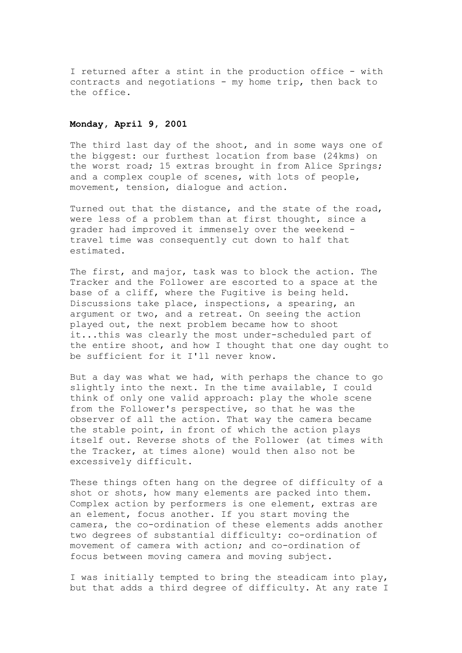I returned after a stint in the production office - with contracts and negotiations - my home trip, then back to the office.

### **Monday, April 9, 2001**

The third last day of the shoot, and in some ways one of the biggest: our furthest location from base (24kms) on the worst road; 15 extras brought in from Alice Springs; and a complex couple of scenes, with lots of people, movement, tension, dialogue and action.

Turned out that the distance, and the state of the road, were less of a problem than at first thought, since a grader had improved it immensely over the weekend travel time was consequently cut down to half that estimated.

The first, and major, task was to block the action. The Tracker and the Follower are escorted to a space at the base of a cliff, where the Fugitive is being held. Discussions take place, inspections, a spearing, an argument or two, and a retreat. On seeing the action played out, the next problem became how to shoot it...this was clearly the most under-scheduled part of the entire shoot, and how I thought that one day ought to be sufficient for it I'll never know.

But a day was what we had, with perhaps the chance to go slightly into the next. In the time available, I could think of only one valid approach: play the whole scene from the Follower's perspective, so that he was the observer of all the action. That way the camera became the stable point, in front of which the action plays itself out. Reverse shots of the Follower (at times with the Tracker, at times alone) would then also not be excessively difficult.

These things often hang on the degree of difficulty of a shot or shots, how many elements are packed into them. Complex action by performers is one element, extras are an element, focus another. If you start moving the camera, the co-ordination of these elements adds another two degrees of substantial difficulty: co-ordination of movement of camera with action; and co-ordination of focus between moving camera and moving subject.

I was initially tempted to bring the steadicam into play, but that adds a third degree of difficulty. At any rate I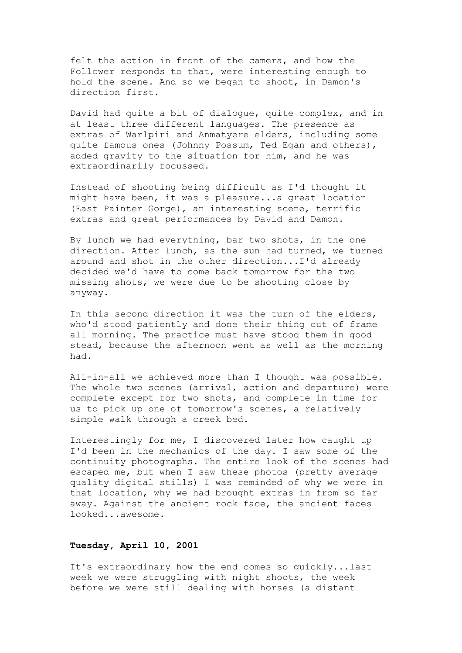felt the action in front of the camera, and how the Follower responds to that, were interesting enough to hold the scene. And so we began to shoot, in Damon's direction first.

David had quite a bit of dialogue, quite complex, and in at least three different languages. The presence as extras of Warlpiri and Anmatyere elders, including some quite famous ones (Johnny Possum, Ted Egan and others), added gravity to the situation for him, and he was extraordinarily focussed.

Instead of shooting being difficult as I'd thought it might have been, it was a pleasure...a great location (East Painter Gorge), an interesting scene, terrific extras and great performances by David and Damon.

By lunch we had everything, bar two shots, in the one direction. After lunch, as the sun had turned, we turned around and shot in the other direction...I'd already decided we'd have to come back tomorrow for the two missing shots, we were due to be shooting close by anyway.

In this second direction it was the turn of the elders, who'd stood patiently and done their thing out of frame all morning. The practice must have stood them in good stead, because the afternoon went as well as the morning had.

All-in-all we achieved more than I thought was possible. The whole two scenes (arrival, action and departure) were complete except for two shots, and complete in time for us to pick up one of tomorrow's scenes, a relatively simple walk through a creek bed.

Interestingly for me, I discovered later how caught up I'd been in the mechanics of the day. I saw some of the continuity photographs. The entire look of the scenes had escaped me, but when I saw these photos (pretty average quality digital stills) I was reminded of why we were in that location, why we had brought extras in from so far away. Against the ancient rock face, the ancient faces looked...awesome.

# **Tuesday, April 10, 2001**

It's extraordinary how the end comes so quickly...last week we were struggling with night shoots, the week before we were still dealing with horses (a distant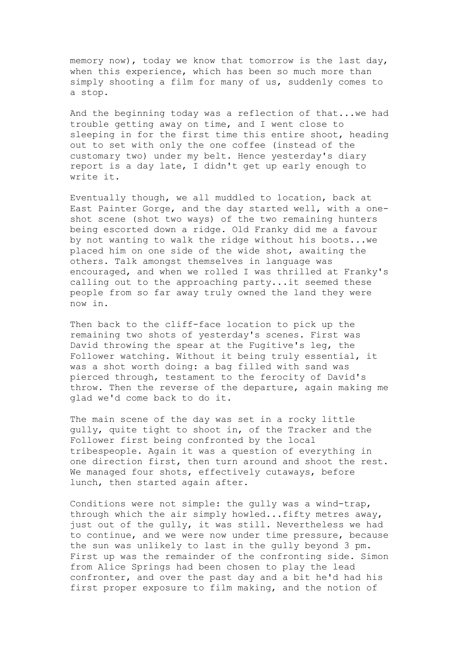memory now), today we know that tomorrow is the last day, when this experience, which has been so much more than simply shooting a film for many of us, suddenly comes to a stop.

And the beginning today was a reflection of that...we had trouble getting away on time, and I went close to sleeping in for the first time this entire shoot, heading out to set with only the one coffee (instead of the customary two) under my belt. Hence yesterday's diary report is a day late, I didn't get up early enough to write it.

Eventually though, we all muddled to location, back at East Painter Gorge, and the day started well, with a oneshot scene (shot two ways) of the two remaining hunters being escorted down a ridge. Old Franky did me a favour by not wanting to walk the ridge without his boots...we placed him on one side of the wide shot, awaiting the others. Talk amongst themselves in language was encouraged, and when we rolled I was thrilled at Franky's calling out to the approaching party...it seemed these people from so far away truly owned the land they were now in.

Then back to the cliff-face location to pick up the remaining two shots of yesterday's scenes. First was David throwing the spear at the Fugitive's leg, the Follower watching. Without it being truly essential, it was a shot worth doing: a bag filled with sand was pierced through, testament to the ferocity of David's throw. Then the reverse of the departure, again making me glad we'd come back to do it.

The main scene of the day was set in a rocky little gully, quite tight to shoot in, of the Tracker and the Follower first being confronted by the local tribespeople. Again it was a question of everything in one direction first, then turn around and shoot the rest. We managed four shots, effectively cutaways, before lunch, then started again after.

Conditions were not simple: the gully was a wind-trap, through which the air simply howled...fifty metres away, just out of the gully, it was still. Nevertheless we had to continue, and we were now under time pressure, because the sun was unlikely to last in the gully beyond 3 pm. First up was the remainder of the confronting side. Simon from Alice Springs had been chosen to play the lead confronter, and over the past day and a bit he'd had his first proper exposure to film making, and the notion of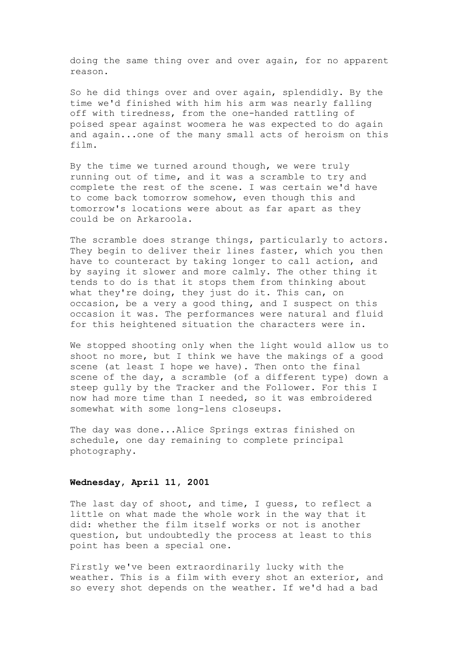doing the same thing over and over again, for no apparent reason.

So he did things over and over again, splendidly. By the time we'd finished with him his arm was nearly falling off with tiredness, from the one-handed rattling of poised spear against woomera he was expected to do again and again...one of the many small acts of heroism on this film.

By the time we turned around though, we were truly running out of time, and it was a scramble to try and complete the rest of the scene. I was certain we'd have to come back tomorrow somehow, even though this and tomorrow's locations were about as far apart as they could be on Arkaroola.

The scramble does strange things, particularly to actors. They begin to deliver their lines faster, which you then have to counteract by taking longer to call action, and by saying it slower and more calmly. The other thing it tends to do is that it stops them from thinking about what they're doing, they just do it. This can, on occasion, be a very a good thing, and I suspect on this occasion it was. The performances were natural and fluid for this heightened situation the characters were in.

We stopped shooting only when the light would allow us to shoot no more, but I think we have the makings of a good scene (at least I hope we have). Then onto the final scene of the day, a scramble (of a different type) down a steep gully by the Tracker and the Follower. For this I now had more time than I needed, so it was embroidered somewhat with some long-lens closeups.

The day was done...Alice Springs extras finished on schedule, one day remaining to complete principal photography.

#### **Wednesday, April 11, 2001**

The last day of shoot, and time, I guess, to reflect a little on what made the whole work in the way that it did: whether the film itself works or not is another question, but undoubtedly the process at least to this point has been a special one.

Firstly we've been extraordinarily lucky with the weather. This is a film with every shot an exterior, and so every shot depends on the weather. If we'd had a bad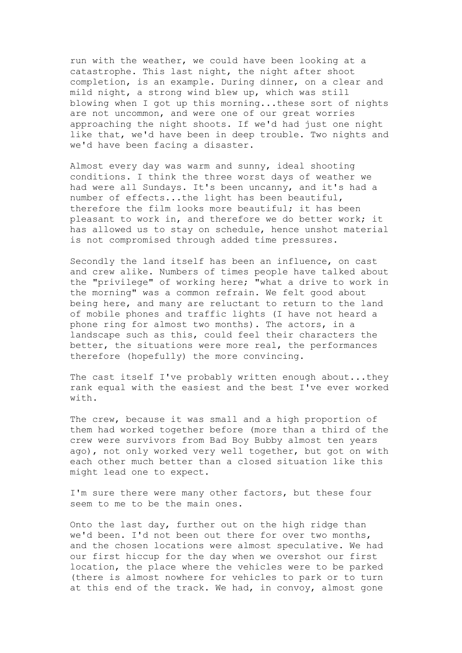run with the weather, we could have been looking at a catastrophe. This last night, the night after shoot completion, is an example. During dinner, on a clear and mild night, a strong wind blew up, which was still blowing when I got up this morning...these sort of nights are not uncommon, and were one of our great worries approaching the night shoots. If we'd had just one night like that, we'd have been in deep trouble. Two nights and we'd have been facing a disaster.

Almost every day was warm and sunny, ideal shooting conditions. I think the three worst days of weather we had were all Sundays. It's been uncanny, and it's had a number of effects...the light has been beautiful, therefore the film looks more beautiful; it has been pleasant to work in, and therefore we do better work; it has allowed us to stay on schedule, hence unshot material is not compromised through added time pressures.

Secondly the land itself has been an influence, on cast and crew alike. Numbers of times people have talked about the "privilege" of working here; "what a drive to work in the morning" was a common refrain. We felt good about being here, and many are reluctant to return to the land of mobile phones and traffic lights (I have not heard a phone ring for almost two months). The actors, in a landscape such as this, could feel their characters the better, the situations were more real, the performances therefore (hopefully) the more convincing.

The cast itself I've probably written enough about...they rank equal with the easiest and the best I've ever worked with.

The crew, because it was small and a high proportion of them had worked together before (more than a third of the crew were survivors from Bad Boy Bubby almost ten years ago), not only worked very well together, but got on with each other much better than a closed situation like this might lead one to expect.

I'm sure there were many other factors, but these four seem to me to be the main ones.

Onto the last day, further out on the high ridge than we'd been. I'd not been out there for over two months, and the chosen locations were almost speculative. We had our first hiccup for the day when we overshot our first location, the place where the vehicles were to be parked (there is almost nowhere for vehicles to park or to turn at this end of the track. We had, in convoy, almost gone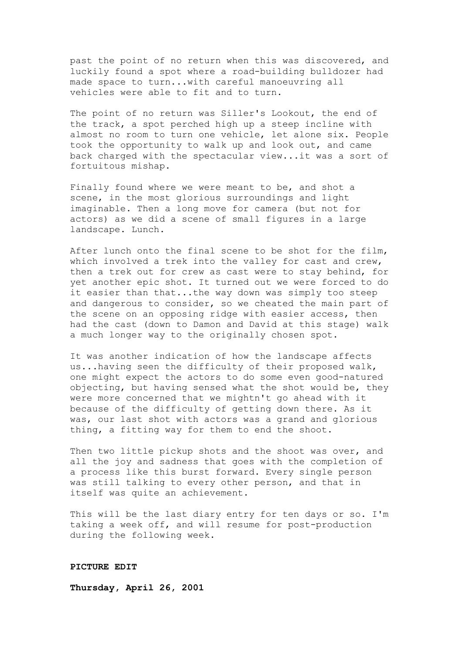past the point of no return when this was discovered, and luckily found a spot where a road-building bulldozer had made space to turn...with careful manoeuvring all vehicles were able to fit and to turn.

The point of no return was Siller's Lookout, the end of the track, a spot perched high up a steep incline with almost no room to turn one vehicle, let alone six. People took the opportunity to walk up and look out, and came back charged with the spectacular view...it was a sort of fortuitous mishap.

Finally found where we were meant to be, and shot a scene, in the most glorious surroundings and light imaginable. Then a long move for camera (but not for actors) as we did a scene of small figures in a large landscape. Lunch.

After lunch onto the final scene to be shot for the film, which involved a trek into the valley for cast and crew, then a trek out for crew as cast were to stay behind, for yet another epic shot. It turned out we were forced to do it easier than that...the way down was simply too steep and dangerous to consider, so we cheated the main part of the scene on an opposing ridge with easier access, then had the cast (down to Damon and David at this stage) walk a much longer way to the originally chosen spot.

It was another indication of how the landscape affects us...having seen the difficulty of their proposed walk, one might expect the actors to do some even good-natured objecting, but having sensed what the shot would be, they were more concerned that we mightn't go ahead with it because of the difficulty of getting down there. As it was, our last shot with actors was a grand and glorious thing, a fitting way for them to end the shoot.

Then two little pickup shots and the shoot was over, and all the joy and sadness that goes with the completion of a process like this burst forward. Every single person was still talking to every other person, and that in itself was quite an achievement.

This will be the last diary entry for ten days or so. I'm taking a week off, and will resume for post-production during the following week.

#### **PICTURE EDIT**

**Thursday, April 26, 2001**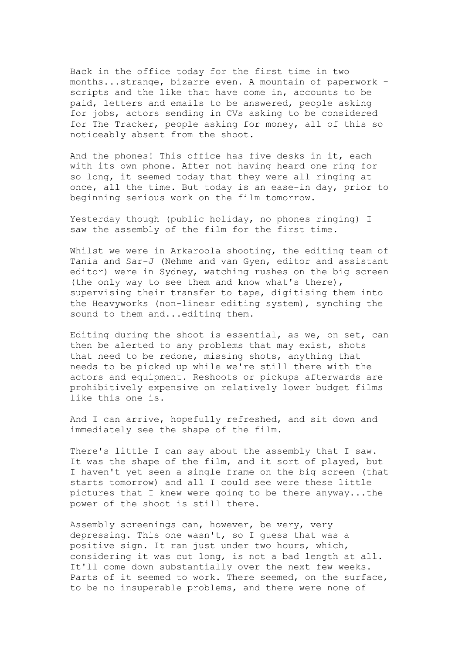Back in the office today for the first time in two months...strange, bizarre even. A mountain of paperwork scripts and the like that have come in, accounts to be paid, letters and emails to be answered, people asking for jobs, actors sending in CVs asking to be considered for The Tracker, people asking for money, all of this so noticeably absent from the shoot.

And the phones! This office has five desks in it, each with its own phone. After not having heard one ring for so long, it seemed today that they were all ringing at once, all the time. But today is an ease-in day, prior to beginning serious work on the film tomorrow.

Yesterday though (public holiday, no phones ringing) I saw the assembly of the film for the first time.

Whilst we were in Arkaroola shooting, the editing team of Tania and Sar-J (Nehme and van Gyen, editor and assistant editor) were in Sydney, watching rushes on the big screen (the only way to see them and know what's there), supervising their transfer to tape, digitising them into the Heavyworks (non-linear editing system), synching the sound to them and...editing them.

Editing during the shoot is essential, as we, on set, can then be alerted to any problems that may exist, shots that need to be redone, missing shots, anything that needs to be picked up while we're still there with the actors and equipment. Reshoots or pickups afterwards are prohibitively expensive on relatively lower budget films like this one is.

And I can arrive, hopefully refreshed, and sit down and immediately see the shape of the film.

There's little I can say about the assembly that I saw. It was the shape of the film, and it sort of played, but I haven't yet seen a single frame on the big screen (that starts tomorrow) and all I could see were these little pictures that I knew were going to be there anyway...the power of the shoot is still there.

Assembly screenings can, however, be very, very depressing. This one wasn't, so I guess that was a positive sign. It ran just under two hours, which, considering it was cut long, is not a bad length at all. It'll come down substantially over the next few weeks. Parts of it seemed to work. There seemed, on the surface, to be no insuperable problems, and there were none of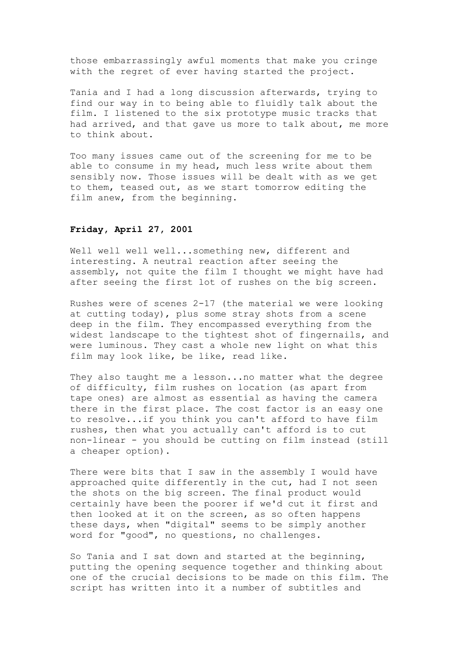those embarrassingly awful moments that make you cringe with the regret of ever having started the project.

Tania and I had a long discussion afterwards, trying to find our way in to being able to fluidly talk about the film. I listened to the six prototype music tracks that had arrived, and that gave us more to talk about, me more to think about.

Too many issues came out of the screening for me to be able to consume in my head, much less write about them sensibly now. Those issues will be dealt with as we get to them, teased out, as we start tomorrow editing the film anew, from the beginning.

### **Friday, April 27, 2001**

Well well well well...something new, different and interesting. A neutral reaction after seeing the assembly, not quite the film I thought we might have had after seeing the first lot of rushes on the big screen.

Rushes were of scenes 2-17 (the material we were looking at cutting today), plus some stray shots from a scene deep in the film. They encompassed everything from the widest landscape to the tightest shot of fingernails, and were luminous. They cast a whole new light on what this film may look like, be like, read like.

They also taught me a lesson...no matter what the degree of difficulty, film rushes on location (as apart from tape ones) are almost as essential as having the camera there in the first place. The cost factor is an easy one to resolve...if you think you can't afford to have film rushes, then what you actually can't afford is to cut non-linear - you should be cutting on film instead (still a cheaper option).

There were bits that I saw in the assembly I would have approached quite differently in the cut, had I not seen the shots on the big screen. The final product would certainly have been the poorer if we'd cut it first and then looked at it on the screen, as so often happens these days, when "digital" seems to be simply another word for "good", no questions, no challenges.

So Tania and I sat down and started at the beginning, putting the opening sequence together and thinking about one of the crucial decisions to be made on this film. The script has written into it a number of subtitles and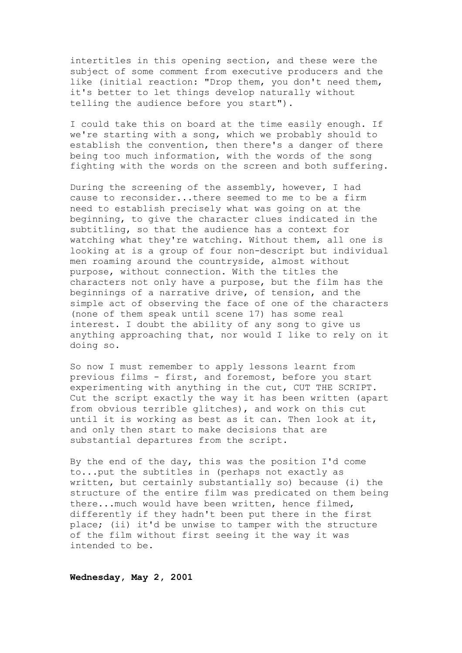intertitles in this opening section, and these were the subject of some comment from executive producers and the like (initial reaction: "Drop them, you don't need them, it's better to let things develop naturally without telling the audience before you start").

I could take this on board at the time easily enough. If we're starting with a song, which we probably should to establish the convention, then there's a danger of there being too much information, with the words of the song fighting with the words on the screen and both suffering.

During the screening of the assembly, however, I had cause to reconsider...there seemed to me to be a firm need to establish precisely what was going on at the beginning, to give the character clues indicated in the subtitling, so that the audience has a context for watching what they're watching. Without them, all one is looking at is a group of four non-descript but individual men roaming around the countryside, almost without purpose, without connection. With the titles the characters not only have a purpose, but the film has the beginnings of a narrative drive, of tension, and the simple act of observing the face of one of the characters (none of them speak until scene 17) has some real interest. I doubt the ability of any song to give us anything approaching that, nor would I like to rely on it doing so.

So now I must remember to apply lessons learnt from previous films - first, and foremost, before you start experimenting with anything in the cut, CUT THE SCRIPT. Cut the script exactly the way it has been written (apart from obvious terrible glitches), and work on this cut until it is working as best as it can. Then look at it, and only then start to make decisions that are substantial departures from the script.

By the end of the day, this was the position I'd come to...put the subtitles in (perhaps not exactly as written, but certainly substantially so) because (i) the structure of the entire film was predicated on them being there...much would have been written, hence filmed, differently if they hadn't been put there in the first place; (ii) it'd be unwise to tamper with the structure of the film without first seeing it the way it was intended to be.

**Wednesday, May 2, 2001**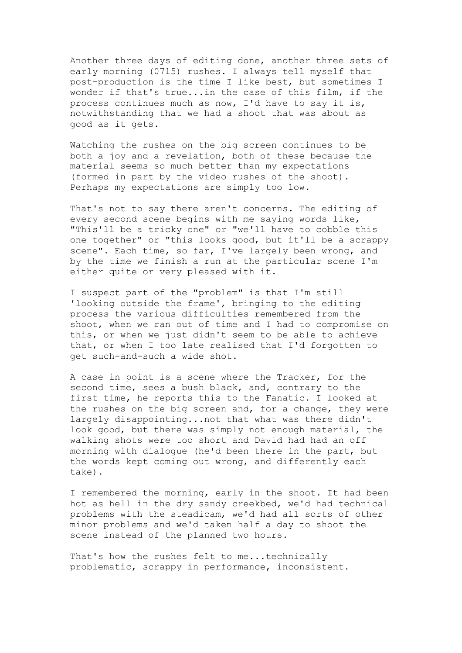Another three days of editing done, another three sets of early morning (0715) rushes. I always tell myself that post-production is the time I like best, but sometimes I wonder if that's true...in the case of this film, if the process continues much as now, I'd have to say it is, notwithstanding that we had a shoot that was about as good as it gets.

Watching the rushes on the big screen continues to be both a joy and a revelation, both of these because the material seems so much better than my expectations (formed in part by the video rushes of the shoot). Perhaps my expectations are simply too low.

That's not to say there aren't concerns. The editing of every second scene begins with me saying words like, "This'll be a tricky one" or "we'll have to cobble this one together" or "this looks good, but it'll be a scrappy scene". Each time, so far, I've largely been wrong, and by the time we finish a run at the particular scene I'm either quite or very pleased with it.

I suspect part of the "problem" is that I'm still 'looking outside the frame', bringing to the editing process the various difficulties remembered from the shoot, when we ran out of time and I had to compromise on this, or when we just didn't seem to be able to achieve that, or when I too late realised that I'd forgotten to get such-and-such a wide shot.

A case in point is a scene where the Tracker, for the second time, sees a bush black, and, contrary to the first time, he reports this to the Fanatic. I looked at the rushes on the big screen and, for a change, they were largely disappointing...not that what was there didn't look good, but there was simply not enough material, the walking shots were too short and David had had an off morning with dialogue (he'd been there in the part, but the words kept coming out wrong, and differently each take).

I remembered the morning, early in the shoot. It had been hot as hell in the dry sandy creekbed, we'd had technical problems with the steadicam, we'd had all sorts of other minor problems and we'd taken half a day to shoot the scene instead of the planned two hours.

That's how the rushes felt to me...technically problematic, scrappy in performance, inconsistent.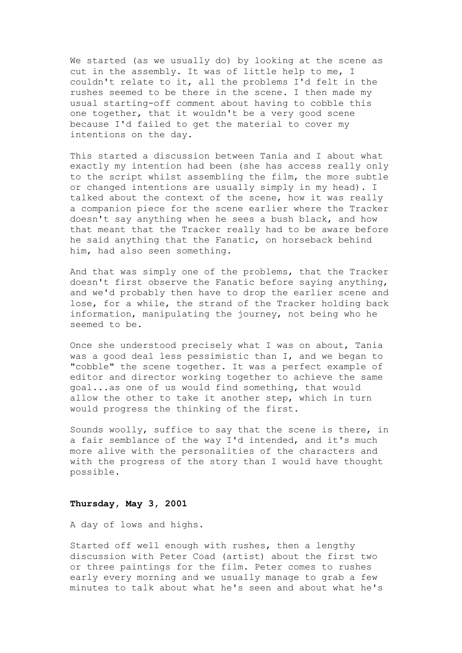We started (as we usually do) by looking at the scene as cut in the assembly. It was of little help to me, I couldn't relate to it, all the problems I'd felt in the rushes seemed to be there in the scene. I then made my usual starting-off comment about having to cobble this one together, that it wouldn't be a very good scene because I'd failed to get the material to cover my intentions on the day.

This started a discussion between Tania and I about what exactly my intention had been (she has access really only to the script whilst assembling the film, the more subtle or changed intentions are usually simply in my head). I talked about the context of the scene, how it was really a companion piece for the scene earlier where the Tracker doesn't say anything when he sees a bush black, and how that meant that the Tracker really had to be aware before he said anything that the Fanatic, on horseback behind him, had also seen something.

And that was simply one of the problems, that the Tracker doesn't first observe the Fanatic before saying anything, and we'd probably then have to drop the earlier scene and lose, for a while, the strand of the Tracker holding back information, manipulating the journey, not being who he seemed to be.

Once she understood precisely what I was on about, Tania was a good deal less pessimistic than I, and we began to "cobble" the scene together. It was a perfect example of editor and director working together to achieve the same goal...as one of us would find something, that would allow the other to take it another step, which in turn would progress the thinking of the first.

Sounds woolly, suffice to say that the scene is there, in a fair semblance of the way I'd intended, and it's much more alive with the personalities of the characters and with the progress of the story than I would have thought possible.

#### **Thursday, May 3, 2001**

A day of lows and highs.

Started off well enough with rushes, then a lengthy discussion with Peter Coad (artist) about the first two or three paintings for the film. Peter comes to rushes early every morning and we usually manage to grab a few minutes to talk about what he's seen and about what he's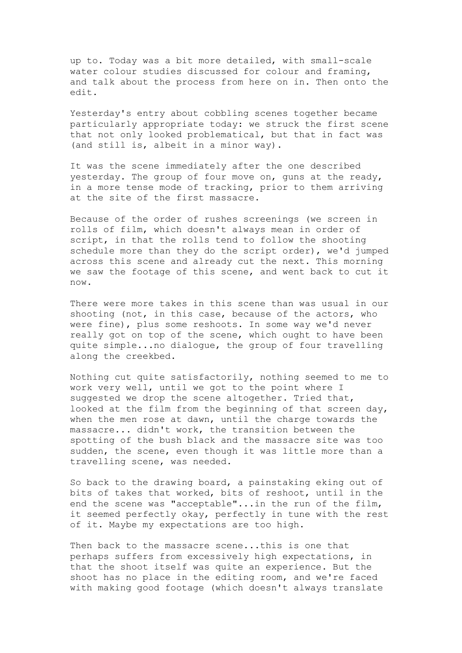up to. Today was a bit more detailed, with small-scale water colour studies discussed for colour and framing, and talk about the process from here on in. Then onto the edit.

Yesterday's entry about cobbling scenes together became particularly appropriate today: we struck the first scene that not only looked problematical, but that in fact was (and still is, albeit in a minor way).

It was the scene immediately after the one described yesterday. The group of four move on, guns at the ready, in a more tense mode of tracking, prior to them arriving at the site of the first massacre.

Because of the order of rushes screenings (we screen in rolls of film, which doesn't always mean in order of script, in that the rolls tend to follow the shooting schedule more than they do the script order), we'd jumped across this scene and already cut the next. This morning we saw the footage of this scene, and went back to cut it now.

There were more takes in this scene than was usual in our shooting (not, in this case, because of the actors, who were fine), plus some reshoots. In some way we'd never really got on top of the scene, which ought to have been quite simple...no dialogue, the group of four travelling along the creekbed.

Nothing cut quite satisfactorily, nothing seemed to me to work very well, until we got to the point where I suggested we drop the scene altogether. Tried that, looked at the film from the beginning of that screen day, when the men rose at dawn, until the charge towards the massacre... didn't work, the transition between the spotting of the bush black and the massacre site was too sudden, the scene, even though it was little more than a travelling scene, was needed.

So back to the drawing board, a painstaking eking out of bits of takes that worked, bits of reshoot, until in the end the scene was "acceptable"...in the run of the film, it seemed perfectly okay, perfectly in tune with the rest of it. Maybe my expectations are too high.

Then back to the massacre scene...this is one that perhaps suffers from excessively high expectations, in that the shoot itself was quite an experience. But the shoot has no place in the editing room, and we're faced with making good footage (which doesn't always translate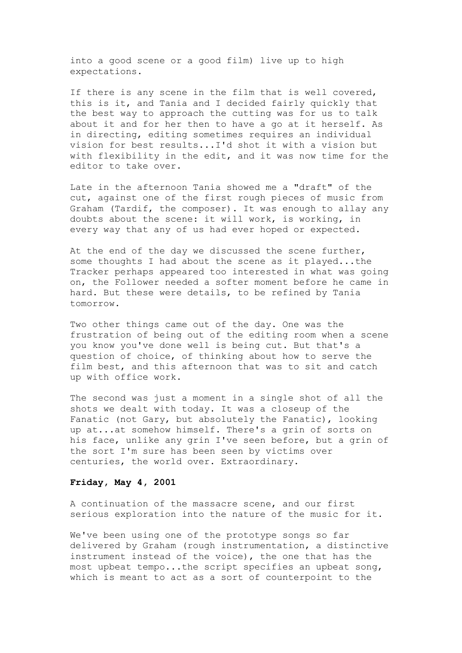into a good scene or a good film) live up to high expectations.

If there is any scene in the film that is well covered, this is it, and Tania and I decided fairly quickly that the best way to approach the cutting was for us to talk about it and for her then to have a go at it herself. As in directing, editing sometimes requires an individual vision for best results...I'd shot it with a vision but with flexibility in the edit, and it was now time for the editor to take over.

Late in the afternoon Tania showed me a "draft" of the cut, against one of the first rough pieces of music from Graham (Tardif, the composer). It was enough to allay any doubts about the scene: it will work, is working, in every way that any of us had ever hoped or expected.

At the end of the day we discussed the scene further, some thoughts I had about the scene as it played...the Tracker perhaps appeared too interested in what was going on, the Follower needed a softer moment before he came in hard. But these were details, to be refined by Tania tomorrow.

Two other things came out of the day. One was the frustration of being out of the editing room when a scene you know you've done well is being cut. But that's a question of choice, of thinking about how to serve the film best, and this afternoon that was to sit and catch up with office work.

The second was just a moment in a single shot of all the shots we dealt with today. It was a closeup of the Fanatic (not Gary, but absolutely the Fanatic), looking up at...at somehow himself. There's a grin of sorts on his face, unlike any grin I've seen before, but a grin of the sort I'm sure has been seen by victims over centuries, the world over. Extraordinary.

#### **Friday, May 4, 2001**

A continuation of the massacre scene, and our first serious exploration into the nature of the music for it.

We've been using one of the prototype songs so far delivered by Graham (rough instrumentation, a distinctive instrument instead of the voice), the one that has the most upbeat tempo...the script specifies an upbeat song, which is meant to act as a sort of counterpoint to the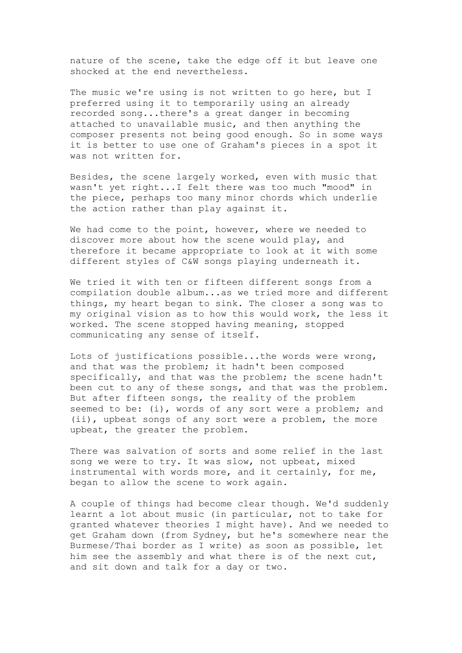nature of the scene, take the edge off it but leave one shocked at the end nevertheless.

The music we're using is not written to go here, but I preferred using it to temporarily using an already recorded song...there's a great danger in becoming attached to unavailable music, and then anything the composer presents not being good enough. So in some ways it is better to use one of Graham's pieces in a spot it was not written for.

Besides, the scene largely worked, even with music that wasn't yet right...I felt there was too much "mood" in the piece, perhaps too many minor chords which underlie the action rather than play against it.

We had come to the point, however, where we needed to discover more about how the scene would play, and therefore it became appropriate to look at it with some different styles of C&W songs playing underneath it.

We tried it with ten or fifteen different songs from a compilation double album...as we tried more and different things, my heart began to sink. The closer a song was to my original vision as to how this would work, the less it worked. The scene stopped having meaning, stopped communicating any sense of itself.

Lots of justifications possible...the words were wrong, and that was the problem; it hadn't been composed specifically, and that was the problem; the scene hadn't been cut to any of these songs, and that was the problem. But after fifteen songs, the reality of the problem seemed to be: (i), words of any sort were a problem; and (ii), upbeat songs of any sort were a problem, the more upbeat, the greater the problem.

There was salvation of sorts and some relief in the last song we were to try. It was slow, not upbeat, mixed instrumental with words more, and it certainly, for me, began to allow the scene to work again.

A couple of things had become clear though. We'd suddenly learnt a lot about music (in particular, not to take for granted whatever theories I might have). And we needed to get Graham down (from Sydney, but he's somewhere near the Burmese/Thai border as I write) as soon as possible, let him see the assembly and what there is of the next cut, and sit down and talk for a day or two.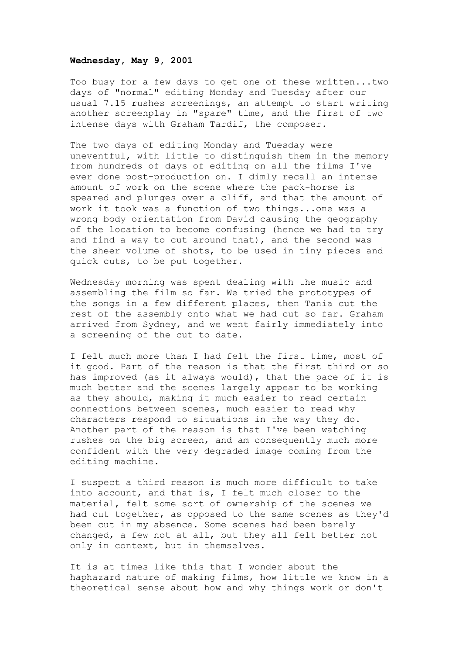#### **Wednesday, May 9, 2001**

Too busy for a few days to get one of these written...two days of "normal" editing Monday and Tuesday after our usual 7.15 rushes screenings, an attempt to start writing another screenplay in "spare" time, and the first of two intense days with Graham Tardif, the composer.

The two days of editing Monday and Tuesday were uneventful, with little to distinguish them in the memory from hundreds of days of editing on all the films I've ever done post-production on. I dimly recall an intense amount of work on the scene where the pack-horse is speared and plunges over a cliff, and that the amount of work it took was a function of two things...one was a wrong body orientation from David causing the geography of the location to become confusing (hence we had to try and find a way to cut around that), and the second was the sheer volume of shots, to be used in tiny pieces and quick cuts, to be put together.

Wednesday morning was spent dealing with the music and assembling the film so far. We tried the prototypes of the songs in a few different places, then Tania cut the rest of the assembly onto what we had cut so far. Graham arrived from Sydney, and we went fairly immediately into a screening of the cut to date.

I felt much more than I had felt the first time, most of it good. Part of the reason is that the first third or so has improved (as it always would), that the pace of it is much better and the scenes largely appear to be working as they should, making it much easier to read certain connections between scenes, much easier to read why characters respond to situations in the way they do. Another part of the reason is that I've been watching rushes on the big screen, and am consequently much more confident with the very degraded image coming from the editing machine.

I suspect a third reason is much more difficult to take into account, and that is, I felt much closer to the material, felt some sort of ownership of the scenes we had cut together, as opposed to the same scenes as they'd been cut in my absence. Some scenes had been barely changed, a few not at all, but they all felt better not only in context, but in themselves.

It is at times like this that I wonder about the haphazard nature of making films, how little we know in a theoretical sense about how and why things work or don't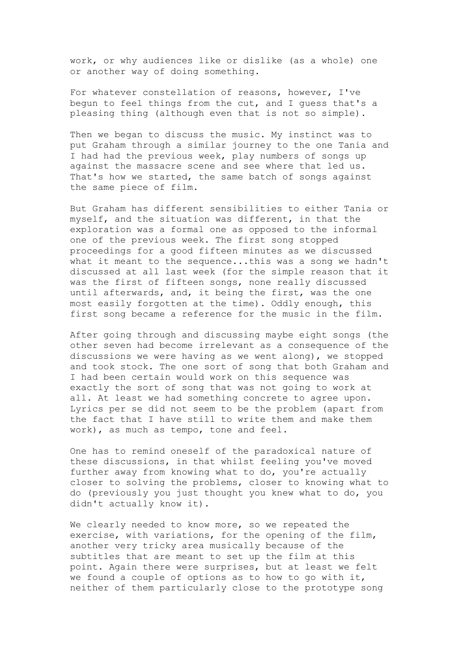work, or why audiences like or dislike (as a whole) one or another way of doing something.

For whatever constellation of reasons, however, I've begun to feel things from the cut, and I guess that's a pleasing thing (although even that is not so simple).

Then we began to discuss the music. My instinct was to put Graham through a similar journey to the one Tania and I had had the previous week, play numbers of songs up against the massacre scene and see where that led us. That's how we started, the same batch of songs against the same piece of film.

But Graham has different sensibilities to either Tania or myself, and the situation was different, in that the exploration was a formal one as opposed to the informal one of the previous week. The first song stopped proceedings for a good fifteen minutes as we discussed what it meant to the sequence...this was a song we hadn't discussed at all last week (for the simple reason that it was the first of fifteen songs, none really discussed until afterwards, and, it being the first, was the one most easily forgotten at the time). Oddly enough, this first song became a reference for the music in the film.

After going through and discussing maybe eight songs (the other seven had become irrelevant as a consequence of the discussions we were having as we went along), we stopped and took stock. The one sort of song that both Graham and I had been certain would work on this sequence was exactly the sort of song that was not going to work at all. At least we had something concrete to agree upon. Lyrics per se did not seem to be the problem (apart from the fact that I have still to write them and make them work), as much as tempo, tone and feel.

One has to remind oneself of the paradoxical nature of these discussions, in that whilst feeling you've moved further away from knowing what to do, you're actually closer to solving the problems, closer to knowing what to do (previously you just thought you knew what to do, you didn't actually know it).

We clearly needed to know more, so we repeated the exercise, with variations, for the opening of the film, another very tricky area musically because of the subtitles that are meant to set up the film at this point. Again there were surprises, but at least we felt we found a couple of options as to how to go with it, neither of them particularly close to the prototype song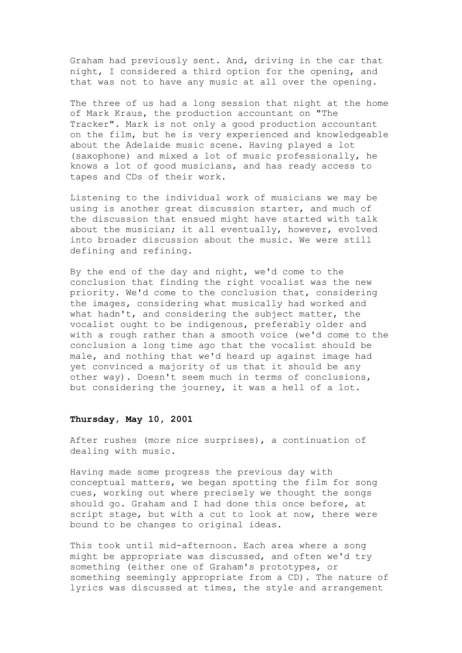Graham had previously sent. And, driving in the car that night, I considered a third option for the opening, and that was not to have any music at all over the opening.

The three of us had a long session that night at the home of Mark Kraus, the production accountant on "The Tracker". Mark is not only a good production accountant on the film, but he is very experienced and knowledgeable about the Adelaide music scene. Having played a lot (saxophone) and mixed a lot of music professionally, he knows a lot of good musicians, and has ready access to tapes and CDs of their work.

Listening to the individual work of musicians we may be using is another great discussion starter, and much of the discussion that ensued might have started with talk about the musician; it all eventually, however, evolved into broader discussion about the music. We were still defining and refining.

By the end of the day and night, we'd come to the conclusion that finding the right vocalist was the new priority. We'd come to the conclusion that, considering the images, considering what musically had worked and what hadn't, and considering the subject matter, the vocalist ought to be indigenous, preferably older and with a rough rather than a smooth voice (we'd come to the conclusion a long time ago that the vocalist should be male, and nothing that we'd heard up against image had yet convinced a majority of us that it should be any other way). Doesn't seem much in terms of conclusions, but considering the journey, it was a hell of a lot.

## **Thursday, May 10, 2001**

After rushes (more nice surprises), a continuation of dealing with music.

Having made some progress the previous day with conceptual matters, we began spotting the film for song cues, working out where precisely we thought the songs should go. Graham and I had done this once before, at script stage, but with a cut to look at now, there were bound to be changes to original ideas.

This took until mid-afternoon. Each area where a song might be appropriate was discussed, and often we'd try something (either one of Graham's prototypes, or something seemingly appropriate from a CD). The nature of lyrics was discussed at times, the style and arrangement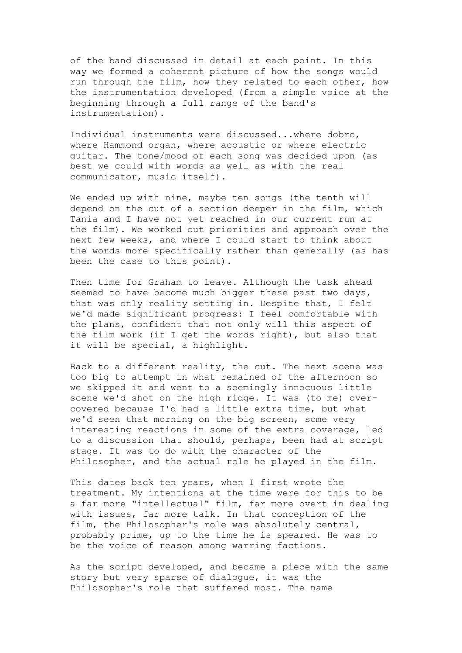of the band discussed in detail at each point. In this way we formed a coherent picture of how the songs would run through the film, how they related to each other, how the instrumentation developed (from a simple voice at the beginning through a full range of the band's instrumentation).

Individual instruments were discussed...where dobro, where Hammond organ, where acoustic or where electric guitar. The tone/mood of each song was decided upon (as best we could with words as well as with the real communicator, music itself).

We ended up with nine, maybe ten songs (the tenth will depend on the cut of a section deeper in the film, which Tania and I have not yet reached in our current run at the film). We worked out priorities and approach over the next few weeks, and where I could start to think about the words more specifically rather than generally (as has been the case to this point).

Then time for Graham to leave. Although the task ahead seemed to have become much bigger these past two days, that was only reality setting in. Despite that, I felt we'd made significant progress: I feel comfortable with the plans, confident that not only will this aspect of the film work (if I get the words right), but also that it will be special, a highlight.

Back to a different reality, the cut. The next scene was too big to attempt in what remained of the afternoon so we skipped it and went to a seemingly innocuous little scene we'd shot on the high ridge. It was (to me) overcovered because I'd had a little extra time, but what we'd seen that morning on the big screen, some very interesting reactions in some of the extra coverage, led to a discussion that should, perhaps, been had at script stage. It was to do with the character of the Philosopher, and the actual role he played in the film.

This dates back ten years, when I first wrote the treatment. My intentions at the time were for this to be a far more "intellectual" film, far more overt in dealing with issues, far more talk. In that conception of the film, the Philosopher's role was absolutely central, probably prime, up to the time he is speared. He was to be the voice of reason among warring factions.

As the script developed, and became a piece with the same story but very sparse of dialogue, it was the Philosopher's role that suffered most. The name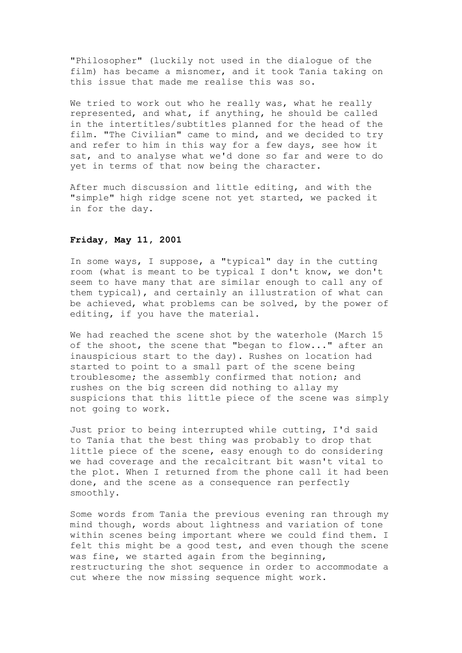"Philosopher" (luckily not used in the dialogue of the film) has became a misnomer, and it took Tania taking on this issue that made me realise this was so.

We tried to work out who he really was, what he really represented, and what, if anything, he should be called in the intertitles/subtitles planned for the head of the film. "The Civilian" came to mind, and we decided to try and refer to him in this way for a few days, see how it sat, and to analyse what we'd done so far and were to do yet in terms of that now being the character.

After much discussion and little editing, and with the "simple" high ridge scene not yet started, we packed it in for the day.

#### **Friday, May 11, 2001**

In some ways, I suppose, a "typical" day in the cutting room (what is meant to be typical I don't know, we don't seem to have many that are similar enough to call any of them typical), and certainly an illustration of what can be achieved, what problems can be solved, by the power of editing, if you have the material.

We had reached the scene shot by the waterhole (March 15 of the shoot, the scene that "began to flow..." after an inauspicious start to the day). Rushes on location had started to point to a small part of the scene being troublesome; the assembly confirmed that notion; and rushes on the big screen did nothing to allay my suspicions that this little piece of the scene was simply not going to work.

Just prior to being interrupted while cutting, I'd said to Tania that the best thing was probably to drop that little piece of the scene, easy enough to do considering we had coverage and the recalcitrant bit wasn't vital to the plot. When I returned from the phone call it had been done, and the scene as a consequence ran perfectly smoothly.

Some words from Tania the previous evening ran through my mind though, words about lightness and variation of tone within scenes being important where we could find them. I felt this might be a good test, and even though the scene was fine, we started again from the beginning, restructuring the shot sequence in order to accommodate a cut where the now missing sequence might work.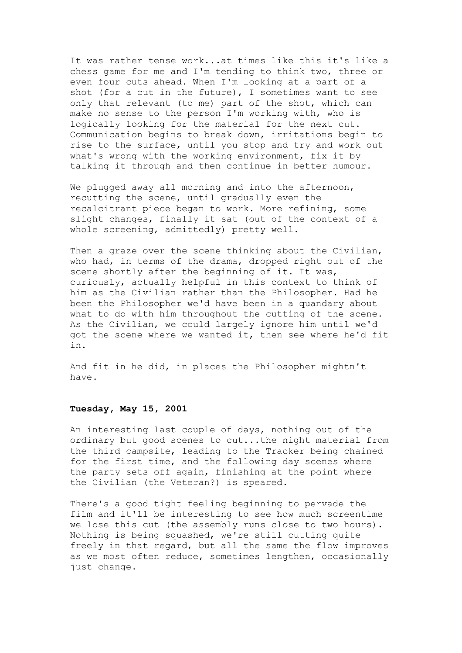It was rather tense work...at times like this it's like a chess game for me and I'm tending to think two, three or even four cuts ahead. When I'm looking at a part of a shot (for a cut in the future), I sometimes want to see only that relevant (to me) part of the shot, which can make no sense to the person I'm working with, who is logically looking for the material for the next cut. Communication begins to break down, irritations begin to rise to the surface, until you stop and try and work out what's wrong with the working environment, fix it by talking it through and then continue in better humour.

We plugged away all morning and into the afternoon, recutting the scene, until gradually even the recalcitrant piece began to work. More refining, some slight changes, finally it sat (out of the context of a whole screening, admittedly) pretty well.

Then a graze over the scene thinking about the Civilian, who had, in terms of the drama, dropped right out of the scene shortly after the beginning of it. It was, curiously, actually helpful in this context to think of him as the Civilian rather than the Philosopher. Had he been the Philosopher we'd have been in a quandary about what to do with him throughout the cutting of the scene. As the Civilian, we could largely ignore him until we'd got the scene where we wanted it, then see where he'd fit in.

And fit in he did, in places the Philosopher mightn't have.

#### **Tuesday, May 15, 2001**

An interesting last couple of days, nothing out of the ordinary but good scenes to cut...the night material from the third campsite, leading to the Tracker being chained for the first time, and the following day scenes where the party sets off again, finishing at the point where the Civilian (the Veteran?) is speared.

There's a good tight feeling beginning to pervade the film and it'll be interesting to see how much screentime we lose this cut (the assembly runs close to two hours). Nothing is being squashed, we're still cutting quite freely in that regard, but all the same the flow improves as we most often reduce, sometimes lengthen, occasionally just change.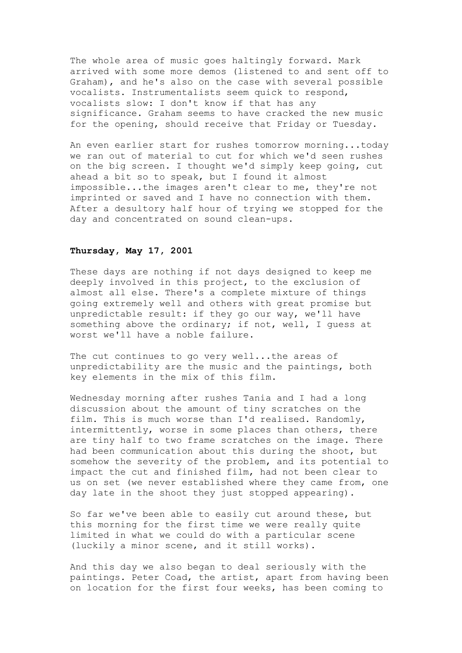The whole area of music goes haltingly forward. Mark arrived with some more demos (listened to and sent off to Graham), and he's also on the case with several possible vocalists. Instrumentalists seem quick to respond, vocalists slow: I don't know if that has any significance. Graham seems to have cracked the new music for the opening, should receive that Friday or Tuesday.

An even earlier start for rushes tomorrow morning...today we ran out of material to cut for which we'd seen rushes on the big screen. I thought we'd simply keep going, cut ahead a bit so to speak, but I found it almost impossible...the images aren't clear to me, they're not imprinted or saved and I have no connection with them. After a desultory half hour of trying we stopped for the day and concentrated on sound clean-ups.

#### **Thursday, May 17, 2001**

These days are nothing if not days designed to keep me deeply involved in this project, to the exclusion of almost all else. There's a complete mixture of things going extremely well and others with great promise but unpredictable result: if they go our way, we'll have something above the ordinary; if not, well, I quess at worst we'll have a noble failure.

The cut continues to go very well...the areas of unpredictability are the music and the paintings, both key elements in the mix of this film.

Wednesday morning after rushes Tania and I had a long discussion about the amount of tiny scratches on the film. This is much worse than I'd realised. Randomly, intermittently, worse in some places than others, there are tiny half to two frame scratches on the image. There had been communication about this during the shoot, but somehow the severity of the problem, and its potential to impact the cut and finished film, had not been clear to us on set (we never established where they came from, one day late in the shoot they just stopped appearing).

So far we've been able to easily cut around these, but this morning for the first time we were really quite limited in what we could do with a particular scene (luckily a minor scene, and it still works).

And this day we also began to deal seriously with the paintings. Peter Coad, the artist, apart from having been on location for the first four weeks, has been coming to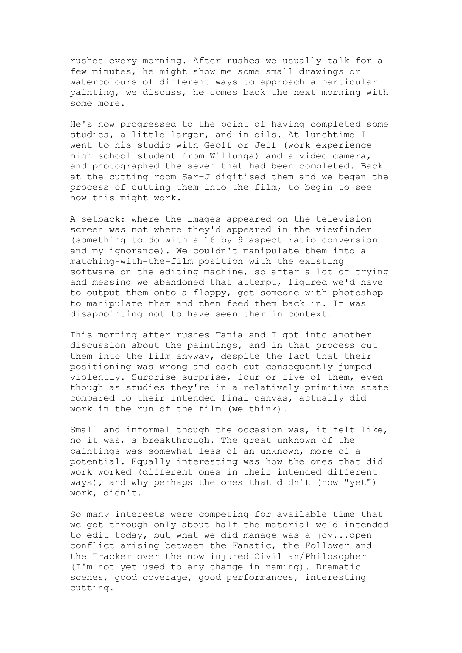rushes every morning. After rushes we usually talk for a few minutes, he might show me some small drawings or watercolours of different ways to approach a particular painting, we discuss, he comes back the next morning with some more.

He's now progressed to the point of having completed some studies, a little larger, and in oils. At lunchtime I went to his studio with Geoff or Jeff (work experience high school student from Willunga) and a video camera, and photographed the seven that had been completed. Back at the cutting room Sar-J digitised them and we began the process of cutting them into the film, to begin to see how this might work.

A setback: where the images appeared on the television screen was not where they'd appeared in the viewfinder (something to do with a 16 by 9 aspect ratio conversion and my ignorance). We couldn't manipulate them into a matching-with-the-film position with the existing software on the editing machine, so after a lot of trying and messing we abandoned that attempt, figured we'd have to output them onto a floppy, get someone with photoshop to manipulate them and then feed them back in. It was disappointing not to have seen them in context.

This morning after rushes Tania and I got into another discussion about the paintings, and in that process cut them into the film anyway, despite the fact that their positioning was wrong and each cut consequently jumped violently. Surprise surprise, four or five of them, even though as studies they're in a relatively primitive state compared to their intended final canvas, actually did work in the run of the film (we think).

Small and informal though the occasion was, it felt like, no it was, a breakthrough. The great unknown of the paintings was somewhat less of an unknown, more of a potential. Equally interesting was how the ones that did work worked (different ones in their intended different ways), and why perhaps the ones that didn't (now "yet") work, didn't.

So many interests were competing for available time that we got through only about half the material we'd intended to edit today, but what we did manage was a joy...open conflict arising between the Fanatic, the Follower and the Tracker over the now injured Civilian/Philosopher (I'm not yet used to any change in naming). Dramatic scenes, good coverage, good performances, interesting cutting.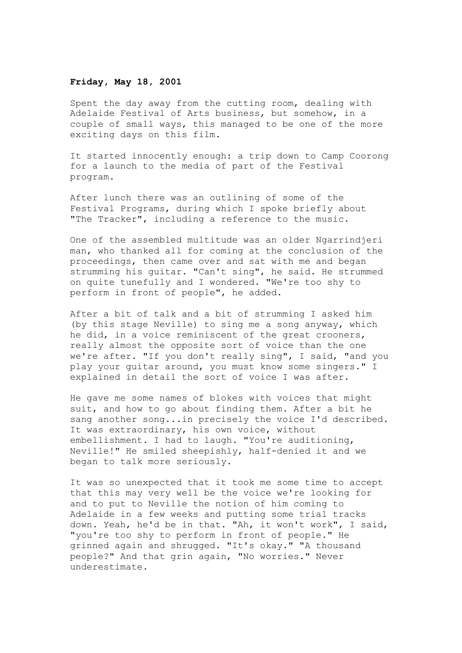#### **Friday, May 18, 2001**

Spent the day away from the cutting room, dealing with Adelaide Festival of Arts business, but somehow, in a couple of small ways, this managed to be one of the more exciting days on this film.

It started innocently enough: a trip down to Camp Coorong for a launch to the media of part of the Festival program.

After lunch there was an outlining of some of the Festival Programs, during which I spoke briefly about "The Tracker", including a reference to the music.

One of the assembled multitude was an older Ngarrindjeri man, who thanked all for coming at the conclusion of the proceedings, then came over and sat with me and began strumming his guitar. "Can't sing", he said. He strummed on quite tunefully and I wondered. "We're too shy to perform in front of people", he added.

After a bit of talk and a bit of strumming I asked him (by this stage Neville) to sing me a song anyway, which he did, in a voice reminiscent of the great crooners, really almost the opposite sort of voice than the one we're after. "If you don't really sing", I said, "and you play your guitar around, you must know some singers." I explained in detail the sort of voice I was after.

He gave me some names of blokes with voices that might suit, and how to go about finding them. After a bit he sang another song...in precisely the voice I'd described. It was extraordinary, his own voice, without embellishment. I had to laugh. "You're auditioning, Neville!" He smiled sheepishly, half-denied it and we began to talk more seriously.

It was so unexpected that it took me some time to accept that this may very well be the voice we're looking for and to put to Neville the notion of him coming to Adelaide in a few weeks and putting some trial tracks down. Yeah, he'd be in that. "Ah, it won't work", I said, "you're too shy to perform in front of people." He grinned again and shrugged. "It's okay." "A thousand people?" And that grin again, "No worries." Never underestimate.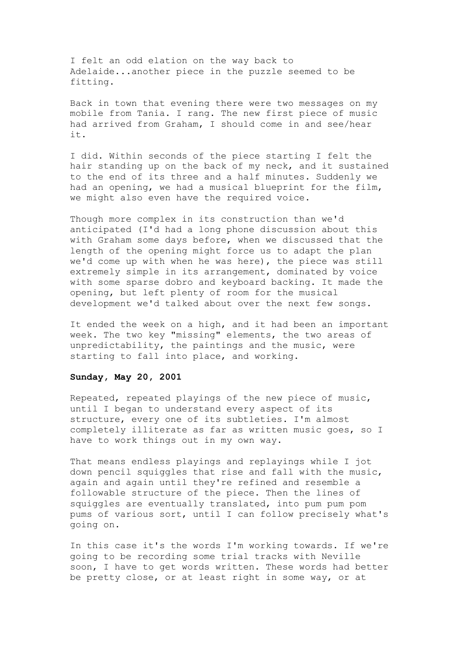I felt an odd elation on the way back to Adelaide...another piece in the puzzle seemed to be fitting.

Back in town that evening there were two messages on my mobile from Tania. I rang. The new first piece of music had arrived from Graham, I should come in and see/hear it.

I did. Within seconds of the piece starting I felt the hair standing up on the back of my neck, and it sustained to the end of its three and a half minutes. Suddenly we had an opening, we had a musical blueprint for the film, we might also even have the required voice.

Though more complex in its construction than we'd anticipated (I'd had a long phone discussion about this with Graham some days before, when we discussed that the length of the opening might force us to adapt the plan we'd come up with when he was here), the piece was still extremely simple in its arrangement, dominated by voice with some sparse dobro and keyboard backing. It made the opening, but left plenty of room for the musical development we'd talked about over the next few songs.

It ended the week on a high, and it had been an important week. The two key "missing" elements, the two areas of unpredictability, the paintings and the music, were starting to fall into place, and working.

# **Sunday, May 20, 2001**

Repeated, repeated playings of the new piece of music, until I began to understand every aspect of its structure, every one of its subtleties. I'm almost completely illiterate as far as written music goes, so I have to work things out in my own way.

That means endless playings and replayings while I jot down pencil squiggles that rise and fall with the music, again and again until they're refined and resemble a followable structure of the piece. Then the lines of squiggles are eventually translated, into pum pum pom pums of various sort, until I can follow precisely what's going on.

In this case it's the words I'm working towards. If we're going to be recording some trial tracks with Neville soon, I have to get words written. These words had better be pretty close, or at least right in some way, or at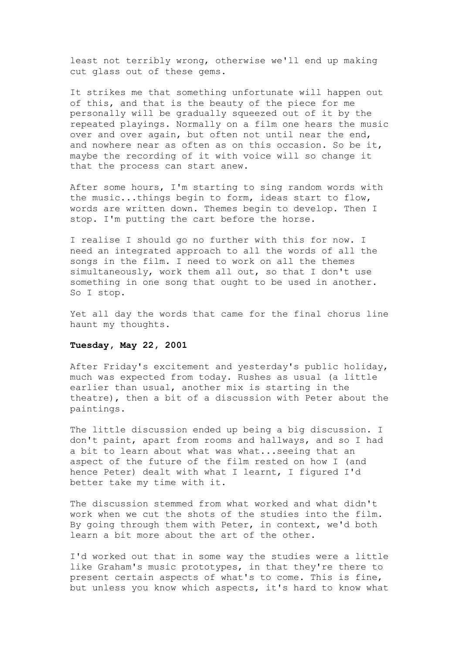least not terribly wrong, otherwise we'll end up making cut glass out of these gems.

It strikes me that something unfortunate will happen out of this, and that is the beauty of the piece for me personally will be gradually squeezed out of it by the repeated playings. Normally on a film one hears the music over and over again, but often not until near the end, and nowhere near as often as on this occasion. So be it, maybe the recording of it with voice will so change it that the process can start anew.

After some hours, I'm starting to sing random words with the music...things begin to form, ideas start to flow, words are written down. Themes begin to develop. Then I stop. I'm putting the cart before the horse.

I realise I should go no further with this for now. I need an integrated approach to all the words of all the songs in the film. I need to work on all the themes simultaneously, work them all out, so that I don't use something in one song that ought to be used in another. So I stop.

Yet all day the words that came for the final chorus line haunt my thoughts.

### **Tuesday, May 22, 2001**

After Friday's excitement and yesterday's public holiday, much was expected from today. Rushes as usual (a little earlier than usual, another mix is starting in the theatre), then a bit of a discussion with Peter about the paintings.

The little discussion ended up being a big discussion. I don't paint, apart from rooms and hallways, and so I had a bit to learn about what was what...seeing that an aspect of the future of the film rested on how I (and hence Peter) dealt with what I learnt, I figured I'd better take my time with it.

The discussion stemmed from what worked and what didn't work when we cut the shots of the studies into the film. By going through them with Peter, in context, we'd both learn a bit more about the art of the other.

I'd worked out that in some way the studies were a little like Graham's music prototypes, in that they're there to present certain aspects of what's to come. This is fine, but unless you know which aspects, it's hard to know what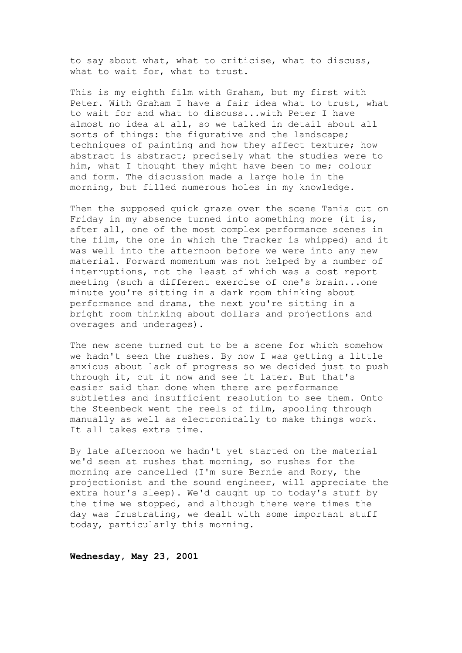to say about what, what to criticise, what to discuss, what to wait for, what to trust.

This is my eighth film with Graham, but my first with Peter. With Graham I have a fair idea what to trust, what to wait for and what to discuss...with Peter I have almost no idea at all, so we talked in detail about all sorts of things: the figurative and the landscape; techniques of painting and how they affect texture; how abstract is abstract; precisely what the studies were to him, what I thought they might have been to me; colour and form. The discussion made a large hole in the morning, but filled numerous holes in my knowledge.

Then the supposed quick graze over the scene Tania cut on Friday in my absence turned into something more (it is, after all, one of the most complex performance scenes in the film, the one in which the Tracker is whipped) and it was well into the afternoon before we were into any new material. Forward momentum was not helped by a number of interruptions, not the least of which was a cost report meeting (such a different exercise of one's brain...one minute you're sitting in a dark room thinking about performance and drama, the next you're sitting in a bright room thinking about dollars and projections and overages and underages).

The new scene turned out to be a scene for which somehow we hadn't seen the rushes. By now I was getting a little anxious about lack of progress so we decided just to push through it, cut it now and see it later. But that's easier said than done when there are performance subtleties and insufficient resolution to see them. Onto the Steenbeck went the reels of film, spooling through manually as well as electronically to make things work. It all takes extra time.

By late afternoon we hadn't yet started on the material we'd seen at rushes that morning, so rushes for the morning are cancelled (I'm sure Bernie and Rory, the projectionist and the sound engineer, will appreciate the extra hour's sleep). We'd caught up to today's stuff by the time we stopped, and although there were times the day was frustrating, we dealt with some important stuff today, particularly this morning.

**Wednesday, May 23, 2001**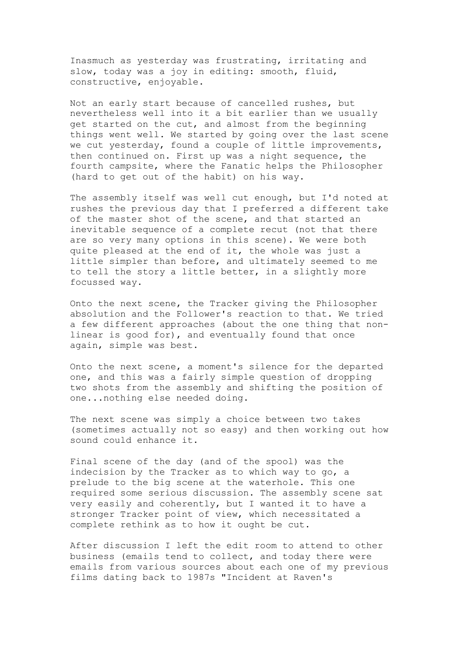Inasmuch as yesterday was frustrating, irritating and slow, today was a joy in editing: smooth, fluid, constructive, enjoyable.

Not an early start because of cancelled rushes, but nevertheless well into it a bit earlier than we usually get started on the cut, and almost from the beginning things went well. We started by going over the last scene we cut yesterday, found a couple of little improvements, then continued on. First up was a night sequence, the fourth campsite, where the Fanatic helps the Philosopher (hard to get out of the habit) on his way.

The assembly itself was well cut enough, but I'd noted at rushes the previous day that I preferred a different take of the master shot of the scene, and that started an inevitable sequence of a complete recut (not that there are so very many options in this scene). We were both quite pleased at the end of it, the whole was just a little simpler than before, and ultimately seemed to me to tell the story a little better, in a slightly more focussed way.

Onto the next scene, the Tracker giving the Philosopher absolution and the Follower's reaction to that. We tried a few different approaches (about the one thing that nonlinear is good for), and eventually found that once again, simple was best.

Onto the next scene, a moment's silence for the departed one, and this was a fairly simple question of dropping two shots from the assembly and shifting the position of one...nothing else needed doing.

The next scene was simply a choice between two takes (sometimes actually not so easy) and then working out how sound could enhance it.

Final scene of the day (and of the spool) was the indecision by the Tracker as to which way to go, a prelude to the big scene at the waterhole. This one required some serious discussion. The assembly scene sat very easily and coherently, but I wanted it to have a stronger Tracker point of view, which necessitated a complete rethink as to how it ought be cut.

After discussion I left the edit room to attend to other business (emails tend to collect, and today there were emails from various sources about each one of my previous films dating back to 1987s "Incident at Raven's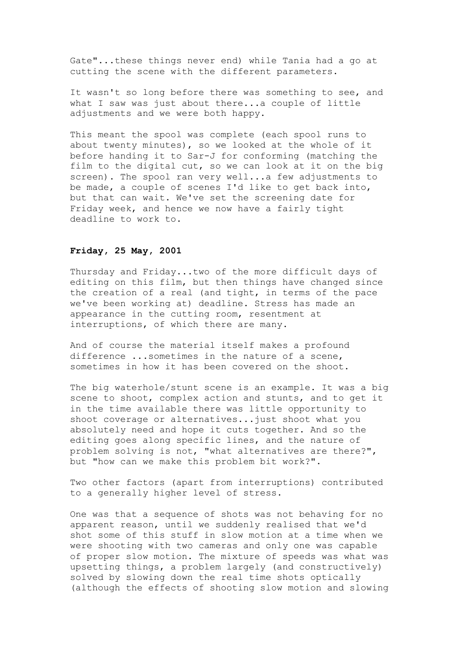Gate"...these things never end) while Tania had a go at cutting the scene with the different parameters.

It wasn't so long before there was something to see, and what I saw was just about there...a couple of little adjustments and we were both happy.

This meant the spool was complete (each spool runs to about twenty minutes), so we looked at the whole of it before handing it to Sar-J for conforming (matching the film to the digital cut, so we can look at it on the big screen). The spool ran very well...a few adjustments to be made, a couple of scenes I'd like to get back into, but that can wait. We've set the screening date for Friday week, and hence we now have a fairly tight deadline to work to.

# **Friday, 25 May, 2001**

Thursday and Friday...two of the more difficult days of editing on this film, but then things have changed since the creation of a real (and tight, in terms of the pace we've been working at) deadline. Stress has made an appearance in the cutting room, resentment at interruptions, of which there are many.

And of course the material itself makes a profound difference ...sometimes in the nature of a scene, sometimes in how it has been covered on the shoot.

The big waterhole/stunt scene is an example. It was a big scene to shoot, complex action and stunts, and to get it in the time available there was little opportunity to shoot coverage or alternatives...just shoot what you absolutely need and hope it cuts together. And so the editing goes along specific lines, and the nature of problem solving is not, "what alternatives are there?", but "how can we make this problem bit work?".

Two other factors (apart from interruptions) contributed to a generally higher level of stress.

One was that a sequence of shots was not behaving for no apparent reason, until we suddenly realised that we'd shot some of this stuff in slow motion at a time when we were shooting with two cameras and only one was capable of proper slow motion. The mixture of speeds was what was upsetting things, a problem largely (and constructively) solved by slowing down the real time shots optically (although the effects of shooting slow motion and slowing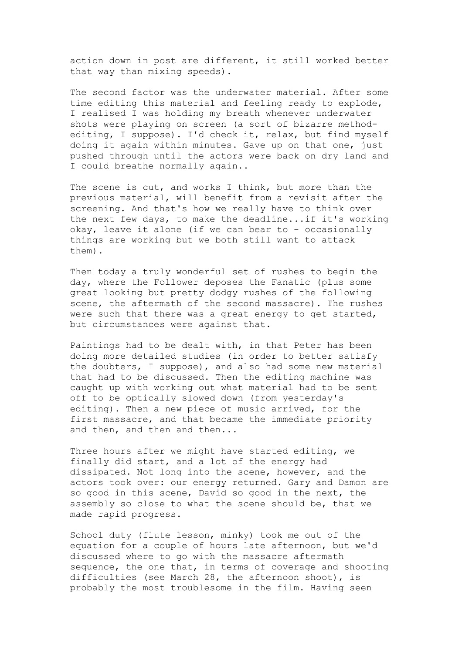action down in post are different, it still worked better that way than mixing speeds).

The second factor was the underwater material. After some time editing this material and feeling ready to explode, I realised I was holding my breath whenever underwater shots were playing on screen (a sort of bizarre methodediting, I suppose). I'd check it, relax, but find myself doing it again within minutes. Gave up on that one, just pushed through until the actors were back on dry land and I could breathe normally again..

The scene is cut, and works I think, but more than the previous material, will benefit from a revisit after the screening. And that's how we really have to think over the next few days, to make the deadline...if it's working okay, leave it alone (if we can bear to - occasionally things are working but we both still want to attack them).

Then today a truly wonderful set of rushes to begin the day, where the Follower deposes the Fanatic (plus some great looking but pretty dodgy rushes of the following scene, the aftermath of the second massacre). The rushes were such that there was a great energy to get started, but circumstances were against that.

Paintings had to be dealt with, in that Peter has been doing more detailed studies (in order to better satisfy the doubters, I suppose), and also had some new material that had to be discussed. Then the editing machine was caught up with working out what material had to be sent off to be optically slowed down (from yesterday's editing). Then a new piece of music arrived, for the first massacre, and that became the immediate priority and then, and then and then...

Three hours after we might have started editing, we finally did start, and a lot of the energy had dissipated. Not long into the scene, however, and the actors took over: our energy returned. Gary and Damon are so good in this scene, David so good in the next, the assembly so close to what the scene should be, that we made rapid progress.

School duty (flute lesson, minky) took me out of the equation for a couple of hours late afternoon, but we'd discussed where to go with the massacre aftermath sequence, the one that, in terms of coverage and shooting difficulties (see March 28, the afternoon shoot), is probably the most troublesome in the film. Having seen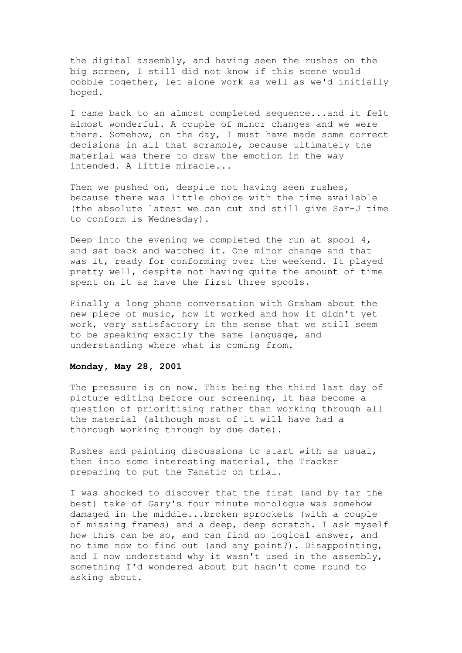the digital assembly, and having seen the rushes on the big screen, I still did not know if this scene would cobble together, let alone work as well as we'd initially hoped.

I came back to an almost completed sequence...and it felt almost wonderful. A couple of minor changes and we were there. Somehow, on the day, I must have made some correct decisions in all that scramble, because ultimately the material was there to draw the emotion in the way intended. A little miracle...

Then we pushed on, despite not having seen rushes, because there was little choice with the time available (the absolute latest we can cut and still give Sar-J time to conform is Wednesday).

Deep into the evening we completed the run at spool  $4$ , and sat back and watched it. One minor change and that was it, ready for conforming over the weekend. It played pretty well, despite not having quite the amount of time spent on it as have the first three spools.

Finally a long phone conversation with Graham about the new piece of music, how it worked and how it didn't yet work, very satisfactory in the sense that we still seem to be speaking exactly the same language, and understanding where what is coming from.

# **Monday, May 28, 2001**

The pressure is on now. This being the third last day of picture editing before our screening, it has become a question of prioritising rather than working through all the material (although most of it will have had a thorough working through by due date).

Rushes and painting discussions to start with as usual, then into some interesting material, the Tracker preparing to put the Fanatic on trial.

I was shocked to discover that the first (and by far the best) take of Gary's four minute monologue was somehow damaged in the middle...broken sprockets (with a couple of missing frames) and a deep, deep scratch. I ask myself how this can be so, and can find no logical answer, and no time now to find out (and any point?). Disappointing, and I now understand why it wasn't used in the assembly, something I'd wondered about but hadn't come round to asking about.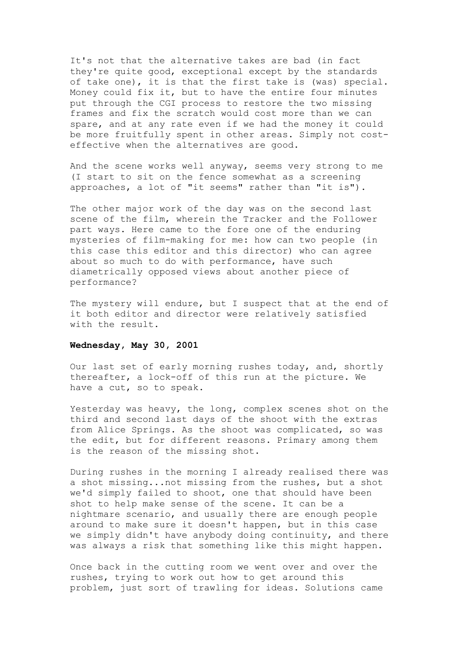It's not that the alternative takes are bad (in fact they're quite good, exceptional except by the standards of take one), it is that the first take is (was) special. Money could fix it, but to have the entire four minutes put through the CGI process to restore the two missing frames and fix the scratch would cost more than we can spare, and at any rate even if we had the money it could be more fruitfully spent in other areas. Simply not costeffective when the alternatives are good.

And the scene works well anyway, seems very strong to me (I start to sit on the fence somewhat as a screening approaches, a lot of "it seems" rather than "it is").

The other major work of the day was on the second last scene of the film, wherein the Tracker and the Follower part ways. Here came to the fore one of the enduring mysteries of film-making for me: how can two people (in this case this editor and this director) who can agree about so much to do with performance, have such diametrically opposed views about another piece of performance?

The mystery will endure, but I suspect that at the end of it both editor and director were relatively satisfied with the result.

#### **Wednesday, May 30, 2001**

Our last set of early morning rushes today, and, shortly thereafter, a lock-off of this run at the picture. We have a cut, so to speak.

Yesterday was heavy, the long, complex scenes shot on the third and second last days of the shoot with the extras from Alice Springs. As the shoot was complicated, so was the edit, but for different reasons. Primary among them is the reason of the missing shot.

During rushes in the morning I already realised there was a shot missing...not missing from the rushes, but a shot we'd simply failed to shoot, one that should have been shot to help make sense of the scene. It can be a nightmare scenario, and usually there are enough people around to make sure it doesn't happen, but in this case we simply didn't have anybody doing continuity, and there was always a risk that something like this might happen.

Once back in the cutting room we went over and over the rushes, trying to work out how to get around this problem, just sort of trawling for ideas. Solutions came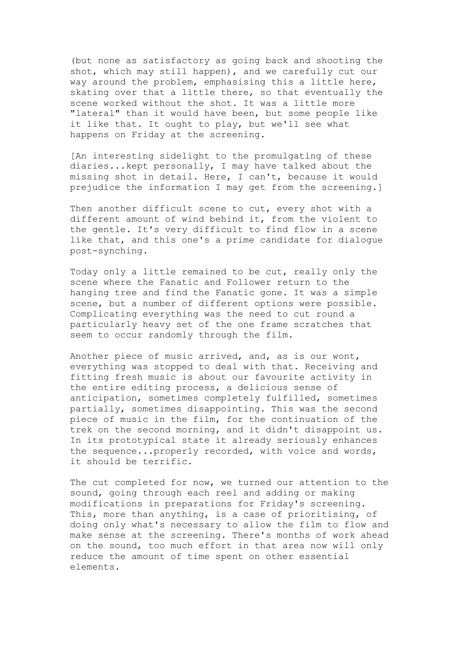(but none as satisfactory as going back and shooting the shot, which may still happen), and we carefully cut our way around the problem, emphasising this a little here, skating over that a little there, so that eventually the scene worked without the shot. It was a little more "lateral" than it would have been, but some people like it like that. It ought to play, but we'll see what happens on Friday at the screening.

[An interesting sidelight to the promulgating of these diaries...kept personally, I may have talked about the missing shot in detail. Here, I can't, because it would prejudice the information I may get from the screening.]

Then another difficult scene to cut, every shot with a different amount of wind behind it, from the violent to the gentle. It's very difficult to find flow in a scene like that, and this one's a prime candidate for dialogue post-synching.

Today only a little remained to be cut, really only the scene where the Fanatic and Follower return to the hanging tree and find the Fanatic gone. It was a simple scene, but a number of different options were possible. Complicating everything was the need to cut round a particularly heavy set of the one frame scratches that seem to occur randomly through the film.

Another piece of music arrived, and, as is our wont, everything was stopped to deal with that. Receiving and fitting fresh music is about our favourite activity in the entire editing process, a delicious sense of anticipation, sometimes completely fulfilled, sometimes partially, sometimes disappointing. This was the second piece of music in the film, for the continuation of the trek on the second morning, and it didn't disappoint us. In its prototypical state it already seriously enhances the sequence...properly recorded, with voice and words, it should be terrific.

The cut completed for now, we turned our attention to the sound, going through each reel and adding or making modifications in preparations for Friday's screening. This, more than anything, is a case of prioritising, of doing only what's necessary to allow the film to flow and make sense at the screening. There's months of work ahead on the sound, too much effort in that area now will only reduce the amount of time spent on other essential elements.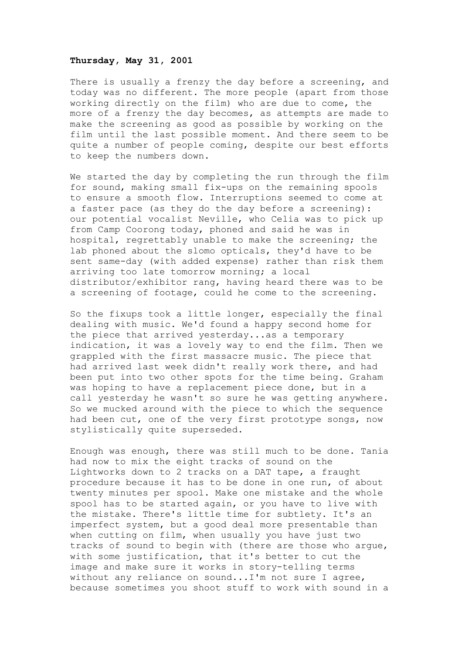#### **Thursday, May 31, 2001**

There is usually a frenzy the day before a screening, and today was no different. The more people (apart from those working directly on the film) who are due to come, the more of a frenzy the day becomes, as attempts are made to make the screening as good as possible by working on the film until the last possible moment. And there seem to be quite a number of people coming, despite our best efforts to keep the numbers down.

We started the day by completing the run through the film for sound, making small fix-ups on the remaining spools to ensure a smooth flow. Interruptions seemed to come at a faster pace (as they do the day before a screening): our potential vocalist Neville, who Celia was to pick up from Camp Coorong today, phoned and said he was in hospital, regrettably unable to make the screening; the lab phoned about the slomo opticals, they'd have to be sent same-day (with added expense) rather than risk them arriving too late tomorrow morning; a local distributor/exhibitor rang, having heard there was to be a screening of footage, could he come to the screening.

So the fixups took a little longer, especially the final dealing with music. We'd found a happy second home for the piece that arrived yesterday...as a temporary indication, it was a lovely way to end the film. Then we grappled with the first massacre music. The piece that had arrived last week didn't really work there, and had been put into two other spots for the time being. Graham was hoping to have a replacement piece done, but in a call yesterday he wasn't so sure he was getting anywhere. So we mucked around with the piece to which the sequence had been cut, one of the very first prototype songs, now stylistically quite superseded.

Enough was enough, there was still much to be done. Tania had now to mix the eight tracks of sound on the Lightworks down to 2 tracks on a DAT tape, a fraught procedure because it has to be done in one run, of about twenty minutes per spool. Make one mistake and the whole spool has to be started again, or you have to live with the mistake. There's little time for subtlety. It's an imperfect system, but a good deal more presentable than when cutting on film, when usually you have just two tracks of sound to begin with (there are those who argue, with some justification, that it's better to cut the image and make sure it works in story-telling terms without any reliance on sound...I'm not sure I agree, because sometimes you shoot stuff to work with sound in a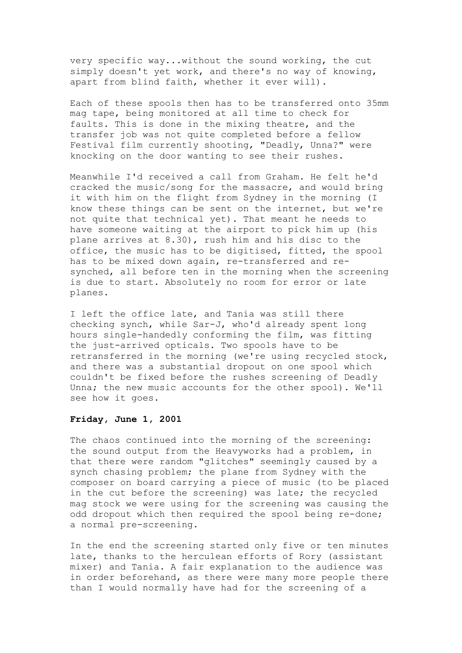very specific way...without the sound working, the cut simply doesn't yet work, and there's no way of knowing, apart from blind faith, whether it ever will).

Each of these spools then has to be transferred onto 35mm mag tape, being monitored at all time to check for faults. This is done in the mixing theatre, and the transfer job was not quite completed before a fellow Festival film currently shooting, "Deadly, Unna?" were knocking on the door wanting to see their rushes.

Meanwhile I'd received a call from Graham. He felt he'd cracked the music/song for the massacre, and would bring it with him on the flight from Sydney in the morning (I know these things can be sent on the internet, but we're not quite that technical yet). That meant he needs to have someone waiting at the airport to pick him up (his plane arrives at 8.30), rush him and his disc to the office, the music has to be digitised, fitted, the spool has to be mixed down again, re-transferred and resynched, all before ten in the morning when the screening is due to start. Absolutely no room for error or late planes.

I left the office late, and Tania was still there checking synch, while Sar-J, who'd already spent long hours single-handedly conforming the film, was fitting the just-arrived opticals. Two spools have to be retransferred in the morning (we're using recycled stock, and there was a substantial dropout on one spool which couldn't be fixed before the rushes screening of Deadly Unna; the new music accounts for the other spool). We'll see how it goes.

### **Friday, June 1, 2001**

The chaos continued into the morning of the screening: the sound output from the Heavyworks had a problem, in that there were random "glitches" seemingly caused by a synch chasing problem; the plane from Sydney with the composer on board carrying a piece of music (to be placed in the cut before the screening) was late; the recycled mag stock we were using for the screening was causing the odd dropout which then required the spool being re-done; a normal pre-screening.

In the end the screening started only five or ten minutes late, thanks to the herculean efforts of Rory (assistant mixer) and Tania. A fair explanation to the audience was in order beforehand, as there were many more people there than I would normally have had for the screening of a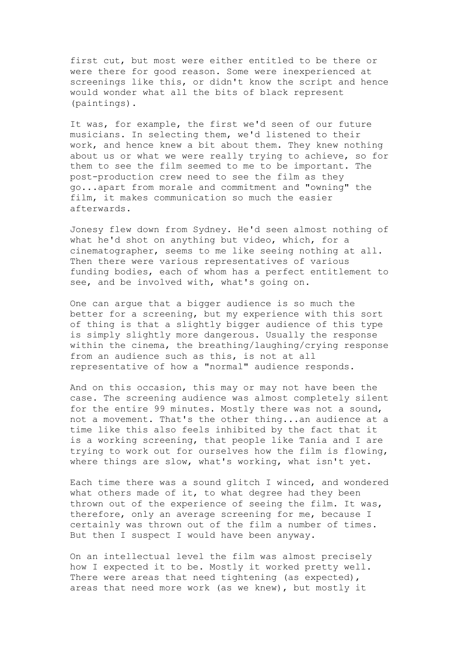first cut, but most were either entitled to be there or were there for good reason. Some were inexperienced at screenings like this, or didn't know the script and hence would wonder what all the bits of black represent (paintings).

It was, for example, the first we'd seen of our future musicians. In selecting them, we'd listened to their work, and hence knew a bit about them. They knew nothing about us or what we were really trying to achieve, so for them to see the film seemed to me to be important. The post-production crew need to see the film as they go...apart from morale and commitment and "owning" the film, it makes communication so much the easier afterwards.

Jonesy flew down from Sydney. He'd seen almost nothing of what he'd shot on anything but video, which, for a cinematographer, seems to me like seeing nothing at all. Then there were various representatives of various funding bodies, each of whom has a perfect entitlement to see, and be involved with, what's going on.

One can argue that a bigger audience is so much the better for a screening, but my experience with this sort of thing is that a slightly bigger audience of this type is simply slightly more dangerous. Usually the response within the cinema, the breathing/laughing/crying response from an audience such as this, is not at all representative of how a "normal" audience responds.

And on this occasion, this may or may not have been the case. The screening audience was almost completely silent for the entire 99 minutes. Mostly there was not a sound, not a movement. That's the other thing...an audience at a time like this also feels inhibited by the fact that it is a working screening, that people like Tania and I are trying to work out for ourselves how the film is flowing, where things are slow, what's working, what isn't yet.

Each time there was a sound glitch I winced, and wondered what others made of it, to what degree had they been thrown out of the experience of seeing the film. It was, therefore, only an average screening for me, because I certainly was thrown out of the film a number of times. But then I suspect I would have been anyway.

On an intellectual level the film was almost precisely how I expected it to be. Mostly it worked pretty well. There were areas that need tightening (as expected), areas that need more work (as we knew), but mostly it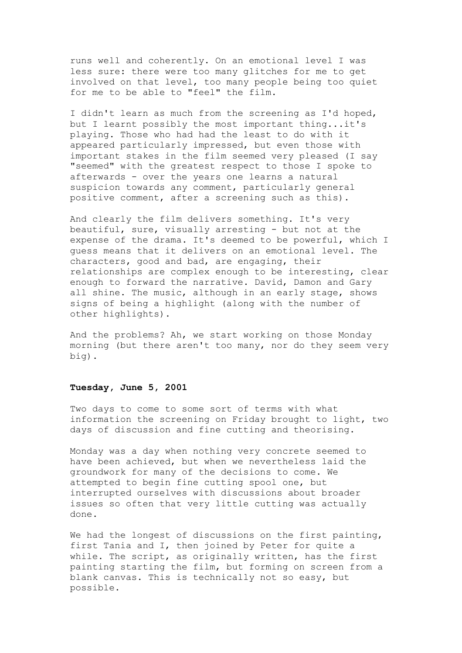runs well and coherently. On an emotional level I was less sure: there were too many glitches for me to get involved on that level, too many people being too quiet for me to be able to "feel" the film.

I didn't learn as much from the screening as I'd hoped, but I learnt possibly the most important thing...it's playing. Those who had had the least to do with it appeared particularly impressed, but even those with important stakes in the film seemed very pleased (I say "seemed" with the greatest respect to those I spoke to afterwards - over the years one learns a natural suspicion towards any comment, particularly general positive comment, after a screening such as this).

And clearly the film delivers something. It's very beautiful, sure, visually arresting - but not at the expense of the drama. It's deemed to be powerful, which I guess means that it delivers on an emotional level. The characters, good and bad, are engaging, their relationships are complex enough to be interesting, clear enough to forward the narrative. David, Damon and Gary all shine. The music, although in an early stage, shows signs of being a highlight (along with the number of other highlights).

And the problems? Ah, we start working on those Monday morning (but there aren't too many, nor do they seem very big).

### **Tuesday, June 5, 2001**

Two days to come to some sort of terms with what information the screening on Friday brought to light, two days of discussion and fine cutting and theorising.

Monday was a day when nothing very concrete seemed to have been achieved, but when we nevertheless laid the groundwork for many of the decisions to come. We attempted to begin fine cutting spool one, but interrupted ourselves with discussions about broader issues so often that very little cutting was actually done.

We had the longest of discussions on the first painting, first Tania and I, then joined by Peter for quite a while. The script, as originally written, has the first painting starting the film, but forming on screen from a blank canvas. This is technically not so easy, but possible.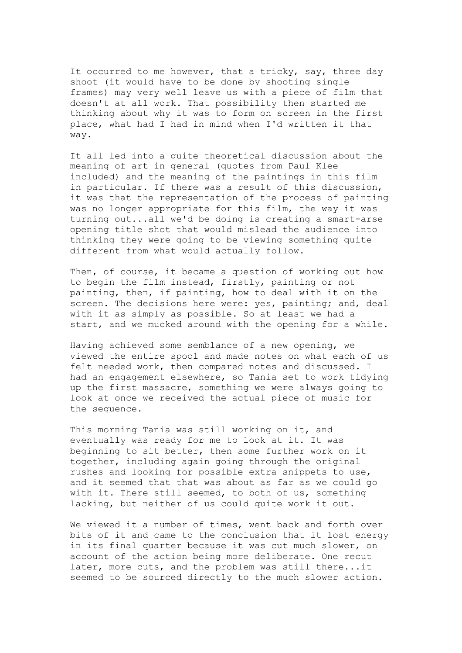It occurred to me however, that a tricky, say, three day shoot (it would have to be done by shooting single frames) may very well leave us with a piece of film that doesn't at all work. That possibility then started me thinking about why it was to form on screen in the first place, what had I had in mind when I'd written it that way.

It all led into a quite theoretical discussion about the meaning of art in general (quotes from Paul Klee included) and the meaning of the paintings in this film in particular. If there was a result of this discussion, it was that the representation of the process of painting was no longer appropriate for this film, the way it was turning out...all we'd be doing is creating a smart-arse opening title shot that would mislead the audience into thinking they were going to be viewing something quite different from what would actually follow.

Then, of course, it became a question of working out how to begin the film instead, firstly, painting or not painting, then, if painting, how to deal with it on the screen. The decisions here were: yes, painting; and, deal with it as simply as possible. So at least we had a start, and we mucked around with the opening for a while.

Having achieved some semblance of a new opening, we viewed the entire spool and made notes on what each of us felt needed work, then compared notes and discussed. I had an engagement elsewhere, so Tania set to work tidying up the first massacre, something we were always going to look at once we received the actual piece of music for the sequence.

This morning Tania was still working on it, and eventually was ready for me to look at it. It was beginning to sit better, then some further work on it together, including again going through the original rushes and looking for possible extra snippets to use, and it seemed that that was about as far as we could go with it. There still seemed, to both of us, something lacking, but neither of us could quite work it out.

We viewed it a number of times, went back and forth over bits of it and came to the conclusion that it lost energy in its final quarter because it was cut much slower, on account of the action being more deliberate. One recut later, more cuts, and the problem was still there...it seemed to be sourced directly to the much slower action.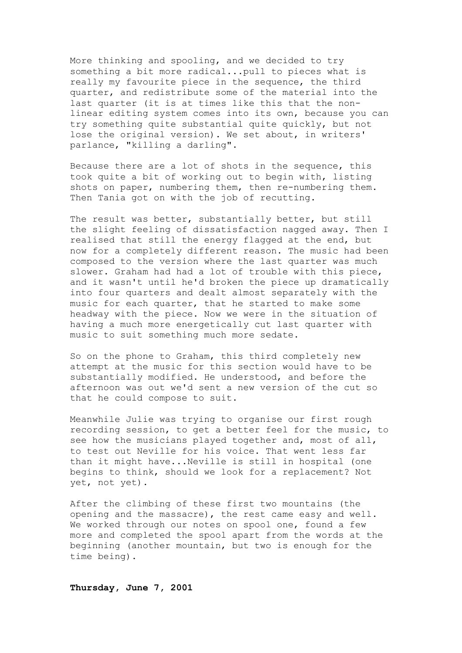More thinking and spooling, and we decided to try something a bit more radical...pull to pieces what is really my favourite piece in the sequence, the third quarter, and redistribute some of the material into the last quarter (it is at times like this that the nonlinear editing system comes into its own, because you can try something quite substantial quite quickly, but not lose the original version). We set about, in writers' parlance, "killing a darling".

Because there are a lot of shots in the sequence, this took quite a bit of working out to begin with, listing shots on paper, numbering them, then re-numbering them. Then Tania got on with the job of recutting.

The result was better, substantially better, but still the slight feeling of dissatisfaction nagged away. Then I realised that still the energy flagged at the end, but now for a completely different reason. The music had been composed to the version where the last quarter was much slower. Graham had had a lot of trouble with this piece, and it wasn't until he'd broken the piece up dramatically into four quarters and dealt almost separately with the music for each quarter, that he started to make some headway with the piece. Now we were in the situation of having a much more energetically cut last quarter with music to suit something much more sedate.

So on the phone to Graham, this third completely new attempt at the music for this section would have to be substantially modified. He understood, and before the afternoon was out we'd sent a new version of the cut so that he could compose to suit.

Meanwhile Julie was trying to organise our first rough recording session, to get a better feel for the music, to see how the musicians played together and, most of all, to test out Neville for his voice. That went less far than it might have...Neville is still in hospital (one begins to think, should we look for a replacement? Not yet, not yet).

After the climbing of these first two mountains (the opening and the massacre), the rest came easy and well. We worked through our notes on spool one, found a few more and completed the spool apart from the words at the beginning (another mountain, but two is enough for the time being).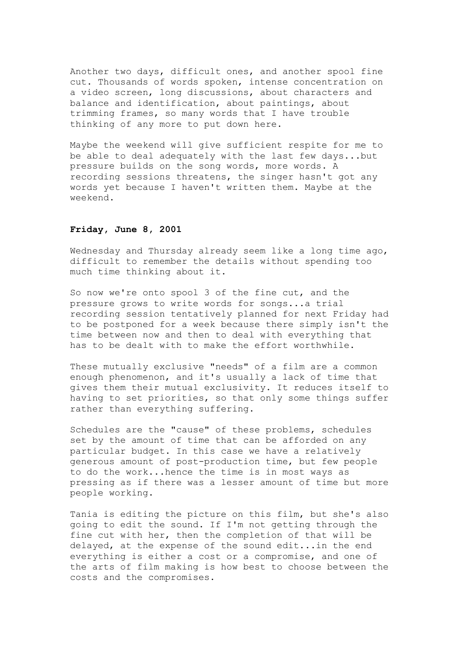Another two days, difficult ones, and another spool fine cut. Thousands of words spoken, intense concentration on a video screen, long discussions, about characters and balance and identification, about paintings, about trimming frames, so many words that I have trouble thinking of any more to put down here.

Maybe the weekend will give sufficient respite for me to be able to deal adequately with the last few days...but pressure builds on the song words, more words. A recording sessions threatens, the singer hasn't got any words yet because I haven't written them. Maybe at the weekend.

### **Friday, June 8, 2001**

Wednesday and Thursday already seem like a long time ago, difficult to remember the details without spending too much time thinking about it.

So now we're onto spool 3 of the fine cut, and the pressure grows to write words for songs...a trial recording session tentatively planned for next Friday had to be postponed for a week because there simply isn't the time between now and then to deal with everything that has to be dealt with to make the effort worthwhile.

These mutually exclusive "needs" of a film are a common enough phenomenon, and it's usually a lack of time that gives them their mutual exclusivity. It reduces itself to having to set priorities, so that only some things suffer rather than everything suffering.

Schedules are the "cause" of these problems, schedules set by the amount of time that can be afforded on any particular budget. In this case we have a relatively generous amount of post-production time, but few people to do the work...hence the time is in most ways as pressing as if there was a lesser amount of time but more people working.

Tania is editing the picture on this film, but she's also going to edit the sound. If I'm not getting through the fine cut with her, then the completion of that will be delayed, at the expense of the sound edit...in the end everything is either a cost or a compromise, and one of the arts of film making is how best to choose between the costs and the compromises.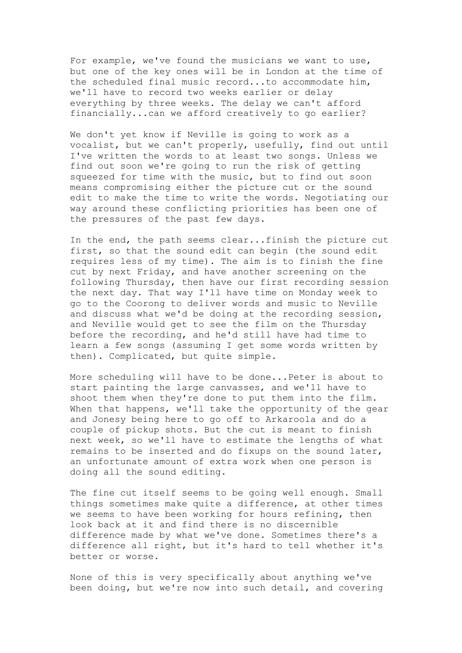For example, we've found the musicians we want to use, but one of the key ones will be in London at the time of the scheduled final music record...to accommodate him, we'll have to record two weeks earlier or delay everything by three weeks. The delay we can't afford financially...can we afford creatively to go earlier?

We don't yet know if Neville is going to work as a vocalist, but we can't properly, usefully, find out until I've written the words to at least two songs. Unless we find out soon we're going to run the risk of getting squeezed for time with the music, but to find out soon means compromising either the picture cut or the sound edit to make the time to write the words. Negotiating our way around these conflicting priorities has been one of the pressures of the past few days.

In the end, the path seems clear...finish the picture cut first, so that the sound edit can begin (the sound edit requires less of my time). The aim is to finish the fine cut by next Friday, and have another screening on the following Thursday, then have our first recording session the next day. That way I'll have time on Monday week to go to the Coorong to deliver words and music to Neville and discuss what we'd be doing at the recording session, and Neville would get to see the film on the Thursday before the recording, and he'd still have had time to learn a few songs (assuming I get some words written by then). Complicated, but quite simple.

More scheduling will have to be done...Peter is about to start painting the large canvasses, and we'll have to shoot them when they're done to put them into the film. When that happens, we'll take the opportunity of the gear and Jonesy being here to go off to Arkaroola and do a couple of pickup shots. But the cut is meant to finish next week, so we'll have to estimate the lengths of what remains to be inserted and do fixups on the sound later, an unfortunate amount of extra work when one person is doing all the sound editing.

The fine cut itself seems to be going well enough. Small things sometimes make quite a difference, at other times we seems to have been working for hours refining, then look back at it and find there is no discernible difference made by what we've done. Sometimes there's a difference all right, but it's hard to tell whether it's better or worse.

None of this is very specifically about anything we've been doing, but we're now into such detail, and covering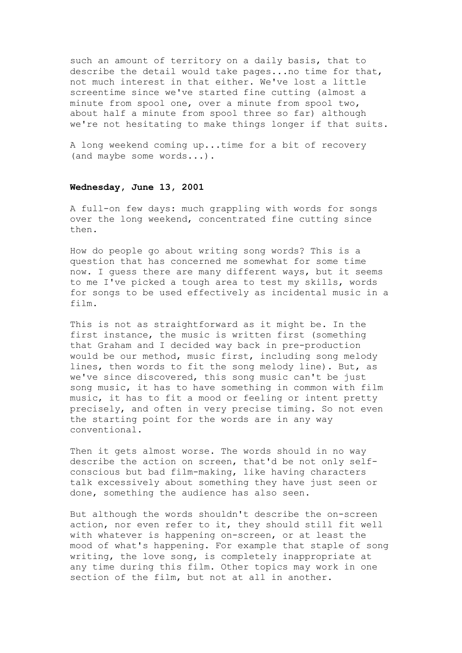such an amount of territory on a daily basis, that to describe the detail would take pages...no time for that, not much interest in that either. We've lost a little screentime since we've started fine cutting (almost a minute from spool one, over a minute from spool two, about half a minute from spool three so far) although we're not hesitating to make things longer if that suits.

A long weekend coming up...time for a bit of recovery (and maybe some words...).

### **Wednesday, June 13, 2001**

A full-on few days: much grappling with words for songs over the long weekend, concentrated fine cutting since then.

How do people go about writing song words? This is a question that has concerned me somewhat for some time now. I guess there are many different ways, but it seems to me I've picked a tough area to test my skills, words for songs to be used effectively as incidental music in a film.

This is not as straightforward as it might be. In the first instance, the music is written first (something that Graham and I decided way back in pre-production would be our method, music first, including song melody lines, then words to fit the song melody line). But, as we've since discovered, this song music can't be just song music, it has to have something in common with film music, it has to fit a mood or feeling or intent pretty precisely, and often in very precise timing. So not even the starting point for the words are in any way conventional.

Then it gets almost worse. The words should in no way describe the action on screen, that'd be not only selfconscious but bad film-making, like having characters talk excessively about something they have just seen or done, something the audience has also seen.

But although the words shouldn't describe the on-screen action, nor even refer to it, they should still fit well with whatever is happening on-screen, or at least the mood of what's happening. For example that staple of song writing, the love song, is completely inappropriate at any time during this film. Other topics may work in one section of the film, but not at all in another.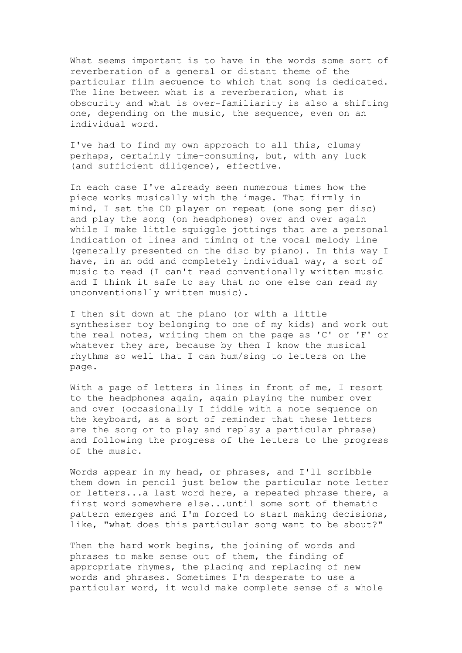What seems important is to have in the words some sort of reverberation of a general or distant theme of the particular film sequence to which that song is dedicated. The line between what is a reverberation, what is obscurity and what is over-familiarity is also a shifting one, depending on the music, the sequence, even on an individual word.

I've had to find my own approach to all this, clumsy perhaps, certainly time-consuming, but, with any luck (and sufficient diligence), effective.

In each case I've already seen numerous times how the piece works musically with the image. That firmly in mind, I set the CD player on repeat (one song per disc) and play the song (on headphones) over and over again while I make little squiggle jottings that are a personal indication of lines and timing of the vocal melody line (generally presented on the disc by piano). In this way I have, in an odd and completely individual way, a sort of music to read (I can't read conventionally written music and I think it safe to say that no one else can read my unconventionally written music).

I then sit down at the piano (or with a little synthesiser toy belonging to one of my kids) and work out the real notes, writing them on the page as 'C' or 'F' or whatever they are, because by then I know the musical rhythms so well that I can hum/sing to letters on the page.

With a page of letters in lines in front of me, I resort to the headphones again, again playing the number over and over (occasionally I fiddle with a note sequence on the keyboard, as a sort of reminder that these letters are the song or to play and replay a particular phrase) and following the progress of the letters to the progress of the music.

Words appear in my head, or phrases, and I'll scribble them down in pencil just below the particular note letter or letters...a last word here, a repeated phrase there, a first word somewhere else...until some sort of thematic pattern emerges and I'm forced to start making decisions, like, "what does this particular song want to be about?"

Then the hard work begins, the joining of words and phrases to make sense out of them, the finding of appropriate rhymes, the placing and replacing of new words and phrases. Sometimes I'm desperate to use a particular word, it would make complete sense of a whole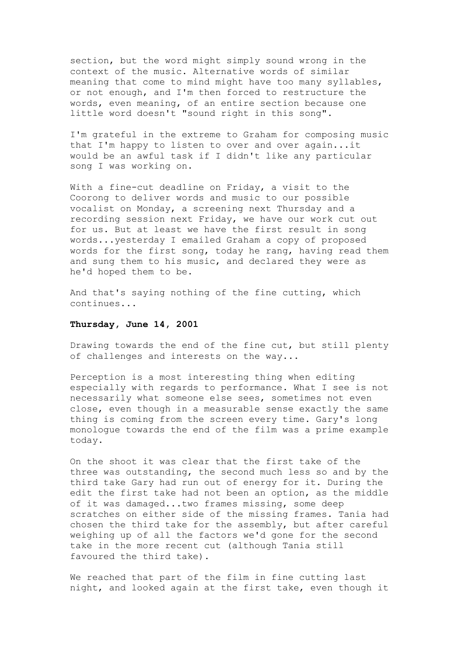section, but the word might simply sound wrong in the context of the music. Alternative words of similar meaning that come to mind might have too many syllables, or not enough, and I'm then forced to restructure the words, even meaning, of an entire section because one little word doesn't "sound right in this song".

I'm grateful in the extreme to Graham for composing music that I'm happy to listen to over and over again...it would be an awful task if I didn't like any particular song I was working on.

With a fine-cut deadline on Friday, a visit to the Coorong to deliver words and music to our possible vocalist on Monday, a screening next Thursday and a recording session next Friday, we have our work cut out for us. But at least we have the first result in song words...yesterday I emailed Graham a copy of proposed words for the first song, today he rang, having read them and sung them to his music, and declared they were as he'd hoped them to be.

And that's saying nothing of the fine cutting, which continues...

#### **Thursday, June 14, 2001**

Drawing towards the end of the fine cut, but still plenty of challenges and interests on the way...

Perception is a most interesting thing when editing especially with regards to performance. What I see is not necessarily what someone else sees, sometimes not even close, even though in a measurable sense exactly the same thing is coming from the screen every time. Gary's long monologue towards the end of the film was a prime example today.

On the shoot it was clear that the first take of the three was outstanding, the second much less so and by the third take Gary had run out of energy for it. During the edit the first take had not been an option, as the middle of it was damaged...two frames missing, some deep scratches on either side of the missing frames. Tania had chosen the third take for the assembly, but after careful weighing up of all the factors we'd gone for the second take in the more recent cut (although Tania still favoured the third take).

We reached that part of the film in fine cutting last night, and looked again at the first take, even though it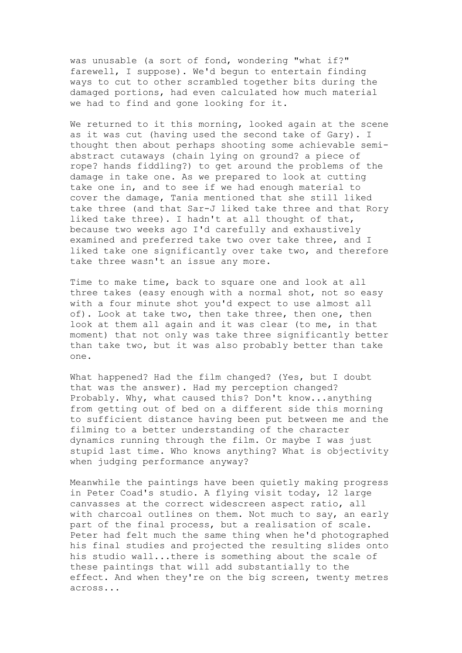was unusable (a sort of fond, wondering "what if?" farewell, I suppose). We'd begun to entertain finding ways to cut to other scrambled together bits during the damaged portions, had even calculated how much material we had to find and gone looking for it.

We returned to it this morning, looked again at the scene as it was cut (having used the second take of Gary). I thought then about perhaps shooting some achievable semiabstract cutaways (chain lying on ground? a piece of rope? hands fiddling?) to get around the problems of the damage in take one. As we prepared to look at cutting take one in, and to see if we had enough material to cover the damage, Tania mentioned that she still liked take three (and that Sar-J liked take three and that Rory liked take three). I hadn't at all thought of that, because two weeks ago I'd carefully and exhaustively examined and preferred take two over take three, and I liked take one significantly over take two, and therefore take three wasn't an issue any more.

Time to make time, back to square one and look at all three takes (easy enough with a normal shot, not so easy with a four minute shot you'd expect to use almost all of). Look at take two, then take three, then one, then look at them all again and it was clear (to me, in that moment) that not only was take three significantly better than take two, but it was also probably better than take one.

What happened? Had the film changed? (Yes, but I doubt that was the answer). Had my perception changed? Probably. Why, what caused this? Don't know...anything from getting out of bed on a different side this morning to sufficient distance having been put between me and the filming to a better understanding of the character dynamics running through the film. Or maybe I was just stupid last time. Who knows anything? What is objectivity when judging performance anyway?

Meanwhile the paintings have been quietly making progress in Peter Coad's studio. A flying visit today, 12 large canvasses at the correct widescreen aspect ratio, all with charcoal outlines on them. Not much to say, an early part of the final process, but a realisation of scale. Peter had felt much the same thing when he'd photographed his final studies and projected the resulting slides onto his studio wall...there is something about the scale of these paintings that will add substantially to the effect. And when they're on the big screen, twenty metres across...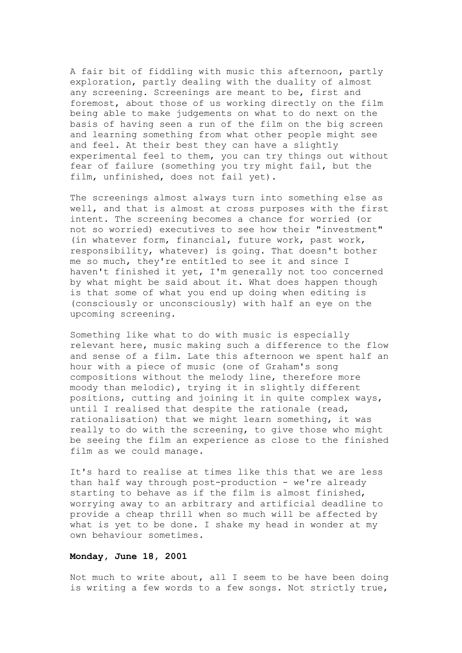A fair bit of fiddling with music this afternoon, partly exploration, partly dealing with the duality of almost any screening. Screenings are meant to be, first and foremost, about those of us working directly on the film being able to make judgements on what to do next on the basis of having seen a run of the film on the big screen and learning something from what other people might see and feel. At their best they can have a slightly experimental feel to them, you can try things out without fear of failure (something you try might fail, but the film, unfinished, does not fail yet).

The screenings almost always turn into something else as well, and that is almost at cross purposes with the first intent. The screening becomes a chance for worried (or not so worried) executives to see how their "investment" (in whatever form, financial, future work, past work, responsibility, whatever) is going. That doesn't bother me so much, they're entitled to see it and since I haven't finished it yet, I'm generally not too concerned by what might be said about it. What does happen though is that some of what you end up doing when editing is (consciously or unconsciously) with half an eye on the upcoming screening.

Something like what to do with music is especially relevant here, music making such a difference to the flow and sense of a film. Late this afternoon we spent half an hour with a piece of music (one of Graham's song compositions without the melody line, therefore more moody than melodic), trying it in slightly different positions, cutting and joining it in quite complex ways, until I realised that despite the rationale (read, rationalisation) that we might learn something, it was really to do with the screening, to give those who might be seeing the film an experience as close to the finished film as we could manage.

It's hard to realise at times like this that we are less than half way through post-production - we're already starting to behave as if the film is almost finished, worrying away to an arbitrary and artificial deadline to provide a cheap thrill when so much will be affected by what is yet to be done. I shake my head in wonder at my own behaviour sometimes.

### **Monday, June 18, 2001**

Not much to write about, all I seem to be have been doing is writing a few words to a few songs. Not strictly true,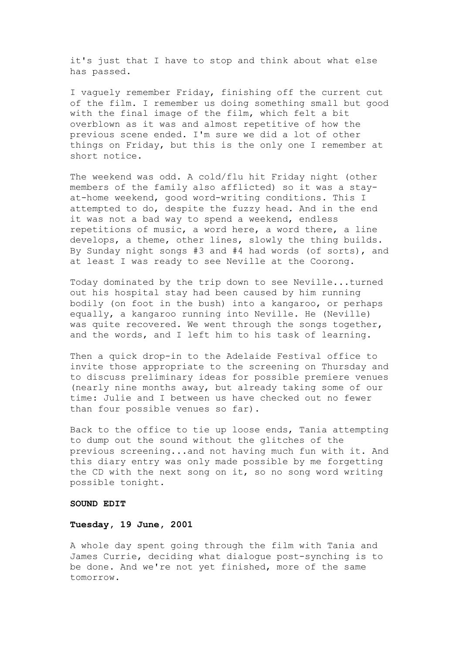it's just that I have to stop and think about what else has passed.

I vaguely remember Friday, finishing off the current cut of the film. I remember us doing something small but good with the final image of the film, which felt a bit overblown as it was and almost repetitive of how the previous scene ended. I'm sure we did a lot of other things on Friday, but this is the only one I remember at short notice.

The weekend was odd. A cold/flu hit Friday night (other members of the family also afflicted) so it was a stayat-home weekend, good word-writing conditions. This I attempted to do, despite the fuzzy head. And in the end it was not a bad way to spend a weekend, endless repetitions of music, a word here, a word there, a line develops, a theme, other lines, slowly the thing builds. By Sunday night songs #3 and #4 had words (of sorts), and at least I was ready to see Neville at the Coorong.

Today dominated by the trip down to see Neville...turned out his hospital stay had been caused by him running bodily (on foot in the bush) into a kangaroo, or perhaps equally, a kangaroo running into Neville. He (Neville) was quite recovered. We went through the songs together, and the words, and I left him to his task of learning.

Then a quick drop-in to the Adelaide Festival office to invite those appropriate to the screening on Thursday and to discuss preliminary ideas for possible premiere venues (nearly nine months away, but already taking some of our time: Julie and I between us have checked out no fewer than four possible venues so far).

Back to the office to tie up loose ends, Tania attempting to dump out the sound without the glitches of the previous screening...and not having much fun with it. And this diary entry was only made possible by me forgetting the CD with the next song on it, so no song word writing possible tonight.

#### **SOUND EDIT**

#### **Tuesday, 19 June, 2001**

A whole day spent going through the film with Tania and James Currie, deciding what dialogue post-synching is to be done. And we're not yet finished, more of the same tomorrow.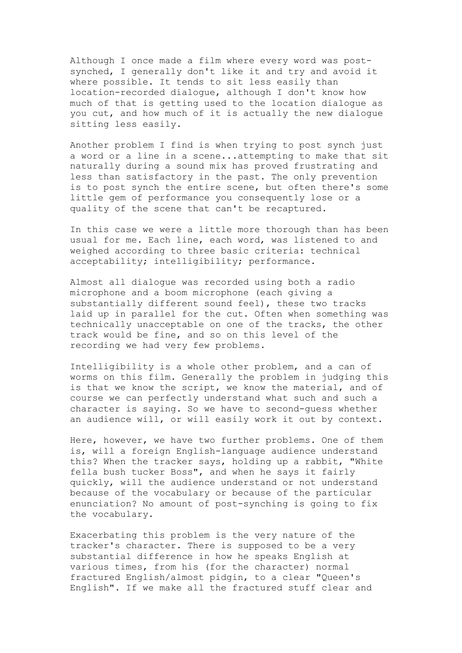Although I once made a film where every word was postsynched, I generally don't like it and try and avoid it where possible. It tends to sit less easily than location-recorded dialogue, although I don't know how much of that is getting used to the location dialogue as you cut, and how much of it is actually the new dialogue sitting less easily.

Another problem I find is when trying to post synch just a word or a line in a scene...attempting to make that sit naturally during a sound mix has proved frustrating and less than satisfactory in the past. The only prevention is to post synch the entire scene, but often there's some little gem of performance you consequently lose or a quality of the scene that can't be recaptured.

In this case we were a little more thorough than has been usual for me. Each line, each word, was listened to and weighed according to three basic criteria: technical acceptability; intelligibility; performance.

Almost all dialogue was recorded using both a radio microphone and a boom microphone (each giving a substantially different sound feel), these two tracks laid up in parallel for the cut. Often when something was technically unacceptable on one of the tracks, the other track would be fine, and so on this level of the recording we had very few problems.

Intelligibility is a whole other problem, and a can of worms on this film. Generally the problem in judging this is that we know the script, we know the material, and of course we can perfectly understand what such and such a character is saying. So we have to second-guess whether an audience will, or will easily work it out by context.

Here, however, we have two further problems. One of them is, will a foreign English-language audience understand this? When the tracker says, holding up a rabbit, "White fella bush tucker Boss", and when he says it fairly quickly, will the audience understand or not understand because of the vocabulary or because of the particular enunciation? No amount of post-synching is going to fix the vocabulary.

Exacerbating this problem is the very nature of the tracker's character. There is supposed to be a very substantial difference in how he speaks English at various times, from his (for the character) normal fractured English/almost pidgin, to a clear "Queen's English". If we make all the fractured stuff clear and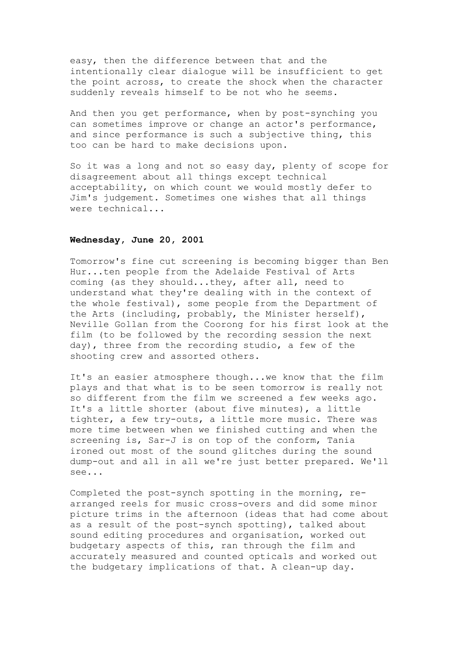easy, then the difference between that and the intentionally clear dialogue will be insufficient to get the point across, to create the shock when the character suddenly reveals himself to be not who he seems.

And then you get performance, when by post-synching you can sometimes improve or change an actor's performance, and since performance is such a subjective thing, this too can be hard to make decisions upon.

So it was a long and not so easy day, plenty of scope for disagreement about all things except technical acceptability, on which count we would mostly defer to Jim's judgement. Sometimes one wishes that all things were technical...

#### **Wednesday, June 20, 2001**

Tomorrow's fine cut screening is becoming bigger than Ben Hur...ten people from the Adelaide Festival of Arts coming (as they should...they, after all, need to understand what they're dealing with in the context of the whole festival), some people from the Department of the Arts (including, probably, the Minister herself), Neville Gollan from the Coorong for his first look at the film (to be followed by the recording session the next day), three from the recording studio, a few of the shooting crew and assorted others.

It's an easier atmosphere though...we know that the film plays and that what is to be seen tomorrow is really not so different from the film we screened a few weeks ago. It's a little shorter (about five minutes), a little tighter, a few try-outs, a little more music. There was more time between when we finished cutting and when the screening is, Sar-J is on top of the conform, Tania ironed out most of the sound glitches during the sound dump-out and all in all we're just better prepared. We'll see...

Completed the post-synch spotting in the morning, rearranged reels for music cross-overs and did some minor picture trims in the afternoon (ideas that had come about as a result of the post-synch spotting), talked about sound editing procedures and organisation, worked out budgetary aspects of this, ran through the film and accurately measured and counted opticals and worked out the budgetary implications of that. A clean-up day.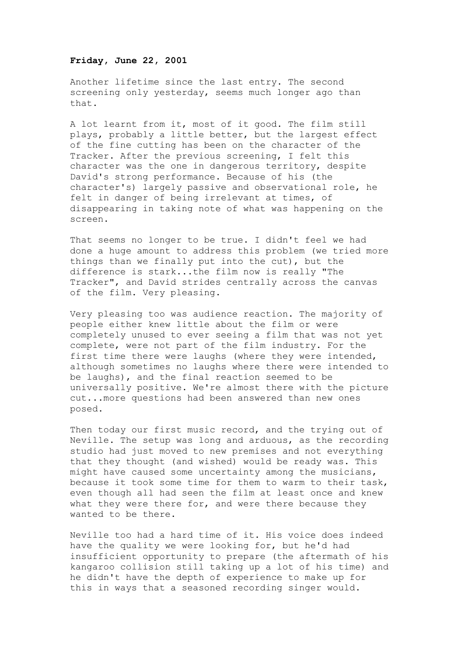#### **Friday, June 22, 2001**

Another lifetime since the last entry. The second screening only yesterday, seems much longer ago than that.

A lot learnt from it, most of it good. The film still plays, probably a little better, but the largest effect of the fine cutting has been on the character of the Tracker. After the previous screening, I felt this character was the one in dangerous territory, despite David's strong performance. Because of his (the character's) largely passive and observational role, he felt in danger of being irrelevant at times, of disappearing in taking note of what was happening on the screen.

That seems no longer to be true. I didn't feel we had done a huge amount to address this problem (we tried more things than we finally put into the cut), but the difference is stark...the film now is really "The Tracker", and David strides centrally across the canvas of the film. Very pleasing.

Very pleasing too was audience reaction. The majority of people either knew little about the film or were completely unused to ever seeing a film that was not yet complete, were not part of the film industry. For the first time there were laughs (where they were intended, although sometimes no laughs where there were intended to be laughs), and the final reaction seemed to be universally positive. We're almost there with the picture cut...more questions had been answered than new ones posed.

Then today our first music record, and the trying out of Neville. The setup was long and arduous, as the recording studio had just moved to new premises and not everything that they thought (and wished) would be ready was. This might have caused some uncertainty among the musicians, because it took some time for them to warm to their task, even though all had seen the film at least once and knew what they were there for, and were there because they wanted to be there.

Neville too had a hard time of it. His voice does indeed have the quality we were looking for, but he'd had insufficient opportunity to prepare (the aftermath of his kangaroo collision still taking up a lot of his time) and he didn't have the depth of experience to make up for this in ways that a seasoned recording singer would.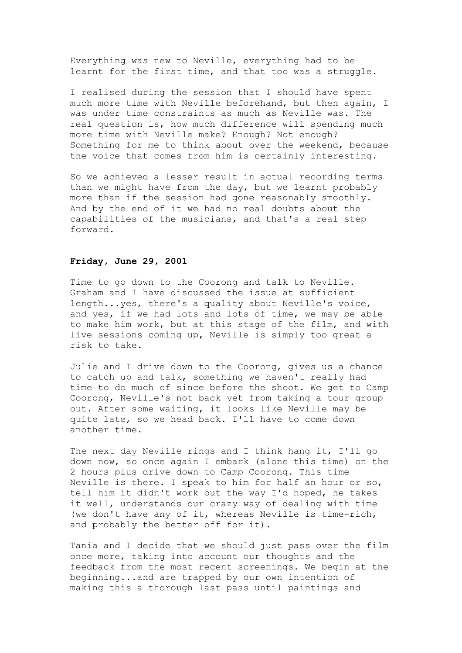Everything was new to Neville, everything had to be learnt for the first time, and that too was a struggle.

I realised during the session that I should have spent much more time with Neville beforehand, but then again, I was under time constraints as much as Neville was. The real question is, how much difference will spending much more time with Neville make? Enough? Not enough? Something for me to think about over the weekend, because the voice that comes from him is certainly interesting.

So we achieved a lesser result in actual recording terms than we might have from the day, but we learnt probably more than if the session had gone reasonably smoothly. And by the end of it we had no real doubts about the capabilities of the musicians, and that's a real step forward.

#### **Friday, June 29, 2001**

Time to go down to the Coorong and talk to Neville. Graham and I have discussed the issue at sufficient length...yes, there's a quality about Neville's voice, and yes, if we had lots and lots of time, we may be able to make him work, but at this stage of the film, and with live sessions coming up, Neville is simply too great a risk to take.

Julie and I drive down to the Coorong, gives us a chance to catch up and talk, something we haven't really had time to do much of since before the shoot. We get to Camp Coorong, Neville's not back yet from taking a tour group out. After some waiting, it looks like Neville may be quite late, so we head back. I'll have to come down another time.

The next day Neville rings and I think hang it, I'll go down now, so once again I embark (alone this time) on the 2 hours plus drive down to Camp Coorong. This time Neville is there. I speak to him for half an hour or so, tell him it didn't work out the way I'd hoped, he takes it well, understands our crazy way of dealing with time (we don't have any of it, whereas Neville is time-rich, and probably the better off for it).

Tania and I decide that we should just pass over the film once more, taking into account our thoughts and the feedback from the most recent screenings. We begin at the beginning...and are trapped by our own intention of making this a thorough last pass until paintings and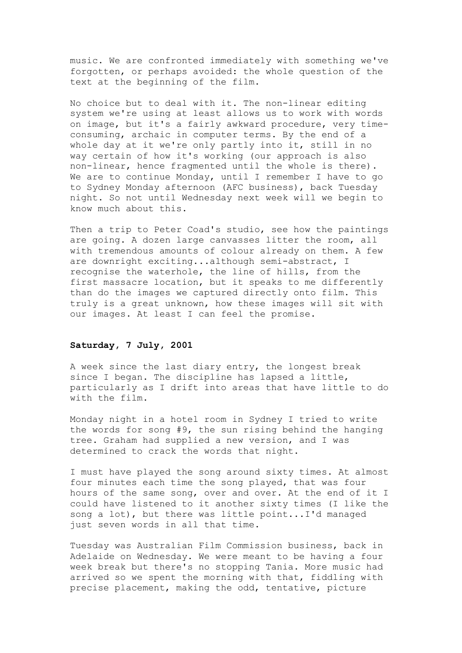music. We are confronted immediately with something we've forgotten, or perhaps avoided: the whole question of the text at the beginning of the film.

No choice but to deal with it. The non-linear editing system we're using at least allows us to work with words on image, but it's a fairly awkward procedure, very timeconsuming, archaic in computer terms. By the end of a whole day at it we're only partly into it, still in no way certain of how it's working (our approach is also non-linear, hence fragmented until the whole is there). We are to continue Monday, until I remember I have to go to Sydney Monday afternoon (AFC business), back Tuesday night. So not until Wednesday next week will we begin to know much about this.

Then a trip to Peter Coad's studio, see how the paintings are going. A dozen large canvasses litter the room, all with tremendous amounts of colour already on them. A few are downright exciting...although semi-abstract, I recognise the waterhole, the line of hills, from the first massacre location, but it speaks to me differently than do the images we captured directly onto film. This truly is a great unknown, how these images will sit with our images. At least I can feel the promise.

### **Saturday, 7 July, 2001**

A week since the last diary entry, the longest break since I began. The discipline has lapsed a little, particularly as I drift into areas that have little to do with the film.

Monday night in a hotel room in Sydney I tried to write the words for song #9, the sun rising behind the hanging tree. Graham had supplied a new version, and I was determined to crack the words that night.

I must have played the song around sixty times. At almost four minutes each time the song played, that was four hours of the same song, over and over. At the end of it I could have listened to it another sixty times (I like the song a lot), but there was little point...I'd managed just seven words in all that time.

Tuesday was Australian Film Commission business, back in Adelaide on Wednesday. We were meant to be having a four week break but there's no stopping Tania. More music had arrived so we spent the morning with that, fiddling with precise placement, making the odd, tentative, picture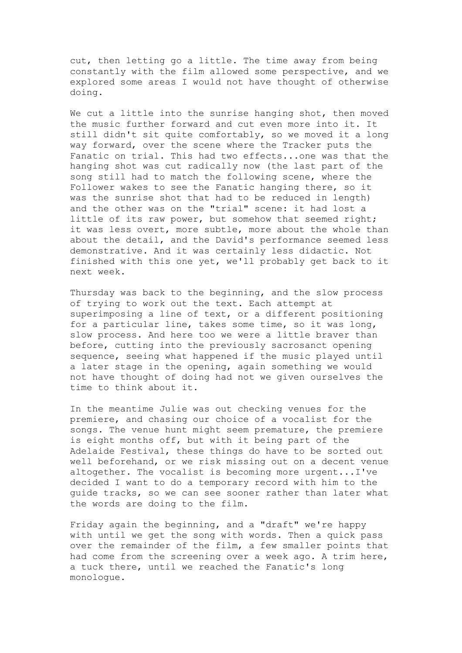cut, then letting go a little. The time away from being constantly with the film allowed some perspective, and we explored some areas I would not have thought of otherwise doing.

We cut a little into the sunrise hanging shot, then moved the music further forward and cut even more into it. It still didn't sit quite comfortably, so we moved it a long way forward, over the scene where the Tracker puts the Fanatic on trial. This had two effects...one was that the hanging shot was cut radically now (the last part of the song still had to match the following scene, where the Follower wakes to see the Fanatic hanging there, so it was the sunrise shot that had to be reduced in length) and the other was on the "trial" scene: it had lost a little of its raw power, but somehow that seemed right; it was less overt, more subtle, more about the whole than about the detail, and the David's performance seemed less demonstrative. And it was certainly less didactic. Not finished with this one yet, we'll probably get back to it next week.

Thursday was back to the beginning, and the slow process of trying to work out the text. Each attempt at superimposing a line of text, or a different positioning for a particular line, takes some time, so it was long, slow process. And here too we were a little braver than before, cutting into the previously sacrosanct opening sequence, seeing what happened if the music played until a later stage in the opening, again something we would not have thought of doing had not we given ourselves the time to think about it.

In the meantime Julie was out checking venues for the premiere, and chasing our choice of a vocalist for the songs. The venue hunt might seem premature, the premiere is eight months off, but with it being part of the Adelaide Festival, these things do have to be sorted out well beforehand, or we risk missing out on a decent venue altogether. The vocalist is becoming more urgent...I've decided I want to do a temporary record with him to the guide tracks, so we can see sooner rather than later what the words are doing to the film.

Friday again the beginning, and a "draft" we're happy with until we get the song with words. Then a quick pass over the remainder of the film, a few smaller points that had come from the screening over a week ago. A trim here, a tuck there, until we reached the Fanatic's long monologue.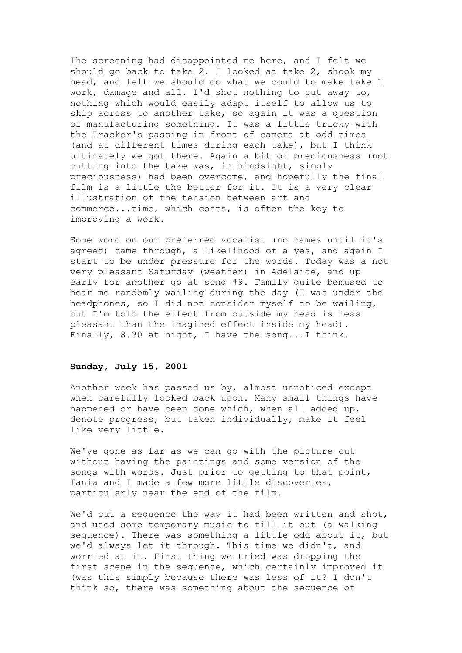The screening had disappointed me here, and I felt we should go back to take 2. I looked at take 2, shook my head, and felt we should do what we could to make take 1 work, damage and all. I'd shot nothing to cut away to, nothing which would easily adapt itself to allow us to skip across to another take, so again it was a question of manufacturing something. It was a little tricky with the Tracker's passing in front of camera at odd times (and at different times during each take), but I think ultimately we got there. Again a bit of preciousness (not cutting into the take was, in hindsight, simply preciousness) had been overcome, and hopefully the final film is a little the better for it. It is a very clear illustration of the tension between art and commerce...time, which costs, is often the key to improving a work.

Some word on our preferred vocalist (no names until it's agreed) came through, a likelihood of a yes, and again I start to be under pressure for the words. Today was a not very pleasant Saturday (weather) in Adelaide, and up early for another go at song #9. Family quite bemused to hear me randomly wailing during the day (I was under the headphones, so I did not consider myself to be wailing, but I'm told the effect from outside my head is less pleasant than the imagined effect inside my head). Finally, 8.30 at night, I have the song...I think.

### **Sunday, July 15, 2001**

Another week has passed us by, almost unnoticed except when carefully looked back upon. Many small things have happened or have been done which, when all added up, denote progress, but taken individually, make it feel like very little.

We've gone as far as we can go with the picture cut without having the paintings and some version of the songs with words. Just prior to getting to that point, Tania and I made a few more little discoveries, particularly near the end of the film.

We'd cut a sequence the way it had been written and shot, and used some temporary music to fill it out (a walking sequence). There was something a little odd about it, but we'd always let it through. This time we didn't, and worried at it. First thing we tried was dropping the first scene in the sequence, which certainly improved it (was this simply because there was less of it? I don't think so, there was something about the sequence of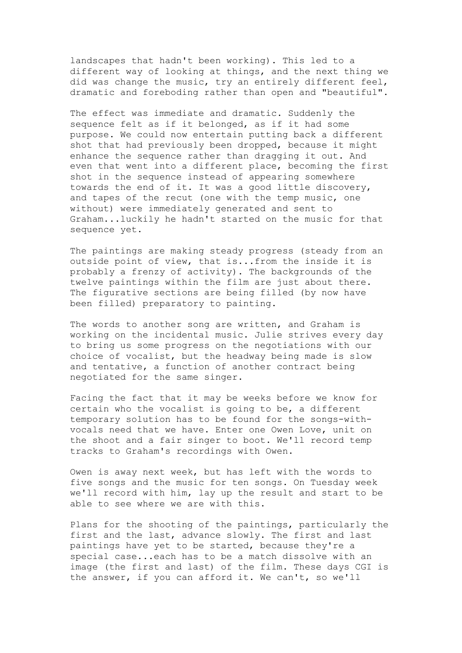landscapes that hadn't been working). This led to a different way of looking at things, and the next thing we did was change the music, try an entirely different feel, dramatic and foreboding rather than open and "beautiful".

The effect was immediate and dramatic. Suddenly the sequence felt as if it belonged, as if it had some purpose. We could now entertain putting back a different shot that had previously been dropped, because it might enhance the sequence rather than dragging it out. And even that went into a different place, becoming the first shot in the sequence instead of appearing somewhere towards the end of it. It was a good little discovery, and tapes of the recut (one with the temp music, one without) were immediately generated and sent to Graham...luckily he hadn't started on the music for that sequence yet.

The paintings are making steady progress (steady from an outside point of view, that is...from the inside it is probably a frenzy of activity). The backgrounds of the twelve paintings within the film are just about there. The figurative sections are being filled (by now have been filled) preparatory to painting.

The words to another song are written, and Graham is working on the incidental music. Julie strives every day to bring us some progress on the negotiations with our choice of vocalist, but the headway being made is slow and tentative, a function of another contract being negotiated for the same singer.

Facing the fact that it may be weeks before we know for certain who the vocalist is going to be, a different temporary solution has to be found for the songs-withvocals need that we have. Enter one Owen Love, unit on the shoot and a fair singer to boot. We'll record temp tracks to Graham's recordings with Owen.

Owen is away next week, but has left with the words to five songs and the music for ten songs. On Tuesday week we'll record with him, lay up the result and start to be able to see where we are with this.

Plans for the shooting of the paintings, particularly the first and the last, advance slowly. The first and last paintings have yet to be started, because they're a special case...each has to be a match dissolve with an image (the first and last) of the film. These days CGI is the answer, if you can afford it. We can't, so we'll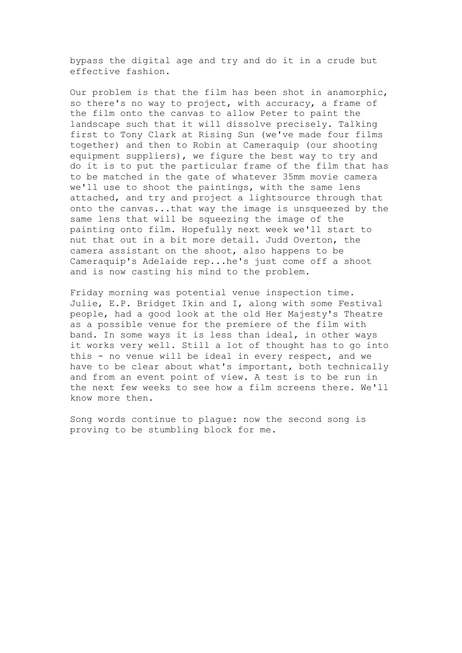bypass the digital age and try and do it in a crude but effective fashion.

Our problem is that the film has been shot in anamorphic, so there's no way to project, with accuracy, a frame of the film onto the canvas to allow Peter to paint the landscape such that it will dissolve precisely. Talking first to Tony Clark at Rising Sun (we've made four films together) and then to Robin at Cameraquip (our shooting equipment suppliers), we figure the best way to try and do it is to put the particular frame of the film that has to be matched in the gate of whatever 35mm movie camera we'll use to shoot the paintings, with the same lens attached, and try and project a lightsource through that onto the canvas...that way the image is unsqueezed by the same lens that will be squeezing the image of the painting onto film. Hopefully next week we'll start to nut that out in a bit more detail. Judd Overton, the camera assistant on the shoot, also happens to be Cameraquip's Adelaide rep...he's just come off a shoot and is now casting his mind to the problem.

Friday morning was potential venue inspection time. Julie, E.P. Bridget Ikin and I, along with some Festival people, had a good look at the old Her Majesty's Theatre as a possible venue for the premiere of the film with band. In some ways it is less than ideal, in other ways it works very well. Still a lot of thought has to go into this - no venue will be ideal in every respect, and we have to be clear about what's important, both technically and from an event point of view. A test is to be run in the next few weeks to see how a film screens there. We'll know more then.

Song words continue to plague: now the second song is proving to be stumbling block for me.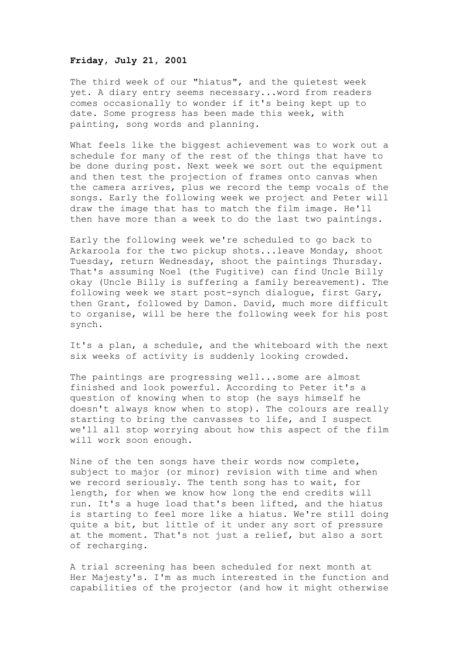### **Friday, July 21, 2001**

The third week of our "hiatus", and the quietest week yet. A diary entry seems necessary...word from readers comes occasionally to wonder if it's being kept up to date. Some progress has been made this week, with painting, song words and planning.

What feels like the biggest achievement was to work out a schedule for many of the rest of the things that have to be done during post. Next week we sort out the equipment and then test the projection of frames onto canvas when the camera arrives, plus we record the temp vocals of the songs. Early the following week we project and Peter will draw the image that has to match the film image. He'll then have more than a week to do the last two paintings.

Early the following week we're scheduled to go back to Arkaroola for the two pickup shots...leave Monday, shoot Tuesday, return Wednesday, shoot the paintings Thursday. That's assuming Noel (the Fugitive) can find Uncle Billy okay (Uncle Billy is suffering a family bereavement). The following week we start post-synch dialogue, first Gary, then Grant, followed by Damon. David, much more difficult to organise, will be here the following week for his post synch.

It's a plan, a schedule, and the whiteboard with the next six weeks of activity is suddenly looking crowded.

The paintings are progressing well...some are almost finished and look powerful. According to Peter it's a question of knowing when to stop (he says himself he doesn't always know when to stop). The colours are really starting to bring the canvasses to life, and I suspect we'll all stop worrying about how this aspect of the film will work soon enough.

Nine of the ten songs have their words now complete, subject to major (or minor) revision with time and when we record seriously. The tenth song has to wait, for length, for when we know how long the end credits will run. It's a huge load that's been lifted, and the hiatus is starting to feel more like a hiatus. We're still doing quite a bit, but little of it under any sort of pressure at the moment. That's not just a relief, but also a sort of recharging.

A trial screening has been scheduled for next month at Her Majesty's. I'm as much interested in the function and capabilities of the projector (and how it might otherwise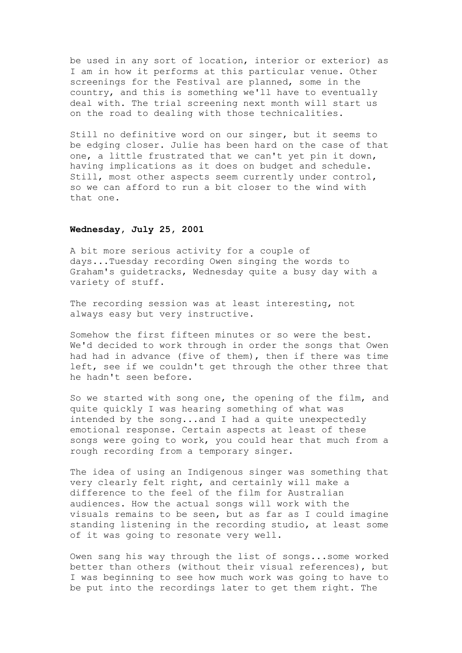be used in any sort of location, interior or exterior) as I am in how it performs at this particular venue. Other screenings for the Festival are planned, some in the country, and this is something we'll have to eventually deal with. The trial screening next month will start us on the road to dealing with those technicalities.

Still no definitive word on our singer, but it seems to be edging closer. Julie has been hard on the case of that one, a little frustrated that we can't yet pin it down, having implications as it does on budget and schedule. Still, most other aspects seem currently under control, so we can afford to run a bit closer to the wind with that one.

### **Wednesday, July 25, 2001**

A bit more serious activity for a couple of days...Tuesday recording Owen singing the words to Graham's guidetracks, Wednesday quite a busy day with a variety of stuff.

The recording session was at least interesting, not always easy but very instructive.

Somehow the first fifteen minutes or so were the best. We'd decided to work through in order the songs that Owen had had in advance (five of them), then if there was time left, see if we couldn't get through the other three that he hadn't seen before.

So we started with song one, the opening of the film, and quite quickly I was hearing something of what was intended by the song...and I had a quite unexpectedly emotional response. Certain aspects at least of these songs were going to work, you could hear that much from a rough recording from a temporary singer.

The idea of using an Indigenous singer was something that very clearly felt right, and certainly will make a difference to the feel of the film for Australian audiences. How the actual songs will work with the visuals remains to be seen, but as far as I could imagine standing listening in the recording studio, at least some of it was going to resonate very well.

Owen sang his way through the list of songs...some worked better than others (without their visual references), but I was beginning to see how much work was going to have to be put into the recordings later to get them right. The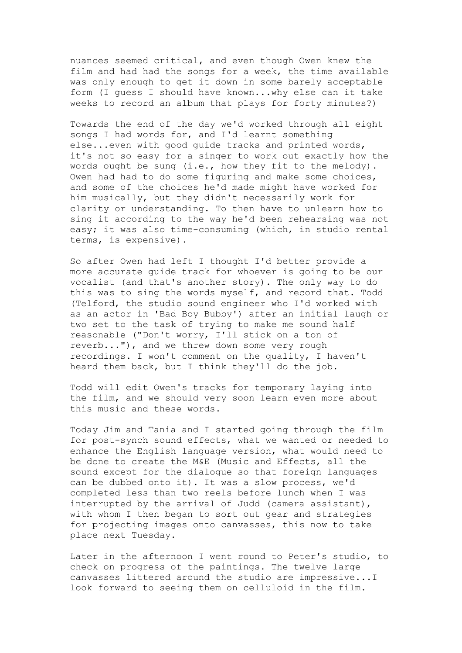nuances seemed critical, and even though Owen knew the film and had had the songs for a week, the time available was only enough to get it down in some barely acceptable form (I guess I should have known...why else can it take weeks to record an album that plays for forty minutes?)

Towards the end of the day we'd worked through all eight songs I had words for, and I'd learnt something else...even with good guide tracks and printed words, it's not so easy for a singer to work out exactly how the words ought be sung (i.e., how they fit to the melody). Owen had had to do some figuring and make some choices, and some of the choices he'd made might have worked for him musically, but they didn't necessarily work for clarity or understanding. To then have to unlearn how to sing it according to the way he'd been rehearsing was not easy; it was also time-consuming (which, in studio rental terms, is expensive).

So after Owen had left I thought I'd better provide a more accurate guide track for whoever is going to be our vocalist (and that's another story). The only way to do this was to sing the words myself, and record that. Todd (Telford, the studio sound engineer who I'd worked with as an actor in 'Bad Boy Bubby') after an initial laugh or two set to the task of trying to make me sound half reasonable ("Don't worry, I'll stick on a ton of reverb..."), and we threw down some very rough recordings. I won't comment on the quality, I haven't heard them back, but I think they'll do the job.

Todd will edit Owen's tracks for temporary laying into the film, and we should very soon learn even more about this music and these words.

Today Jim and Tania and I started going through the film for post-synch sound effects, what we wanted or needed to enhance the English language version, what would need to be done to create the M&E (Music and Effects, all the sound except for the dialogue so that foreign languages can be dubbed onto it). It was a slow process, we'd completed less than two reels before lunch when I was interrupted by the arrival of Judd (camera assistant), with whom I then began to sort out gear and strategies for projecting images onto canvasses, this now to take place next Tuesday.

Later in the afternoon I went round to Peter's studio, to check on progress of the paintings. The twelve large canvasses littered around the studio are impressive...I look forward to seeing them on celluloid in the film.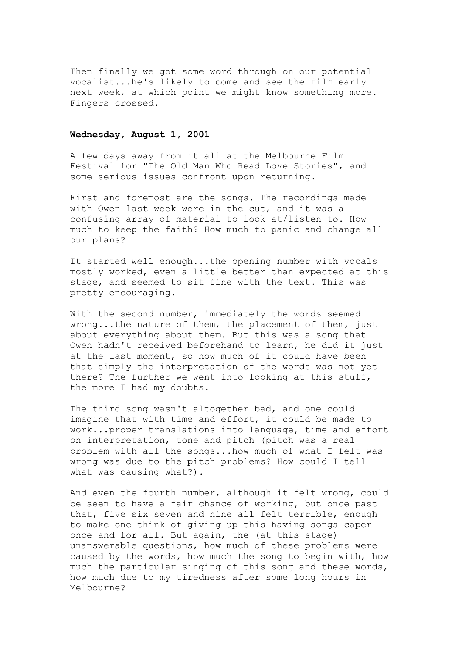Then finally we got some word through on our potential vocalist...he's likely to come and see the film early next week, at which point we might know something more. Fingers crossed.

# **Wednesday, August 1, 2001**

A few days away from it all at the Melbourne Film Festival for "The Old Man Who Read Love Stories", and some serious issues confront upon returning.

First and foremost are the songs. The recordings made with Owen last week were in the cut, and it was a confusing array of material to look at/listen to. How much to keep the faith? How much to panic and change all our plans?

It started well enough...the opening number with vocals mostly worked, even a little better than expected at this stage, and seemed to sit fine with the text. This was pretty encouraging.

With the second number, immediately the words seemed wrong...the nature of them, the placement of them, just about everything about them. But this was a song that Owen hadn't received beforehand to learn, he did it just at the last moment, so how much of it could have been that simply the interpretation of the words was not yet there? The further we went into looking at this stuff, the more I had my doubts.

The third song wasn't altogether bad, and one could imagine that with time and effort, it could be made to work...proper translations into language, time and effort on interpretation, tone and pitch (pitch was a real problem with all the songs...how much of what I felt was wrong was due to the pitch problems? How could I tell what was causing what?).

And even the fourth number, although it felt wrong, could be seen to have a fair chance of working, but once past that, five six seven and nine all felt terrible, enough to make one think of giving up this having songs caper once and for all. But again, the (at this stage) unanswerable questions, how much of these problems were caused by the words, how much the song to begin with, how much the particular singing of this song and these words, how much due to my tiredness after some long hours in Melbourne?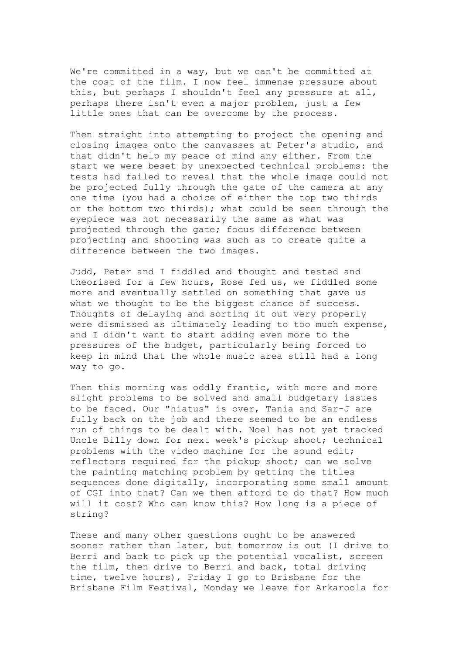We're committed in a way, but we can't be committed at the cost of the film. I now feel immense pressure about this, but perhaps I shouldn't feel any pressure at all, perhaps there isn't even a major problem, just a few little ones that can be overcome by the process.

Then straight into attempting to project the opening and closing images onto the canvasses at Peter's studio, and that didn't help my peace of mind any either. From the start we were beset by unexpected technical problems: the tests had failed to reveal that the whole image could not be projected fully through the gate of the camera at any one time (you had a choice of either the top two thirds or the bottom two thirds); what could be seen through the eyepiece was not necessarily the same as what was projected through the gate; focus difference between projecting and shooting was such as to create quite a difference between the two images.

Judd, Peter and I fiddled and thought and tested and theorised for a few hours, Rose fed us, we fiddled some more and eventually settled on something that gave us what we thought to be the biggest chance of success. Thoughts of delaying and sorting it out very properly were dismissed as ultimately leading to too much expense, and I didn't want to start adding even more to the pressures of the budget, particularly being forced to keep in mind that the whole music area still had a long way to go.

Then this morning was oddly frantic, with more and more slight problems to be solved and small budgetary issues to be faced. Our "hiatus" is over, Tania and Sar-J are fully back on the job and there seemed to be an endless run of things to be dealt with. Noel has not yet tracked Uncle Billy down for next week's pickup shoot; technical problems with the video machine for the sound edit; reflectors required for the pickup shoot; can we solve the painting matching problem by getting the titles sequences done digitally, incorporating some small amount of CGI into that? Can we then afford to do that? How much will it cost? Who can know this? How long is a piece of string?

These and many other questions ought to be answered sooner rather than later, but tomorrow is out (I drive to Berri and back to pick up the potential vocalist, screen the film, then drive to Berri and back, total driving time, twelve hours), Friday I go to Brisbane for the Brisbane Film Festival, Monday we leave for Arkaroola for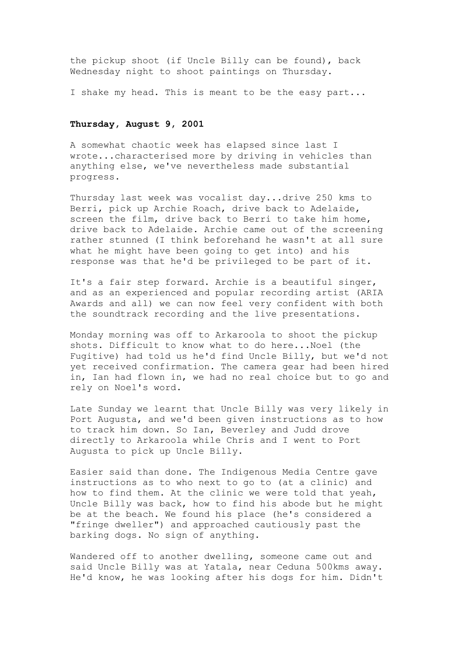the pickup shoot (if Uncle Billy can be found), back Wednesday night to shoot paintings on Thursday.

I shake my head. This is meant to be the easy part...

### **Thursday, August 9, 2001**

A somewhat chaotic week has elapsed since last I wrote...characterised more by driving in vehicles than anything else, we've nevertheless made substantial progress.

Thursday last week was vocalist day...drive 250 kms to Berri, pick up Archie Roach, drive back to Adelaide, screen the film, drive back to Berri to take him home, drive back to Adelaide. Archie came out of the screening rather stunned (I think beforehand he wasn't at all sure what he might have been going to get into) and his response was that he'd be privileged to be part of it.

It's a fair step forward. Archie is a beautiful singer, and as an experienced and popular recording artist (ARIA Awards and all) we can now feel very confident with both the soundtrack recording and the live presentations.

Monday morning was off to Arkaroola to shoot the pickup shots. Difficult to know what to do here...Noel (the Fugitive) had told us he'd find Uncle Billy, but we'd not yet received confirmation. The camera gear had been hired in, Ian had flown in, we had no real choice but to go and rely on Noel's word.

Late Sunday we learnt that Uncle Billy was very likely in Port Augusta, and we'd been given instructions as to how to track him down. So Ian, Beverley and Judd drove directly to Arkaroola while Chris and I went to Port Augusta to pick up Uncle Billy.

Easier said than done. The Indigenous Media Centre gave instructions as to who next to go to (at a clinic) and how to find them. At the clinic we were told that yeah, Uncle Billy was back, how to find his abode but he might be at the beach. We found his place (he's considered a "fringe dweller") and approached cautiously past the barking dogs. No sign of anything.

Wandered off to another dwelling, someone came out and said Uncle Billy was at Yatala, near Ceduna 500kms away. He'd know, he was looking after his dogs for him. Didn't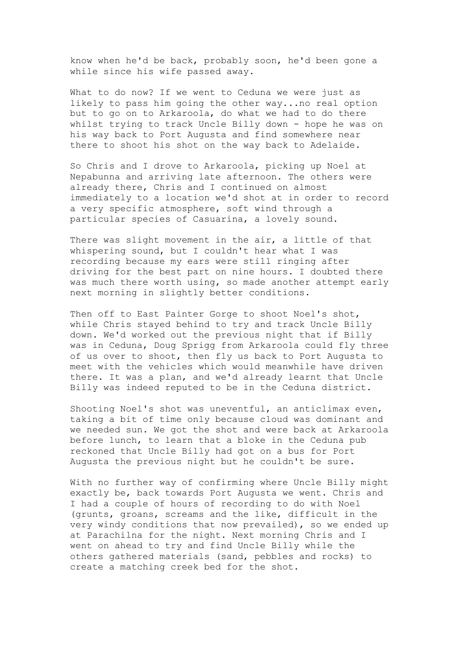know when he'd be back, probably soon, he'd been gone a while since his wife passed away.

What to do now? If we went to Ceduna we were just as likely to pass him going the other way...no real option but to go on to Arkaroola, do what we had to do there whilst trying to track Uncle Billy down - hope he was on his way back to Port Augusta and find somewhere near there to shoot his shot on the way back to Adelaide.

So Chris and I drove to Arkaroola, picking up Noel at Nepabunna and arriving late afternoon. The others were already there, Chris and I continued on almost immediately to a location we'd shot at in order to record a very specific atmosphere, soft wind through a particular species of Casuarina, a lovely sound.

There was slight movement in the air, a little of that whispering sound, but I couldn't hear what I was recording because my ears were still ringing after driving for the best part on nine hours. I doubted there was much there worth using, so made another attempt early next morning in slightly better conditions.

Then off to East Painter Gorge to shoot Noel's shot, while Chris stayed behind to try and track Uncle Billy down. We'd worked out the previous night that if Billy was in Ceduna, Doug Sprigg from Arkaroola could fly three of us over to shoot, then fly us back to Port Augusta to meet with the vehicles which would meanwhile have driven there. It was a plan, and we'd already learnt that Uncle Billy was indeed reputed to be in the Ceduna district.

Shooting Noel's shot was uneventful, an anticlimax even, taking a bit of time only because cloud was dominant and we needed sun. We got the shot and were back at Arkaroola before lunch, to learn that a bloke in the Ceduna pub reckoned that Uncle Billy had got on a bus for Port Augusta the previous night but he couldn't be sure.

With no further way of confirming where Uncle Billy might exactly be, back towards Port Augusta we went. Chris and I had a couple of hours of recording to do with Noel (grunts, groans, screams and the like, difficult in the very windy conditions that now prevailed), so we ended up at Parachilna for the night. Next morning Chris and I went on ahead to try and find Uncle Billy while the others gathered materials (sand, pebbles and rocks) to create a matching creek bed for the shot.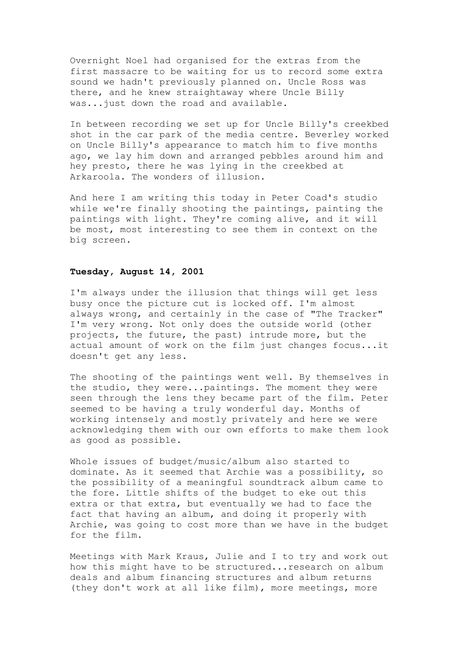Overnight Noel had organised for the extras from the first massacre to be waiting for us to record some extra sound we hadn't previously planned on. Uncle Ross was there, and he knew straightaway where Uncle Billy was...just down the road and available.

In between recording we set up for Uncle Billy's creekbed shot in the car park of the media centre. Beverley worked on Uncle Billy's appearance to match him to five months ago, we lay him down and arranged pebbles around him and hey presto, there he was lying in the creekbed at Arkaroola. The wonders of illusion.

And here I am writing this today in Peter Coad's studio while we're finally shooting the paintings, painting the paintings with light. They're coming alive, and it will be most, most interesting to see them in context on the big screen.

### **Tuesday, August 14, 2001**

I'm always under the illusion that things will get less busy once the picture cut is locked off. I'm almost always wrong, and certainly in the case of "The Tracker" I'm very wrong. Not only does the outside world (other projects, the future, the past) intrude more, but the actual amount of work on the film just changes focus...it doesn't get any less.

The shooting of the paintings went well. By themselves in the studio, they were...paintings. The moment they were seen through the lens they became part of the film. Peter seemed to be having a truly wonderful day. Months of working intensely and mostly privately and here we were acknowledging them with our own efforts to make them look as good as possible.

Whole issues of budget/music/album also started to dominate. As it seemed that Archie was a possibility, so the possibility of a meaningful soundtrack album came to the fore. Little shifts of the budget to eke out this extra or that extra, but eventually we had to face the fact that having an album, and doing it properly with Archie, was going to cost more than we have in the budget for the film.

Meetings with Mark Kraus, Julie and I to try and work out how this might have to be structured...research on album deals and album financing structures and album returns (they don't work at all like film), more meetings, more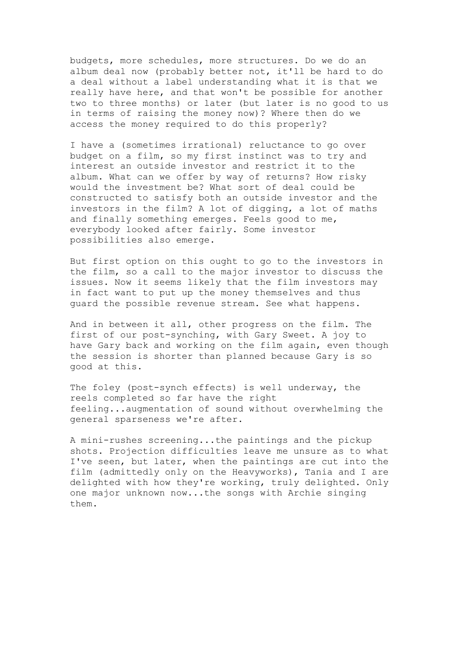budgets, more schedules, more structures. Do we do an album deal now (probably better not, it'll be hard to do a deal without a label understanding what it is that we really have here, and that won't be possible for another two to three months) or later (but later is no good to us in terms of raising the money now)? Where then do we access the money required to do this properly?

I have a (sometimes irrational) reluctance to go over budget on a film, so my first instinct was to try and interest an outside investor and restrict it to the album. What can we offer by way of returns? How risky would the investment be? What sort of deal could be constructed to satisfy both an outside investor and the investors in the film? A lot of digging, a lot of maths and finally something emerges. Feels good to me, everybody looked after fairly. Some investor possibilities also emerge.

But first option on this ought to go to the investors in the film, so a call to the major investor to discuss the issues. Now it seems likely that the film investors may in fact want to put up the money themselves and thus guard the possible revenue stream. See what happens.

And in between it all, other progress on the film. The first of our post-synching, with Gary Sweet. A joy to have Gary back and working on the film again, even though the session is shorter than planned because Gary is so good at this.

The foley (post-synch effects) is well underway, the reels completed so far have the right feeling...augmentation of sound without overwhelming the general sparseness we're after.

A mini-rushes screening...the paintings and the pickup shots. Projection difficulties leave me unsure as to what I've seen, but later, when the paintings are cut into the film (admittedly only on the Heavyworks), Tania and I are delighted with how they're working, truly delighted. Only one major unknown now...the songs with Archie singing them.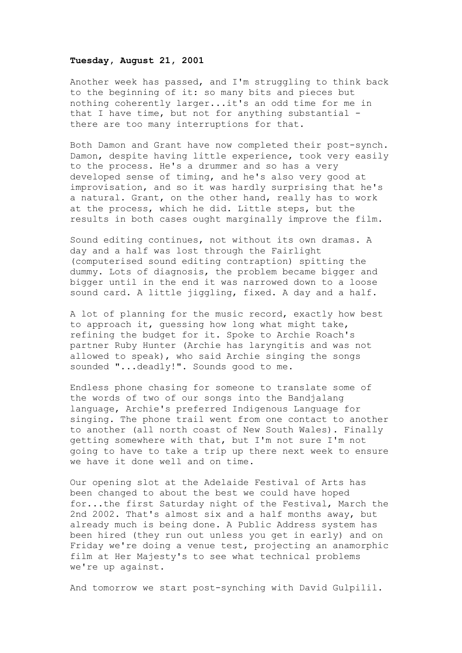# **Tuesday, August 21, 2001**

Another week has passed, and I'm struggling to think back to the beginning of it: so many bits and pieces but nothing coherently larger...it's an odd time for me in that I have time, but not for anything substantial there are too many interruptions for that.

Both Damon and Grant have now completed their post-synch. Damon, despite having little experience, took very easily to the process. He's a drummer and so has a very developed sense of timing, and he's also very good at improvisation, and so it was hardly surprising that he's a natural. Grant, on the other hand, really has to work at the process, which he did. Little steps, but the results in both cases ought marginally improve the film.

Sound editing continues, not without its own dramas. A day and a half was lost through the Fairlight (computerised sound editing contraption) spitting the dummy. Lots of diagnosis, the problem became bigger and bigger until in the end it was narrowed down to a loose sound card. A little jiggling, fixed. A day and a half.

A lot of planning for the music record, exactly how best to approach it, guessing how long what might take, refining the budget for it. Spoke to Archie Roach's partner Ruby Hunter (Archie has laryngitis and was not allowed to speak), who said Archie singing the songs sounded "...deadly!". Sounds good to me.

Endless phone chasing for someone to translate some of the words of two of our songs into the Bandjalang language, Archie's preferred Indigenous Language for singing. The phone trail went from one contact to another to another (all north coast of New South Wales). Finally getting somewhere with that, but I'm not sure I'm not going to have to take a trip up there next week to ensure we have it done well and on time.

Our opening slot at the Adelaide Festival of Arts has been changed to about the best we could have hoped for...the first Saturday night of the Festival, March the 2nd 2002. That's almost six and a half months away, but already much is being done. A Public Address system has been hired (they run out unless you get in early) and on Friday we're doing a venue test, projecting an anamorphic film at Her Majesty's to see what technical problems we're up against.

And tomorrow we start post-synching with David Gulpilil.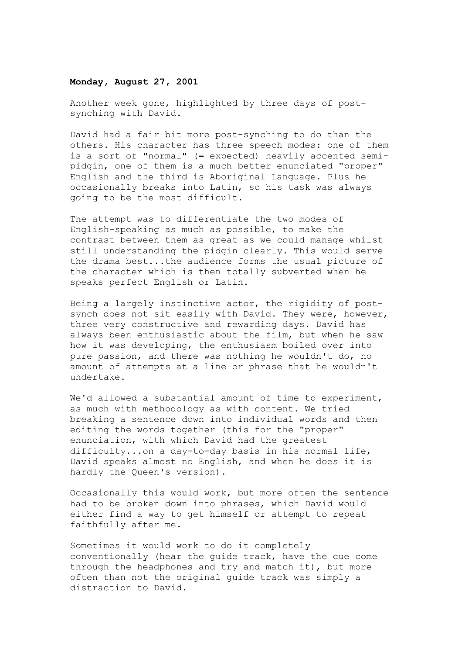### **Monday, August 27, 2001**

Another week gone, highlighted by three days of postsynching with David.

David had a fair bit more post-synching to do than the others. His character has three speech modes: one of them is a sort of "normal" (= expected) heavily accented semipidgin, one of them is a much better enunciated "proper" English and the third is Aboriginal Language. Plus he occasionally breaks into Latin, so his task was always going to be the most difficult.

The attempt was to differentiate the two modes of English-speaking as much as possible, to make the contrast between them as great as we could manage whilst still understanding the pidgin clearly. This would serve the drama best...the audience forms the usual picture of the character which is then totally subverted when he speaks perfect English or Latin.

Being a largely instinctive actor, the rigidity of postsynch does not sit easily with David. They were, however, three very constructive and rewarding days. David has always been enthusiastic about the film, but when he saw how it was developing, the enthusiasm boiled over into pure passion, and there was nothing he wouldn't do, no amount of attempts at a line or phrase that he wouldn't undertake.

We'd allowed a substantial amount of time to experiment, as much with methodology as with content. We tried breaking a sentence down into individual words and then editing the words together (this for the "proper" enunciation, with which David had the greatest difficulty...on a day-to-day basis in his normal life, David speaks almost no English, and when he does it is hardly the Queen's version).

Occasionally this would work, but more often the sentence had to be broken down into phrases, which David would either find a way to get himself or attempt to repeat faithfully after me.

Sometimes it would work to do it completely conventionally (hear the guide track, have the cue come through the headphones and try and match it), but more often than not the original guide track was simply a distraction to David.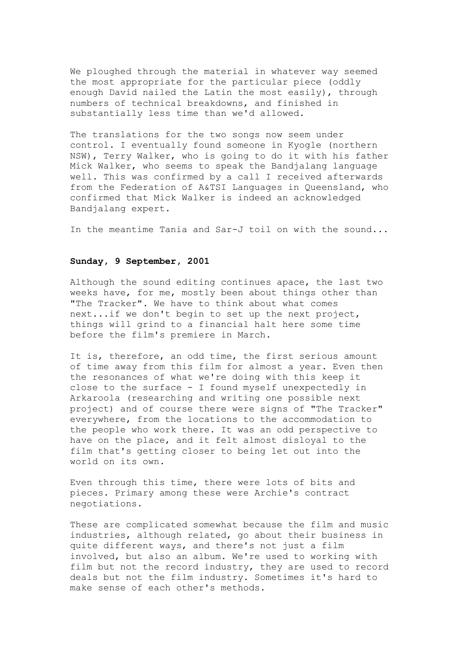We ploughed through the material in whatever way seemed the most appropriate for the particular piece (oddly enough David nailed the Latin the most easily), through numbers of technical breakdowns, and finished in substantially less time than we'd allowed.

The translations for the two songs now seem under control. I eventually found someone in Kyogle (northern NSW), Terry Walker, who is going to do it with his father Mick Walker, who seems to speak the Bandjalang language well. This was confirmed by a call I received afterwards from the Federation of A&TSI Languages in Queensland, who confirmed that Mick Walker is indeed an acknowledged Bandjalang expert.

In the meantime Tania and Sar-J toil on with the sound...

# **Sunday, 9 September, 2001**

Although the sound editing continues apace, the last two weeks have, for me, mostly been about things other than "The Tracker". We have to think about what comes next...if we don't begin to set up the next project, things will grind to a financial halt here some time before the film's premiere in March.

It is, therefore, an odd time, the first serious amount of time away from this film for almost a year. Even then the resonances of what we're doing with this keep it close to the surface - I found myself unexpectedly in Arkaroola (researching and writing one possible next project) and of course there were signs of "The Tracker" everywhere, from the locations to the accommodation to the people who work there. It was an odd perspective to have on the place, and it felt almost disloyal to the film that's getting closer to being let out into the world on its own.

Even through this time, there were lots of bits and pieces. Primary among these were Archie's contract negotiations.

These are complicated somewhat because the film and music industries, although related, go about their business in quite different ways, and there's not just a film involved, but also an album. We're used to working with film but not the record industry, they are used to record deals but not the film industry. Sometimes it's hard to make sense of each other's methods.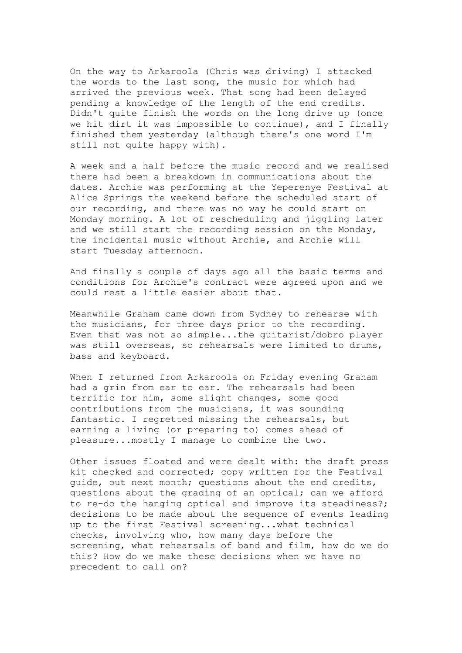On the way to Arkaroola (Chris was driving) I attacked the words to the last song, the music for which had arrived the previous week. That song had been delayed pending a knowledge of the length of the end credits. Didn't quite finish the words on the long drive up (once we hit dirt it was impossible to continue), and I finally finished them yesterday (although there's one word I'm still not quite happy with).

A week and a half before the music record and we realised there had been a breakdown in communications about the dates. Archie was performing at the Yeperenye Festival at Alice Springs the weekend before the scheduled start of our recording, and there was no way he could start on Monday morning. A lot of rescheduling and jiggling later and we still start the recording session on the Monday, the incidental music without Archie, and Archie will start Tuesday afternoon.

And finally a couple of days ago all the basic terms and conditions for Archie's contract were agreed upon and we could rest a little easier about that.

Meanwhile Graham came down from Sydney to rehearse with the musicians, for three days prior to the recording. Even that was not so simple...the guitarist/dobro player was still overseas, so rehearsals were limited to drums, bass and keyboard.

When I returned from Arkaroola on Friday evening Graham had a grin from ear to ear. The rehearsals had been terrific for him, some slight changes, some good contributions from the musicians, it was sounding fantastic. I regretted missing the rehearsals, but earning a living (or preparing to) comes ahead of pleasure...mostly I manage to combine the two.

Other issues floated and were dealt with: the draft press kit checked and corrected; copy written for the Festival guide, out next month; questions about the end credits, questions about the grading of an optical; can we afford to re-do the hanging optical and improve its steadiness?; decisions to be made about the sequence of events leading up to the first Festival screening...what technical checks, involving who, how many days before the screening, what rehearsals of band and film, how do we do this? How do we make these decisions when we have no precedent to call on?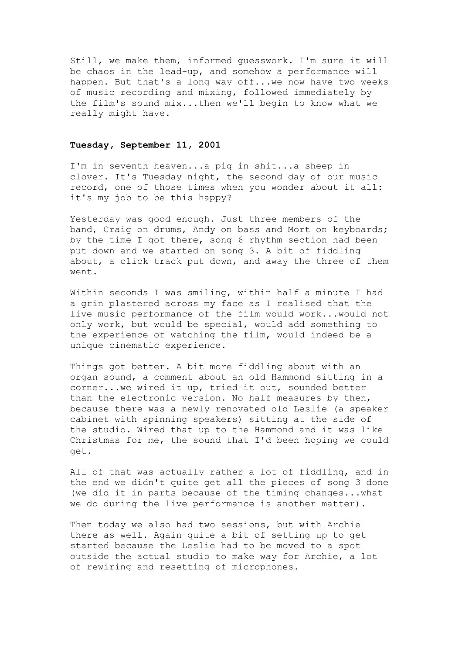Still, we make them, informed guesswork. I'm sure it will be chaos in the lead-up, and somehow a performance will happen. But that's a long way off...we now have two weeks of music recording and mixing, followed immediately by the film's sound mix...then we'll begin to know what we really might have.

# **Tuesday, September 11, 2001**

I'm in seventh heaven...a pig in shit...a sheep in clover. It's Tuesday night, the second day of our music record, one of those times when you wonder about it all: it's my job to be this happy?

Yesterday was good enough. Just three members of the band, Craig on drums, Andy on bass and Mort on keyboards; by the time I got there, song 6 rhythm section had been put down and we started on song 3. A bit of fiddling about, a click track put down, and away the three of them went.

Within seconds I was smiling, within half a minute I had a grin plastered across my face as I realised that the live music performance of the film would work...would not only work, but would be special, would add something to the experience of watching the film, would indeed be a unique cinematic experience.

Things got better. A bit more fiddling about with an organ sound, a comment about an old Hammond sitting in a corner...we wired it up, tried it out, sounded better than the electronic version. No half measures by then, because there was a newly renovated old Leslie (a speaker cabinet with spinning speakers) sitting at the side of the studio. Wired that up to the Hammond and it was like Christmas for me, the sound that I'd been hoping we could get.

All of that was actually rather a lot of fiddling, and in the end we didn't quite get all the pieces of song 3 done (we did it in parts because of the timing changes...what we do during the live performance is another matter).

Then today we also had two sessions, but with Archie there as well. Again quite a bit of setting up to get started because the Leslie had to be moved to a spot outside the actual studio to make way for Archie, a lot of rewiring and resetting of microphones.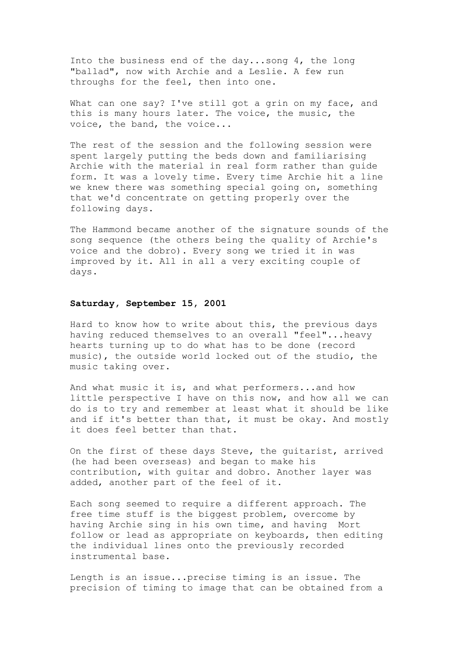Into the business end of the day...song 4, the long "ballad", now with Archie and a Leslie. A few run throughs for the feel, then into one.

What can one say? I've still got a grin on my face, and this is many hours later. The voice, the music, the voice, the band, the voice...

The rest of the session and the following session were spent largely putting the beds down and familiarising Archie with the material in real form rather than guide form. It was a lovely time. Every time Archie hit a line we knew there was something special going on, something that we'd concentrate on getting properly over the following days.

The Hammond became another of the signature sounds of the song sequence (the others being the quality of Archie's voice and the dobro). Every song we tried it in was improved by it. All in all a very exciting couple of days.

## **Saturday, September 15, 2001**

Hard to know how to write about this, the previous days having reduced themselves to an overall "feel"...heavy hearts turning up to do what has to be done (record music), the outside world locked out of the studio, the music taking over.

And what music it is, and what performers...and how little perspective I have on this now, and how all we can do is to try and remember at least what it should be like and if it's better than that, it must be okay. And mostly it does feel better than that.

On the first of these days Steve, the guitarist, arrived (he had been overseas) and began to make his contribution, with guitar and dobro. Another layer was added, another part of the feel of it.

Each song seemed to require a different approach. The free time stuff is the biggest problem, overcome by having Archie sing in his own time, and having Mort follow or lead as appropriate on keyboards, then editing the individual lines onto the previously recorded instrumental base.

Length is an issue...precise timing is an issue. The precision of timing to image that can be obtained from a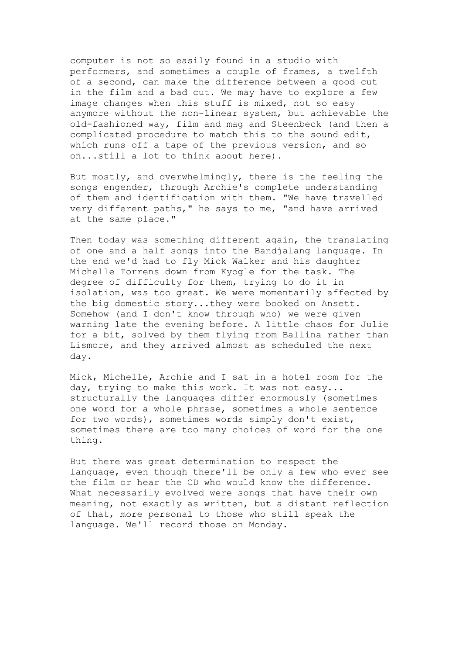computer is not so easily found in a studio with performers, and sometimes a couple of frames, a twelfth of a second, can make the difference between a good cut in the film and a bad cut. We may have to explore a few image changes when this stuff is mixed, not so easy anymore without the non-linear system, but achievable the old-fashioned way, film and mag and Steenbeck (and then a complicated procedure to match this to the sound edit, which runs off a tape of the previous version, and so on...still a lot to think about here).

But mostly, and overwhelmingly, there is the feeling the songs engender, through Archie's complete understanding of them and identification with them. "We have travelled very different paths," he says to me, "and have arrived at the same place."

Then today was something different again, the translating of one and a half songs into the Bandjalang language. In the end we'd had to fly Mick Walker and his daughter Michelle Torrens down from Kyogle for the task. The degree of difficulty for them, trying to do it in isolation, was too great. We were momentarily affected by the big domestic story...they were booked on Ansett. Somehow (and I don't know through who) we were given warning late the evening before. A little chaos for Julie for a bit, solved by them flying from Ballina rather than Lismore, and they arrived almost as scheduled the next day.

Mick, Michelle, Archie and I sat in a hotel room for the day, trying to make this work. It was not easy... structurally the languages differ enormously (sometimes one word for a whole phrase, sometimes a whole sentence for two words), sometimes words simply don't exist, sometimes there are too many choices of word for the one thing.

But there was great determination to respect the language, even though there'll be only a few who ever see the film or hear the CD who would know the difference. What necessarily evolved were songs that have their own meaning, not exactly as written, but a distant reflection of that, more personal to those who still speak the language. We'll record those on Monday.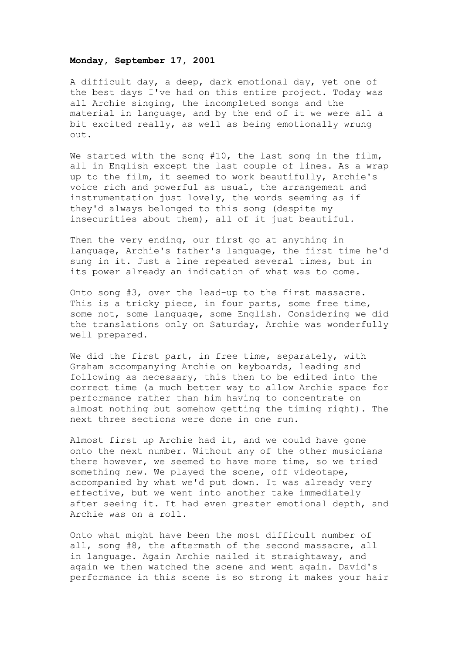#### **Monday, September 17, 2001**

A difficult day, a deep, dark emotional day, yet one of the best days I've had on this entire project. Today was all Archie singing, the incompleted songs and the material in language, and by the end of it we were all a bit excited really, as well as being emotionally wrung out.

We started with the song #10, the last song in the film, all in English except the last couple of lines. As a wrap up to the film, it seemed to work beautifully, Archie's voice rich and powerful as usual, the arrangement and instrumentation just lovely, the words seeming as if they'd always belonged to this song (despite my insecurities about them), all of it just beautiful.

Then the very ending, our first go at anything in language, Archie's father's language, the first time he'd sung in it. Just a line repeated several times, but in its power already an indication of what was to come.

Onto song #3, over the lead-up to the first massacre. This is a tricky piece, in four parts, some free time, some not, some language, some English. Considering we did the translations only on Saturday, Archie was wonderfully well prepared.

We did the first part, in free time, separately, with Graham accompanying Archie on keyboards, leading and following as necessary, this then to be edited into the correct time (a much better way to allow Archie space for performance rather than him having to concentrate on almost nothing but somehow getting the timing right). The next three sections were done in one run.

Almost first up Archie had it, and we could have gone onto the next number. Without any of the other musicians there however, we seemed to have more time, so we tried something new. We played the scene, off videotape, accompanied by what we'd put down. It was already very effective, but we went into another take immediately after seeing it. It had even greater emotional depth, and Archie was on a roll.

Onto what might have been the most difficult number of all, song #8, the aftermath of the second massacre, all in language. Again Archie nailed it straightaway, and again we then watched the scene and went again. David's performance in this scene is so strong it makes your hair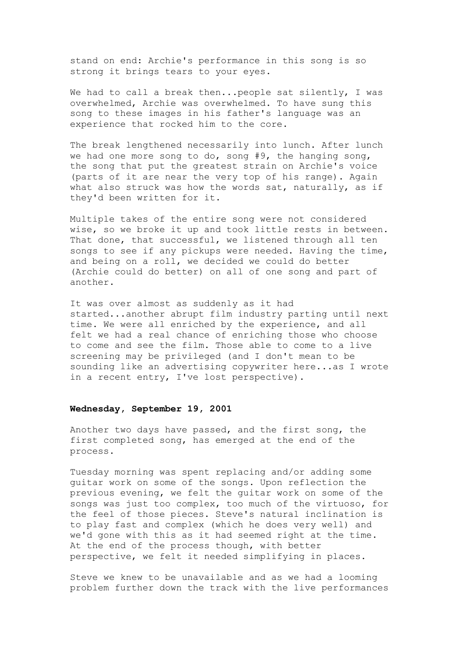stand on end: Archie's performance in this song is so strong it brings tears to your eyes.

We had to call a break then...people sat silently, I was overwhelmed, Archie was overwhelmed. To have sung this song to these images in his father's language was an experience that rocked him to the core.

The break lengthened necessarily into lunch. After lunch we had one more song to do, song #9, the hanging song, the song that put the greatest strain on Archie's voice (parts of it are near the very top of his range). Again what also struck was how the words sat, naturally, as if they'd been written for it.

Multiple takes of the entire song were not considered wise, so we broke it up and took little rests in between. That done, that successful, we listened through all ten songs to see if any pickups were needed. Having the time, and being on a roll, we decided we could do better (Archie could do better) on all of one song and part of another.

It was over almost as suddenly as it had started...another abrupt film industry parting until next time. We were all enriched by the experience, and all felt we had a real chance of enriching those who choose to come and see the film. Those able to come to a live screening may be privileged (and I don't mean to be sounding like an advertising copywriter here...as I wrote in a recent entry, I've lost perspective).

#### **Wednesday, September 19, 2001**

Another two days have passed, and the first song, the first completed song, has emerged at the end of the process.

Tuesday morning was spent replacing and/or adding some guitar work on some of the songs. Upon reflection the previous evening, we felt the guitar work on some of the songs was just too complex, too much of the virtuoso, for the feel of those pieces. Steve's natural inclination is to play fast and complex (which he does very well) and we'd gone with this as it had seemed right at the time. At the end of the process though, with better perspective, we felt it needed simplifying in places.

Steve we knew to be unavailable and as we had a looming problem further down the track with the live performances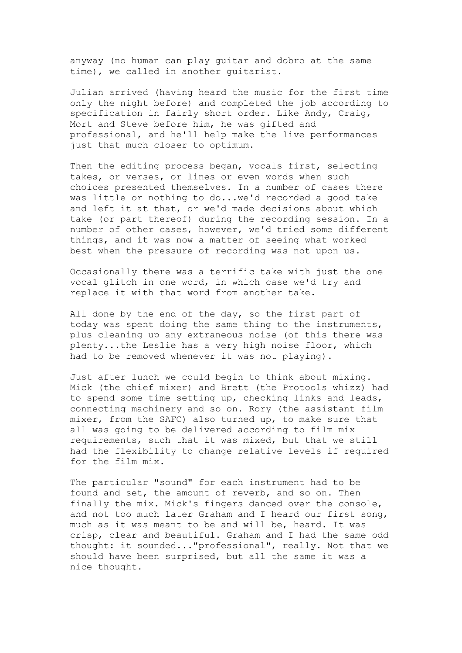anyway (no human can play guitar and dobro at the same time), we called in another guitarist.

Julian arrived (having heard the music for the first time only the night before) and completed the job according to specification in fairly short order. Like Andy, Craig, Mort and Steve before him, he was gifted and professional, and he'll help make the live performances just that much closer to optimum.

Then the editing process began, vocals first, selecting takes, or verses, or lines or even words when such choices presented themselves. In a number of cases there was little or nothing to do...we'd recorded a good take and left it at that, or we'd made decisions about which take (or part thereof) during the recording session. In a number of other cases, however, we'd tried some different things, and it was now a matter of seeing what worked best when the pressure of recording was not upon us.

Occasionally there was a terrific take with just the one vocal glitch in one word, in which case we'd try and replace it with that word from another take.

All done by the end of the day, so the first part of today was spent doing the same thing to the instruments, plus cleaning up any extraneous noise (of this there was plenty...the Leslie has a very high noise floor, which had to be removed whenever it was not playing).

Just after lunch we could begin to think about mixing. Mick (the chief mixer) and Brett (the Protools whizz) had to spend some time setting up, checking links and leads, connecting machinery and so on. Rory (the assistant film mixer, from the SAFC) also turned up, to make sure that all was going to be delivered according to film mix requirements, such that it was mixed, but that we still had the flexibility to change relative levels if required for the film mix.

The particular "sound" for each instrument had to be found and set, the amount of reverb, and so on. Then finally the mix. Mick's fingers danced over the console, and not too much later Graham and I heard our first song, much as it was meant to be and will be, heard. It was crisp, clear and beautiful. Graham and I had the same odd thought: it sounded..."professional", really. Not that we should have been surprised, but all the same it was a nice thought.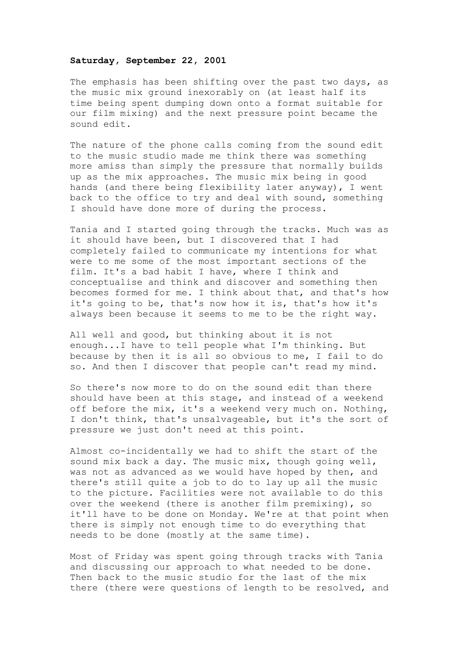#### **Saturday, September 22, 2001**

The emphasis has been shifting over the past two days, as the music mix ground inexorably on (at least half its time being spent dumping down onto a format suitable for our film mixing) and the next pressure point became the sound edit.

The nature of the phone calls coming from the sound edit to the music studio made me think there was something more amiss than simply the pressure that normally builds up as the mix approaches. The music mix being in good hands (and there being flexibility later anyway), I went back to the office to try and deal with sound, something I should have done more of during the process.

Tania and I started going through the tracks. Much was as it should have been, but I discovered that I had completely failed to communicate my intentions for what were to me some of the most important sections of the film. It's a bad habit I have, where I think and conceptualise and think and discover and something then becomes formed for me. I think about that, and that's how it's going to be, that's now how it is, that's how it's always been because it seems to me to be the right way.

All well and good, but thinking about it is not enough...I have to tell people what I'm thinking. But because by then it is all so obvious to me, I fail to do so. And then I discover that people can't read my mind.

So there's now more to do on the sound edit than there should have been at this stage, and instead of a weekend off before the mix, it's a weekend very much on. Nothing, I don't think, that's unsalvageable, but it's the sort of pressure we just don't need at this point.

Almost co-incidentally we had to shift the start of the sound mix back a day. The music mix, though going well, was not as advanced as we would have hoped by then, and there's still quite a job to do to lay up all the music to the picture. Facilities were not available to do this over the weekend (there is another film premixing), so it'll have to be done on Monday. We're at that point when there is simply not enough time to do everything that needs to be done (mostly at the same time).

Most of Friday was spent going through tracks with Tania and discussing our approach to what needed to be done. Then back to the music studio for the last of the mix there (there were questions of length to be resolved, and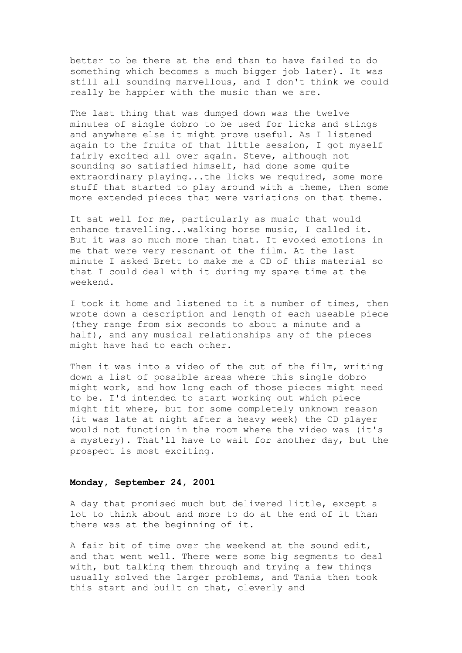better to be there at the end than to have failed to do something which becomes a much bigger job later). It was still all sounding marvellous, and I don't think we could really be happier with the music than we are.

The last thing that was dumped down was the twelve minutes of single dobro to be used for licks and stings and anywhere else it might prove useful. As I listened again to the fruits of that little session, I got myself fairly excited all over again. Steve, although not sounding so satisfied himself, had done some quite extraordinary playing...the licks we required, some more stuff that started to play around with a theme, then some more extended pieces that were variations on that theme.

It sat well for me, particularly as music that would enhance travelling...walking horse music, I called it. But it was so much more than that. It evoked emotions in me that were very resonant of the film. At the last minute I asked Brett to make me a CD of this material so that I could deal with it during my spare time at the weekend.

I took it home and listened to it a number of times, then wrote down a description and length of each useable piece (they range from six seconds to about a minute and a half), and any musical relationships any of the pieces might have had to each other.

Then it was into a video of the cut of the film, writing down a list of possible areas where this single dobro might work, and how long each of those pieces might need to be. I'd intended to start working out which piece might fit where, but for some completely unknown reason (it was late at night after a heavy week) the CD player would not function in the room where the video was (it's a mystery). That'll have to wait for another day, but the prospect is most exciting.

## **Monday, September 24, 2001**

A day that promised much but delivered little, except a lot to think about and more to do at the end of it than there was at the beginning of it.

A fair bit of time over the weekend at the sound edit, and that went well. There were some big segments to deal with, but talking them through and trying a few things usually solved the larger problems, and Tania then took this start and built on that, cleverly and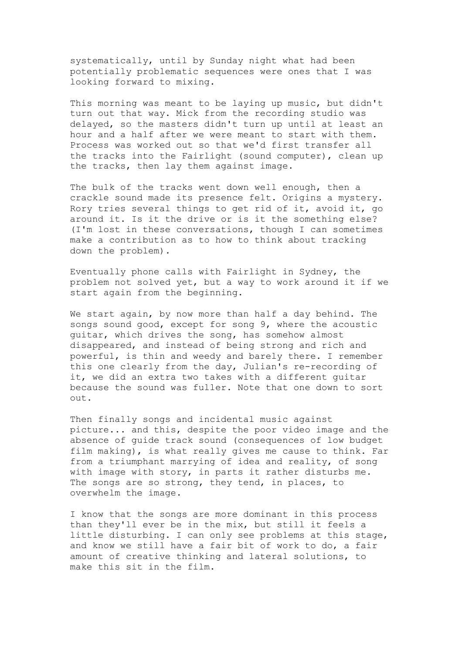systematically, until by Sunday night what had been potentially problematic sequences were ones that I was looking forward to mixing.

This morning was meant to be laying up music, but didn't turn out that way. Mick from the recording studio was delayed, so the masters didn't turn up until at least an hour and a half after we were meant to start with them. Process was worked out so that we'd first transfer all the tracks into the Fairlight (sound computer), clean up the tracks, then lay them against image.

The bulk of the tracks went down well enough, then a crackle sound made its presence felt. Origins a mystery. Rory tries several things to get rid of it, avoid it, go around it. Is it the drive or is it the something else? (I'm lost in these conversations, though I can sometimes make a contribution as to how to think about tracking down the problem).

Eventually phone calls with Fairlight in Sydney, the problem not solved yet, but a way to work around it if we start again from the beginning.

We start again, by now more than half a day behind. The songs sound good, except for song 9, where the acoustic guitar, which drives the song, has somehow almost disappeared, and instead of being strong and rich and powerful, is thin and weedy and barely there. I remember this one clearly from the day, Julian's re-recording of it, we did an extra two takes with a different guitar because the sound was fuller. Note that one down to sort out.

Then finally songs and incidental music against picture... and this, despite the poor video image and the absence of guide track sound (consequences of low budget film making), is what really gives me cause to think. Far from a triumphant marrying of idea and reality, of song with image with story, in parts it rather disturbs me. The songs are so strong, they tend, in places, to overwhelm the image.

I know that the songs are more dominant in this process than they'll ever be in the mix, but still it feels a little disturbing. I can only see problems at this stage, and know we still have a fair bit of work to do, a fair amount of creative thinking and lateral solutions, to make this sit in the film.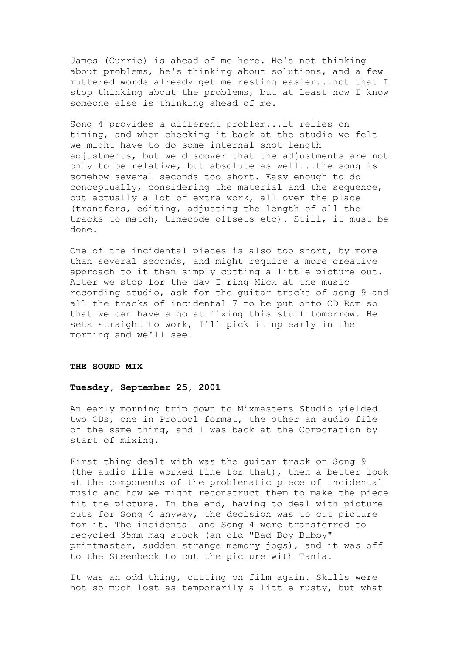James (Currie) is ahead of me here. He's not thinking about problems, he's thinking about solutions, and a few muttered words already get me resting easier...not that I stop thinking about the problems, but at least now I know someone else is thinking ahead of me.

Song 4 provides a different problem...it relies on timing, and when checking it back at the studio we felt we might have to do some internal shot-length adjustments, but we discover that the adjustments are not only to be relative, but absolute as well...the song is somehow several seconds too short. Easy enough to do conceptually, considering the material and the sequence, but actually a lot of extra work, all over the place (transfers, editing, adjusting the length of all the tracks to match, timecode offsets etc). Still, it must be done.

One of the incidental pieces is also too short, by more than several seconds, and might require a more creative approach to it than simply cutting a little picture out. After we stop for the day I ring Mick at the music recording studio, ask for the guitar tracks of song 9 and all the tracks of incidental 7 to be put onto CD Rom so that we can have a go at fixing this stuff tomorrow. He sets straight to work, I'll pick it up early in the morning and we'll see.

#### **THE SOUND MIX**

#### **Tuesday, September 25, 2001**

An early morning trip down to Mixmasters Studio yielded two CDs, one in Protool format, the other an audio file of the same thing, and I was back at the Corporation by start of mixing.

First thing dealt with was the guitar track on Song 9 (the audio file worked fine for that), then a better look at the components of the problematic piece of incidental music and how we might reconstruct them to make the piece fit the picture. In the end, having to deal with picture cuts for Song 4 anyway, the decision was to cut picture for it. The incidental and Song 4 were transferred to recycled 35mm mag stock (an old "Bad Boy Bubby" printmaster, sudden strange memory jogs), and it was off to the Steenbeck to cut the picture with Tania.

It was an odd thing, cutting on film again. Skills were not so much lost as temporarily a little rusty, but what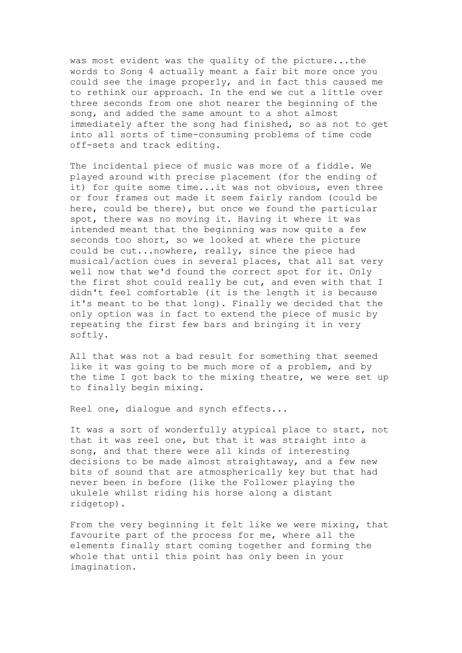was most evident was the quality of the picture...the words to Song 4 actually meant a fair bit more once you could see the image properly, and in fact this caused me to rethink our approach. In the end we cut a little over three seconds from one shot nearer the beginning of the song, and added the same amount to a shot almost immediately after the song had finished, so as not to get into all sorts of time-consuming problems of time code off-sets and track editing.

The incidental piece of music was more of a fiddle. We played around with precise placement (for the ending of it) for quite some time...it was not obvious, even three or four frames out made it seem fairly random (could be here, could be there), but once we found the particular spot, there was no moving it. Having it where it was intended meant that the beginning was now quite a few seconds too short, so we looked at where the picture could be cut...nowhere, really, since the piece had musical/action cues in several places, that all sat very well now that we'd found the correct spot for it. Only the first shot could really be cut, and even with that I didn't feel comfortable (it is the length it is because it's meant to be that long). Finally we decided that the only option was in fact to extend the piece of music by repeating the first few bars and bringing it in very softly.

All that was not a bad result for something that seemed like it was going to be much more of a problem, and by the time I got back to the mixing theatre, we were set up to finally begin mixing.

Reel one, dialogue and synch effects...

It was a sort of wonderfully atypical place to start, not that it was reel one, but that it was straight into a song, and that there were all kinds of interesting decisions to be made almost straightaway, and a few new bits of sound that are atmospherically key but that had never been in before (like the Follower playing the ukulele whilst riding his horse along a distant ridgetop).

From the very beginning it felt like we were mixing, that favourite part of the process for me, where all the elements finally start coming together and forming the whole that until this point has only been in your imagination.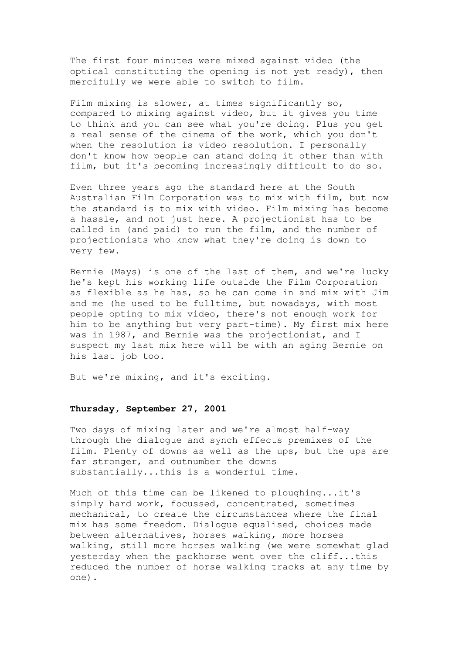The first four minutes were mixed against video (the optical constituting the opening is not yet ready), then mercifully we were able to switch to film.

Film mixing is slower, at times significantly so, compared to mixing against video, but it gives you time to think and you can see what you're doing. Plus you get a real sense of the cinema of the work, which you don't when the resolution is video resolution. I personally don't know how people can stand doing it other than with film, but it's becoming increasingly difficult to do so.

Even three years ago the standard here at the South Australian Film Corporation was to mix with film, but now the standard is to mix with video. Film mixing has become a hassle, and not just here. A projectionist has to be called in (and paid) to run the film, and the number of projectionists who know what they're doing is down to very few.

Bernie (Mays) is one of the last of them, and we're lucky he's kept his working life outside the Film Corporation as flexible as he has, so he can come in and mix with Jim and me (he used to be fulltime, but nowadays, with most people opting to mix video, there's not enough work for him to be anything but very part-time). My first mix here was in 1987, and Bernie was the projectionist, and I suspect my last mix here will be with an aging Bernie on his last job too.

But we're mixing, and it's exciting.

### **Thursday, September 27, 2001**

Two days of mixing later and we're almost half-way through the dialogue and synch effects premixes of the film. Plenty of downs as well as the ups, but the ups are far stronger, and outnumber the downs substantially...this is a wonderful time.

Much of this time can be likened to ploughing...it's simply hard work, focussed, concentrated, sometimes mechanical, to create the circumstances where the final mix has some freedom. Dialogue equalised, choices made between alternatives, horses walking, more horses walking, still more horses walking (we were somewhat glad yesterday when the packhorse went over the cliff...this reduced the number of horse walking tracks at any time by one).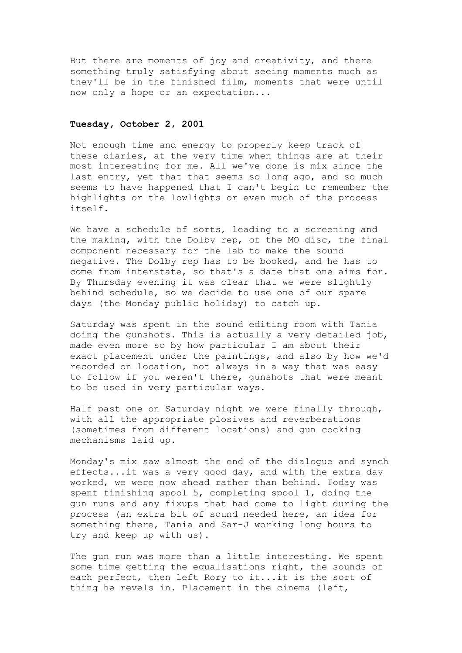But there are moments of joy and creativity, and there something truly satisfying about seeing moments much as they'll be in the finished film, moments that were until now only a hope or an expectation...

# **Tuesday, October 2, 2001**

Not enough time and energy to properly keep track of these diaries, at the very time when things are at their most interesting for me. All we've done is mix since the last entry, yet that that seems so long ago, and so much seems to have happened that I can't begin to remember the highlights or the lowlights or even much of the process itself.

We have a schedule of sorts, leading to a screening and the making, with the Dolby rep, of the MO disc, the final component necessary for the lab to make the sound negative. The Dolby rep has to be booked, and he has to come from interstate, so that's a date that one aims for. By Thursday evening it was clear that we were slightly behind schedule, so we decide to use one of our spare days (the Monday public holiday) to catch up.

Saturday was spent in the sound editing room with Tania doing the gunshots. This is actually a very detailed job, made even more so by how particular I am about their exact placement under the paintings, and also by how we'd recorded on location, not always in a way that was easy to follow if you weren't there, gunshots that were meant to be used in very particular ways.

Half past one on Saturday night we were finally through, with all the appropriate plosives and reverberations (sometimes from different locations) and gun cocking mechanisms laid up.

Monday's mix saw almost the end of the dialogue and synch effects...it was a very good day, and with the extra day worked, we were now ahead rather than behind. Today was spent finishing spool 5, completing spool 1, doing the gun runs and any fixups that had come to light during the process (an extra bit of sound needed here, an idea for something there, Tania and Sar-J working long hours to try and keep up with us).

The gun run was more than a little interesting. We spent some time getting the equalisations right, the sounds of each perfect, then left Rory to it...it is the sort of thing he revels in. Placement in the cinema (left,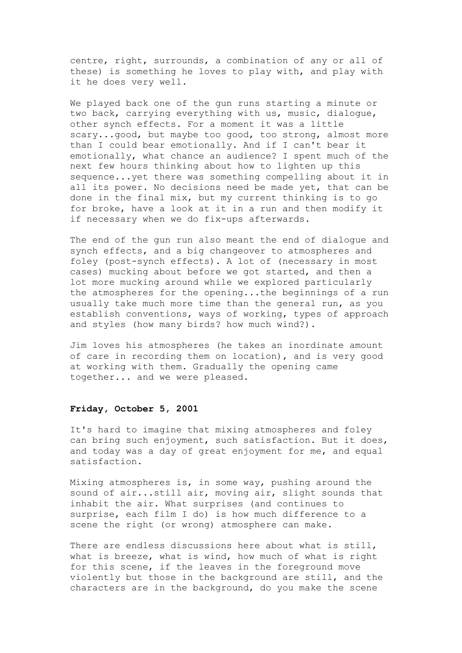centre, right, surrounds, a combination of any or all of these) is something he loves to play with, and play with it he does very well.

We played back one of the gun runs starting a minute or two back, carrying everything with us, music, dialogue, other synch effects. For a moment it was a little scary...good, but maybe too good, too strong, almost more than I could bear emotionally. And if I can't bear it emotionally, what chance an audience? I spent much of the next few hours thinking about how to lighten up this sequence...yet there was something compelling about it in all its power. No decisions need be made yet, that can be done in the final mix, but my current thinking is to go for broke, have a look at it in a run and then modify it if necessary when we do fix-ups afterwards.

The end of the gun run also meant the end of dialogue and synch effects, and a big changeover to atmospheres and foley (post-synch effects). A lot of (necessary in most cases) mucking about before we got started, and then a lot more mucking around while we explored particularly the atmospheres for the opening...the beginnings of a run usually take much more time than the general run, as you establish conventions, ways of working, types of approach and styles (how many birds? how much wind?).

Jim loves his atmospheres (he takes an inordinate amount of care in recording them on location), and is very good at working with them. Gradually the opening came together... and we were pleased.

### **Friday, October 5, 2001**

It's hard to imagine that mixing atmospheres and foley can bring such enjoyment, such satisfaction. But it does, and today was a day of great enjoyment for me, and equal satisfaction.

Mixing atmospheres is, in some way, pushing around the sound of air...still air, moving air, slight sounds that inhabit the air. What surprises (and continues to surprise, each film I do) is how much difference to a scene the right (or wrong) atmosphere can make.

There are endless discussions here about what is still, what is breeze, what is wind, how much of what is right for this scene, if the leaves in the foreground move violently but those in the background are still, and the characters are in the background, do you make the scene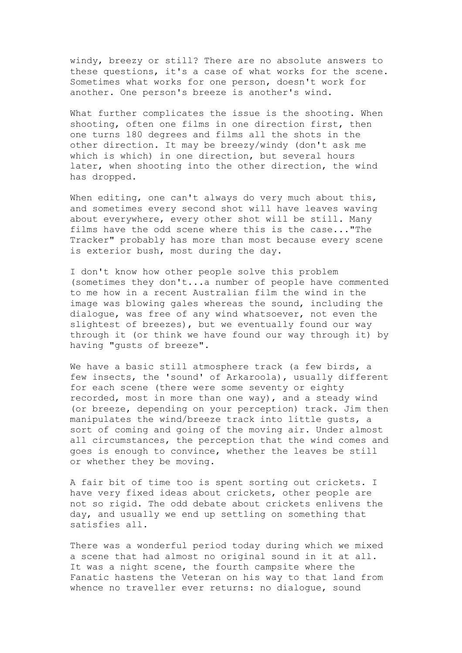windy, breezy or still? There are no absolute answers to these questions, it's a case of what works for the scene. Sometimes what works for one person, doesn't work for another. One person's breeze is another's wind.

What further complicates the issue is the shooting. When shooting, often one films in one direction first, then one turns 180 degrees and films all the shots in the other direction. It may be breezy/windy (don't ask me which is which) in one direction, but several hours later, when shooting into the other direction, the wind has dropped.

When editing, one can't always do very much about this, and sometimes every second shot will have leaves waving about everywhere, every other shot will be still. Many films have the odd scene where this is the case..."The Tracker" probably has more than most because every scene is exterior bush, most during the day.

I don't know how other people solve this problem (sometimes they don't...a number of people have commented to me how in a recent Australian film the wind in the image was blowing gales whereas the sound, including the dialogue, was free of any wind whatsoever, not even the slightest of breezes), but we eventually found our way through it (or think we have found our way through it) by having "gusts of breeze".

We have a basic still atmosphere track (a few birds, a few insects, the 'sound' of Arkaroola), usually different for each scene (there were some seventy or eighty recorded, most in more than one way), and a steady wind (or breeze, depending on your perception) track. Jim then manipulates the wind/breeze track into little gusts, a sort of coming and going of the moving air. Under almost all circumstances, the perception that the wind comes and goes is enough to convince, whether the leaves be still or whether they be moving.

A fair bit of time too is spent sorting out crickets. I have very fixed ideas about crickets, other people are not so rigid. The odd debate about crickets enlivens the day, and usually we end up settling on something that satisfies all.

There was a wonderful period today during which we mixed a scene that had almost no original sound in it at all. It was a night scene, the fourth campsite where the Fanatic hastens the Veteran on his way to that land from whence no traveller ever returns: no dialogue, sound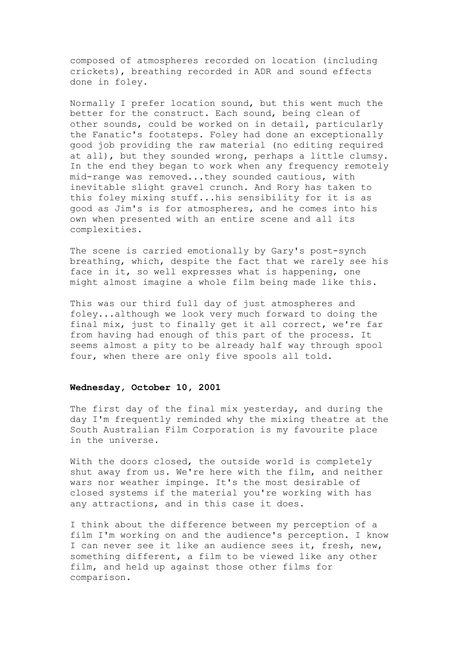composed of atmospheres recorded on location (including crickets), breathing recorded in ADR and sound effects done in foley.

Normally I prefer location sound, but this went much the better for the construct. Each sound, being clean of other sounds, could be worked on in detail, particularly the Fanatic's footsteps. Foley had done an exceptionally good job providing the raw material (no editing required at all), but they sounded wrong, perhaps a little clumsy. In the end they began to work when any frequency remotely mid-range was removed...they sounded cautious, with inevitable slight gravel crunch. And Rory has taken to this foley mixing stuff...his sensibility for it is as good as Jim's is for atmospheres, and he comes into his own when presented with an entire scene and all its complexities.

The scene is carried emotionally by Gary's post-synch breathing, which, despite the fact that we rarely see his face in it, so well expresses what is happening, one might almost imagine a whole film being made like this.

This was our third full day of just atmospheres and foley...although we look very much forward to doing the final mix, just to finally get it all correct, we're far from having had enough of this part of the process. It seems almost a pity to be already half way through spool four, when there are only five spools all told.

# **Wednesday, October 10, 2001**

The first day of the final mix yesterday, and during the day I'm frequently reminded why the mixing theatre at the South Australian Film Corporation is my favourite place in the universe.

With the doors closed, the outside world is completely shut away from us. We're here with the film, and neither wars nor weather impinge. It's the most desirable of closed systems if the material you're working with has any attractions, and in this case it does.

I think about the difference between my perception of a film I'm working on and the audience's perception. I know I can never see it like an audience sees it, fresh, new, something different, a film to be viewed like any other film, and held up against those other films for comparison.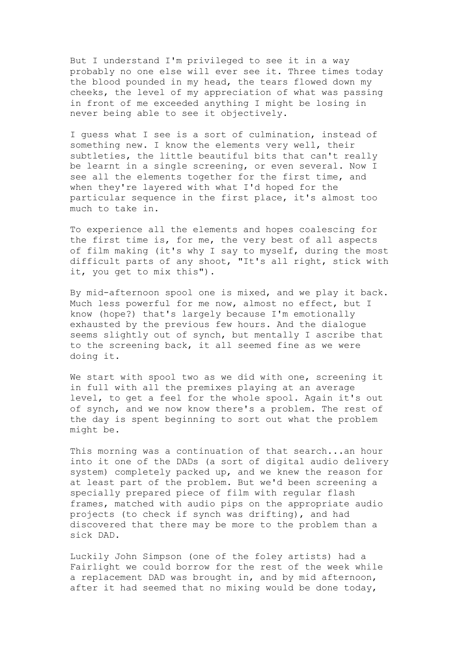But I understand I'm privileged to see it in a way probably no one else will ever see it. Three times today the blood pounded in my head, the tears flowed down my cheeks, the level of my appreciation of what was passing in front of me exceeded anything I might be losing in never being able to see it objectively.

I guess what I see is a sort of culmination, instead of something new. I know the elements very well, their subtleties, the little beautiful bits that can't really be learnt in a single screening, or even several. Now I see all the elements together for the first time, and when they're layered with what I'd hoped for the particular sequence in the first place, it's almost too much to take in.

To experience all the elements and hopes coalescing for the first time is, for me, the very best of all aspects of film making (it's why I say to myself, during the most difficult parts of any shoot, "It's all right, stick with it, you get to mix this").

By mid-afternoon spool one is mixed, and we play it back. Much less powerful for me now, almost no effect, but I know (hope?) that's largely because I'm emotionally exhausted by the previous few hours. And the dialogue seems slightly out of synch, but mentally I ascribe that to the screening back, it all seemed fine as we were doing it.

We start with spool two as we did with one, screening it in full with all the premixes playing at an average level, to get a feel for the whole spool. Again it's out of synch, and we now know there's a problem. The rest of the day is spent beginning to sort out what the problem might be.

This morning was a continuation of that search...an hour into it one of the DADs (a sort of digital audio delivery system) completely packed up, and we knew the reason for at least part of the problem. But we'd been screening a specially prepared piece of film with regular flash frames, matched with audio pips on the appropriate audio projects (to check if synch was drifting), and had discovered that there may be more to the problem than a sick DAD.

Luckily John Simpson (one of the foley artists) had a Fairlight we could borrow for the rest of the week while a replacement DAD was brought in, and by mid afternoon, after it had seemed that no mixing would be done today,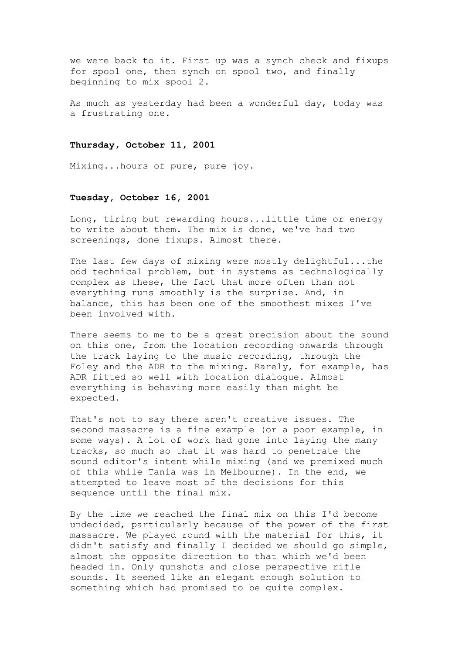we were back to it. First up was a synch check and fixups for spool one, then synch on spool two, and finally beginning to mix spool 2.

As much as yesterday had been a wonderful day, today was a frustrating one.

### **Thursday, October 11, 2001**

Mixing...hours of pure, pure joy.

#### **Tuesday, October 16, 2001**

Long, tiring but rewarding hours...little time or energy to write about them. The mix is done, we've had two screenings, done fixups. Almost there.

The last few days of mixing were mostly delightful...the odd technical problem, but in systems as technologically complex as these, the fact that more often than not everything runs smoothly is the surprise. And, in balance, this has been one of the smoothest mixes I've been involved with.

There seems to me to be a great precision about the sound on this one, from the location recording onwards through the track laying to the music recording, through the Foley and the ADR to the mixing. Rarely, for example, has ADR fitted so well with location dialogue. Almost everything is behaving more easily than might be expected.

That's not to say there aren't creative issues. The second massacre is a fine example (or a poor example, in some ways). A lot of work had gone into laying the many tracks, so much so that it was hard to penetrate the sound editor's intent while mixing (and we premixed much of this while Tania was in Melbourne). In the end, we attempted to leave most of the decisions for this sequence until the final mix.

By the time we reached the final mix on this I'd become undecided, particularly because of the power of the first massacre. We played round with the material for this, it didn't satisfy and finally I decided we should go simple, almost the opposite direction to that which we'd been headed in. Only gunshots and close perspective rifle sounds. It seemed like an elegant enough solution to something which had promised to be quite complex.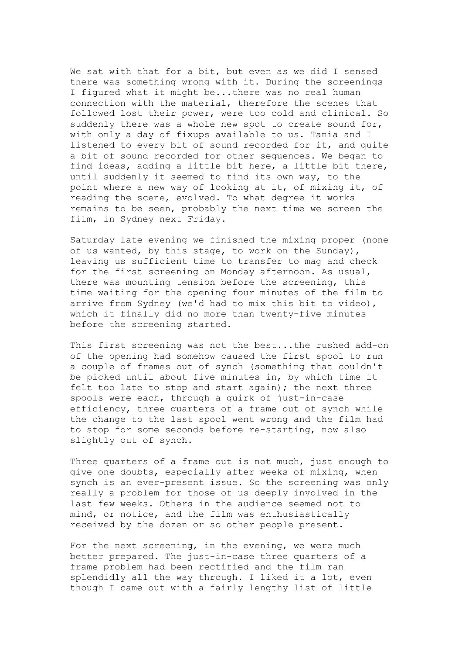We sat with that for a bit, but even as we did I sensed there was something wrong with it. During the screenings I figured what it might be...there was no real human connection with the material, therefore the scenes that followed lost their power, were too cold and clinical. So suddenly there was a whole new spot to create sound for, with only a day of fixups available to us. Tania and I listened to every bit of sound recorded for it, and quite a bit of sound recorded for other sequences. We began to find ideas, adding a little bit here, a little bit there, until suddenly it seemed to find its own way, to the point where a new way of looking at it, of mixing it, of reading the scene, evolved. To what degree it works remains to be seen, probably the next time we screen the film, in Sydney next Friday.

Saturday late evening we finished the mixing proper (none of us wanted, by this stage, to work on the Sunday), leaving us sufficient time to transfer to mag and check for the first screening on Monday afternoon. As usual, there was mounting tension before the screening, this time waiting for the opening four minutes of the film to arrive from Sydney (we'd had to mix this bit to video), which it finally did no more than twenty-five minutes before the screening started.

This first screening was not the best...the rushed add-on of the opening had somehow caused the first spool to run a couple of frames out of synch (something that couldn't be picked until about five minutes in, by which time it felt too late to stop and start again); the next three spools were each, through a quirk of just-in-case efficiency, three quarters of a frame out of synch while the change to the last spool went wrong and the film had to stop for some seconds before re-starting, now also slightly out of synch.

Three quarters of a frame out is not much, just enough to give one doubts, especially after weeks of mixing, when synch is an ever-present issue. So the screening was only really a problem for those of us deeply involved in the last few weeks. Others in the audience seemed not to mind, or notice, and the film was enthusiastically received by the dozen or so other people present.

For the next screening, in the evening, we were much better prepared. The just-in-case three quarters of a frame problem had been rectified and the film ran splendidly all the way through. I liked it a lot, even though I came out with a fairly lengthy list of little